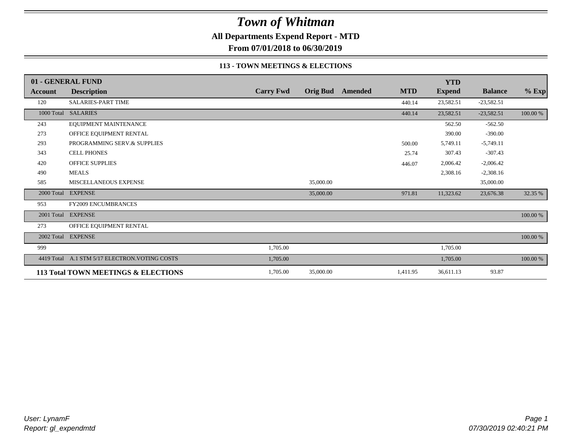**All Departments Expend Report - MTD**

**From 07/01/2018 to 06/30/2019**

### **113 - TOWN MEETINGS & ELECTIONS**

|            | 01 - GENERAL FUND                              |                  |           |                         |            | <b>YTD</b>    |                |          |
|------------|------------------------------------------------|------------------|-----------|-------------------------|------------|---------------|----------------|----------|
| Account    | <b>Description</b>                             | <b>Carry Fwd</b> |           | <b>Orig Bud</b> Amended | <b>MTD</b> | <b>Expend</b> | <b>Balance</b> | $%$ Exp  |
| 120        | <b>SALARIES-PART TIME</b>                      |                  |           |                         | 440.14     | 23,582.51     | $-23,582.51$   |          |
|            | 1000 Total SALARIES                            |                  |           |                         | 440.14     | 23,582.51     | $-23,582.51$   | 100.00 % |
| 243        | EQUIPMENT MAINTENANCE                          |                  |           |                         |            | 562.50        | $-562.50$      |          |
| 273        | OFFICE EQUIPMENT RENTAL                        |                  |           |                         |            | 390.00        | $-390.00$      |          |
| 293        | PROGRAMMING SERV.& SUPPLIES                    |                  |           |                         | 500.00     | 5,749.11      | $-5,749.11$    |          |
| 343        | <b>CELL PHONES</b>                             |                  |           |                         | 25.74      | 307.43        | $-307.43$      |          |
| 420        | <b>OFFICE SUPPLIES</b>                         |                  |           |                         | 446.07     | 2,006.42      | $-2,006.42$    |          |
| 490        | <b>MEALS</b>                                   |                  |           |                         |            | 2,308.16      | $-2,308.16$    |          |
| 585        | MISCELLANEOUS EXPENSE                          |                  | 35,000.00 |                         |            |               | 35,000.00      |          |
| 2000 Total | <b>EXPENSE</b>                                 |                  | 35,000.00 |                         | 971.81     | 11,323.62     | 23,676.38      | 32.35 %  |
| 953        | <b>FY2009 ENCUMBRANCES</b>                     |                  |           |                         |            |               |                |          |
| 2001 Total | <b>EXPENSE</b>                                 |                  |           |                         |            |               |                | 100.00 % |
| 273        | OFFICE EQUIPMENT RENTAL                        |                  |           |                         |            |               |                |          |
| 2002 Total | <b>EXPENSE</b>                                 |                  |           |                         |            |               |                | 100.00 % |
| 999        |                                                | 1,705.00         |           |                         |            | 1,705.00      |                |          |
|            | 4419 Total A.1 STM 5/17 ELECTRON. VOTING COSTS | 1,705.00         |           |                         |            | 1,705.00      |                | 100.00 % |
|            | 113 Total TOWN MEETINGS & ELECTIONS            | 1,705.00         | 35,000.00 |                         | 1,411.95   | 36,611.13     | 93.87          |          |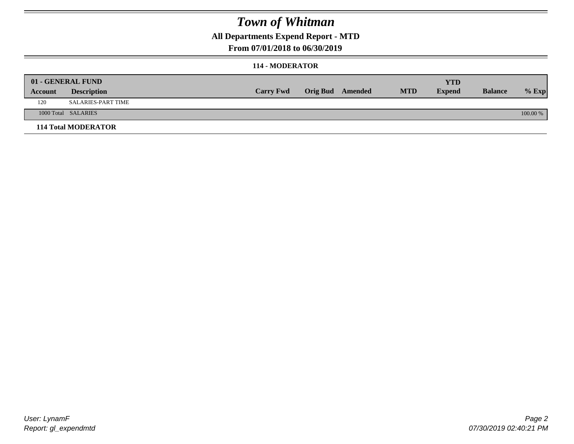## **All Departments Expend Report - MTD**

### **From 07/01/2018 to 06/30/2019**

#### **114 - MODERATOR**

|         | 01 - GENERAL FUND          |                  |                  |            | <b>YTD</b>    |                |          |
|---------|----------------------------|------------------|------------------|------------|---------------|----------------|----------|
| Account | <b>Description</b>         | <b>Carry Fwd</b> | Orig Bud Amended | <b>MTD</b> | <b>Expend</b> | <b>Balance</b> | $%$ Exp  |
| 120     | <b>SALARIES-PART TIME</b>  |                  |                  |            |               |                |          |
|         | 1000 Total SALARIES        |                  |                  |            |               |                | 100.00 % |
|         | <b>114 Total MODERATOR</b> |                  |                  |            |               |                |          |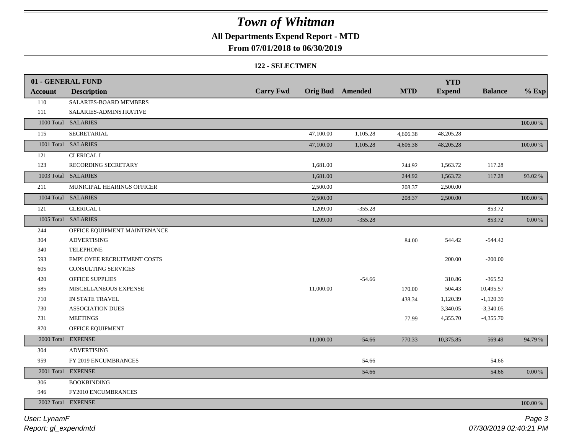## **All Departments Expend Report - MTD**

### **From 07/01/2018 to 06/30/2019**

#### **122 - SELECTMEN**

|         | 01 - GENERAL FUND            |                  |           |                  |            | <b>YTD</b>    |                |             |
|---------|------------------------------|------------------|-----------|------------------|------------|---------------|----------------|-------------|
| Account | <b>Description</b>           | <b>Carry Fwd</b> |           | Orig Bud Amended | <b>MTD</b> | <b>Expend</b> | <b>Balance</b> | $%$ Exp     |
| 110     | SALARIES-BOARD MEMBERS       |                  |           |                  |            |               |                |             |
| 111     | SALARIES-ADMINSTRATIVE       |                  |           |                  |            |               |                |             |
|         | 1000 Total SALARIES          |                  |           |                  |            |               |                | $100.00~\%$ |
| 115     | SECRETARIAL                  |                  | 47,100.00 | 1,105.28         | 4,606.38   | 48,205.28     |                |             |
|         | 1001 Total SALARIES          |                  | 47,100.00 | 1,105.28         | 4,606.38   | 48,205.28     |                | $100.00\%$  |
| 121     | <b>CLERICAL I</b>            |                  |           |                  |            |               |                |             |
| 123     | RECORDING SECRETARY          |                  | 1,681.00  |                  | 244.92     | 1,563.72      | 117.28         |             |
|         | 1003 Total SALARIES          |                  | 1,681.00  |                  | 244.92     | 1,563.72      | 117.28         | 93.02 %     |
| 211     | MUNICIPAL HEARINGS OFFICER   |                  | 2,500.00  |                  | 208.37     | 2,500.00      |                |             |
|         | 1004 Total SALARIES          |                  | 2,500.00  |                  | 208.37     | 2,500.00      |                | $100.00~\%$ |
| 121     | <b>CLERICAL I</b>            |                  | 1,209.00  | $-355.28$        |            |               | 853.72         |             |
|         | 1005 Total SALARIES          |                  | 1,209.00  | $-355.28$        |            |               | 853.72         | $0.00\ \%$  |
| 244     | OFFICE EQUIPMENT MAINTENANCE |                  |           |                  |            |               |                |             |
| 304     | <b>ADVERTISING</b>           |                  |           |                  | 84.00      | 544.42        | $-544.42$      |             |
| 340     | <b>TELEPHONE</b>             |                  |           |                  |            |               |                |             |
| 593     | EMPLOYEE RECRUITMENT COSTS   |                  |           |                  |            | 200.00        | $-200.00$      |             |
| 605     | <b>CONSULTING SERVICES</b>   |                  |           |                  |            |               |                |             |
| 420     | <b>OFFICE SUPPLIES</b>       |                  |           | $-54.66$         |            | 310.86        | $-365.52$      |             |
| 585     | MISCELLANEOUS EXPENSE        |                  | 11,000.00 |                  | 170.00     | 504.43        | 10,495.57      |             |
| 710     | IN STATE TRAVEL              |                  |           |                  | 438.34     | 1,120.39      | $-1,120.39$    |             |
| 730     | <b>ASSOCIATION DUES</b>      |                  |           |                  |            | 3,340.05      | $-3,340.05$    |             |
| 731     | <b>MEETINGS</b>              |                  |           |                  | 77.99      | 4,355.70      | $-4,355.70$    |             |
| 870     | OFFICE EQUIPMENT             |                  |           |                  |            |               |                |             |
|         | 2000 Total EXPENSE           |                  | 11,000.00 | $-54.66$         | 770.33     | 10,375.85     | 569.49         | 94.79 %     |
| 304     | <b>ADVERTISING</b>           |                  |           |                  |            |               |                |             |
| 959     | FY 2019 ENCUMBRANCES         |                  |           | 54.66            |            |               | 54.66          |             |
|         | 2001 Total EXPENSE           |                  |           | 54.66            |            |               | 54.66          | 0.00 %      |
| 306     | <b>BOOKBINDING</b>           |                  |           |                  |            |               |                |             |
| 946     | FY2010 ENCUMBRANCES          |                  |           |                  |            |               |                |             |
|         | 2002 Total EXPENSE           |                  |           |                  |            |               |                | $100.00~\%$ |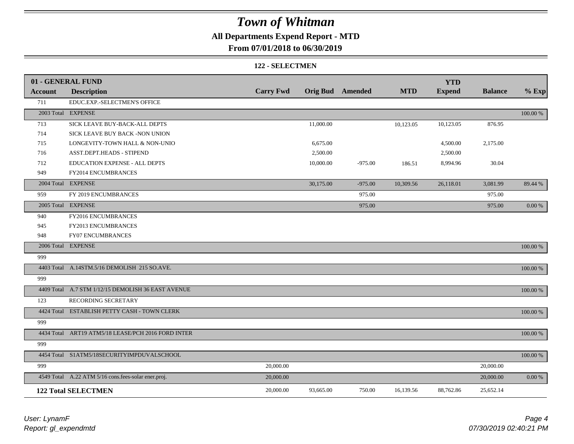## **All Departments Expend Report - MTD**

### **From 07/01/2018 to 06/30/2019**

#### **122 - SELECTMEN**

|                | 01 - GENERAL FUND                                   |                  |                         |           |            | <b>YTD</b>    |                |           |
|----------------|-----------------------------------------------------|------------------|-------------------------|-----------|------------|---------------|----------------|-----------|
| <b>Account</b> | <b>Description</b>                                  | <b>Carry Fwd</b> | <b>Orig Bud</b> Amended |           | <b>MTD</b> | <b>Expend</b> | <b>Balance</b> | $%$ Exp   |
| 711            | EDUC.EXP.-SELECTMEN'S OFFICE                        |                  |                         |           |            |               |                |           |
|                | 2003 Total EXPENSE                                  |                  |                         |           |            |               |                | 100.00 %  |
| 713            | SICK LEAVE BUY-BACK-ALL DEPTS                       |                  | 11,000.00               |           | 10,123.05  | 10,123.05     | 876.95         |           |
| 714            | SICK LEAVE BUY BACK -NON UNION                      |                  |                         |           |            |               |                |           |
| 715            | LONGEVITY-TOWN HALL & NON-UNIO                      |                  | 6,675.00                |           |            | 4,500.00      | 2,175.00       |           |
| 716            | ASST.DEPT.HEADS - STIPEND                           |                  | 2,500.00                |           |            | 2,500.00      |                |           |
| 712            | <b>EDUCATION EXPENSE - ALL DEPTS</b>                |                  | 10,000.00               | $-975.00$ | 186.51     | 8,994.96      | 30.04          |           |
| 949            | FY2014 ENCUMBRANCES                                 |                  |                         |           |            |               |                |           |
|                | 2004 Total EXPENSE                                  |                  | 30,175.00               | $-975.00$ | 10,309.56  | 26,118.01     | 3,081.99       | 89.44 %   |
| 959            | FY 2019 ENCUMBRANCES                                |                  |                         | 975.00    |            |               | 975.00         |           |
|                | 2005 Total EXPENSE                                  |                  |                         | 975.00    |            |               | 975.00         | $0.00 \%$ |
| 940            | FY2016 ENCUMBRANCES                                 |                  |                         |           |            |               |                |           |
| 945            | FY2013 ENCUMBRANCES                                 |                  |                         |           |            |               |                |           |
| 948            | <b>FY07 ENCUMBRANCES</b>                            |                  |                         |           |            |               |                |           |
|                | 2006 Total EXPENSE                                  |                  |                         |           |            |               |                | 100.00 %  |
| 999            |                                                     |                  |                         |           |            |               |                |           |
|                | 4403 Total A.14STM.5/16 DEMOLISH 215 SO.AVE.        |                  |                         |           |            |               |                | 100.00 %  |
| 999            |                                                     |                  |                         |           |            |               |                |           |
|                | 4409 Total A.7 STM 1/12/15 DEMOLISH 36 EAST AVENUE  |                  |                         |           |            |               |                | 100.00 %  |
| 123            | RECORDING SECRETARY                                 |                  |                         |           |            |               |                |           |
|                | 4424 Total ESTABLISH PETTY CASH - TOWN CLERK        |                  |                         |           |            |               |                | 100.00 %  |
| 999            |                                                     |                  |                         |           |            |               |                |           |
|                | 4434 Total ART19 ATM5/18 LEASE/PCH 2016 FORD INTER  |                  |                         |           |            |               |                | 100.00 %  |
| 999            |                                                     |                  |                         |           |            |               |                |           |
|                | 4454 Total S1ATM5/18SECURITYIMPDUVALSCHOOL          |                  |                         |           |            |               |                | 100.00 %  |
| 999            |                                                     | 20,000.00        |                         |           |            |               | 20,000.00      |           |
|                | 4549 Total A.22 ATM 5/16 cons.fees-solar ener.proj. | 20,000.00        |                         |           |            |               | 20,000.00      | $0.00~\%$ |
|                | <b>122 Total SELECTMEN</b>                          | 20,000.00        | 93,665.00               | 750.00    | 16,139.56  | 88,762.86     | 25,652.14      |           |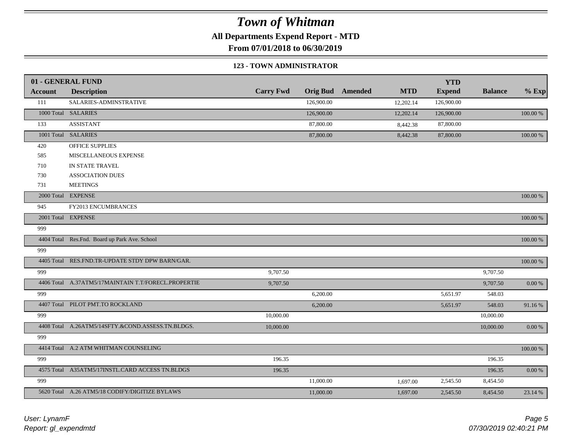**All Departments Expend Report - MTD**

**From 07/01/2018 to 06/30/2019**

#### **123 - TOWN ADMINISTRATOR**

|                | 01 - GENERAL FUND                                   |                  |            |                         |            | <b>YTD</b>    |                |            |
|----------------|-----------------------------------------------------|------------------|------------|-------------------------|------------|---------------|----------------|------------|
| <b>Account</b> | <b>Description</b>                                  | <b>Carry Fwd</b> |            | <b>Orig Bud</b> Amended | <b>MTD</b> | <b>Expend</b> | <b>Balance</b> | $%$ Exp    |
| 111            | SALARIES-ADMINSTRATIVE                              |                  | 126,900.00 |                         | 12,202.14  | 126,900.00    |                |            |
|                | 1000 Total SALARIES                                 |                  | 126,900.00 |                         | 12,202.14  | 126,900.00    |                | 100.00 %   |
| 133            | <b>ASSISTANT</b>                                    |                  | 87,800.00  |                         | 8,442.38   | 87,800.00     |                |            |
|                | 1001 Total SALARIES                                 |                  | 87,800.00  |                         | 8,442.38   | 87,800.00     |                | 100.00 %   |
| 420            | OFFICE SUPPLIES                                     |                  |            |                         |            |               |                |            |
| 585            | MISCELLANEOUS EXPENSE                               |                  |            |                         |            |               |                |            |
| 710            | IN STATE TRAVEL                                     |                  |            |                         |            |               |                |            |
| 730            | <b>ASSOCIATION DUES</b>                             |                  |            |                         |            |               |                |            |
| 731            | <b>MEETINGS</b>                                     |                  |            |                         |            |               |                |            |
|                | 2000 Total EXPENSE                                  |                  |            |                         |            |               |                | 100.00 %   |
| 945            | FY2013 ENCUMBRANCES                                 |                  |            |                         |            |               |                |            |
|                | 2001 Total EXPENSE                                  |                  |            |                         |            |               |                | 100.00 %   |
| 999            |                                                     |                  |            |                         |            |               |                |            |
|                | 4404 Total Res.Fnd. Board up Park Ave. School       |                  |            |                         |            |               |                | 100.00 %   |
| 999            |                                                     |                  |            |                         |            |               |                |            |
|                | 4405 Total RES.FND.TR-UPDATE STDY DPW BARN/GAR.     |                  |            |                         |            |               |                | 100.00 %   |
| 999            |                                                     | 9,707.50         |            |                         |            |               | 9,707.50       |            |
|                | 4406 Total A.37ATM5/17MAINTAIN T.T/FORECL.PROPERTIE | 9,707.50         |            |                         |            |               | 9,707.50       | $0.00~\%$  |
| 999            |                                                     |                  | 6,200.00   |                         |            | 5,651.97      | 548.03         |            |
|                | 4407 Total PILOT PMT.TO ROCKLAND                    |                  | 6,200.00   |                         |            | 5,651.97      | 548.03         | 91.16%     |
| 999            |                                                     | 10,000.00        |            |                         |            |               | 10,000.00      |            |
|                | 4408 Total A.26ATM5/14SFTY.&COND.ASSESS.TN.BLDGS.   | 10,000.00        |            |                         |            |               | 10,000.00      | $0.00\ \%$ |
| 999            |                                                     |                  |            |                         |            |               |                |            |
|                | 4414 Total A.2 ATM WHITMAN COUNSELING               |                  |            |                         |            |               |                | 100.00 %   |
| 999            |                                                     | 196.35           |            |                         |            |               | 196.35         |            |
|                | 4575 Total A35ATM5/17INSTL.CARD ACCESS TN.BLDGS     | 196.35           |            |                         |            |               | 196.35         | $0.00\ \%$ |
| 999            |                                                     |                  | 11,000.00  |                         | 1,697.00   | 2,545.50      | 8,454.50       |            |
|                | 5620 Total A.26 ATM5/18 CODIFY/DIGITIZE BYLAWS      |                  | 11,000.00  |                         | 1,697.00   | 2,545.50      | 8,454.50       | 23.14 %    |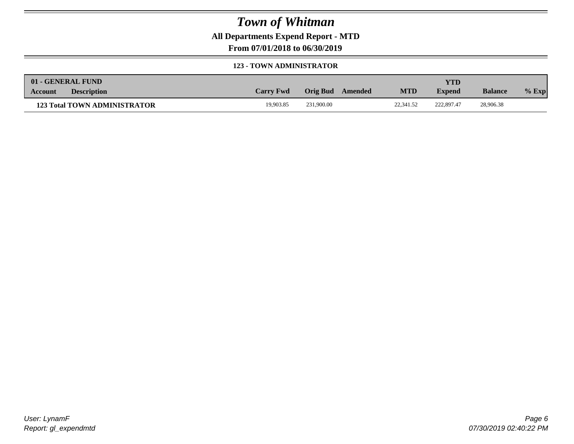**All Departments Expend Report - MTD**

**From 07/01/2018 to 06/30/2019**

### **123 - TOWN ADMINISTRATOR**

|         | 01 - GENERAL FUND                   |                  |                     |            | <b>YTD</b>    |                |         |
|---------|-------------------------------------|------------------|---------------------|------------|---------------|----------------|---------|
| Account | <b>Description</b>                  | <b>Carry Fwd</b> | Orig Bud<br>Amended | <b>MTD</b> | <b>Expend</b> | <b>Balance</b> | $%$ Exp |
|         | <b>123 Total TOWN ADMINISTRATOR</b> | 19,903.85        | 231,900.00          | 22,341.52  | 222,897.47    | 28,906.38      |         |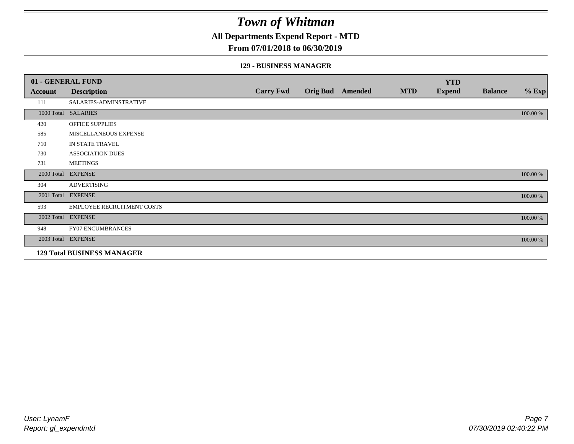**All Departments Expend Report - MTD**

### **From 07/01/2018 to 06/30/2019**

#### **129 - BUSINESS MANAGER**

|            | 01 - GENERAL FUND                 |                  |                 |         |            | <b>YTD</b>    |                |          |
|------------|-----------------------------------|------------------|-----------------|---------|------------|---------------|----------------|----------|
| Account    | <b>Description</b>                | <b>Carry Fwd</b> | <b>Orig Bud</b> | Amended | <b>MTD</b> | <b>Expend</b> | <b>Balance</b> | $%$ Exp  |
| 111        | SALARIES-ADMINSTRATIVE            |                  |                 |         |            |               |                |          |
|            | 1000 Total SALARIES               |                  |                 |         |            |               |                | 100.00 % |
| 420        | OFFICE SUPPLIES                   |                  |                 |         |            |               |                |          |
| 585        | MISCELLANEOUS EXPENSE             |                  |                 |         |            |               |                |          |
| 710        | IN STATE TRAVEL                   |                  |                 |         |            |               |                |          |
| 730        | <b>ASSOCIATION DUES</b>           |                  |                 |         |            |               |                |          |
| 731        | <b>MEETINGS</b>                   |                  |                 |         |            |               |                |          |
| 2000 Total | <b>EXPENSE</b>                    |                  |                 |         |            |               |                | 100.00 % |
| 304        | <b>ADVERTISING</b>                |                  |                 |         |            |               |                |          |
| 2001 Total | <b>EXPENSE</b>                    |                  |                 |         |            |               |                | 100.00 % |
| 593        | <b>EMPLOYEE RECRUITMENT COSTS</b> |                  |                 |         |            |               |                |          |
|            | 2002 Total EXPENSE                |                  |                 |         |            |               |                | 100.00 % |
| 948        | <b>FY07 ENCUMBRANCES</b>          |                  |                 |         |            |               |                |          |
|            | 2003 Total EXPENSE                |                  |                 |         |            |               |                | 100.00 % |
|            | <b>129 Total BUSINESS MANAGER</b> |                  |                 |         |            |               |                |          |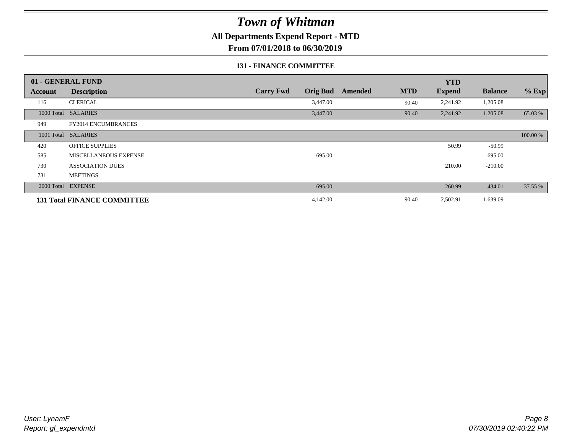**All Departments Expend Report - MTD**

**From 07/01/2018 to 06/30/2019**

### **131 - FINANCE COMMITTEE**

|         | 01 - GENERAL FUND                  |                  |                 |         |            | <b>YTD</b>    |                |          |
|---------|------------------------------------|------------------|-----------------|---------|------------|---------------|----------------|----------|
| Account | <b>Description</b>                 | <b>Carry Fwd</b> | <b>Orig Bud</b> | Amended | <b>MTD</b> | <b>Expend</b> | <b>Balance</b> | $%$ Exp  |
| 116     | <b>CLERICAL</b>                    |                  | 3,447.00        |         | 90.40      | 2,241.92      | 1,205.08       |          |
|         | 1000 Total SALARIES                |                  | 3,447.00        |         | 90.40      | 2,241.92      | 1,205.08       | 65.03 %  |
| 949     | FY2014 ENCUMBRANCES                |                  |                 |         |            |               |                |          |
|         | 1001 Total SALARIES                |                  |                 |         |            |               |                | 100.00 % |
| 420     | <b>OFFICE SUPPLIES</b>             |                  |                 |         |            | 50.99         | $-50.99$       |          |
| 585     | MISCELLANEOUS EXPENSE              |                  | 695.00          |         |            |               | 695.00         |          |
| 730     | <b>ASSOCIATION DUES</b>            |                  |                 |         |            | 210.00        | $-210.00$      |          |
| 731     | <b>MEETINGS</b>                    |                  |                 |         |            |               |                |          |
|         | 2000 Total EXPENSE                 |                  | 695.00          |         |            | 260.99        | 434.01         | 37.55 %  |
|         | <b>131 Total FINANCE COMMITTEE</b> |                  | 4,142.00        |         | 90.40      | 2,502.91      | 1,639.09       |          |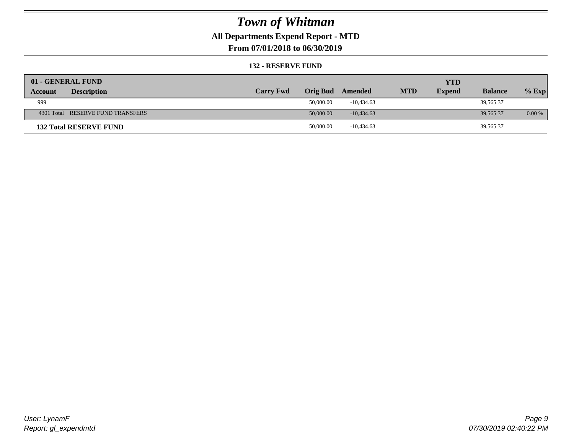## **All Departments Expend Report - MTD**

**From 07/01/2018 to 06/30/2019**

### **132 - RESERVE FUND**

| 01 - GENERAL FUND                 |                  |                 |              |            | <b>YTD</b>    |                |          |
|-----------------------------------|------------------|-----------------|--------------|------------|---------------|----------------|----------|
| <b>Description</b><br>Account     | <b>Carry Fwd</b> | <b>Orig Bud</b> | Amended      | <b>MTD</b> | <b>Expend</b> | <b>Balance</b> | $%$ Exp  |
| 999                               |                  | 50,000.00       | $-10.434.63$ |            |               | 39,565.37      |          |
| 4301 Total RESERVE FUND TRANSFERS |                  | 50,000.00       | $-10,434.63$ |            |               | 39,565.37      | $0.00\%$ |
| <b>132 Total RESERVE FUND</b>     |                  | 50,000.00       | $-10,434.63$ |            |               | 39,565.37      |          |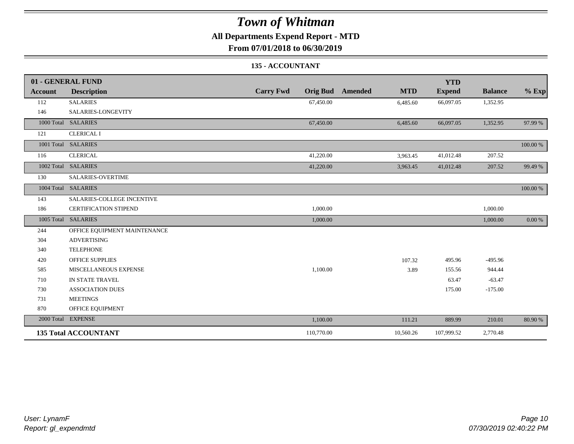## **All Departments Expend Report - MTD**

**From 07/01/2018 to 06/30/2019**

### **135 - ACCOUNTANT**

|                | 01 - GENERAL FUND            |                                     |                              | <b>YTD</b>    |                |          |
|----------------|------------------------------|-------------------------------------|------------------------------|---------------|----------------|----------|
| <b>Account</b> | <b>Description</b>           | <b>Carry Fwd</b><br><b>Orig Bud</b> | <b>MTD</b><br><b>Amended</b> | <b>Expend</b> | <b>Balance</b> | $%$ Exp  |
| 112            | <b>SALARIES</b>              | 67,450.00                           | 6,485.60                     | 66,097.05     | 1,352.95       |          |
| 146            | SALARIES-LONGEVITY           |                                     |                              |               |                |          |
|                | 1000 Total SALARIES          | 67,450.00                           | 6,485.60                     | 66,097.05     | 1,352.95       | 97.99 %  |
| 121            | <b>CLERICAL I</b>            |                                     |                              |               |                |          |
|                | 1001 Total SALARIES          |                                     |                              |               |                | 100.00 % |
| 116            | <b>CLERICAL</b>              | 41,220.00                           | 3,963.45                     | 41,012.48     | 207.52         |          |
|                | 1002 Total SALARIES          | 41,220.00                           | 3,963.45                     | 41,012.48     | 207.52         | 99.49 %  |
| 130            | SALARIES-OVERTIME            |                                     |                              |               |                |          |
|                | 1004 Total SALARIES          |                                     |                              |               |                | 100.00 % |
| 143            | SALARIES-COLLEGE INCENTIVE   |                                     |                              |               |                |          |
| 186            | <b>CERTIFICATION STIPEND</b> | 1,000.00                            |                              |               | 1,000.00       |          |
|                | 1005 Total SALARIES          | 1,000.00                            |                              |               | 1,000.00       | 0.00 %   |
| 244            | OFFICE EQUIPMENT MAINTENANCE |                                     |                              |               |                |          |
| 304            | <b>ADVERTISING</b>           |                                     |                              |               |                |          |
| 340            | <b>TELEPHONE</b>             |                                     |                              |               |                |          |
| 420            | <b>OFFICE SUPPLIES</b>       |                                     | 107.32                       | 495.96        | $-495.96$      |          |
| 585            | MISCELLANEOUS EXPENSE        | 1,100.00                            | 3.89                         | 155.56        | 944.44         |          |
| 710            | IN STATE TRAVEL              |                                     |                              | 63.47         | $-63.47$       |          |
| 730            | <b>ASSOCIATION DUES</b>      |                                     |                              | 175.00        | $-175.00$      |          |
| 731            | <b>MEETINGS</b>              |                                     |                              |               |                |          |
| 870            | OFFICE EQUIPMENT             |                                     |                              |               |                |          |
|                | 2000 Total EXPENSE           | 1,100.00                            | 111.21                       | 889.99        | 210.01         | 80.90 %  |
|                | <b>135 Total ACCOUNTANT</b>  | 110,770.00                          | 10,560.26                    | 107,999.52    | 2,770.48       |          |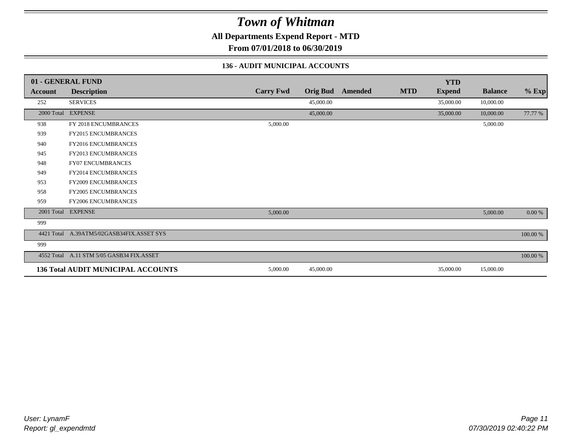**All Departments Expend Report - MTD**

**From 07/01/2018 to 06/30/2019**

### **136 - AUDIT MUNICIPAL ACCOUNTS**

|                | 01 - GENERAL FUND                         |                  |                 |                |            | <b>YTD</b>    |                |             |
|----------------|-------------------------------------------|------------------|-----------------|----------------|------------|---------------|----------------|-------------|
| <b>Account</b> | <b>Description</b>                        | <b>Carry Fwd</b> | <b>Orig Bud</b> | <b>Amended</b> | <b>MTD</b> | <b>Expend</b> | <b>Balance</b> | $%$ Exp     |
| 252            | <b>SERVICES</b>                           |                  | 45,000.00       |                |            | 35,000.00     | 10,000.00      |             |
| 2000 Total     | <b>EXPENSE</b>                            |                  | 45,000.00       |                |            | 35,000.00     | 10,000.00      | 77.77 %     |
| 938            | FY 2018 ENCUMBRANCES                      | 5,000.00         |                 |                |            |               | 5,000.00       |             |
| 939            | <b>FY2015 ENCUMBRANCES</b>                |                  |                 |                |            |               |                |             |
| 940            | <b>FY2016 ENCUMBRANCES</b>                |                  |                 |                |            |               |                |             |
| 945            | FY2013 ENCUMBRANCES                       |                  |                 |                |            |               |                |             |
| 948            | <b>FY07 ENCUMBRANCES</b>                  |                  |                 |                |            |               |                |             |
| 949            | FY2014 ENCUMBRANCES                       |                  |                 |                |            |               |                |             |
| 953            | FY2009 ENCUMBRANCES                       |                  |                 |                |            |               |                |             |
| 958            | <b>FY2005 ENCUMBRANCES</b>                |                  |                 |                |            |               |                |             |
| 959            | <b>FY2006 ENCUMBRANCES</b>                |                  |                 |                |            |               |                |             |
| 2001 Total     | <b>EXPENSE</b>                            | 5,000.00         |                 |                |            |               | 5,000.00       | $0.00\ \%$  |
| 999            |                                           |                  |                 |                |            |               |                |             |
|                | 4421 Total A.39ATM5/02GASB34FIX.ASSET SYS |                  |                 |                |            |               |                | $100.00~\%$ |
| 999            |                                           |                  |                 |                |            |               |                |             |
|                | 4552 Total A.11 STM 5/05 GASB34 FIX.ASSET |                  |                 |                |            |               |                | 100.00 %    |
|                | <b>136 Total AUDIT MUNICIPAL ACCOUNTS</b> | 5,000.00         | 45,000.00       |                |            | 35,000.00     | 15,000.00      |             |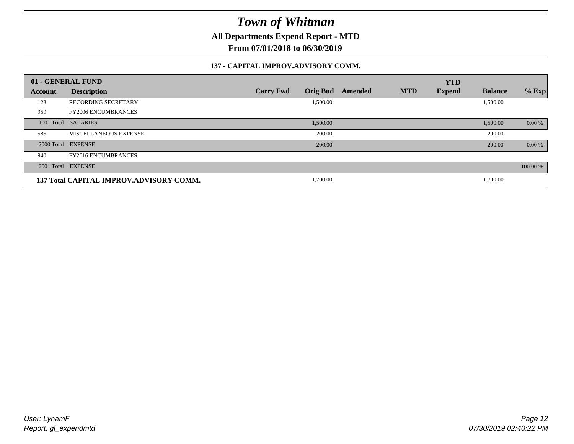**All Departments Expend Report - MTD**

**From 07/01/2018 to 06/30/2019**

### **137 - CAPITAL IMPROV.ADVISORY COMM.**

|            | 01 - GENERAL FUND                       |                                     |         |            | <b>YTD</b>    |                |          |
|------------|-----------------------------------------|-------------------------------------|---------|------------|---------------|----------------|----------|
| Account    | <b>Description</b>                      | <b>Orig Bud</b><br><b>Carry Fwd</b> | Amended | <b>MTD</b> | <b>Expend</b> | <b>Balance</b> | $%$ Exp  |
| 123        | <b>RECORDING SECRETARY</b>              | 1,500.00                            |         |            |               | 1,500.00       |          |
| 959        | <b>FY2006 ENCUMBRANCES</b>              |                                     |         |            |               |                |          |
| 1001 Total | <b>SALARIES</b>                         | 1,500.00                            |         |            |               | 1,500.00       | $0.00\%$ |
| 585        | MISCELLANEOUS EXPENSE                   | 200.00                              |         |            |               | 200.00         |          |
|            | 2000 Total EXPENSE                      | 200.00                              |         |            |               | 200.00         | 0.00 %   |
| 940        | <b>FY2016 ENCUMBRANCES</b>              |                                     |         |            |               |                |          |
|            | 2001 Total EXPENSE                      |                                     |         |            |               |                | 100.00 % |
|            | 137 Total CAPITAL IMPROV.ADVISORY COMM. | 1,700.00                            |         |            |               | 1,700.00       |          |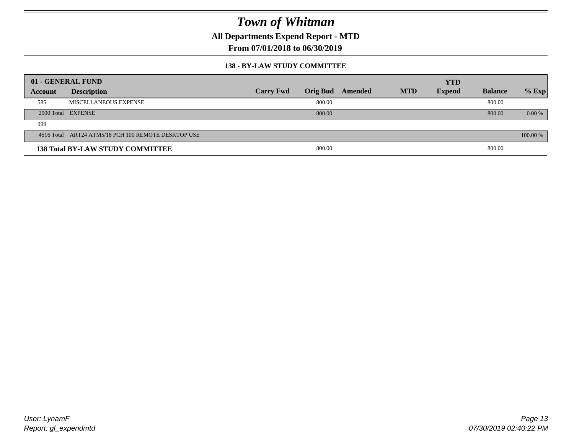**All Departments Expend Report - MTD**

**From 07/01/2018 to 06/30/2019**

### **138 - BY-LAW STUDY COMMITTEE**

|         | 01 - GENERAL FUND                                   |                  |        |                         |            | <b>YTD</b>    |                |          |
|---------|-----------------------------------------------------|------------------|--------|-------------------------|------------|---------------|----------------|----------|
| Account | <b>Description</b>                                  | <b>Carry Fwd</b> |        | <b>Orig Bud</b> Amended | <b>MTD</b> | <b>Expend</b> | <b>Balance</b> | $%$ Exp  |
| 585     | MISCELLANEOUS EXPENSE                               |                  | 800.00 |                         |            |               | 800.00         |          |
|         | 2000 Total EXPENSE                                  |                  | 800.00 |                         |            |               | 800.00         | $0.00\%$ |
| 999     |                                                     |                  |        |                         |            |               |                |          |
|         | 4516 Total ART24 ATM5/18 PCH 100 REMOTE DESKTOP USE |                  |        |                         |            |               |                | 100.00 % |
|         | <b>138 Total BY-LAW STUDY COMMITTEE</b>             |                  | 800.00 |                         |            |               | 800.00         |          |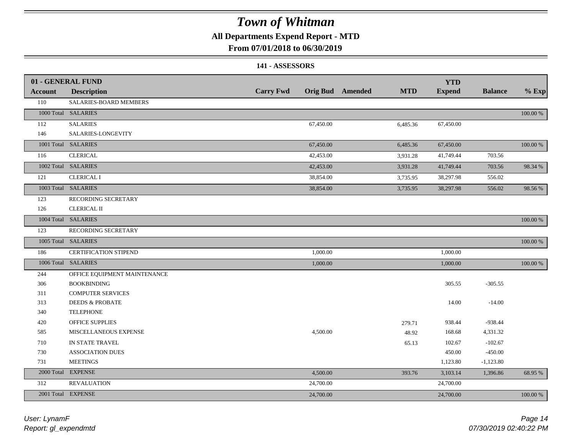### **All Departments Expend Report - MTD**

### **From 07/01/2018 to 06/30/2019**

### **141 - ASSESSORS**

|                | 01 - GENERAL FUND            |                  |           |                         |            | <b>YTD</b>    |                |             |
|----------------|------------------------------|------------------|-----------|-------------------------|------------|---------------|----------------|-------------|
| <b>Account</b> | <b>Description</b>           | <b>Carry Fwd</b> |           | <b>Orig Bud</b> Amended | <b>MTD</b> | <b>Expend</b> | <b>Balance</b> | $%$ Exp     |
| 110            | SALARIES-BOARD MEMBERS       |                  |           |                         |            |               |                |             |
|                | 1000 Total SALARIES          |                  |           |                         |            |               |                | 100.00 %    |
| 112            | <b>SALARIES</b>              |                  | 67,450.00 |                         | 6,485.36   | 67,450.00     |                |             |
| 146            | SALARIES-LONGEVITY           |                  |           |                         |            |               |                |             |
|                | 1001 Total SALARIES          |                  | 67,450.00 |                         | 6,485.36   | 67,450.00     |                | 100.00 %    |
| 116            | <b>CLERICAL</b>              |                  | 42,453.00 |                         | 3,931.28   | 41,749.44     | 703.56         |             |
|                | 1002 Total SALARIES          |                  | 42,453.00 |                         | 3,931.28   | 41,749.44     | 703.56         | 98.34 %     |
| 121            | <b>CLERICAL I</b>            |                  | 38,854.00 |                         | 3,735.95   | 38,297.98     | 556.02         |             |
|                | 1003 Total SALARIES          |                  | 38,854.00 |                         | 3,735.95   | 38,297.98     | 556.02         | 98.56 %     |
| 123            | RECORDING SECRETARY          |                  |           |                         |            |               |                |             |
| 126            | <b>CLERICAL II</b>           |                  |           |                         |            |               |                |             |
|                | 1004 Total SALARIES          |                  |           |                         |            |               |                | 100.00 %    |
| 123            | RECORDING SECRETARY          |                  |           |                         |            |               |                |             |
|                | 1005 Total SALARIES          |                  |           |                         |            |               |                | $100.00~\%$ |
| 186            | <b>CERTIFICATION STIPEND</b> |                  | 1,000.00  |                         |            | 1,000.00      |                |             |
|                | 1006 Total SALARIES          |                  | 1,000.00  |                         |            | 1,000.00      |                | 100.00 %    |
| 244            | OFFICE EQUIPMENT MAINTENANCE |                  |           |                         |            |               |                |             |
| 306            | <b>BOOKBINDING</b>           |                  |           |                         |            | 305.55        | $-305.55$      |             |
| 311            | <b>COMPUTER SERVICES</b>     |                  |           |                         |            |               |                |             |
| 313            | <b>DEEDS &amp; PROBATE</b>   |                  |           |                         |            | 14.00         | $-14.00$       |             |
| 340            | <b>TELEPHONE</b>             |                  |           |                         |            |               |                |             |
| 420            | OFFICE SUPPLIES              |                  |           |                         | 279.71     | 938.44        | $-938.44$      |             |
| 585            | MISCELLANEOUS EXPENSE        |                  | 4,500.00  |                         | 48.92      | 168.68        | 4,331.32       |             |
| 710            | IN STATE TRAVEL              |                  |           |                         | 65.13      | 102.67        | $-102.67$      |             |
| 730            | <b>ASSOCIATION DUES</b>      |                  |           |                         |            | 450.00        | $-450.00$      |             |
| 731            | <b>MEETINGS</b>              |                  |           |                         |            | 1,123.80      | $-1,123.80$    |             |
| 2000 Total     | <b>EXPENSE</b>               |                  | 4,500.00  |                         | 393.76     | 3,103.14      | 1,396.86       | 68.95 %     |
| 312            | <b>REVALUATION</b>           |                  | 24,700.00 |                         |            | 24,700.00     |                |             |
|                | 2001 Total EXPENSE           |                  | 24,700.00 |                         |            | 24,700.00     |                | 100.00 %    |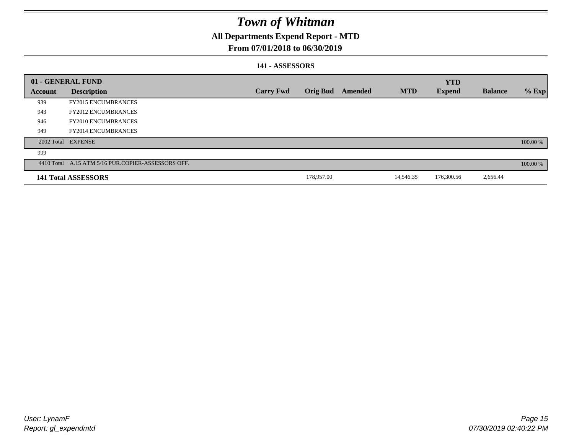## **All Departments Expend Report - MTD**

### **From 07/01/2018 to 06/30/2019**

### **141 - ASSESSORS**

|                | 01 - GENERAL FUND                                  |                  |                 |         |            | <b>YTD</b>    |                |          |
|----------------|----------------------------------------------------|------------------|-----------------|---------|------------|---------------|----------------|----------|
| <b>Account</b> | <b>Description</b>                                 | <b>Carry Fwd</b> | <b>Orig Bud</b> | Amended | <b>MTD</b> | <b>Expend</b> | <b>Balance</b> | $%$ Exp  |
| 939            | <b>FY2015 ENCUMBRANCES</b>                         |                  |                 |         |            |               |                |          |
| 943            | <b>FY2012 ENCUMBRANCES</b>                         |                  |                 |         |            |               |                |          |
| 946            | <b>FY2010 ENCUMBRANCES</b>                         |                  |                 |         |            |               |                |          |
| 949            | <b>FY2014 ENCUMBRANCES</b>                         |                  |                 |         |            |               |                |          |
|                | 2002 Total EXPENSE                                 |                  |                 |         |            |               |                | 100.00 % |
| 999            |                                                    |                  |                 |         |            |               |                |          |
|                | 4410 Total A.15 ATM 5/16 PUR.COPIER-ASSESSORS OFF. |                  |                 |         |            |               |                | 100.00 % |
|                | 141 Total ASSESSORS                                |                  | 178,957.00      |         | 14,546.35  | 176,300.56    | 2,656.44       |          |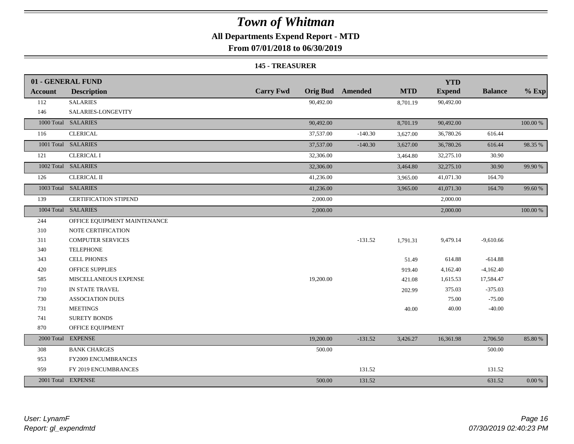## **All Departments Expend Report - MTD**

**From 07/01/2018 to 06/30/2019**

#### **145 - TREASURER**

|                | 01 - GENERAL FUND            |                  |                         |            | <b>YTD</b>    |                |          |
|----------------|------------------------------|------------------|-------------------------|------------|---------------|----------------|----------|
| <b>Account</b> | <b>Description</b>           | <b>Carry Fwd</b> | <b>Orig Bud</b> Amended | <b>MTD</b> | <b>Expend</b> | <b>Balance</b> | $%$ Exp  |
| 112            | <b>SALARIES</b>              | 90,492.00        |                         | 8,701.19   | 90,492.00     |                |          |
| 146            | SALARIES-LONGEVITY           |                  |                         |            |               |                |          |
|                | 1000 Total SALARIES          | 90,492.00        |                         | 8,701.19   | 90,492.00     |                | 100.00 % |
| 116            | <b>CLERICAL</b>              | 37,537.00        | $-140.30$               | 3,627.00   | 36,780.26     | 616.44         |          |
|                | 1001 Total SALARIES          | 37,537.00        | $-140.30$               | 3,627.00   | 36,780.26     | 616.44         | 98.35 %  |
| 121            | <b>CLERICAL I</b>            | 32,306.00        |                         | 3,464.80   | 32,275.10     | 30.90          |          |
|                | 1002 Total SALARIES          | 32,306.00        |                         | 3,464.80   | 32,275.10     | 30.90          | 99.90 %  |
| 126            | <b>CLERICAL II</b>           | 41,236.00        |                         | 3,965.00   | 41,071.30     | 164.70         |          |
|                | 1003 Total SALARIES          | 41,236.00        |                         | 3,965.00   | 41,071.30     | 164.70         | 99.60 %  |
| 139            | <b>CERTIFICATION STIPEND</b> | 2,000.00         |                         |            | 2,000.00      |                |          |
|                | 1004 Total SALARIES          | 2,000.00         |                         |            | 2,000.00      |                | 100.00 % |
| 244            | OFFICE EQUIPMENT MAINTENANCE |                  |                         |            |               |                |          |
| 310            | NOTE CERTIFICATION           |                  |                         |            |               |                |          |
| 311            | <b>COMPUTER SERVICES</b>     |                  | $-131.52$               | 1,791.31   | 9,479.14      | $-9,610.66$    |          |
| 340            | <b>TELEPHONE</b>             |                  |                         |            |               |                |          |
| 343            | <b>CELL PHONES</b>           |                  |                         | 51.49      | 614.88        | $-614.88$      |          |
| 420            | <b>OFFICE SUPPLIES</b>       |                  |                         | 919.40     | 4,162.40      | $-4,162.40$    |          |
| 585            | MISCELLANEOUS EXPENSE        | 19,200.00        |                         | 421.08     | 1,615.53      | 17,584.47      |          |
| 710            | IN STATE TRAVEL              |                  |                         | 202.99     | 375.03        | $-375.03$      |          |
| 730            | <b>ASSOCIATION DUES</b>      |                  |                         |            | 75.00         | $-75.00$       |          |
| 731            | <b>MEETINGS</b>              |                  |                         | 40.00      | 40.00         | $-40.00$       |          |
| 741            | <b>SURETY BONDS</b>          |                  |                         |            |               |                |          |
| 870            | OFFICE EQUIPMENT             |                  |                         |            |               |                |          |
|                | 2000 Total EXPENSE           | 19,200.00        | $-131.52$               | 3,426.27   | 16,361.98     | 2,706.50       | 85.80%   |
| 308            | <b>BANK CHARGES</b>          | 500.00           |                         |            |               | 500.00         |          |
| 953            | <b>FY2009 ENCUMBRANCES</b>   |                  |                         |            |               |                |          |
| 959            | FY 2019 ENCUMBRANCES         |                  | 131.52                  |            |               | 131.52         |          |
|                | 2001 Total EXPENSE           | 500.00           | 131.52                  |            |               | 631.52         | 0.00 %   |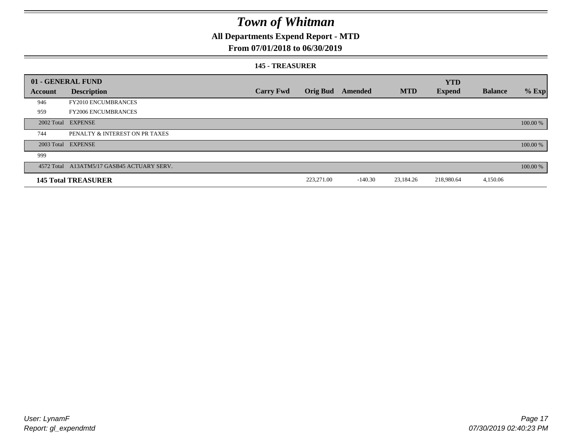### **All Departments Expend Report - MTD**

### **From 07/01/2018 to 06/30/2019**

#### **145 - TREASURER**

|         | 01 - GENERAL FUND                          |                  |                 |           |            | <b>YTD</b>    |                |          |
|---------|--------------------------------------------|------------------|-----------------|-----------|------------|---------------|----------------|----------|
| Account | <b>Description</b>                         | <b>Carry Fwd</b> | <b>Orig Bud</b> | Amended   | <b>MTD</b> | <b>Expend</b> | <b>Balance</b> | $%$ Exp  |
| 946     | <b>FY2010 ENCUMBRANCES</b>                 |                  |                 |           |            |               |                |          |
| 959     | <b>FY2006 ENCUMBRANCES</b>                 |                  |                 |           |            |               |                |          |
|         | 2002 Total EXPENSE                         |                  |                 |           |            |               |                | 100.00 % |
| 744     | PENALTY & INTEREST ON PR TAXES             |                  |                 |           |            |               |                |          |
|         | 2003 Total EXPENSE                         |                  |                 |           |            |               |                | 100.00 % |
| 999     |                                            |                  |                 |           |            |               |                |          |
|         | 4572 Total A13ATM5/17 GASB45 ACTUARY SERV. |                  |                 |           |            |               |                | 100.00 % |
|         | <b>145 Total TREASURER</b>                 |                  | 223,271.00      | $-140.30$ | 23,184.26  | 218,980.64    | 4,150.06       |          |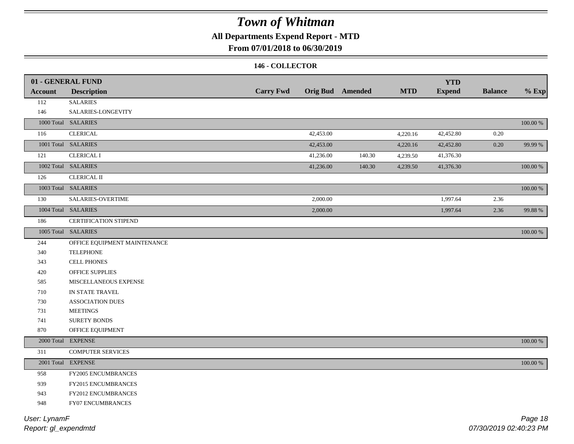## **All Departments Expend Report - MTD**

### **From 07/01/2018 to 06/30/2019**

### **146 - COLLECTOR**

|                | 01 - GENERAL FUND            |                  |           |                         | <b>MTD</b> | <b>YTD</b>    | <b>Balance</b> |             |
|----------------|------------------------------|------------------|-----------|-------------------------|------------|---------------|----------------|-------------|
| <b>Account</b> | <b>Description</b>           | <b>Carry Fwd</b> |           | <b>Orig Bud</b> Amended |            | <b>Expend</b> |                | $%$ Exp     |
| 112            | <b>SALARIES</b>              |                  |           |                         |            |               |                |             |
| 146            | SALARIES-LONGEVITY           |                  |           |                         |            |               |                |             |
|                | 1000 Total SALARIES          |                  |           |                         |            |               |                | $100.00~\%$ |
| 116            | <b>CLERICAL</b>              |                  | 42,453.00 |                         | 4,220.16   | 42,452.80     | 0.20           |             |
|                | 1001 Total SALARIES          |                  | 42,453.00 |                         | 4,220.16   | 42,452.80     | 0.20           | 99.99 %     |
| 121            | <b>CLERICAL I</b>            |                  | 41,236.00 | 140.30                  | 4,239.50   | 41,376.30     |                |             |
|                | 1002 Total SALARIES          |                  | 41,236.00 | 140.30                  | 4,239.50   | 41,376.30     |                | $100.00~\%$ |
| 126            | <b>CLERICAL II</b>           |                  |           |                         |            |               |                |             |
|                | 1003 Total SALARIES          |                  |           |                         |            |               |                | 100.00 %    |
| 130            | SALARIES-OVERTIME            |                  | 2,000.00  |                         |            | 1,997.64      | 2.36           |             |
|                | 1004 Total SALARIES          |                  | 2,000.00  |                         |            | 1,997.64      | 2.36           | 99.88%      |
| 186            | <b>CERTIFICATION STIPEND</b> |                  |           |                         |            |               |                |             |
|                | 1005 Total SALARIES          |                  |           |                         |            |               |                | 100.00 %    |
| 244            | OFFICE EQUIPMENT MAINTENANCE |                  |           |                         |            |               |                |             |
| 340            | <b>TELEPHONE</b>             |                  |           |                         |            |               |                |             |
| 343            | <b>CELL PHONES</b>           |                  |           |                         |            |               |                |             |
| 420            | <b>OFFICE SUPPLIES</b>       |                  |           |                         |            |               |                |             |
| 585            | MISCELLANEOUS EXPENSE        |                  |           |                         |            |               |                |             |
| 710            | IN STATE TRAVEL              |                  |           |                         |            |               |                |             |
| 730            | ASSOCIATION DUES             |                  |           |                         |            |               |                |             |
| 731            | <b>MEETINGS</b>              |                  |           |                         |            |               |                |             |
| 741            | <b>SURETY BONDS</b>          |                  |           |                         |            |               |                |             |
| 870            | OFFICE EQUIPMENT             |                  |           |                         |            |               |                |             |
|                | 2000 Total EXPENSE           |                  |           |                         |            |               |                | 100.00 %    |
| 311            | <b>COMPUTER SERVICES</b>     |                  |           |                         |            |               |                |             |
|                | 2001 Total EXPENSE           |                  |           |                         |            |               |                | $100.00~\%$ |
| 958            | FY2005 ENCUMBRANCES          |                  |           |                         |            |               |                |             |
| 939            | FY2015 ENCUMBRANCES          |                  |           |                         |            |               |                |             |
| 943            | FY2012 ENCUMBRANCES          |                  |           |                         |            |               |                |             |
| 948            | FY07 ENCUMBRANCES            |                  |           |                         |            |               |                |             |
|                |                              |                  |           |                         |            |               |                |             |

*Report: gl\_expendmtd User: LynamF*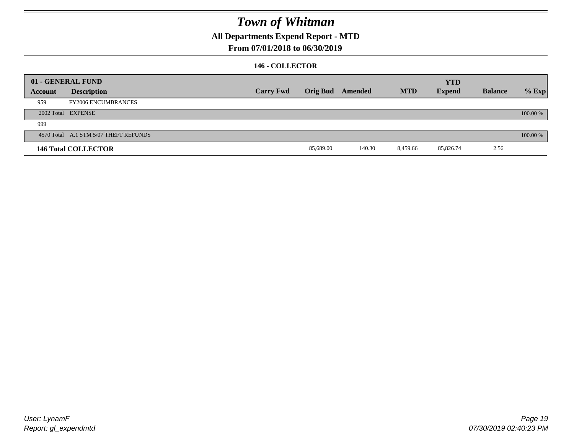## **All Departments Expend Report - MTD**

### **From 07/01/2018 to 06/30/2019**

### **146 - COLLECTOR**

|         | 01 - GENERAL FUND                     |                  |                         |        |            | <b>YTD</b>    |                |          |
|---------|---------------------------------------|------------------|-------------------------|--------|------------|---------------|----------------|----------|
| Account | <b>Description</b>                    | <b>Carry Fwd</b> | <b>Orig Bud</b> Amended |        | <b>MTD</b> | <b>Expend</b> | <b>Balance</b> | $%$ Exp  |
| 959     | <b>FY2006 ENCUMBRANCES</b>            |                  |                         |        |            |               |                |          |
|         | 2002 Total EXPENSE                    |                  |                         |        |            |               |                | 100.00 % |
| 999     |                                       |                  |                         |        |            |               |                |          |
|         | 4570 Total A.1 STM 5/07 THEFT REFUNDS |                  |                         |        |            |               |                | 100.00 % |
|         | <b>146 Total COLLECTOR</b>            |                  | 85,689.00               | 140.30 | 8,459.66   | 85,826.74     | 2.56           |          |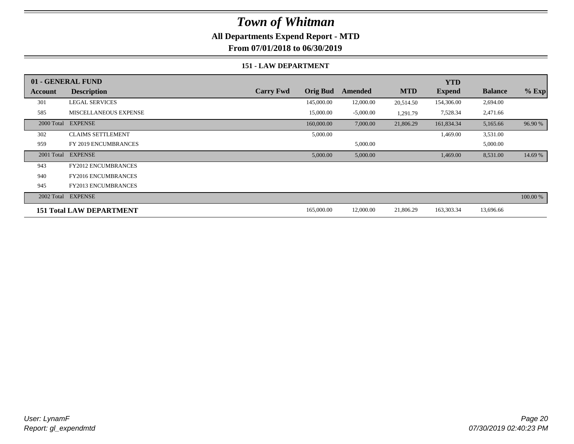### **All Departments Expend Report - MTD**

**From 07/01/2018 to 06/30/2019**

#### **151 - LAW DEPARTMENT**

|         | 01 - GENERAL FUND               |                  |                 |             |            | <b>YTD</b>    |                |          |
|---------|---------------------------------|------------------|-----------------|-------------|------------|---------------|----------------|----------|
| Account | <b>Description</b>              | <b>Carry Fwd</b> | <b>Orig Bud</b> | Amended     | <b>MTD</b> | <b>Expend</b> | <b>Balance</b> | $%$ Exp  |
| 301     | <b>LEGAL SERVICES</b>           |                  | 145,000.00      | 12,000.00   | 20,514.50  | 154,306.00    | 2,694.00       |          |
| 585     | MISCELLANEOUS EXPENSE           |                  | 15,000.00       | $-5,000.00$ | 1,291.79   | 7,528.34      | 2,471.66       |          |
|         | 2000 Total EXPENSE              |                  | 160,000.00      | 7,000.00    | 21,806.29  | 161,834.34    | 5,165.66       | 96.90 %  |
| 302     | <b>CLAIMS SETTLEMENT</b>        |                  | 5,000.00        |             |            | 1,469.00      | 3,531.00       |          |
| 959     | FY 2019 ENCUMBRANCES            |                  |                 | 5,000.00    |            |               | 5,000.00       |          |
|         | 2001 Total EXPENSE              |                  | 5,000.00        | 5,000.00    |            | 1,469.00      | 8,531.00       | 14.69 %  |
| 943     | <b>FY2012 ENCUMBRANCES</b>      |                  |                 |             |            |               |                |          |
| 940     | <b>FY2016 ENCUMBRANCES</b>      |                  |                 |             |            |               |                |          |
| 945     | <b>FY2013 ENCUMBRANCES</b>      |                  |                 |             |            |               |                |          |
|         | 2002 Total EXPENSE              |                  |                 |             |            |               |                | 100.00 % |
|         | <b>151 Total LAW DEPARTMENT</b> |                  | 165,000.00      | 12,000.00   | 21,806.29  | 163,303.34    | 13,696.66      |          |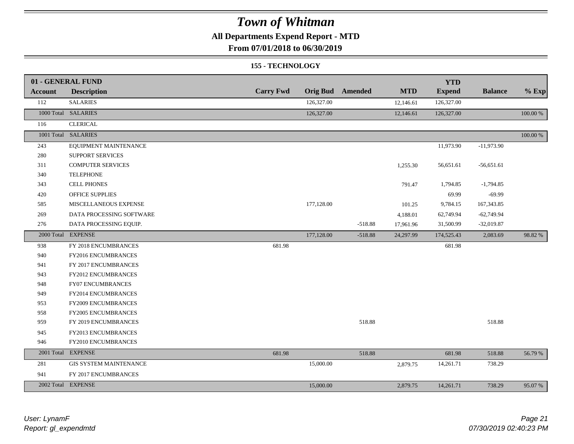## **All Departments Expend Report - MTD**

**From 07/01/2018 to 06/30/2019**

#### **155 - TECHNOLOGY**

|                | 01 - GENERAL FUND             |                  |                 |           |            | <b>YTD</b>    |                |          |
|----------------|-------------------------------|------------------|-----------------|-----------|------------|---------------|----------------|----------|
| <b>Account</b> | <b>Description</b>            | <b>Carry Fwd</b> | <b>Orig Bud</b> | Amended   | <b>MTD</b> | <b>Expend</b> | <b>Balance</b> | $%$ Exp  |
| 112            | <b>SALARIES</b>               |                  | 126,327.00      |           | 12,146.61  | 126,327.00    |                |          |
|                | 1000 Total SALARIES           |                  | 126,327.00      |           | 12,146.61  | 126,327.00    |                | 100.00 % |
| 116            | <b>CLERICAL</b>               |                  |                 |           |            |               |                |          |
|                | 1001 Total SALARIES           |                  |                 |           |            |               |                | 100.00 % |
| 243            | EQUIPMENT MAINTENANCE         |                  |                 |           |            | 11,973.90     | $-11,973.90$   |          |
| 280            | SUPPORT SERVICES              |                  |                 |           |            |               |                |          |
| 311            | <b>COMPUTER SERVICES</b>      |                  |                 |           | 1,255.30   | 56,651.61     | $-56,651.61$   |          |
| 340            | <b>TELEPHONE</b>              |                  |                 |           |            |               |                |          |
| 343            | <b>CELL PHONES</b>            |                  |                 |           | 791.47     | 1,794.85      | $-1,794.85$    |          |
| 420            | <b>OFFICE SUPPLIES</b>        |                  |                 |           |            | 69.99         | $-69.99$       |          |
| 585            | MISCELLANEOUS EXPENSE         |                  | 177,128.00      |           | 101.25     | 9,784.15      | 167,343.85     |          |
| 269            | DATA PROCESSING SOFTWARE      |                  |                 |           | 4,188.01   | 62,749.94     | $-62,749.94$   |          |
| 276            | DATA PROCESSING EQUIP.        |                  |                 | $-518.88$ | 17,961.96  | 31,500.99     | $-32,019.87$   |          |
|                | 2000 Total EXPENSE            |                  | 177,128.00      | $-518.88$ | 24,297.99  | 174,525.43    | 2,083.69       | 98.82 %  |
| 938            | FY 2018 ENCUMBRANCES          | 681.98           |                 |           |            | 681.98        |                |          |
| 940            | FY2016 ENCUMBRANCES           |                  |                 |           |            |               |                |          |
| 941            | FY 2017 ENCUMBRANCES          |                  |                 |           |            |               |                |          |
| 943            | FY2012 ENCUMBRANCES           |                  |                 |           |            |               |                |          |
| 948            | <b>FY07 ENCUMBRANCES</b>      |                  |                 |           |            |               |                |          |
| 949            | FY2014 ENCUMBRANCES           |                  |                 |           |            |               |                |          |
| 953            | FY2009 ENCUMBRANCES           |                  |                 |           |            |               |                |          |
| 958            | <b>FY2005 ENCUMBRANCES</b>    |                  |                 |           |            |               |                |          |
| 959            | FY 2019 ENCUMBRANCES          |                  |                 | 518.88    |            |               | 518.88         |          |
| 945            | FY2013 ENCUMBRANCES           |                  |                 |           |            |               |                |          |
| 946            | FY2010 ENCUMBRANCES           |                  |                 |           |            |               |                |          |
|                | 2001 Total EXPENSE            | 681.98           |                 | 518.88    |            | 681.98        | 518.88         | 56.79 %  |
| 281            | <b>GIS SYSTEM MAINTENANCE</b> |                  | 15,000.00       |           | 2,879.75   | 14,261.71     | 738.29         |          |
| 941            | FY 2017 ENCUMBRANCES          |                  |                 |           |            |               |                |          |
|                | 2002 Total EXPENSE            |                  | 15,000.00       |           | 2,879.75   | 14,261.71     | 738.29         | 95.07%   |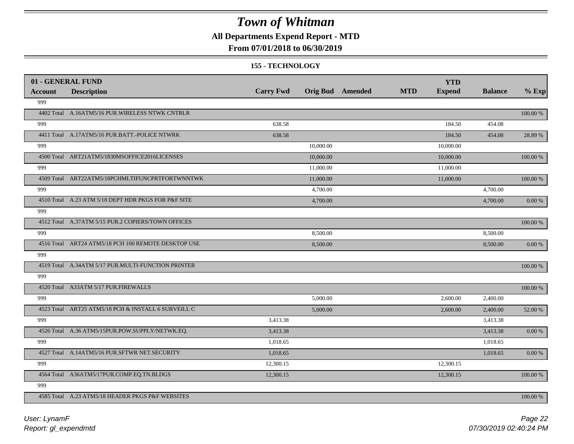### **All Departments Expend Report - MTD**

### **From 07/01/2018 to 06/30/2019**

#### **155 - TECHNOLOGY**

| 01 - GENERAL FUND |                                                     |                  |           |                         |            | <b>YTD</b>    |                |               |
|-------------------|-----------------------------------------------------|------------------|-----------|-------------------------|------------|---------------|----------------|---------------|
| <b>Account</b>    | <b>Description</b>                                  | <b>Carry Fwd</b> |           | <b>Orig Bud</b> Amended | <b>MTD</b> | <b>Expend</b> | <b>Balance</b> | $%$ Exp       |
| 999               |                                                     |                  |           |                         |            |               |                |               |
|                   | 4402 Total A.16ATM5/16 PUR.WIRELESS NTWK CNTRLR     |                  |           |                         |            |               |                | 100.00 %      |
| 999               |                                                     | 638.58           |           |                         |            | 184.50        | 454.08         |               |
|                   | 4411 Total A.17ATM5/16 PUR.BATT.-POLICE NTWRK       | 638.58           |           |                         |            | 184.50        | 454.08         | 28.89 %       |
| 999               |                                                     |                  | 10,000.00 |                         |            | 10,000.00     |                |               |
|                   | 4500 Total ART21ATM5/1830MSOFFICE2016LICENSES       |                  | 10,000.00 |                         |            | 10,000.00     |                | $100.00\%$    |
| 999               |                                                     |                  | 11,000.00 |                         |            | 11,000.00     |                |               |
|                   | 4509 Total ART22ATM5/18PCHMLTIFUNCPRTFORTWNNTWK     |                  | 11,000.00 |                         |            | 11,000.00     |                | $100.00~\%$   |
| 999               |                                                     |                  | 4,700.00  |                         |            |               | 4,700.00       |               |
|                   | 4510 Total A.23 ATM 5/18 DEPT HDR PKGS FOR P&F SITE |                  | 4,700.00  |                         |            |               | 4,700.00       | 0.00 %        |
| 999               |                                                     |                  |           |                         |            |               |                |               |
|                   | 4512 Total A.37ATM 5/15 PUR.2 COPIERS/TOWN OFFICES  |                  |           |                         |            |               |                | $100.00\%$    |
| 999               |                                                     |                  | 8,500.00  |                         |            |               | 8,500.00       |               |
|                   | 4516 Total ART24 ATM5/18 PCH 100 REMOTE DESKTOP USE |                  | 8,500.00  |                         |            |               | 8,500.00       | 0.00 %        |
| 999               |                                                     |                  |           |                         |            |               |                |               |
|                   | 4519 Total A.34ATM 5/17 PUR.MULTI-FUNCTION PRINTER  |                  |           |                         |            |               |                | 100.00 %      |
| 999               |                                                     |                  |           |                         |            |               |                |               |
|                   | 4520 Total A33ATM 5/17 PUR.FIREWALLS                |                  |           |                         |            |               |                | 100.00 %      |
| 999               |                                                     |                  | 5,000.00  |                         |            | 2,600.00      | 2,400.00       |               |
|                   | 4523 Total ART25 ATM5/18 PCH & INSTALL 6 SURVEILL C |                  | 5,000.00  |                         |            | 2,600.00      | 2,400.00       | 52.00 %       |
| 999               |                                                     | 3,413.38         |           |                         |            |               | 3,413.38       |               |
|                   | 4526 Total A.36 ATM5/15PUR.POW.SUPPLY/NETWK.EQ.     | 3,413.38         |           |                         |            |               | 3,413.38       | $0.00\ \%$    |
| 999               |                                                     | 1,018.65         |           |                         |            |               | 1,018.65       |               |
|                   | 4527 Total A.14ATM5/16 PUR.SFTWR NET.SECURITY       | 1.018.65         |           |                         |            |               | 1,018.65       | $0.00\ \%$    |
| 999               |                                                     | 12,300.15        |           |                         |            | 12,300.15     |                |               |
|                   | 4564 Total A36ATM5/17PUR.COMP.EQ.TN.BLDGS           | 12,300.15        |           |                         |            | 12,300.15     |                | $100.00$ $\%$ |
| 999               |                                                     |                  |           |                         |            |               |                |               |
|                   | 4585 Total A.23 ATM5/18 HEADER PKGS P&F WEBSITES    |                  |           |                         |            |               |                | 100.00 %      |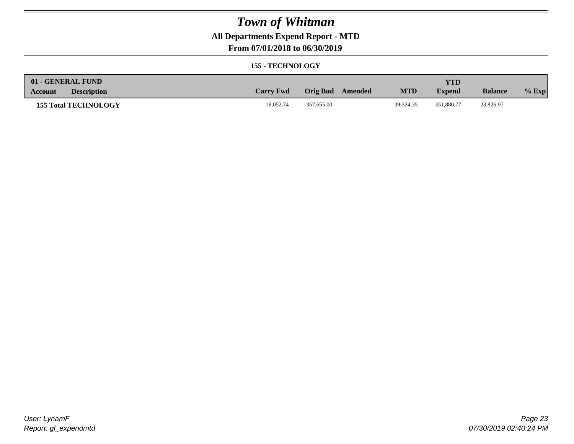## **All Departments Expend Report - MTD**

### **From 07/01/2018 to 06/30/2019**

#### **155 - TECHNOLOGY**

| 01 - GENERAL FUND             |                  |                     |            | <b>YTD</b>    |                |         |
|-------------------------------|------------------|---------------------|------------|---------------|----------------|---------|
| <b>Description</b><br>Account | <b>Carry Fwd</b> | Orig Bud<br>Amended | <b>MTD</b> | <b>Expend</b> | <b>Balance</b> | $%$ Exp |
| <b>155 Total TECHNOLOGY</b>   | 18,052.74        | 357,655.00          | 39.324.35  | 351.880.77    | 23,826.97      |         |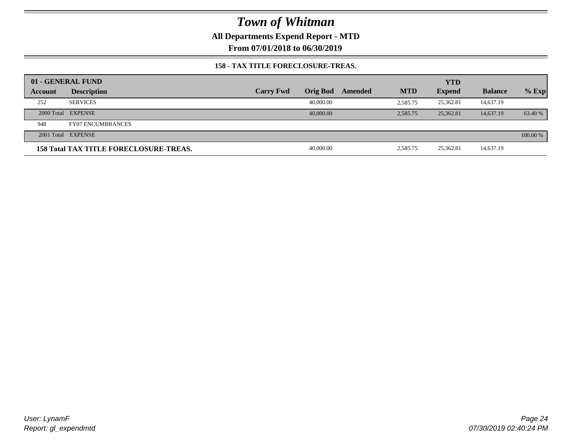**All Departments Expend Report - MTD**

**From 07/01/2018 to 06/30/2019**

### **158 - TAX TITLE FORECLOSURE-TREAS.**

| 01 - GENERAL FUND |                                               |                  |                 |         |            | <b>YTD</b>    |                |          |
|-------------------|-----------------------------------------------|------------------|-----------------|---------|------------|---------------|----------------|----------|
| Account           | <b>Description</b>                            | <b>Carry Fwd</b> | <b>Orig Bud</b> | Amended | <b>MTD</b> | <b>Expend</b> | <b>Balance</b> | $%$ Exp  |
| 252               | <b>SERVICES</b>                               |                  | 40,000.00       |         | 2,585.75   | 25.362.81     | 14,637.19      |          |
|                   | 2000 Total EXPENSE                            |                  | 40,000,00       |         | 2.585.75   | 25,362.81     | 14,637.19      | 63.40 %  |
| 948               | <b>FY07 ENCUMBRANCES</b>                      |                  |                 |         |            |               |                |          |
|                   | 2001 Total EXPENSE                            |                  |                 |         |            |               |                | 100.00 % |
|                   | <b>158 Total TAX TITLE FORECLOSURE-TREAS.</b> |                  | 40,000.00       |         | 2,585.75   | 25,362.81     | 14,637.19      |          |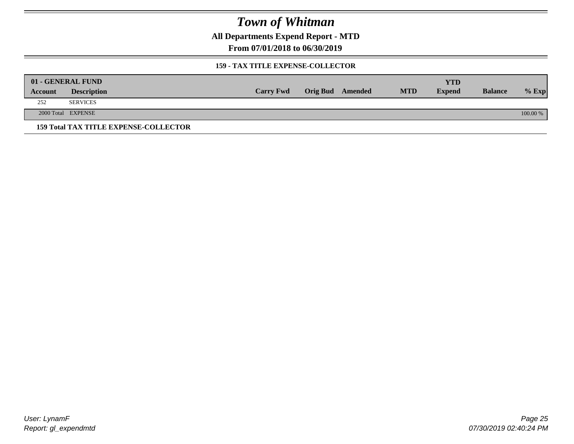**All Departments Expend Report - MTD**

**From 07/01/2018 to 06/30/2019**

### **159 - TAX TITLE EXPENSE-COLLECTOR**

|         | 01 - GENERAL FUND                            |                  |                         |            | YTD           |                |          |
|---------|----------------------------------------------|------------------|-------------------------|------------|---------------|----------------|----------|
| Account | <b>Description</b>                           | <b>Carry Fwd</b> | <b>Orig Bud</b> Amended | <b>MTD</b> | <b>Expend</b> | <b>Balance</b> | $%$ Exp  |
| 252     | <b>SERVICES</b>                              |                  |                         |            |               |                |          |
|         | 2000 Total EXPENSE                           |                  |                         |            |               |                | 100.00 % |
|         | <b>159 Total TAX TITLE EXPENSE-COLLECTOR</b> |                  |                         |            |               |                |          |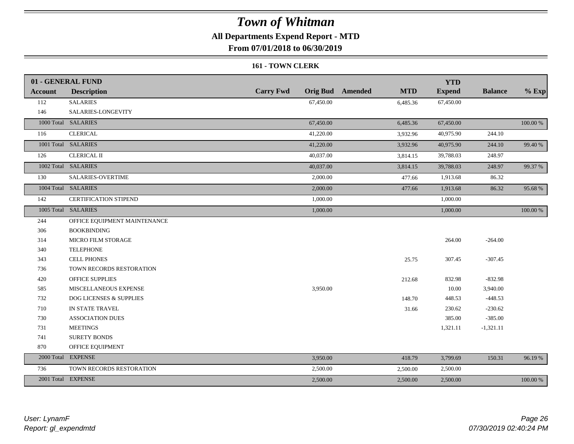## **All Departments Expend Report - MTD**

**From 07/01/2018 to 06/30/2019**

#### **161 - TOWN CLERK**

|                | 01 - GENERAL FUND                  |                  |                                       | <b>YTD</b>    |                |          |
|----------------|------------------------------------|------------------|---------------------------------------|---------------|----------------|----------|
| <b>Account</b> | <b>Description</b>                 | <b>Carry Fwd</b> | <b>Orig Bud</b> Amended<br><b>MTD</b> | <b>Expend</b> | <b>Balance</b> | $%$ Exp  |
| 112            | <b>SALARIES</b>                    | 67,450.00        | 6,485.36                              | 67,450.00     |                |          |
| 146            | SALARIES-LONGEVITY                 |                  |                                       |               |                |          |
|                | 1000 Total SALARIES                | 67,450.00        | 6,485.36                              | 67,450.00     |                | 100.00 % |
| 116            | <b>CLERICAL</b>                    | 41,220.00        | 3,932.96                              | 40,975.90     | 244.10         |          |
|                | 1001 Total SALARIES                | 41,220.00        | 3,932.96                              | 40,975.90     | 244.10         | 99.40 %  |
| 126            | <b>CLERICAL II</b>                 | 40,037.00        | 3,814.15                              | 39,788.03     | 248.97         |          |
|                | 1002 Total SALARIES                | 40,037.00        | 3,814.15                              | 39,788.03     | 248.97         | 99.37 %  |
| 130            | SALARIES-OVERTIME                  | 2,000.00         | 477.66                                | 1,913.68      | 86.32          |          |
|                | 1004 Total SALARIES                | 2,000.00         | 477.66                                | 1,913.68      | 86.32          | 95.68%   |
| 142            | CERTIFICATION STIPEND              | 1,000.00         |                                       | 1,000.00      |                |          |
|                | 1005 Total SALARIES                | 1,000.00         |                                       | 1,000.00      |                | 100.00 % |
| 244            | OFFICE EQUIPMENT MAINTENANCE       |                  |                                       |               |                |          |
| 306            | <b>BOOKBINDING</b>                 |                  |                                       |               |                |          |
| 314            | MICRO FILM STORAGE                 |                  |                                       | 264.00        | $-264.00$      |          |
| 340            | <b>TELEPHONE</b>                   |                  |                                       |               |                |          |
| 343            | <b>CELL PHONES</b>                 |                  | 25.75                                 | 307.45        | $-307.45$      |          |
| 736            | TOWN RECORDS RESTORATION           |                  |                                       |               |                |          |
| 420            | <b>OFFICE SUPPLIES</b>             |                  | 212.68                                | 832.98        | $-832.98$      |          |
| 585            | MISCELLANEOUS EXPENSE              | 3,950.00         |                                       | 10.00         | 3,940.00       |          |
| 732            | <b>DOG LICENSES &amp; SUPPLIES</b> |                  | 148.70                                | 448.53        | $-448.53$      |          |
| 710            | IN STATE TRAVEL                    |                  | 31.66                                 | 230.62        | $-230.62$      |          |
| 730            | <b>ASSOCIATION DUES</b>            |                  |                                       | 385.00        | $-385.00$      |          |
| 731            | <b>MEETINGS</b>                    |                  |                                       | 1,321.11      | $-1,321.11$    |          |
| 741            | <b>SURETY BONDS</b>                |                  |                                       |               |                |          |
| 870            | OFFICE EQUIPMENT                   |                  |                                       |               |                |          |
|                | 2000 Total EXPENSE                 | 3,950.00         | 418.79                                | 3,799.69      | 150.31         | 96.19%   |
| 736            | TOWN RECORDS RESTORATION           | 2,500.00         | 2,500.00                              | 2,500.00      |                |          |
|                | 2001 Total EXPENSE                 | 2,500.00         | 2,500.00                              | 2,500.00      |                | 100.00 % |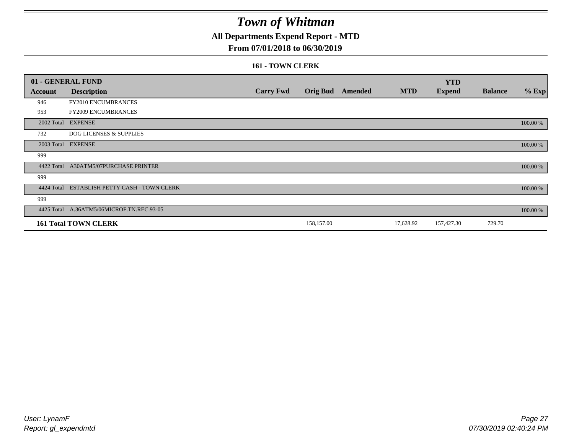## **All Departments Expend Report - MTD**

### **From 07/01/2018 to 06/30/2019**

#### **161 - TOWN CLERK**

|            | 01 - GENERAL FUND                         |                  |            |                         |            | <b>YTD</b>    |                |          |
|------------|-------------------------------------------|------------------|------------|-------------------------|------------|---------------|----------------|----------|
| Account    | <b>Description</b>                        | <b>Carry Fwd</b> |            | <b>Orig Bud</b> Amended | <b>MTD</b> | <b>Expend</b> | <b>Balance</b> | $%$ Exp  |
| 946        | FY2010 ENCUMBRANCES                       |                  |            |                         |            |               |                |          |
| 953        | FY2009 ENCUMBRANCES                       |                  |            |                         |            |               |                |          |
|            | 2002 Total EXPENSE                        |                  |            |                         |            |               |                | 100.00 % |
| 732        | <b>DOG LICENSES &amp; SUPPLIES</b>        |                  |            |                         |            |               |                |          |
|            | 2003 Total EXPENSE                        |                  |            |                         |            |               |                | 100.00 % |
| 999        |                                           |                  |            |                         |            |               |                |          |
| 4422 Total | <b>A30ATM5/07PURCHASE PRINTER</b>         |                  |            |                         |            |               |                | 100.00 % |
| 999        |                                           |                  |            |                         |            |               |                |          |
| 4424 Total | ESTABLISH PETTY CASH - TOWN CLERK         |                  |            |                         |            |               |                | 100.00 % |
| 999        |                                           |                  |            |                         |            |               |                |          |
|            | 4425 Total A.36ATM5/06MICROF.TN.REC.93-05 |                  |            |                         |            |               |                | 100.00 % |
|            | <b>161 Total TOWN CLERK</b>               |                  | 158,157.00 |                         | 17,628.92  | 157,427.30    | 729.70         |          |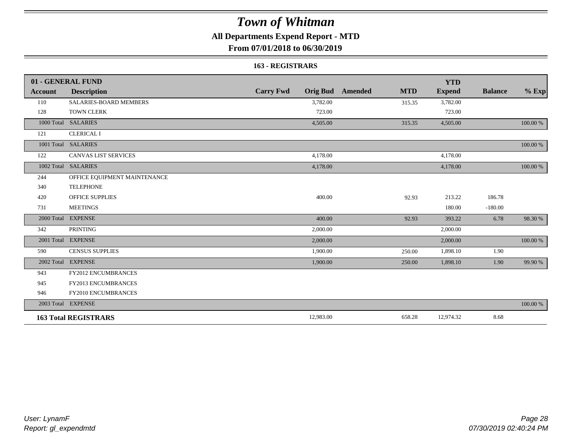## **All Departments Expend Report - MTD**

### **From 07/01/2018 to 06/30/2019**

#### **163 - REGISTRARS**

|                | 01 - GENERAL FUND             |                                     |                              | <b>YTD</b>    |                |          |
|----------------|-------------------------------|-------------------------------------|------------------------------|---------------|----------------|----------|
| <b>Account</b> | <b>Description</b>            | <b>Carry Fwd</b><br><b>Orig Bud</b> | <b>MTD</b><br><b>Amended</b> | <b>Expend</b> | <b>Balance</b> | $%$ Exp  |
| 110            | <b>SALARIES-BOARD MEMBERS</b> | 3,782.00                            | 315.35                       | 3,782.00      |                |          |
| 128            | <b>TOWN CLERK</b>             | 723.00                              |                              | 723.00        |                |          |
| 1000 Total     | <b>SALARIES</b>               | 4,505.00                            | 315.35                       | 4,505.00      |                | 100.00 % |
| 121            | <b>CLERICAL I</b>             |                                     |                              |               |                |          |
|                | 1001 Total SALARIES           |                                     |                              |               |                | 100.00 % |
| 122            | <b>CANVAS LIST SERVICES</b>   | 4,178.00                            |                              | 4,178.00      |                |          |
|                | 1002 Total SALARIES           | 4,178.00                            |                              | 4,178.00      |                | 100.00 % |
| 244            | OFFICE EQUIPMENT MAINTENANCE  |                                     |                              |               |                |          |
| 340            | <b>TELEPHONE</b>              |                                     |                              |               |                |          |
| 420            | <b>OFFICE SUPPLIES</b>        | 400.00                              | 92.93                        | 213.22        | 186.78         |          |
| 731            | <b>MEETINGS</b>               |                                     |                              | 180.00        | $-180.00$      |          |
|                | 2000 Total EXPENSE            | 400.00                              | 92.93                        | 393.22        | 6.78           | 98.30 %  |
| 342            | <b>PRINTING</b>               | 2,000.00                            |                              | 2,000.00      |                |          |
|                | 2001 Total EXPENSE            | 2,000.00                            |                              | 2,000.00      |                | 100.00 % |
| 590            | <b>CENSUS SUPPLIES</b>        | 1,900.00                            | 250.00                       | 1,898.10      | 1.90           |          |
| 2002 Total     | <b>EXPENSE</b>                | 1,900.00                            | 250.00                       | 1,898.10      | 1.90           | 99.90 %  |
| 943            | <b>FY2012 ENCUMBRANCES</b>    |                                     |                              |               |                |          |
| 945            | <b>FY2013 ENCUMBRANCES</b>    |                                     |                              |               |                |          |
| 946            | FY2010 ENCUMBRANCES           |                                     |                              |               |                |          |
|                | 2003 Total EXPENSE            |                                     |                              |               |                | 100.00 % |
|                | <b>163 Total REGISTRARS</b>   | 12,983.00                           | 658.28                       | 12,974.32     | 8.68           |          |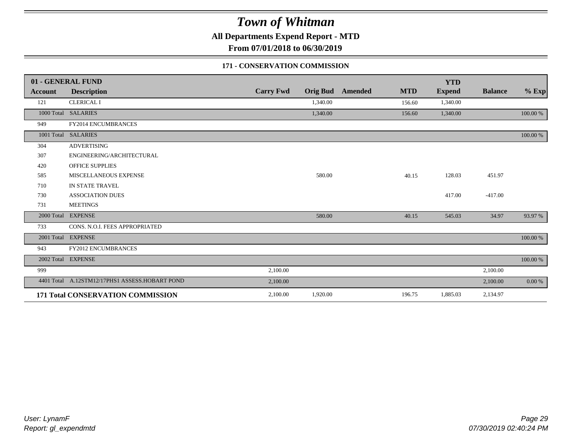**All Departments Expend Report - MTD**

**From 07/01/2018 to 06/30/2019**

### **171 - CONSERVATION COMMISSION**

|            | 01 - GENERAL FUND                              |                  |          |                         |            | <b>YTD</b>    |                |          |
|------------|------------------------------------------------|------------------|----------|-------------------------|------------|---------------|----------------|----------|
| Account    | <b>Description</b>                             | <b>Carry Fwd</b> |          | <b>Orig Bud</b> Amended | <b>MTD</b> | <b>Expend</b> | <b>Balance</b> | $%$ Exp  |
| 121        | <b>CLERICAL I</b>                              |                  | 1,340.00 |                         | 156.60     | 1,340.00      |                |          |
| 1000 Total | <b>SALARIES</b>                                |                  | 1,340.00 |                         | 156.60     | 1,340.00      |                | 100.00 % |
| 949        | FY2014 ENCUMBRANCES                            |                  |          |                         |            |               |                |          |
|            | 1001 Total SALARIES                            |                  |          |                         |            |               |                | 100.00 % |
| 304        | <b>ADVERTISING</b>                             |                  |          |                         |            |               |                |          |
| 307        | ENGINEERING/ARCHITECTURAL                      |                  |          |                         |            |               |                |          |
| 420        | <b>OFFICE SUPPLIES</b>                         |                  |          |                         |            |               |                |          |
| 585        | MISCELLANEOUS EXPENSE                          |                  | 580.00   |                         | 40.15      | 128.03        | 451.97         |          |
| 710        | IN STATE TRAVEL                                |                  |          |                         |            |               |                |          |
| 730        | <b>ASSOCIATION DUES</b>                        |                  |          |                         |            | 417.00        | $-417.00$      |          |
| 731        | <b>MEETINGS</b>                                |                  |          |                         |            |               |                |          |
| 2000 Total | <b>EXPENSE</b>                                 |                  | 580.00   |                         | 40.15      | 545.03        | 34.97          | 93.97 %  |
| 733        | CONS. N.O.I. FEES APPROPRIATED                 |                  |          |                         |            |               |                |          |
|            | 2001 Total EXPENSE                             |                  |          |                         |            |               |                | 100.00 % |
| 943        | FY2012 ENCUMBRANCES                            |                  |          |                         |            |               |                |          |
|            | 2002 Total EXPENSE                             |                  |          |                         |            |               |                | 100.00 % |
| 999        |                                                | 2,100.00         |          |                         |            |               | 2,100.00       |          |
|            | 4401 Total A.12STM12/17PHS1 ASSESS.HOBART POND | 2,100.00         |          |                         |            |               | 2,100.00       | 0.00 %   |
|            | 171 Total CONSERVATION COMMISSION              | 2,100.00         | 1,920.00 |                         | 196.75     | 1,885.03      | 2,134.97       |          |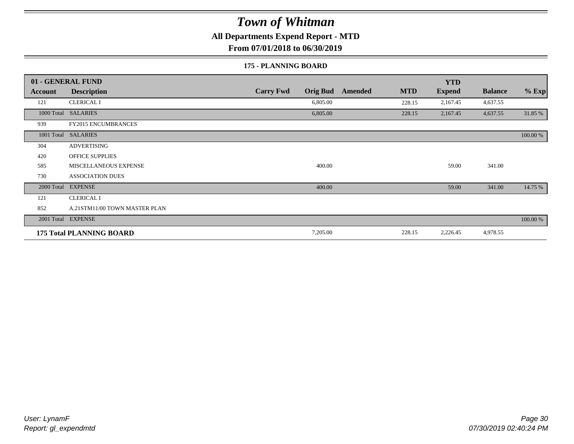**All Departments Expend Report - MTD**

**From 07/01/2018 to 06/30/2019**

#### **175 - PLANNING BOARD**

|                | 01 - GENERAL FUND               |                                     |                       | <b>YTD</b>    |                |          |
|----------------|---------------------------------|-------------------------------------|-----------------------|---------------|----------------|----------|
| <b>Account</b> | <b>Description</b>              | <b>Carry Fwd</b><br><b>Orig Bud</b> | <b>MTD</b><br>Amended | <b>Expend</b> | <b>Balance</b> | $%$ Exp  |
| 121            | <b>CLERICAL I</b>               | 6,805.00                            | 228.15                | 2,167.45      | 4,637.55       |          |
| 1000 Total     | <b>SALARIES</b>                 | 6,805.00                            | 228.15                | 2,167.45      | 4,637.55       | 31.85 %  |
| 939            | <b>FY2015 ENCUMBRANCES</b>      |                                     |                       |               |                |          |
| 1001 Total     | <b>SALARIES</b>                 |                                     |                       |               |                | 100.00 % |
| 304            | <b>ADVERTISING</b>              |                                     |                       |               |                |          |
| 420            | <b>OFFICE SUPPLIES</b>          |                                     |                       |               |                |          |
| 585            | MISCELLANEOUS EXPENSE           | 400.00                              |                       | 59.00         | 341.00         |          |
| 730            | <b>ASSOCIATION DUES</b>         |                                     |                       |               |                |          |
| 2000 Total     | <b>EXPENSE</b>                  | 400.00                              |                       | 59.00         | 341.00         | 14.75 %  |
| 121            | <b>CLERICAL I</b>               |                                     |                       |               |                |          |
| 852            | A.21STM11/00 TOWN MASTER PLAN   |                                     |                       |               |                |          |
|                | 2001 Total EXPENSE              |                                     |                       |               |                | 100.00 % |
|                | <b>175 Total PLANNING BOARD</b> | 7,205.00                            | 228.15                | 2,226.45      | 4,978.55       |          |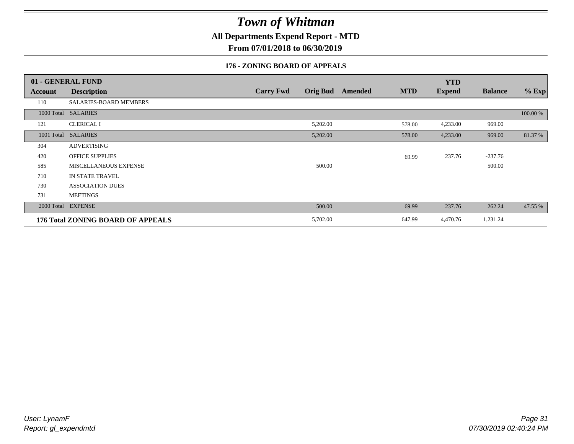**All Departments Expend Report - MTD**

**From 07/01/2018 to 06/30/2019**

### **176 - ZONING BOARD OF APPEALS**

|            | 01 - GENERAL FUND                 |                                     |                       | <b>YTD</b>    |                |          |
|------------|-----------------------------------|-------------------------------------|-----------------------|---------------|----------------|----------|
| Account    | <b>Description</b>                | <b>Orig Bud</b><br><b>Carry Fwd</b> | <b>MTD</b><br>Amended | <b>Expend</b> | <b>Balance</b> | $%$ Exp  |
| 110        | SALARIES-BOARD MEMBERS            |                                     |                       |               |                |          |
|            | 1000 Total SALARIES               |                                     |                       |               |                | 100.00 % |
| 121        | <b>CLERICAL I</b>                 | 5,202.00                            | 578.00                | 4,233.00      | 969.00         |          |
| 1001 Total | <b>SALARIES</b>                   | 5,202.00                            | 578.00                | 4,233.00      | 969.00         | 81.37 %  |
| 304        | <b>ADVERTISING</b>                |                                     |                       |               |                |          |
| 420        | <b>OFFICE SUPPLIES</b>            |                                     | 69.99                 | 237.76        | $-237.76$      |          |
| 585        | MISCELLANEOUS EXPENSE             | 500.00                              |                       |               | 500.00         |          |
| 710        | IN STATE TRAVEL                   |                                     |                       |               |                |          |
| 730        | <b>ASSOCIATION DUES</b>           |                                     |                       |               |                |          |
| 731        | <b>MEETINGS</b>                   |                                     |                       |               |                |          |
| 2000 Total | <b>EXPENSE</b>                    | 500.00                              | 69.99                 | 237.76        | 262.24         | 47.55 %  |
|            | 176 Total ZONING BOARD OF APPEALS | 5,702.00                            | 647.99                | 4,470.76      | 1,231.24       |          |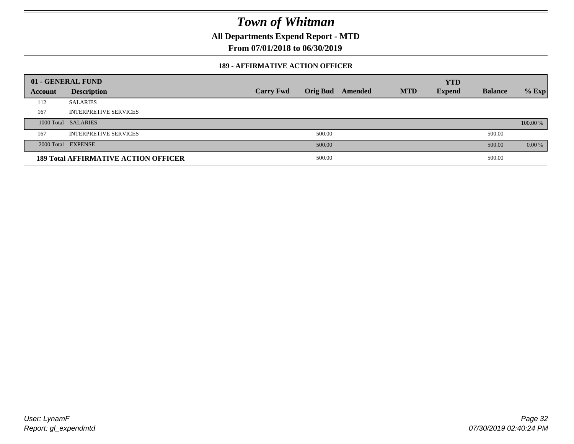**All Departments Expend Report - MTD**

**From 07/01/2018 to 06/30/2019**

### **189 - AFFIRMATIVE ACTION OFFICER**

|         | 01 - GENERAL FUND                           |                  |                 |         |            | <b>YTD</b>    |                |          |
|---------|---------------------------------------------|------------------|-----------------|---------|------------|---------------|----------------|----------|
| Account | <b>Description</b>                          | <b>Carry Fwd</b> | <b>Orig Bud</b> | Amended | <b>MTD</b> | <b>Expend</b> | <b>Balance</b> | $%$ Exp  |
| 112     | <b>SALARIES</b>                             |                  |                 |         |            |               |                |          |
| 167     | <b>INTERPRETIVE SERVICES</b>                |                  |                 |         |            |               |                |          |
|         | 1000 Total SALARIES                         |                  |                 |         |            |               |                | 100.00 % |
| 167     | <b>INTERPRETIVE SERVICES</b>                |                  | 500.00          |         |            |               | 500.00         |          |
|         | 2000 Total EXPENSE                          |                  | 500.00          |         |            |               | 500.00         | 0.00 %   |
|         | <b>189 Total AFFIRMATIVE ACTION OFFICER</b> |                  | 500.00          |         |            |               | 500.00         |          |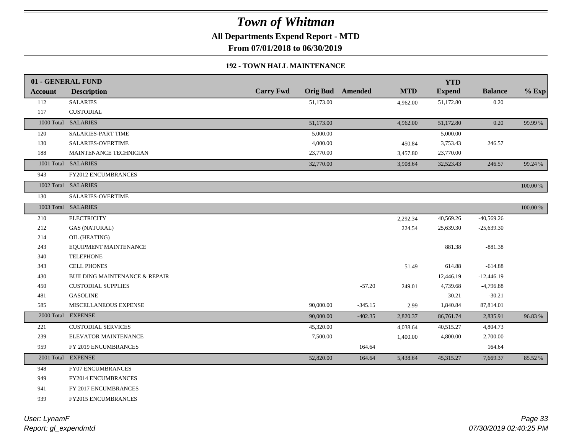**All Departments Expend Report - MTD**

**From 07/01/2018 to 06/30/2019**

### **192 - TOWN HALL MAINTENANCE**

|                | 01 - GENERAL FUND                        |                  |           |                         |            | <b>YTD</b>    |                |          |
|----------------|------------------------------------------|------------------|-----------|-------------------------|------------|---------------|----------------|----------|
| <b>Account</b> | <b>Description</b>                       | <b>Carry Fwd</b> |           | <b>Orig Bud</b> Amended | <b>MTD</b> | <b>Expend</b> | <b>Balance</b> | $%$ Exp  |
| 112            | <b>SALARIES</b>                          |                  | 51,173.00 |                         | 4,962.00   | 51,172.80     | $0.20\,$       |          |
| 117            | <b>CUSTODIAL</b>                         |                  |           |                         |            |               |                |          |
|                | 1000 Total SALARIES                      |                  | 51,173.00 |                         | 4,962.00   | 51,172.80     | 0.20           | 99.99 %  |
| 120            | <b>SALARIES-PART TIME</b>                |                  | 5,000.00  |                         |            | 5,000.00      |                |          |
| 130            | <b>SALARIES-OVERTIME</b>                 |                  | 4,000.00  |                         | 450.84     | 3,753.43      | 246.57         |          |
| 188            | MAINTENANCE TECHNICIAN                   |                  | 23,770.00 |                         | 3,457.80   | 23,770.00     |                |          |
|                | 1001 Total SALARIES                      |                  | 32,770.00 |                         | 3,908.64   | 32,523.43     | 246.57         | 99.24 %  |
| 943            | <b>FY2012 ENCUMBRANCES</b>               |                  |           |                         |            |               |                |          |
|                | 1002 Total SALARIES                      |                  |           |                         |            |               |                | 100.00 % |
| 130            | <b>SALARIES-OVERTIME</b>                 |                  |           |                         |            |               |                |          |
|                | 1003 Total SALARIES                      |                  |           |                         |            |               |                | 100.00 % |
| 210            | <b>ELECTRICITY</b>                       |                  |           |                         | 2,292.34   | 40,569.26     | $-40,569.26$   |          |
| 212            | <b>GAS (NATURAL)</b>                     |                  |           |                         | 224.54     | 25,639.30     | $-25,639.30$   |          |
| 214            | OIL (HEATING)                            |                  |           |                         |            |               |                |          |
| 243            | EQUIPMENT MAINTENANCE                    |                  |           |                         |            | 881.38        | $-881.38$      |          |
| 340            | <b>TELEPHONE</b>                         |                  |           |                         |            |               |                |          |
| 343            | <b>CELL PHONES</b>                       |                  |           |                         | 51.49      | 614.88        | $-614.88$      |          |
| 430            | <b>BUILDING MAINTENANCE &amp; REPAIR</b> |                  |           |                         |            | 12,446.19     | $-12,446.19$   |          |
| 450            | <b>CUSTODIAL SUPPLIES</b>                |                  |           | $-57.20$                | 249.01     | 4,739.68      | $-4,796.88$    |          |
| 481            | <b>GASOLINE</b>                          |                  |           |                         |            | 30.21         | $-30.21$       |          |
| 585            | MISCELLANEOUS EXPENSE                    |                  | 90,000.00 | $-345.15$               | 2.99       | 1,840.84      | 87,814.01      |          |
|                | 2000 Total EXPENSE                       |                  | 90,000.00 | $-402.35$               | 2,820.37   | 86,761.74     | 2,835.91       | 96.83%   |
| 221            | <b>CUSTODIAL SERVICES</b>                |                  | 45,320.00 |                         | 4,038.64   | 40,515.27     | 4,804.73       |          |
| 239            | ELEVATOR MAINTENANCE                     |                  | 7,500.00  |                         | 1,400.00   | 4,800.00      | 2,700.00       |          |
| 959            | FY 2019 ENCUMBRANCES                     |                  |           | 164.64                  |            |               | 164.64         |          |
|                | 2001 Total EXPENSE                       |                  | 52,820.00 | 164.64                  | 5,438.64   | 45,315.27     | 7,669.37       | 85.52 %  |
| 948            | <b>FY07 ENCUMBRANCES</b>                 |                  |           |                         |            |               |                |          |
| 949            | FY2014 ENCUMBRANCES                      |                  |           |                         |            |               |                |          |
| 941            | FY 2017 ENCUMBRANCES                     |                  |           |                         |            |               |                |          |
| 939            | <b>FY2015 ENCUMBRANCES</b>               |                  |           |                         |            |               |                |          |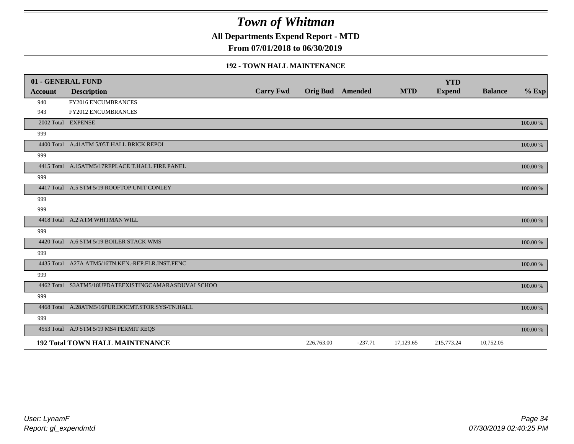**All Departments Expend Report - MTD**

**From 07/01/2018 to 06/30/2019**

#### **192 - TOWN HALL MAINTENANCE**

|                | 01 - GENERAL FUND                                   |                  |                         |           |            | <b>YTD</b>    |                |          |
|----------------|-----------------------------------------------------|------------------|-------------------------|-----------|------------|---------------|----------------|----------|
| <b>Account</b> | <b>Description</b>                                  | <b>Carry Fwd</b> | <b>Orig Bud</b> Amended |           | <b>MTD</b> | <b>Expend</b> | <b>Balance</b> | $%$ Exp  |
| 940            | FY2016 ENCUMBRANCES                                 |                  |                         |           |            |               |                |          |
| 943            | <b>FY2012 ENCUMBRANCES</b>                          |                  |                         |           |            |               |                |          |
|                | 2002 Total EXPENSE                                  |                  |                         |           |            |               |                | 100.00 % |
| 999            |                                                     |                  |                         |           |            |               |                |          |
|                | 4400 Total A.41ATM 5/05T.HALL BRICK REPOI           |                  |                         |           |            |               |                | 100.00 % |
| 999            |                                                     |                  |                         |           |            |               |                |          |
|                | 4415 Total A.15ATM5/17REPLACE T.HALL FIRE PANEL     |                  |                         |           |            |               |                | 100.00 % |
| 999            |                                                     |                  |                         |           |            |               |                |          |
|                | 4417 Total A.5 STM 5/19 ROOFTOP UNIT CONLEY         |                  |                         |           |            |               |                | 100.00 % |
| 999            |                                                     |                  |                         |           |            |               |                |          |
| 999            |                                                     |                  |                         |           |            |               |                |          |
|                | 4418 Total A.2 ATM WHITMAN WILL                     |                  |                         |           |            |               |                | 100.00 % |
| 999            |                                                     |                  |                         |           |            |               |                |          |
|                | 4420 Total A.6 STM 5/19 BOILER STACK WMS            |                  |                         |           |            |               |                | 100.00 % |
| 999            |                                                     |                  |                         |           |            |               |                |          |
|                | 4435 Total A27A ATM5/16TN.KEN.-REP.FLR.INST.FENC    |                  |                         |           |            |               |                | 100.00 % |
| 999            |                                                     |                  |                         |           |            |               |                |          |
|                | 4462 Total S3ATM5/18UPDATEEXISTINGCAMARASDUVALSCHOO |                  |                         |           |            |               |                | 100.00 % |
| 999            |                                                     |                  |                         |           |            |               |                |          |
|                | 4468 Total A.28ATM5/16PUR.DOCMT.STOR.SYS-TN.HALL    |                  |                         |           |            |               |                | 100.00 % |
| 999            |                                                     |                  |                         |           |            |               |                |          |
|                | 4553 Total A.9 STM 5/19 MS4 PERMIT REQS             |                  |                         |           |            |               |                | 100.00 % |
|                | <b>192 Total TOWN HALL MAINTENANCE</b>              |                  | 226,763.00              | $-237.71$ | 17,129.65  | 215,773.24    | 10,752.05      |          |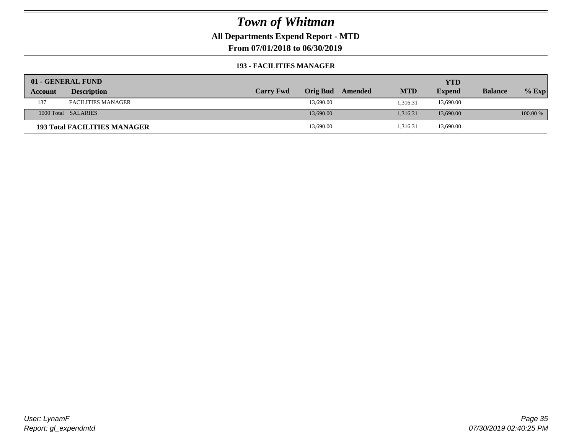**All Departments Expend Report - MTD**

**From 07/01/2018 to 06/30/2019**

### **193 - FACILITIES MANAGER**

|         | 01 - GENERAL FUND                   |                  |                 |         |            | YTD           |                |          |
|---------|-------------------------------------|------------------|-----------------|---------|------------|---------------|----------------|----------|
| Account | <b>Description</b>                  | <b>Carry Fwd</b> | <b>Orig Bud</b> | Amended | <b>MTD</b> | <b>Expend</b> | <b>Balance</b> | $%$ Exp  |
| 137     | <b>FACILITIES MANAGER</b>           |                  | 13,690.00       |         | 1.316.31   | 13,690.00     |                |          |
|         | 1000 Total SALARIES                 |                  | 13,690.00       |         | 1.316.31   | 13,690.00     |                | 100.00 % |
|         | <b>193 Total FACILITIES MANAGER</b> |                  | 13,690.00       |         | 1,316.31   | 13,690.00     |                |          |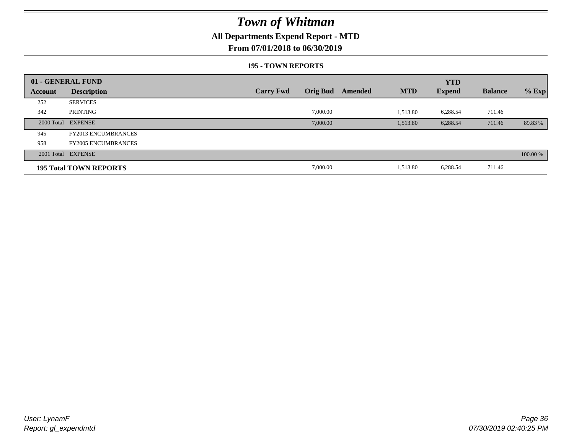### **All Departments Expend Report - MTD**

### **From 07/01/2018 to 06/30/2019**

#### **195 - TOWN REPORTS**

|         | 01 - GENERAL FUND             |                  |                 |         |            | <b>YTD</b>    |                |          |
|---------|-------------------------------|------------------|-----------------|---------|------------|---------------|----------------|----------|
| Account | <b>Description</b>            | <b>Carry Fwd</b> | <b>Orig Bud</b> | Amended | <b>MTD</b> | <b>Expend</b> | <b>Balance</b> | $%$ Exp  |
| 252     | <b>SERVICES</b>               |                  |                 |         |            |               |                |          |
| 342     | PRINTING                      |                  | 7,000.00        |         | 1,513.80   | 6,288.54      | 711.46         |          |
|         | 2000 Total EXPENSE            |                  | 7,000.00        |         | 1,513.80   | 6,288.54      | 711.46         | 89.83 %  |
| 945     | <b>FY2013 ENCUMBRANCES</b>    |                  |                 |         |            |               |                |          |
| 958     | <b>FY2005 ENCUMBRANCES</b>    |                  |                 |         |            |               |                |          |
|         | 2001 Total EXPENSE            |                  |                 |         |            |               |                | 100.00 % |
|         | <b>195 Total TOWN REPORTS</b> |                  | 7,000.00        |         | 1,513.80   | 6,288.54      | 711.46         |          |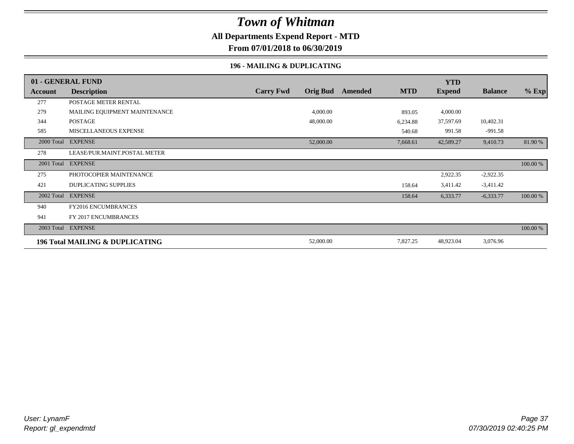### **All Departments Expend Report - MTD**

**From 07/01/2018 to 06/30/2019**

### **196 - MAILING & DUPLICATING**

|            | 01 - GENERAL FUND                          |                  |                 |         |            | <b>YTD</b>    |                |          |
|------------|--------------------------------------------|------------------|-----------------|---------|------------|---------------|----------------|----------|
| Account    | <b>Description</b>                         | <b>Carry Fwd</b> | <b>Orig Bud</b> | Amended | <b>MTD</b> | <b>Expend</b> | <b>Balance</b> | $%$ Exp  |
| 277        | POSTAGE METER RENTAL                       |                  |                 |         |            |               |                |          |
| 279        | MAILING EQUIPMENT MAINTENANCE              |                  | 4,000.00        |         | 893.05     | 4,000.00      |                |          |
| 344        | POSTAGE                                    |                  | 48,000.00       |         | 6,234.88   | 37,597.69     | 10,402.31      |          |
| 585        | MISCELLANEOUS EXPENSE                      |                  |                 |         | 540.68     | 991.58        | $-991.58$      |          |
|            | 2000 Total EXPENSE                         |                  | 52,000.00       |         | 7,668.61   | 42,589.27     | 9,410.73       | 81.90 %  |
| 278        | LEASE/PUR.MAINT.POSTAL METER               |                  |                 |         |            |               |                |          |
| 2001 Total | <b>EXPENSE</b>                             |                  |                 |         |            |               |                | 100.00 % |
| 275        | PHOTOCOPIER MAINTENANCE                    |                  |                 |         |            | 2,922.35      | $-2,922.35$    |          |
| 421        | <b>DUPLICATING SUPPLIES</b>                |                  |                 |         | 158.64     | 3,411.42      | $-3,411.42$    |          |
| 2002 Total | <b>EXPENSE</b>                             |                  |                 |         | 158.64     | 6,333.77      | $-6,333.77$    | 100.00 % |
| 940        | <b>FY2016 ENCUMBRANCES</b>                 |                  |                 |         |            |               |                |          |
| 941        | FY 2017 ENCUMBRANCES                       |                  |                 |         |            |               |                |          |
|            | 2003 Total EXPENSE                         |                  |                 |         |            |               |                | 100.00 % |
|            | <b>196 Total MAILING &amp; DUPLICATING</b> |                  | 52,000.00       |         | 7,827.25   | 48,923.04     | 3,076.96       |          |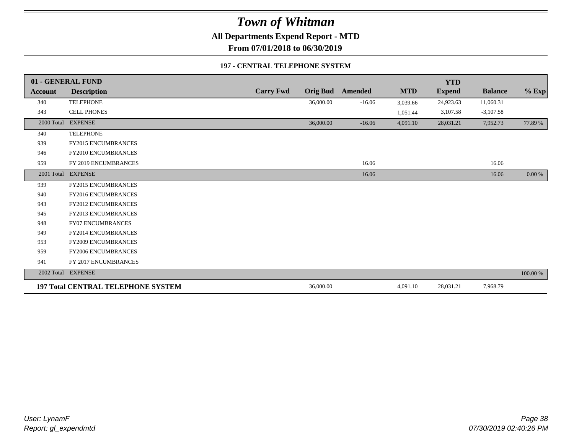**All Departments Expend Report - MTD**

**From 07/01/2018 to 06/30/2019**

#### **197 - CENTRAL TELEPHONE SYSTEM**

|                | 01 - GENERAL FUND                         |                  |                 |                |            | <b>YTD</b>    |                |          |
|----------------|-------------------------------------------|------------------|-----------------|----------------|------------|---------------|----------------|----------|
| <b>Account</b> | <b>Description</b>                        | <b>Carry Fwd</b> | <b>Orig Bud</b> | <b>Amended</b> | <b>MTD</b> | <b>Expend</b> | <b>Balance</b> | $%$ Exp  |
| 340            | <b>TELEPHONE</b>                          |                  | 36,000.00       | $-16.06$       | 3,039.66   | 24,923.63     | 11,060.31      |          |
| 343            | <b>CELL PHONES</b>                        |                  |                 |                | 1,051.44   | 3,107.58      | $-3,107.58$    |          |
| 2000 Total     | <b>EXPENSE</b>                            |                  | 36,000.00       | $-16.06$       | 4,091.10   | 28,031.21     | 7,952.73       | 77.89 %  |
| 340            | <b>TELEPHONE</b>                          |                  |                 |                |            |               |                |          |
| 939            | <b>FY2015 ENCUMBRANCES</b>                |                  |                 |                |            |               |                |          |
| 946            | FY2010 ENCUMBRANCES                       |                  |                 |                |            |               |                |          |
| 959            | FY 2019 ENCUMBRANCES                      |                  |                 | 16.06          |            |               | 16.06          |          |
|                | 2001 Total EXPENSE                        |                  |                 | 16.06          |            |               | 16.06          | $0.00\%$ |
| 939            | <b>FY2015 ENCUMBRANCES</b>                |                  |                 |                |            |               |                |          |
| 940            | FY2016 ENCUMBRANCES                       |                  |                 |                |            |               |                |          |
| 943            | FY2012 ENCUMBRANCES                       |                  |                 |                |            |               |                |          |
| 945            | <b>FY2013 ENCUMBRANCES</b>                |                  |                 |                |            |               |                |          |
| 948            | <b>FY07 ENCUMBRANCES</b>                  |                  |                 |                |            |               |                |          |
| 949            | FY2014 ENCUMBRANCES                       |                  |                 |                |            |               |                |          |
| 953            | FY2009 ENCUMBRANCES                       |                  |                 |                |            |               |                |          |
| 959            | FY2006 ENCUMBRANCES                       |                  |                 |                |            |               |                |          |
| 941            | FY 2017 ENCUMBRANCES                      |                  |                 |                |            |               |                |          |
|                | 2002 Total EXPENSE                        |                  |                 |                |            |               |                | 100.00 % |
|                | <b>197 Total CENTRAL TELEPHONE SYSTEM</b> |                  | 36,000.00       |                | 4,091.10   | 28,031.21     | 7,968.79       |          |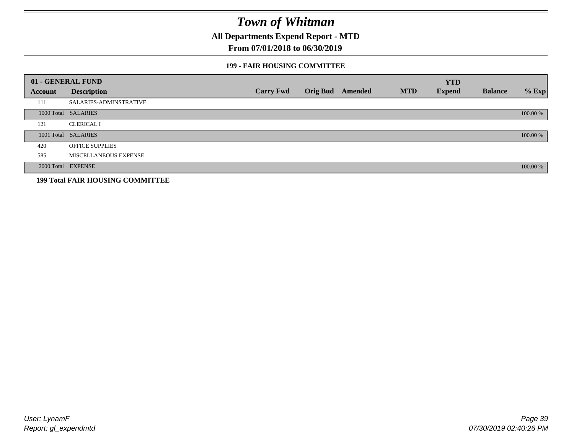**All Departments Expend Report - MTD**

### **From 07/01/2018 to 06/30/2019**

#### **199 - FAIR HOUSING COMMITTEE**

|         | 01 - GENERAL FUND                       |                  |                         |            | <b>YTD</b>    |                |          |
|---------|-----------------------------------------|------------------|-------------------------|------------|---------------|----------------|----------|
| Account | <b>Description</b>                      | <b>Carry Fwd</b> | <b>Orig Bud</b> Amended | <b>MTD</b> | <b>Expend</b> | <b>Balance</b> | $%$ Exp  |
| 111     | <b>SALARIES-ADMINSTRATIVE</b>           |                  |                         |            |               |                |          |
|         | 1000 Total SALARIES                     |                  |                         |            |               |                | 100.00 % |
| 121     | <b>CLERICAL I</b>                       |                  |                         |            |               |                |          |
|         | 1001 Total SALARIES                     |                  |                         |            |               |                | 100.00 % |
| 420     | <b>OFFICE SUPPLIES</b>                  |                  |                         |            |               |                |          |
| 585     | MISCELLANEOUS EXPENSE                   |                  |                         |            |               |                |          |
|         | 2000 Total EXPENSE                      |                  |                         |            |               |                | 100.00 % |
|         | <b>199 Total FAIR HOUSING COMMITTEE</b> |                  |                         |            |               |                |          |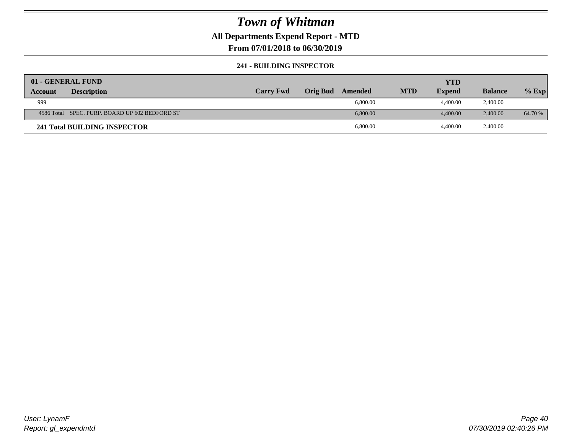### **All Departments Expend Report - MTD**

**From 07/01/2018 to 06/30/2019**

#### **241 - BUILDING INSPECTOR**

| 01 - GENERAL FUND |                                                |                  |          |          |            | <b>YTD</b>    |                |         |
|-------------------|------------------------------------------------|------------------|----------|----------|------------|---------------|----------------|---------|
| Account           | <b>Description</b>                             | <b>Carry Fwd</b> | Orig Bud | Amended  | <b>MTD</b> | <b>Expend</b> | <b>Balance</b> | $%$ Exp |
| 999               |                                                |                  |          | 6,800.00 |            | 4,400.00      | 2,400.00       |         |
|                   | 4586 Total SPEC. PURP. BOARD UP 602 BEDFORD ST |                  |          | 6,800.00 |            | 4,400.00      | 2,400.00       | 64.70 % |
|                   | 241 Total BUILDING INSPECTOR                   |                  |          | 6,800.00 |            | 4,400.00      | 2,400.00       |         |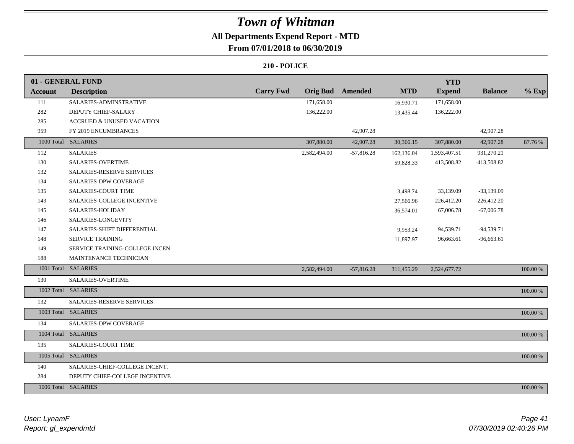## **All Departments Expend Report - MTD**

### **From 07/01/2018 to 06/30/2019**

|                | 01 - GENERAL FUND                     |                  |                 |              |            | <b>YTD</b>    |                |          |
|----------------|---------------------------------------|------------------|-----------------|--------------|------------|---------------|----------------|----------|
| <b>Account</b> | <b>Description</b>                    | <b>Carry Fwd</b> | <b>Orig Bud</b> | Amended      | <b>MTD</b> | <b>Expend</b> | <b>Balance</b> | $%$ Exp  |
| 111            | SALARIES-ADMINSTRATIVE                |                  | 171,658.00      |              | 16,930.71  | 171,658.00    |                |          |
| 282            | DEPUTY CHIEF-SALARY                   |                  | 136,222.00      |              | 13,435.44  | 136,222.00    |                |          |
| 285            | <b>ACCRUED &amp; UNUSED VACATION</b>  |                  |                 |              |            |               |                |          |
| 959            | FY 2019 ENCUMBRANCES                  |                  |                 | 42,907.28    |            |               | 42,907.28      |          |
|                | 1000 Total SALARIES                   |                  | 307,880.00      | 42,907.28    | 30,366.15  | 307,880.00    | 42,907.28      | 87.76 %  |
| 112            | <b>SALARIES</b>                       |                  | 2,582,494.00    | $-57,816.28$ | 162,136.04 | 1,593,407.51  | 931,270.21     |          |
| 130            | <b>SALARIES-OVERTIME</b>              |                  |                 |              | 59,828.33  | 413,508.82    | -413,508.82    |          |
| 132            | SALARIES-RESERVE SERVICES             |                  |                 |              |            |               |                |          |
| 134            | SALARIES-DPW COVERAGE                 |                  |                 |              |            |               |                |          |
| 135            | <b>SALARIES-COURT TIME</b>            |                  |                 |              | 3,498.74   | 33,139.09     | $-33,139.09$   |          |
| 143            | <b>SALARIES-COLLEGE INCENTIVE</b>     |                  |                 |              | 27,566.96  | 226,412.20    | $-226,412.20$  |          |
| 145            | SALARIES-HOLIDAY                      |                  |                 |              | 36,574.01  | 67,006.78     | $-67,006.78$   |          |
| 146            | SALARIES-LONGEVITY                    |                  |                 |              |            |               |                |          |
| 147            | SALARIES-SHIFT DIFFERENTIAL           |                  |                 |              | 9,953.24   | 94,539.71     | $-94,539.71$   |          |
| 148            | <b>SERVICE TRAINING</b>               |                  |                 |              | 11,897.97  | 96,663.61     | $-96,663.61$   |          |
| 149            | <b>SERVICE TRAINING-COLLEGE INCEN</b> |                  |                 |              |            |               |                |          |
| 188            | MAINTENANCE TECHNICIAN                |                  |                 |              |            |               |                |          |
|                | 1001 Total SALARIES                   |                  | 2,582,494.00    | $-57,816.28$ | 311,455.29 | 2,524,677.72  |                | 100.00 % |
| 130            | SALARIES-OVERTIME                     |                  |                 |              |            |               |                |          |
|                | 1002 Total SALARIES                   |                  |                 |              |            |               |                | 100.00 % |
| 132            | SALARIES-RESERVE SERVICES             |                  |                 |              |            |               |                |          |
|                | 1003 Total SALARIES                   |                  |                 |              |            |               |                | 100.00 % |
| 134            | SALARIES-DPW COVERAGE                 |                  |                 |              |            |               |                |          |
|                | 1004 Total SALARIES                   |                  |                 |              |            |               |                | 100.00 % |
| 135            | <b>SALARIES-COURT TIME</b>            |                  |                 |              |            |               |                |          |
|                | 1005 Total SALARIES                   |                  |                 |              |            |               |                | 100.00 % |
| 140            | SALARIES-CHIEF-COLLEGE INCENT.        |                  |                 |              |            |               |                |          |
| 284            | DEPUTY CHIEF-COLLEGE INCENTIVE        |                  |                 |              |            |               |                |          |
|                | 1006 Total SALARIES                   |                  |                 |              |            |               |                | 100.00 % |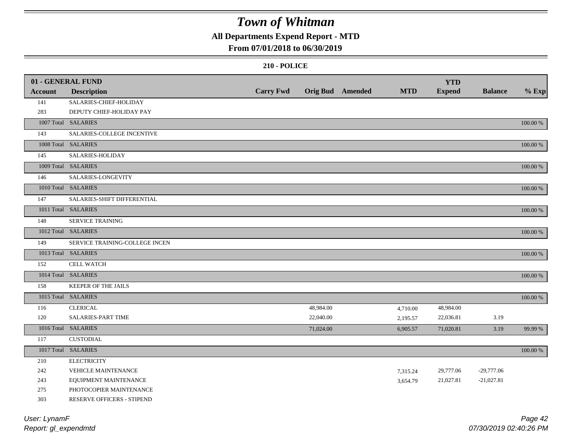### **All Departments Expend Report - MTD**

#### **From 07/01/2018 to 06/30/2019**

|                | 01 - GENERAL FUND              |                  |           |                  |            | <b>YTD</b>    |                |          |
|----------------|--------------------------------|------------------|-----------|------------------|------------|---------------|----------------|----------|
| <b>Account</b> | <b>Description</b>             | <b>Carry Fwd</b> |           | Orig Bud Amended | <b>MTD</b> | <b>Expend</b> | <b>Balance</b> | $%$ Exp  |
| 141            | SALARIES-CHIEF-HOLIDAY         |                  |           |                  |            |               |                |          |
| 283            | DEPUTY CHIEF-HOLIDAY PAY       |                  |           |                  |            |               |                |          |
|                | 1007 Total SALARIES            |                  |           |                  |            |               |                | 100.00 % |
| 143            | SALARIES-COLLEGE INCENTIVE     |                  |           |                  |            |               |                |          |
|                | 1008 Total SALARIES            |                  |           |                  |            |               |                | 100.00 % |
| 145            | SALARIES-HOLIDAY               |                  |           |                  |            |               |                |          |
|                | 1009 Total SALARIES            |                  |           |                  |            |               |                | 100.00 % |
| 146            | SALARIES-LONGEVITY             |                  |           |                  |            |               |                |          |
|                | 1010 Total SALARIES            |                  |           |                  |            |               |                | 100.00 % |
| 147            | SALARIES-SHIFT DIFFERENTIAL    |                  |           |                  |            |               |                |          |
|                | 1011 Total SALARIES            |                  |           |                  |            |               |                | 100.00 % |
| 148            | <b>SERVICE TRAINING</b>        |                  |           |                  |            |               |                |          |
|                | 1012 Total SALARIES            |                  |           |                  |            |               |                | 100.00 % |
| 149            | SERVICE TRAINING-COLLEGE INCEN |                  |           |                  |            |               |                |          |
|                | 1013 Total SALARIES            |                  |           |                  |            |               |                | 100.00 % |
| 152            | <b>CELL WATCH</b>              |                  |           |                  |            |               |                |          |
|                | 1014 Total SALARIES            |                  |           |                  |            |               |                | 100.00 % |
| 158            | <b>KEEPER OF THE JAILS</b>     |                  |           |                  |            |               |                |          |
|                | 1015 Total SALARIES            |                  |           |                  |            |               |                | 100.00 % |
| 116            | <b>CLERICAL</b>                |                  | 48,984.00 |                  | 4,710.00   | 48,984.00     |                |          |
| 120            | SALARIES-PART TIME             |                  | 22,040.00 |                  | 2,195.57   | 22,036.81     | 3.19           |          |
|                | 1016 Total SALARIES            |                  | 71,024.00 |                  | 6,905.57   | 71,020.81     | 3.19           | 99.99 %  |
| 117            | <b>CUSTODIAL</b>               |                  |           |                  |            |               |                |          |
|                | 1017 Total SALARIES            |                  |           |                  |            |               |                | 100.00 % |
| 210            | <b>ELECTRICITY</b>             |                  |           |                  |            |               |                |          |
| 242            | <b>VEHICLE MAINTENANCE</b>     |                  |           |                  | 7,315.24   | 29,777.06     | $-29,777.06$   |          |
| 243            | EQUIPMENT MAINTENANCE          |                  |           |                  | 3,654.79   | 21,027.81     | $-21,027.81$   |          |
| 275            | PHOTOCOPIER MAINTENANCE        |                  |           |                  |            |               |                |          |
| 303            | RESERVE OFFICERS - STIPEND     |                  |           |                  |            |               |                |          |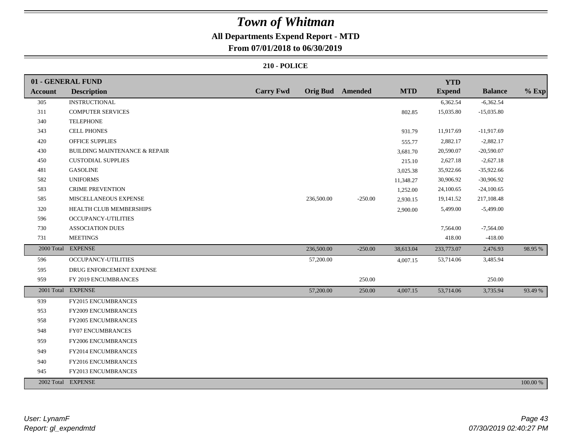### **All Departments Expend Report - MTD**

**From 07/01/2018 to 06/30/2019**

|                | 01 - GENERAL FUND                        |                  |            |                         |            | <b>YTD</b>    |                |          |
|----------------|------------------------------------------|------------------|------------|-------------------------|------------|---------------|----------------|----------|
| <b>Account</b> | <b>Description</b>                       | <b>Carry Fwd</b> |            | <b>Orig Bud</b> Amended | <b>MTD</b> | <b>Expend</b> | <b>Balance</b> | $%$ Exp  |
| 305            | <b>INSTRUCTIONAL</b>                     |                  |            |                         |            | 6,362.54      | $-6,362.54$    |          |
| 311            | <b>COMPUTER SERVICES</b>                 |                  |            |                         | 802.85     | 15,035.80     | $-15,035.80$   |          |
| 340            | <b>TELEPHONE</b>                         |                  |            |                         |            |               |                |          |
| 343            | <b>CELL PHONES</b>                       |                  |            |                         | 931.79     | 11,917.69     | $-11,917.69$   |          |
| 420            | <b>OFFICE SUPPLIES</b>                   |                  |            |                         | 555.77     | 2,882.17      | $-2,882.17$    |          |
| 430            | <b>BUILDING MAINTENANCE &amp; REPAIR</b> |                  |            |                         | 3,681.70   | 20,590.07     | $-20,590.07$   |          |
| 450            | <b>CUSTODIAL SUPPLIES</b>                |                  |            |                         | 215.10     | 2,627.18      | $-2,627.18$    |          |
| 481            | <b>GASOLINE</b>                          |                  |            |                         | 3,025.38   | 35,922.66     | $-35,922.66$   |          |
| 582            | <b>UNIFORMS</b>                          |                  |            |                         | 11,348.27  | 30,906.92     | $-30,906.92$   |          |
| 583            | <b>CRIME PREVENTION</b>                  |                  |            |                         | 1,252.00   | 24,100.65     | $-24,100.65$   |          |
| 585            | MISCELLANEOUS EXPENSE                    |                  | 236,500.00 | $-250.00$               | 2,930.15   | 19,141.52     | 217,108.48     |          |
| 320            | HEALTH CLUB MEMBERSHIPS                  |                  |            |                         | 2,900.00   | 5,499.00      | $-5,499.00$    |          |
| 596            | OCCUPANCY-UTILITIES                      |                  |            |                         |            |               |                |          |
| 730            | <b>ASSOCIATION DUES</b>                  |                  |            |                         |            | 7,564.00      | $-7,564.00$    |          |
| 731            | <b>MEETINGS</b>                          |                  |            |                         |            | 418.00        | $-418.00$      |          |
|                | 2000 Total EXPENSE                       |                  | 236,500.00 | $-250.00$               | 38,613.04  | 233,773.07    | 2,476.93       | 98.95 %  |
| 596            | OCCUPANCY-UTILITIES                      |                  | 57,200.00  |                         | 4,007.15   | 53,714.06     | 3,485.94       |          |
| 595            | DRUG ENFORCEMENT EXPENSE                 |                  |            |                         |            |               |                |          |
| 959            | FY 2019 ENCUMBRANCES                     |                  |            | 250.00                  |            |               | 250.00         |          |
|                | 2001 Total EXPENSE                       |                  | 57,200.00  | 250.00                  | 4,007.15   | 53,714.06     | 3,735.94       | 93.49 %  |
| 939            | FY2015 ENCUMBRANCES                      |                  |            |                         |            |               |                |          |
| 953            | FY2009 ENCUMBRANCES                      |                  |            |                         |            |               |                |          |
| 958            | FY2005 ENCUMBRANCES                      |                  |            |                         |            |               |                |          |
| 948            | <b>FY07 ENCUMBRANCES</b>                 |                  |            |                         |            |               |                |          |
| 959            | FY2006 ENCUMBRANCES                      |                  |            |                         |            |               |                |          |
| 949            | FY2014 ENCUMBRANCES                      |                  |            |                         |            |               |                |          |
| 940            | FY2016 ENCUMBRANCES                      |                  |            |                         |            |               |                |          |
| 945            | FY2013 ENCUMBRANCES                      |                  |            |                         |            |               |                |          |
|                | 2002 Total EXPENSE                       |                  |            |                         |            |               |                | 100.00 % |
|                |                                          |                  |            |                         |            |               |                |          |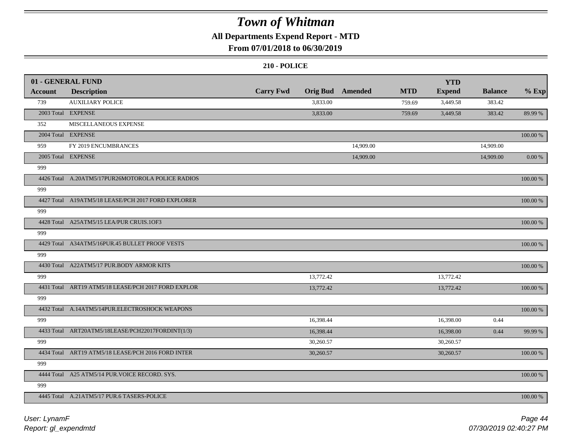### **All Departments Expend Report - MTD**

### **From 07/01/2018 to 06/30/2019**

|                | 01 - GENERAL FUND                                   |                  |           |                         |            | <b>YTD</b>    |                |             |
|----------------|-----------------------------------------------------|------------------|-----------|-------------------------|------------|---------------|----------------|-------------|
| <b>Account</b> | <b>Description</b>                                  | <b>Carry Fwd</b> |           | <b>Orig Bud</b> Amended | <b>MTD</b> | <b>Expend</b> | <b>Balance</b> | $%$ Exp     |
| 739            | <b>AUXILIARY POLICE</b>                             |                  | 3,833.00  |                         | 759.69     | 3,449.58      | 383.42         |             |
|                | 2003 Total EXPENSE                                  |                  | 3,833.00  |                         | 759.69     | 3,449.58      | 383.42         | 89.99 %     |
| 352            | MISCELLANEOUS EXPENSE                               |                  |           |                         |            |               |                |             |
|                | 2004 Total EXPENSE                                  |                  |           |                         |            |               |                | 100.00 %    |
| 959            | FY 2019 ENCUMBRANCES                                |                  |           | 14,909.00               |            |               | 14,909.00      |             |
|                | 2005 Total EXPENSE                                  |                  |           | 14,909.00               |            |               | 14,909.00      | $0.00\ \%$  |
| 999            |                                                     |                  |           |                         |            |               |                |             |
|                | 4426 Total A.20ATM5/17PUR26MOTOROLA POLICE RADIOS   |                  |           |                         |            |               |                | 100.00 %    |
| 999            |                                                     |                  |           |                         |            |               |                |             |
|                | 4427 Total A19ATM5/18 LEASE/PCH 2017 FORD EXPLORER  |                  |           |                         |            |               |                | 100.00 %    |
| 999            |                                                     |                  |           |                         |            |               |                |             |
|                | 4428 Total A25ATM5/15 LEA/PUR CRUIS.1OF3            |                  |           |                         |            |               |                | 100.00 %    |
| 999            |                                                     |                  |           |                         |            |               |                |             |
|                | 4429 Total A34ATM5/16PUR.45 BULLET PROOF VESTS      |                  |           |                         |            |               |                | 100.00 %    |
| 999            |                                                     |                  |           |                         |            |               |                |             |
|                | 4430 Total A22ATM5/17 PUR.BODY ARMOR KITS           |                  |           |                         |            |               |                | 100.00 %    |
| 999            |                                                     |                  | 13,772.42 |                         |            | 13,772.42     |                |             |
|                | 4431 Total ART19 ATM5/18 LEASE/PCH 2017 FORD EXPLOR |                  | 13,772.42 |                         |            | 13,772.42     |                | $100.00~\%$ |
| 999            |                                                     |                  |           |                         |            |               |                |             |
|                | 4432 Total A.14ATM5/14PUR.ELECTROSHOCK WEAPONS      |                  |           |                         |            |               |                | 100.00 %    |
| 999            |                                                     |                  | 16,398.44 |                         |            | 16,398.00     | 0.44           |             |
|                | 4433 Total ART20ATM5/18LEASE/PCH22017FORDINT(1/3)   |                  | 16,398.44 |                         |            | 16,398.00     | 0.44           | 99.99 %     |
| 999            |                                                     |                  | 30,260.57 |                         |            | 30,260.57     |                |             |
|                | 4434 Total ART19 ATM5/18 LEASE/PCH 2016 FORD INTER  |                  | 30,260.57 |                         |            | 30,260.57     |                | 100.00 %    |
| 999            |                                                     |                  |           |                         |            |               |                |             |
|                | 4444 Total A25 ATM5/14 PUR. VOICE RECORD. SYS.      |                  |           |                         |            |               |                | 100.00 %    |
| 999            |                                                     |                  |           |                         |            |               |                |             |
|                | 4445 Total A.21ATM5/17 PUR.6 TASERS-POLICE          |                  |           |                         |            |               |                | 100.00 %    |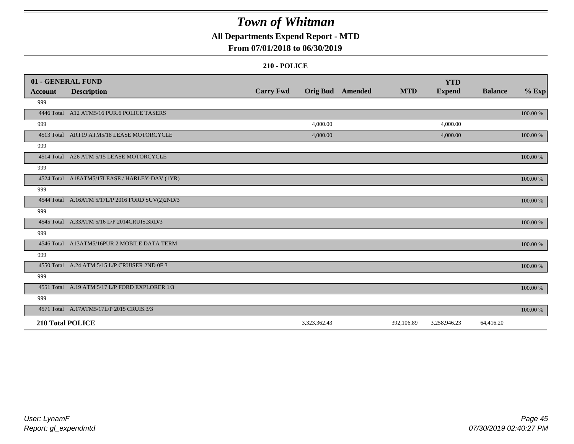### **All Departments Expend Report - MTD**

### **From 07/01/2018 to 06/30/2019**

|                | 01 - GENERAL FUND                                |                  |              |                         |            | <b>YTD</b>    |                |             |
|----------------|--------------------------------------------------|------------------|--------------|-------------------------|------------|---------------|----------------|-------------|
| <b>Account</b> | <b>Description</b>                               | <b>Carry Fwd</b> |              | <b>Orig Bud</b> Amended | <b>MTD</b> | <b>Expend</b> | <b>Balance</b> | $%$ Exp     |
| 999            |                                                  |                  |              |                         |            |               |                |             |
|                | 4446 Total A12 ATM5/16 PUR.6 POLICE TASERS       |                  |              |                         |            |               |                | 100.00 %    |
| 999            |                                                  |                  | 4,000.00     |                         |            | 4,000.00      |                |             |
|                | 4513 Total ART19 ATM5/18 LEASE MOTORCYCLE        |                  | 4,000.00     |                         |            | 4,000.00      |                | 100.00 %    |
| 999            |                                                  |                  |              |                         |            |               |                |             |
|                | 4514 Total A26 ATM 5/15 LEASE MOTORCYCLE         |                  |              |                         |            |               |                | 100.00 %    |
| 999            |                                                  |                  |              |                         |            |               |                |             |
|                | 4524 Total A18ATM5/17LEASE / HARLEY-DAV (1YR)    |                  |              |                         |            |               |                | 100.00 %    |
| 999            |                                                  |                  |              |                         |            |               |                |             |
|                | 4544 Total A.16ATM 5/17L/P 2016 FORD SUV(2)2ND/3 |                  |              |                         |            |               |                | $100.00~\%$ |
| 999            |                                                  |                  |              |                         |            |               |                |             |
|                | 4545 Total A.33ATM 5/16 L/P 2014CRUIS.3RD/3      |                  |              |                         |            |               |                | 100.00 %    |
| 999            |                                                  |                  |              |                         |            |               |                |             |
|                | 4546 Total A13ATM5/16PUR 2 MOBILE DATA TERM      |                  |              |                         |            |               |                | 100.00 %    |
| 999            |                                                  |                  |              |                         |            |               |                |             |
|                | 4550 Total A.24 ATM 5/15 L/P CRUISER 2ND 0F 3    |                  |              |                         |            |               |                | 100.00 %    |
| 999            |                                                  |                  |              |                         |            |               |                |             |
|                | 4551 Total A.19 ATM 5/17 L/P FORD EXPLORER 1/3   |                  |              |                         |            |               |                | 100.00 %    |
| 999            |                                                  |                  |              |                         |            |               |                |             |
|                | 4571 Total A.17ATM5/17L/P 2015 CRUIS.3/3         |                  |              |                         |            |               |                | 100.00 %    |
|                | <b>210 Total POLICE</b>                          |                  | 3,323,362.43 |                         | 392,106.89 | 3,258,946.23  | 64,416.20      |             |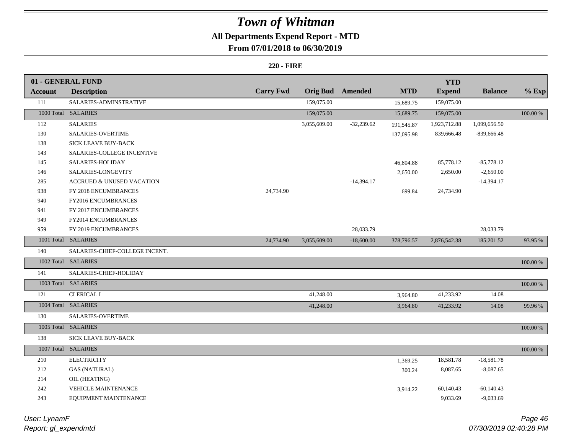## **All Departments Expend Report - MTD**

### **From 07/01/2018 to 06/30/2019**

|                | 01 - GENERAL FUND                    |                  |                 |              |            | <b>YTD</b>    |                |             |
|----------------|--------------------------------------|------------------|-----------------|--------------|------------|---------------|----------------|-------------|
| <b>Account</b> | <b>Description</b>                   | <b>Carry Fwd</b> | <b>Orig Bud</b> | Amended      | <b>MTD</b> | <b>Expend</b> | <b>Balance</b> | $%$ Exp     |
| 111            | SALARIES-ADMINSTRATIVE               |                  | 159,075.00      |              | 15,689.75  | 159,075.00    |                |             |
|                | 1000 Total SALARIES                  |                  | 159,075.00      |              | 15,689.75  | 159,075.00    |                | 100.00 %    |
| 112            | <b>SALARIES</b>                      |                  | 3,055,609.00    | $-32,239.62$ | 191,545.87 | 1,923,712.88  | 1,099,656.50   |             |
| 130            | <b>SALARIES-OVERTIME</b>             |                  |                 |              | 137,095.98 | 839,666.48    | $-839,666.48$  |             |
| 138            | SICK LEAVE BUY-BACK                  |                  |                 |              |            |               |                |             |
| 143            | SALARIES-COLLEGE INCENTIVE           |                  |                 |              |            |               |                |             |
| 145            | SALARIES-HOLIDAY                     |                  |                 |              | 46,804.88  | 85,778.12     | $-85,778.12$   |             |
| 146            | SALARIES-LONGEVITY                   |                  |                 |              | 2,650.00   | 2,650.00      | $-2,650.00$    |             |
| 285            | <b>ACCRUED &amp; UNUSED VACATION</b> |                  |                 | $-14,394.17$ |            |               | $-14,394.17$   |             |
| 938            | FY 2018 ENCUMBRANCES                 | 24,734.90        |                 |              | 699.84     | 24,734.90     |                |             |
| 940            | FY2016 ENCUMBRANCES                  |                  |                 |              |            |               |                |             |
| 941            | FY 2017 ENCUMBRANCES                 |                  |                 |              |            |               |                |             |
| 949            | FY2014 ENCUMBRANCES                  |                  |                 |              |            |               |                |             |
| 959            | FY 2019 ENCUMBRANCES                 |                  |                 | 28,033.79    |            |               | 28,033.79      |             |
|                | 1001 Total SALARIES                  | 24,734.90        | 3,055,609.00    | $-18,600.00$ | 378,796.57 | 2,876,542.38  | 185,201.52     | 93.95 %     |
| 140            | SALARIES-CHIEF-COLLEGE INCENT.       |                  |                 |              |            |               |                |             |
|                | 1002 Total SALARIES                  |                  |                 |              |            |               |                | 100.00 %    |
| 141            | SALARIES-CHIEF-HOLIDAY               |                  |                 |              |            |               |                |             |
|                | 1003 Total SALARIES                  |                  |                 |              |            |               |                | 100.00 %    |
| 121            | <b>CLERICAL I</b>                    |                  | 41,248.00       |              | 3,964.80   | 41,233.92     | 14.08          |             |
|                | 1004 Total SALARIES                  |                  | 41,248.00       |              | 3,964.80   | 41,233.92     | 14.08          | 99.96%      |
| 130            | <b>SALARIES-OVERTIME</b>             |                  |                 |              |            |               |                |             |
|                | 1005 Total SALARIES                  |                  |                 |              |            |               |                | $100.00~\%$ |
| 138            | SICK LEAVE BUY-BACK                  |                  |                 |              |            |               |                |             |
|                | 1007 Total SALARIES                  |                  |                 |              |            |               |                | $100.00~\%$ |
| 210            | <b>ELECTRICITY</b>                   |                  |                 |              | 1,369.25   | 18,581.78     | $-18,581.78$   |             |
| 212            | <b>GAS (NATURAL)</b>                 |                  |                 |              | 300.24     | 8,087.65      | $-8,087.65$    |             |
| 214            | OIL (HEATING)                        |                  |                 |              |            |               |                |             |
| 242            |                                      |                  |                 |              |            |               |                |             |
|                | VEHICLE MAINTENANCE                  |                  |                 |              | 3,914.22   | 60,140.43     | $-60,140.43$   |             |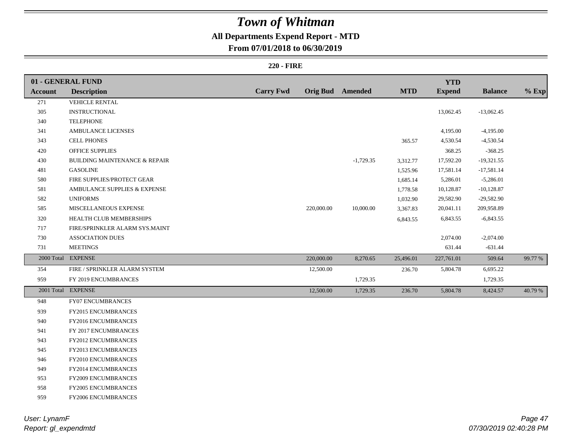### **All Departments Expend Report - MTD**

### **From 07/01/2018 to 06/30/2019**

|                | 01 - GENERAL FUND                        |                  |                         |             |            | <b>YTD</b>    |                |         |
|----------------|------------------------------------------|------------------|-------------------------|-------------|------------|---------------|----------------|---------|
| <b>Account</b> | <b>Description</b>                       | <b>Carry Fwd</b> | <b>Orig Bud Amended</b> |             | <b>MTD</b> | <b>Expend</b> | <b>Balance</b> | $%$ Exp |
| 271            | <b>VEHICLE RENTAL</b>                    |                  |                         |             |            |               |                |         |
| 305            | <b>INSTRUCTIONAL</b>                     |                  |                         |             |            | 13,062.45     | $-13,062.45$   |         |
| 340            | <b>TELEPHONE</b>                         |                  |                         |             |            |               |                |         |
| 341            | AMBULANCE LICENSES                       |                  |                         |             |            | 4,195.00      | $-4,195.00$    |         |
| 343            | <b>CELL PHONES</b>                       |                  |                         |             | 365.57     | 4,530.54      | $-4,530.54$    |         |
| 420            | <b>OFFICE SUPPLIES</b>                   |                  |                         |             |            | 368.25        | $-368.25$      |         |
| 430            | <b>BUILDING MAINTENANCE &amp; REPAIR</b> |                  |                         | $-1,729.35$ | 3,312.77   | 17,592.20     | $-19,321.55$   |         |
| 481            | <b>GASOLINE</b>                          |                  |                         |             | 1,525.96   | 17,581.14     | $-17,581.14$   |         |
| 580            | FIRE SUPPLIES/PROTECT GEAR               |                  |                         |             | 1,685.14   | 5,286.01      | $-5,286.01$    |         |
| 581            | AMBULANCE SUPPLIES & EXPENSE             |                  |                         |             | 1,778.58   | 10,128.87     | $-10,128.87$   |         |
| 582            | <b>UNIFORMS</b>                          |                  |                         |             | 1,032.90   | 29,582.90     | $-29,582.90$   |         |
| 585            | MISCELLANEOUS EXPENSE                    |                  | 220,000.00              | 10,000.00   | 3,367.83   | 20,041.11     | 209,958.89     |         |
| 320            | HEALTH CLUB MEMBERSHIPS                  |                  |                         |             | 6,843.55   | 6,843.55      | $-6,843.55$    |         |
| 717            | FIRE/SPRINKLER ALARM SYS.MAINT           |                  |                         |             |            |               |                |         |
| 730            | <b>ASSOCIATION DUES</b>                  |                  |                         |             |            | 2,074.00      | $-2,074.00$    |         |
| 731            | <b>MEETINGS</b>                          |                  |                         |             |            | 631.44        | $-631.44$      |         |
|                | 2000 Total EXPENSE                       |                  | 220,000.00              | 8,270.65    | 25,496.01  | 227,761.01    | 509.64         | 99.77 % |
| 354            | FIRE / SPRINKLER ALARM SYSTEM            |                  | 12,500.00               |             | 236.70     | 5,804.78      | 6,695.22       |         |
| 959            | FY 2019 ENCUMBRANCES                     |                  |                         | 1,729.35    |            |               | 1,729.35       |         |
|                | 2001 Total EXPENSE                       |                  | 12,500.00               | 1,729.35    | 236.70     | 5,804.78      | 8,424.57       | 40.79 % |
| 948            | FY07 ENCUMBRANCES                        |                  |                         |             |            |               |                |         |
| 939            | FY2015 ENCUMBRANCES                      |                  |                         |             |            |               |                |         |
| 940            | FY2016 ENCUMBRANCES                      |                  |                         |             |            |               |                |         |
| 941            | FY 2017 ENCUMBRANCES                     |                  |                         |             |            |               |                |         |
| 943            | FY2012 ENCUMBRANCES                      |                  |                         |             |            |               |                |         |
| 945            | FY2013 ENCUMBRANCES                      |                  |                         |             |            |               |                |         |
| 946            | FY2010 ENCUMBRANCES                      |                  |                         |             |            |               |                |         |
| 949            | FY2014 ENCUMBRANCES                      |                  |                         |             |            |               |                |         |
| 953            | FY2009 ENCUMBRANCES                      |                  |                         |             |            |               |                |         |
| 958            | FY2005 ENCUMBRANCES                      |                  |                         |             |            |               |                |         |
| 959            | FY2006 ENCUMBRANCES                      |                  |                         |             |            |               |                |         |
|                |                                          |                  |                         |             |            |               |                |         |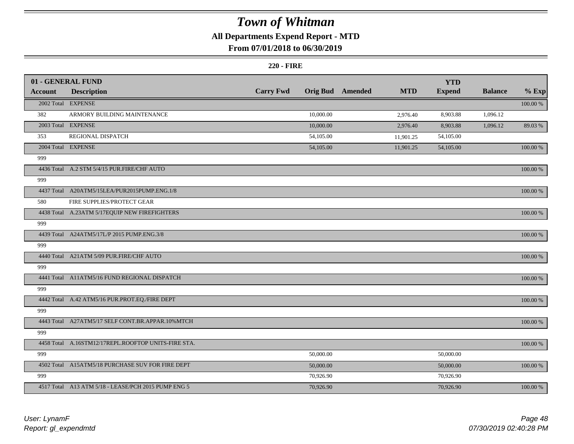### **All Departments Expend Report - MTD**

### **From 07/01/2018 to 06/30/2019**

|                | 01 - GENERAL FUND                                   |                  |           |                         |            | <b>YTD</b>    |                |             |
|----------------|-----------------------------------------------------|------------------|-----------|-------------------------|------------|---------------|----------------|-------------|
| <b>Account</b> | <b>Description</b>                                  | <b>Carry Fwd</b> |           | <b>Orig Bud</b> Amended | <b>MTD</b> | <b>Expend</b> | <b>Balance</b> | $%$ Exp     |
|                | 2002 Total EXPENSE                                  |                  |           |                         |            |               |                | $100.00~\%$ |
| 382            | ARMORY BUILDING MAINTENANCE                         |                  | 10,000.00 |                         | 2,976.40   | 8,903.88      | 1,096.12       |             |
|                | 2003 Total EXPENSE                                  |                  | 10,000.00 |                         | 2,976.40   | 8,903.88      | 1,096.12       | 89.03%      |
| 353            | REGIONAL DISPATCH                                   |                  | 54,105.00 |                         | 11,901.25  | 54,105.00     |                |             |
|                | 2004 Total EXPENSE                                  |                  | 54,105.00 |                         | 11,901.25  | 54,105.00     |                | $100.00~\%$ |
| 999            |                                                     |                  |           |                         |            |               |                |             |
|                | 4436 Total A.2 STM 5/4/15 PUR.FIRE/CHF AUTO         |                  |           |                         |            |               |                | 100.00 %    |
| 999            |                                                     |                  |           |                         |            |               |                |             |
|                | 4437 Total A20ATM5/15LEA/PUR2015PUMP.ENG.1/8        |                  |           |                         |            |               |                | 100.00 %    |
| 580            | FIRE SUPPLIES/PROTECT GEAR                          |                  |           |                         |            |               |                |             |
|                | 4438 Total A.23ATM 5/17EQUIP NEW FIREFIGHTERS       |                  |           |                         |            |               |                | 100.00 %    |
| 999            |                                                     |                  |           |                         |            |               |                |             |
|                | 4439 Total A24ATM5/17L/P 2015 PUMP.ENG.3/8          |                  |           |                         |            |               |                | 100.00 %    |
| 999            |                                                     |                  |           |                         |            |               |                |             |
|                | 4440 Total A21ATM 5/09 PUR.FIRE/CHF AUTO            |                  |           |                         |            |               |                | 100.00 %    |
| 999            |                                                     |                  |           |                         |            |               |                |             |
|                | 4441 Total A11ATM5/16 FUND REGIONAL DISPATCH        |                  |           |                         |            |               |                | 100.00 %    |
| 999            |                                                     |                  |           |                         |            |               |                |             |
|                | 4442 Total A.42 ATM5/16 PUR.PROT.EQ./FIRE DEPT      |                  |           |                         |            |               |                | 100.00 %    |
| 999            |                                                     |                  |           |                         |            |               |                |             |
|                | 4443 Total A27ATM5/17 SELF CONT.BR.APPAR.10%MTCH    |                  |           |                         |            |               |                | 100.00 %    |
| 999            |                                                     |                  |           |                         |            |               |                |             |
|                | 4458 Total A.16STM12/17REPL.ROOFTOP UNITS-FIRE STA. |                  |           |                         |            |               |                | 100.00 %    |
| 999            |                                                     |                  | 50,000.00 |                         |            | 50,000.00     |                |             |
|                | 4502 Total A15ATM5/18 PURCHASE SUV FOR FIRE DEPT    |                  | 50,000.00 |                         |            | 50,000.00     |                | 100.00 %    |
| 999            |                                                     |                  | 70,926.90 |                         |            | 70,926.90     |                |             |
|                | 4517 Total A13 ATM 5/18 - LEASE/PCH 2015 PUMP ENG 5 |                  | 70,926.90 |                         |            | 70,926.90     |                | 100.00 %    |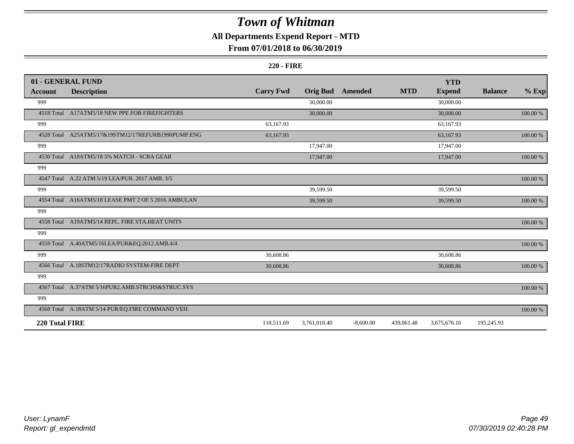### **All Departments Expend Report - MTD**

### **From 07/01/2018 to 06/30/2019**

|                | 01 - GENERAL FUND                                   |                  |                 |                |            | <b>YTD</b>    |                |             |
|----------------|-----------------------------------------------------|------------------|-----------------|----------------|------------|---------------|----------------|-------------|
| Account        | <b>Description</b>                                  | <b>Carry Fwd</b> | <b>Orig Bud</b> | <b>Amended</b> | <b>MTD</b> | <b>Expend</b> | <b>Balance</b> | $%$ Exp     |
| 999            |                                                     |                  | 30,000.00       |                |            | 30,000.00     |                |             |
|                | 4518 Total A17ATM5/18 NEW PPE FOR FIREFIGHTERS      |                  | 30,000.00       |                |            | 30,000.00     |                | 100.00 %    |
| 999            |                                                     | 63,167.93        |                 |                |            | 63,167.93     |                |             |
|                | 4528 Total A25ATM5/17&19STM12/17REFURB1990PUMP.ENG  | 63,167.93        |                 |                |            | 63,167.93     |                | 100.00 %    |
| 999            |                                                     |                  | 17,947.00       |                |            | 17,947.00     |                |             |
|                | 4530 Total A18ATM5/18 5% MATCH - SCBA GEAR          |                  | 17,947.00       |                |            | 17,947.00     |                | 100.00 %    |
| 999            |                                                     |                  |                 |                |            |               |                |             |
|                | 4547 Total A.22 ATM 5/19 LEA/PUR. 2017 AMB. 3/5     |                  |                 |                |            |               |                | 100.00 %    |
| 999            |                                                     |                  | 39,599.50       |                |            | 39,599.50     |                |             |
|                | 4554 Total A16ATM5/18 LEASE PMT 2 OF 5 2016 AMBULAN |                  | 39,599.50       |                |            | 39,599.50     |                | $100.00~\%$ |
| 999            |                                                     |                  |                 |                |            |               |                |             |
|                | 4558 Total A19ATM5/14 REPL. FIRE STA.HEAT UNITS     |                  |                 |                |            |               |                | 100.00 %    |
| 999            |                                                     |                  |                 |                |            |               |                |             |
|                | 4559 Total A.40ATM5/16LEA/PUR&EQ.2012.AMB.4/4       |                  |                 |                |            |               |                | 100.00 %    |
| 999            |                                                     | 30,608.86        |                 |                |            | 30,608.86     |                |             |
|                | 4566 Total A.18STM12/17RADIO SYSTEM-FIRE DEPT       | 30,608.86        |                 |                |            | 30,608.86     |                | $100.00~\%$ |
| 999            |                                                     |                  |                 |                |            |               |                |             |
|                | 4567 Total A.37ATM 5/16PUR2.AMB.STRCHS&STRUC.SYS    |                  |                 |                |            |               |                | 100.00 %    |
| 999            |                                                     |                  |                 |                |            |               |                |             |
|                | 4568 Total A.18ATM 5/14 PUR/EQ.FIRE COMMAND VEH.    |                  |                 |                |            |               |                | 100.00 %    |
| 220 Total FIRE |                                                     | 118,511.69       | 3,761,010.40    | $-8,600.00$    | 439,061.48 | 3,675,676.16  | 195,245.93     |             |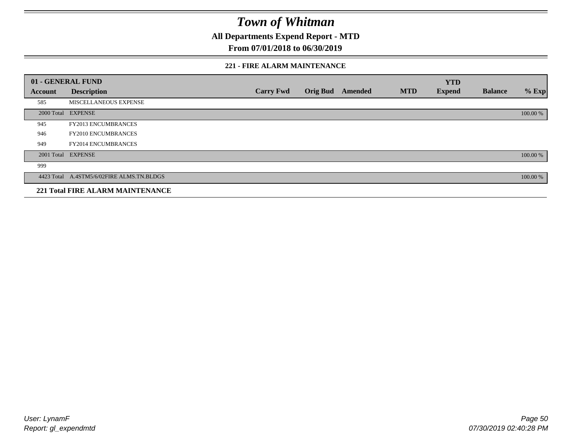**All Departments Expend Report - MTD**

### **From 07/01/2018 to 06/30/2019**

#### **221 - FIRE ALARM MAINTENANCE**

|         | 01 - GENERAL FUND                         |                  |                 |         |            | <b>YTD</b>    |                |          |
|---------|-------------------------------------------|------------------|-----------------|---------|------------|---------------|----------------|----------|
| Account | <b>Description</b>                        | <b>Carry Fwd</b> | <b>Orig Bud</b> | Amended | <b>MTD</b> | <b>Expend</b> | <b>Balance</b> | $%$ Exp  |
| 585     | MISCELLANEOUS EXPENSE                     |                  |                 |         |            |               |                |          |
|         | 2000 Total EXPENSE                        |                  |                 |         |            |               |                | 100.00 % |
| 945     | <b>FY2013 ENCUMBRANCES</b>                |                  |                 |         |            |               |                |          |
| 946     | <b>FY2010 ENCUMBRANCES</b>                |                  |                 |         |            |               |                |          |
| 949     | <b>FY2014 ENCUMBRANCES</b>                |                  |                 |         |            |               |                |          |
|         | 2001 Total EXPENSE                        |                  |                 |         |            |               |                | 100.00 % |
| 999     |                                           |                  |                 |         |            |               |                |          |
|         | 4423 Total A.4STM5/6/02FIRE ALMS.TN.BLDGS |                  |                 |         |            |               |                | 100.00 % |
|         | <b>221 Total FIRE ALARM MAINTENANCE</b>   |                  |                 |         |            |               |                |          |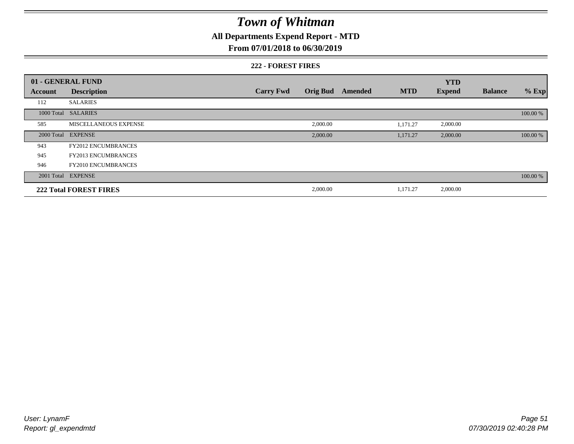### **All Departments Expend Report - MTD**

### **From 07/01/2018 to 06/30/2019**

#### **222 - FOREST FIRES**

|         | 01 - GENERAL FUND             |                  |                 |         |            | <b>YTD</b>    |                |          |
|---------|-------------------------------|------------------|-----------------|---------|------------|---------------|----------------|----------|
| Account | <b>Description</b>            | <b>Carry Fwd</b> | <b>Orig Bud</b> | Amended | <b>MTD</b> | <b>Expend</b> | <b>Balance</b> | $%$ Exp  |
| 112     | <b>SALARIES</b>               |                  |                 |         |            |               |                |          |
|         | 1000 Total SALARIES           |                  |                 |         |            |               |                | 100.00 % |
| 585     | MISCELLANEOUS EXPENSE         |                  | 2,000.00        |         | 1,171.27   | 2,000.00      |                |          |
|         | 2000 Total EXPENSE            |                  | 2,000.00        |         | 1,171.27   | 2,000.00      |                | 100.00 % |
| 943     | <b>FY2012 ENCUMBRANCES</b>    |                  |                 |         |            |               |                |          |
| 945     | <b>FY2013 ENCUMBRANCES</b>    |                  |                 |         |            |               |                |          |
| 946     | <b>FY2010 ENCUMBRANCES</b>    |                  |                 |         |            |               |                |          |
|         | 2001 Total EXPENSE            |                  |                 |         |            |               |                | 100.00 % |
|         | <b>222 Total FOREST FIRES</b> |                  | 2,000.00        |         | 1,171.27   | 2,000.00      |                |          |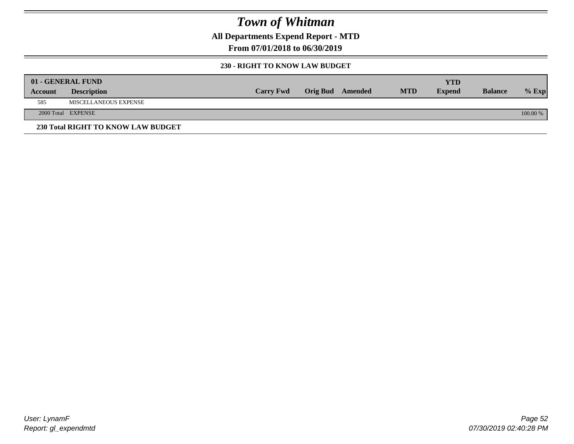**All Departments Expend Report - MTD**

**From 07/01/2018 to 06/30/2019**

#### **230 - RIGHT TO KNOW LAW BUDGET**

|         | 01 - GENERAL FUND                  |                  |                         |            | YTD           |                |            |
|---------|------------------------------------|------------------|-------------------------|------------|---------------|----------------|------------|
| Account | <b>Description</b>                 | <b>Carry Fwd</b> | <b>Orig Bud</b> Amended | <b>MTD</b> | <b>Expend</b> | <b>Balance</b> | $%$ Exp    |
| 585     | MISCELLANEOUS EXPENSE              |                  |                         |            |               |                |            |
|         | 2000 Total EXPENSE                 |                  |                         |            |               |                | $100.00\%$ |
|         | 230 Total RIGHT TO KNOW LAW BUDGET |                  |                         |            |               |                |            |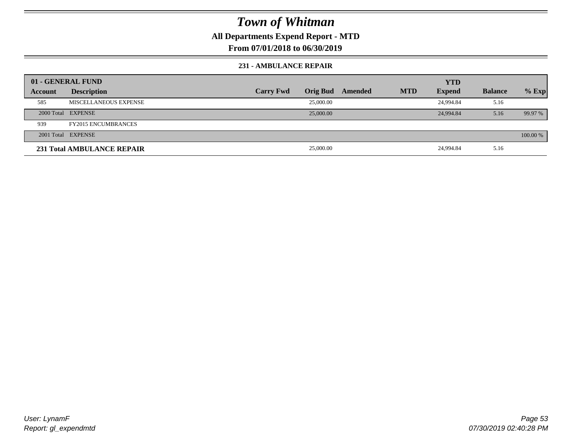**All Departments Expend Report - MTD**

**From 07/01/2018 to 06/30/2019**

#### **231 - AMBULANCE REPAIR**

|         | 01 - GENERAL FUND          |                  |                 |         |            | <b>YTD</b>    |                |          |
|---------|----------------------------|------------------|-----------------|---------|------------|---------------|----------------|----------|
| Account | <b>Description</b>         | <b>Carry Fwd</b> | <b>Orig Bud</b> | Amended | <b>MTD</b> | <b>Expend</b> | <b>Balance</b> | $%$ Exp  |
| 585     | MISCELLANEOUS EXPENSE      |                  | 25,000.00       |         |            | 24,994.84     | 5.16           |          |
|         | 2000 Total EXPENSE         |                  | 25,000.00       |         |            | 24,994.84     | 5.16           | 99.97 %  |
| 939     | <b>FY2015 ENCUMBRANCES</b> |                  |                 |         |            |               |                |          |
|         | 2001 Total EXPENSE         |                  |                 |         |            |               |                | 100.00 % |
|         | 231 Total AMBULANCE REPAIR |                  | 25,000.00       |         |            | 24,994.84     | 5.16           |          |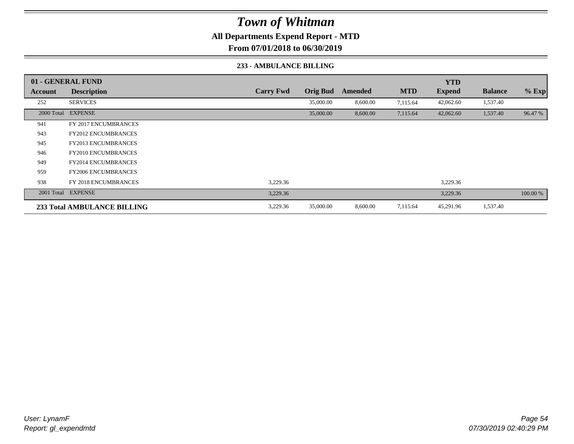**All Departments Expend Report - MTD**

**From 07/01/2018 to 06/30/2019**

#### **233 - AMBULANCE BILLING**

|         | 01 - GENERAL FUND                  |                  |                 |          |            | <b>YTD</b>    |                |          |
|---------|------------------------------------|------------------|-----------------|----------|------------|---------------|----------------|----------|
| Account | <b>Description</b>                 | <b>Carry Fwd</b> | <b>Orig Bud</b> | Amended  | <b>MTD</b> | <b>Expend</b> | <b>Balance</b> | $%$ Exp  |
| 252     | <b>SERVICES</b>                    |                  | 35,000.00       | 8,600.00 | 7,115.64   | 42,062.60     | 1,537.40       |          |
|         | 2000 Total EXPENSE                 |                  | 35,000.00       | 8,600.00 | 7,115.64   | 42,062.60     | 1,537.40       | 96.47 %  |
| 941     | <b>FY 2017 ENCUMBRANCES</b>        |                  |                 |          |            |               |                |          |
| 943     | <b>FY2012 ENCUMBRANCES</b>         |                  |                 |          |            |               |                |          |
| 945     | <b>FY2013 ENCUMBRANCES</b>         |                  |                 |          |            |               |                |          |
| 946     | <b>FY2010 ENCUMBRANCES</b>         |                  |                 |          |            |               |                |          |
| 949     | <b>FY2014 ENCUMBRANCES</b>         |                  |                 |          |            |               |                |          |
| 959     | <b>FY2006 ENCUMBRANCES</b>         |                  |                 |          |            |               |                |          |
| 938     | <b>FY 2018 ENCUMBRANCES</b>        | 3,229.36         |                 |          |            | 3,229.36      |                |          |
|         | 2001 Total EXPENSE                 | 3,229.36         |                 |          |            | 3,229.36      |                | 100.00 % |
|         | <b>233 Total AMBULANCE BILLING</b> | 3,229.36         | 35,000.00       | 8,600.00 | 7,115.64   | 45,291.96     | 1,537.40       |          |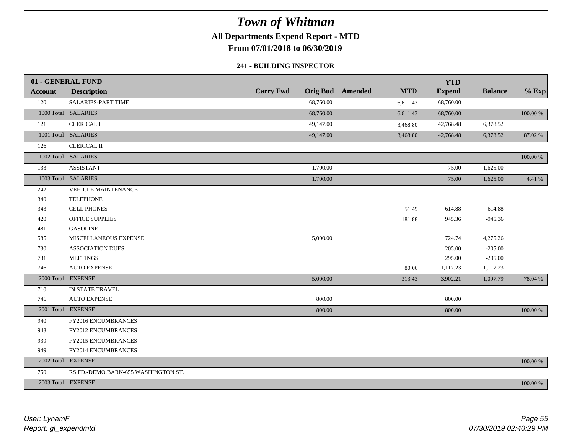**All Departments Expend Report - MTD**

**From 07/01/2018 to 06/30/2019**

#### **241 - BUILDING INSPECTOR**

|                | 01 - GENERAL FUND                   |                  |                                       | <b>YTD</b>    |                |          |
|----------------|-------------------------------------|------------------|---------------------------------------|---------------|----------------|----------|
| <b>Account</b> | <b>Description</b>                  | <b>Carry Fwd</b> | <b>Orig Bud</b> Amended<br><b>MTD</b> | <b>Expend</b> | <b>Balance</b> | $%$ Exp  |
| 120            | SALARIES-PART TIME                  | 68,760.00        | 6,611.43                              | 68,760.00     |                |          |
|                | 1000 Total SALARIES                 | 68,760.00        | 6,611.43                              | 68,760.00     |                | 100.00 % |
| 121            | <b>CLERICAL I</b>                   | 49,147.00        | 3,468.80                              | 42,768.48     | 6,378.52       |          |
|                | 1001 Total SALARIES                 | 49,147.00        | 3,468.80                              | 42,768.48     | 6,378.52       | 87.02 %  |
| 126            | <b>CLERICAL II</b>                  |                  |                                       |               |                |          |
|                | 1002 Total SALARIES                 |                  |                                       |               |                | 100.00 % |
| 133            | <b>ASSISTANT</b>                    | 1,700.00         |                                       | 75.00         | 1,625.00       |          |
|                | 1003 Total SALARIES                 | 1,700.00         |                                       | 75.00         | 1,625.00       | 4.41 %   |
| 242            | <b>VEHICLE MAINTENANCE</b>          |                  |                                       |               |                |          |
| 340            | <b>TELEPHONE</b>                    |                  |                                       |               |                |          |
| 343            | <b>CELL PHONES</b>                  |                  | 51.49                                 | 614.88        | $-614.88$      |          |
| 420            | <b>OFFICE SUPPLIES</b>              |                  | 181.88                                | 945.36        | $-945.36$      |          |
| 481            | <b>GASOLINE</b>                     |                  |                                       |               |                |          |
| 585            | MISCELLANEOUS EXPENSE               | 5,000.00         |                                       | 724.74        | 4,275.26       |          |
| 730            | <b>ASSOCIATION DUES</b>             |                  |                                       | 205.00        | $-205.00$      |          |
| 731            | <b>MEETINGS</b>                     |                  |                                       | 295.00        | $-295.00$      |          |
| 746            | <b>AUTO EXPENSE</b>                 |                  | 80.06                                 | 1,117.23      | $-1,117.23$    |          |
|                | 2000 Total EXPENSE                  | 5,000.00         | 313.43                                | 3,902.21      | 1,097.79       | 78.04 %  |
| 710            | IN STATE TRAVEL                     |                  |                                       |               |                |          |
| 746            | <b>AUTO EXPENSE</b>                 | 800.00           |                                       | 800.00        |                |          |
|                | 2001 Total EXPENSE                  | 800.00           |                                       | 800.00        |                | 100.00 % |
| 940            | FY2016 ENCUMBRANCES                 |                  |                                       |               |                |          |
| 943            | FY2012 ENCUMBRANCES                 |                  |                                       |               |                |          |
| 939            | FY2015 ENCUMBRANCES                 |                  |                                       |               |                |          |
| 949            | FY2014 ENCUMBRANCES                 |                  |                                       |               |                |          |
|                | 2002 Total EXPENSE                  |                  |                                       |               |                | 100.00 % |
| 750            | RS.FD.-DEMO.BARN-655 WASHINGTON ST. |                  |                                       |               |                |          |
|                | 2003 Total EXPENSE                  |                  |                                       |               |                | 100.00 % |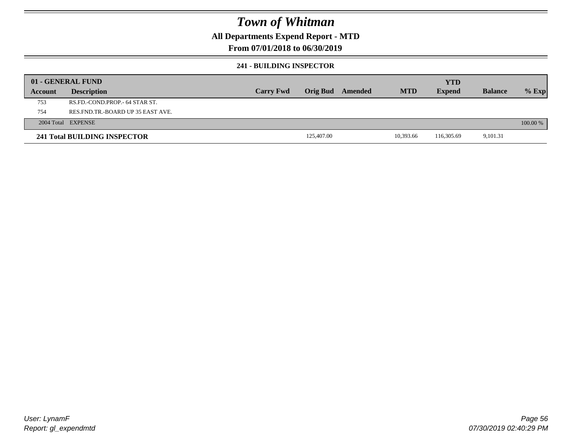### **All Departments Expend Report - MTD**

### **From 07/01/2018 to 06/30/2019**

#### **241 - BUILDING INSPECTOR**

|         | 01 - GENERAL FUND                     |                  |            |         |            | <b>YTD</b>    |                |            |
|---------|---------------------------------------|------------------|------------|---------|------------|---------------|----------------|------------|
| Account | <b>Description</b>                    | <b>Carry Fwd</b> | Orig Bud   | Amended | <b>MTD</b> | <b>Expend</b> | <b>Balance</b> | $%$ Exp    |
| 753     | RS.FD.-COND.PROP.- 64 STAR ST.        |                  |            |         |            |               |                |            |
| 754     | RES. FND. TR. - BOARD UP 35 EAST AVE. |                  |            |         |            |               |                |            |
|         | 2004 Total EXPENSE                    |                  |            |         |            |               |                | $100.00\%$ |
|         | 241 Total BUILDING INSPECTOR          |                  | 125,407.00 |         | 10.393.66  | 116,305.69    | 9,101.31       |            |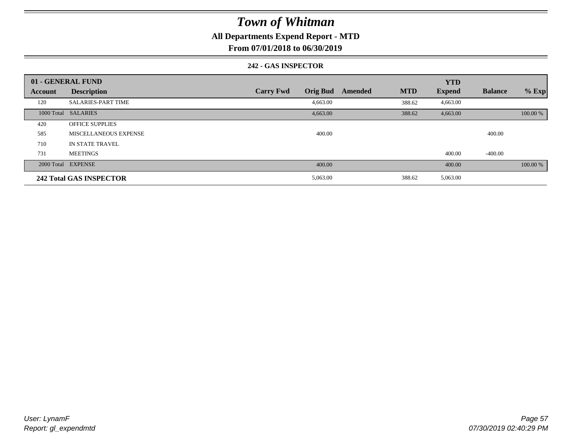### **All Departments Expend Report - MTD**

**From 07/01/2018 to 06/30/2019**

#### **242 - GAS INSPECTOR**

|                | 01 - GENERAL FUND         |                                     |                       | <b>YTD</b>    |                |          |
|----------------|---------------------------|-------------------------------------|-----------------------|---------------|----------------|----------|
| <b>Account</b> | <b>Description</b>        | <b>Orig Bud</b><br><b>Carry Fwd</b> | <b>MTD</b><br>Amended | <b>Expend</b> | <b>Balance</b> | $%$ Exp  |
| 120            | <b>SALARIES-PART TIME</b> | 4,663.00                            | 388.62                | 4,663.00      |                |          |
|                | 1000 Total SALARIES       | 4,663.00                            | 388.62                | 4,663.00      |                | 100.00 % |
| 420            | <b>OFFICE SUPPLIES</b>    |                                     |                       |               |                |          |
| 585            | MISCELLANEOUS EXPENSE     | 400.00                              |                       |               | 400.00         |          |
| 710            | IN STATE TRAVEL           |                                     |                       |               |                |          |
| 731            | <b>MEETINGS</b>           |                                     |                       | 400.00        | -400.00        |          |
|                | 2000 Total EXPENSE        | 400.00                              |                       | 400.00        |                | 100.00 % |
|                | 242 Total GAS INSPECTOR   | 5,063.00                            | 388.62                | 5,063.00      |                |          |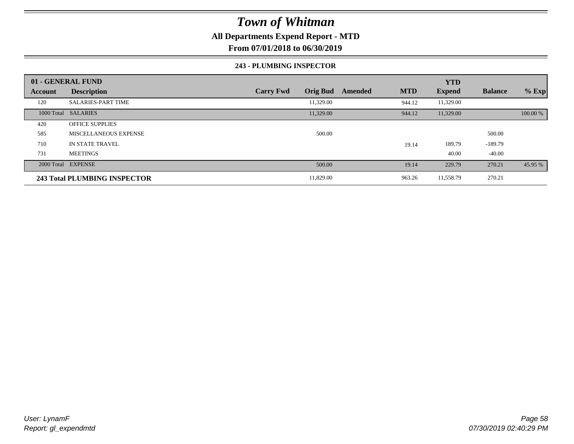### **All Departments Expend Report - MTD**

**From 07/01/2018 to 06/30/2019**

#### **243 - PLUMBING INSPECTOR**

|         | 01 - GENERAL FUND            |                                     |                       | <b>YTD</b>    |                |          |
|---------|------------------------------|-------------------------------------|-----------------------|---------------|----------------|----------|
| Account | <b>Description</b>           | <b>Orig Bud</b><br><b>Carry Fwd</b> | <b>MTD</b><br>Amended | <b>Expend</b> | <b>Balance</b> | $%$ Exp  |
| 120     | <b>SALARIES-PART TIME</b>    | 11,329.00                           | 944.12                | 11,329.00     |                |          |
|         | 1000 Total SALARIES          | 11,329.00                           | 944.12                | 11,329.00     |                | 100.00 % |
| 420     | <b>OFFICE SUPPLIES</b>       |                                     |                       |               |                |          |
| 585     | <b>MISCELLANEOUS EXPENSE</b> | 500.00                              |                       |               | 500.00         |          |
| 710     | <b>IN STATE TRAVEL</b>       |                                     | 19.14                 | 189.79        | $-189.79$      |          |
| 731     | <b>MEETINGS</b>              |                                     |                       | 40.00         | $-40.00$       |          |
|         | 2000 Total EXPENSE           | 500.00                              | 19.14                 | 229.79        | 270.21         | 45.95 %  |
|         | 243 Total PLUMBING INSPECTOR | 11,829.00                           | 963.26                | 11,558.79     | 270.21         |          |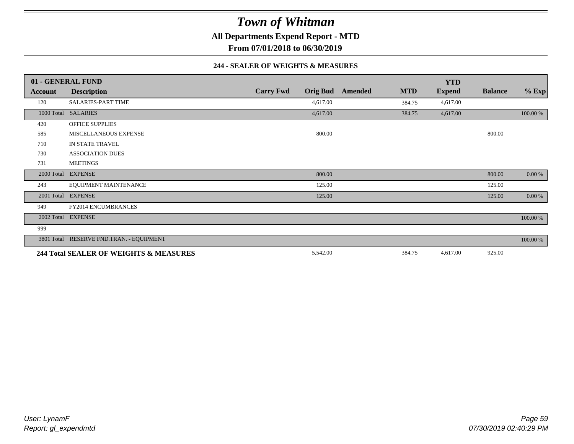**All Departments Expend Report - MTD**

**From 07/01/2018 to 06/30/2019**

#### **244 - SEALER OF WEIGHTS & MEASURES**

|            | 01 - GENERAL FUND                        |                  |                 |         |            | <b>YTD</b>    |                |          |
|------------|------------------------------------------|------------------|-----------------|---------|------------|---------------|----------------|----------|
| Account    | <b>Description</b>                       | <b>Carry Fwd</b> | <b>Orig Bud</b> | Amended | <b>MTD</b> | <b>Expend</b> | <b>Balance</b> | $%$ Exp  |
| 120        | <b>SALARIES-PART TIME</b>                |                  | 4,617.00        |         | 384.75     | 4,617.00      |                |          |
| 1000 Total | <b>SALARIES</b>                          |                  | 4,617.00        |         | 384.75     | 4,617.00      |                | 100.00 % |
| 420        | <b>OFFICE SUPPLIES</b>                   |                  |                 |         |            |               |                |          |
| 585        | MISCELLANEOUS EXPENSE                    |                  | 800.00          |         |            |               | 800.00         |          |
| 710        | IN STATE TRAVEL                          |                  |                 |         |            |               |                |          |
| 730        | <b>ASSOCIATION DUES</b>                  |                  |                 |         |            |               |                |          |
| 731        | <b>MEETINGS</b>                          |                  |                 |         |            |               |                |          |
|            | 2000 Total EXPENSE                       |                  | 800.00          |         |            |               | 800.00         | 0.00 %   |
| 243        | EQUIPMENT MAINTENANCE                    |                  | 125.00          |         |            |               | 125.00         |          |
|            | 2001 Total EXPENSE                       |                  | 125.00          |         |            |               | 125.00         | 0.00 %   |
| 949        | FY2014 ENCUMBRANCES                      |                  |                 |         |            |               |                |          |
|            | 2002 Total EXPENSE                       |                  |                 |         |            |               |                | 100.00 % |
| 999        |                                          |                  |                 |         |            |               |                |          |
|            | 3801 Total RESERVE FND.TRAN. - EQUIPMENT |                  |                 |         |            |               |                | 100.00 % |
|            | 244 Total SEALER OF WEIGHTS & MEASURES   |                  | 5,542.00        |         | 384.75     | 4,617.00      | 925.00         |          |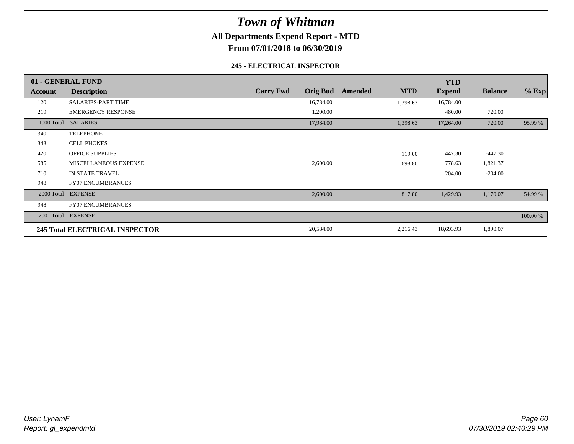**All Departments Expend Report - MTD**

**From 07/01/2018 to 06/30/2019**

#### **245 - ELECTRICAL INSPECTOR**

|         | 01 - GENERAL FUND              |                  |                 |         |            | <b>YTD</b>    |                |          |
|---------|--------------------------------|------------------|-----------------|---------|------------|---------------|----------------|----------|
| Account | <b>Description</b>             | <b>Carry Fwd</b> | <b>Orig Bud</b> | Amended | <b>MTD</b> | <b>Expend</b> | <b>Balance</b> | $%$ Exp  |
| 120     | <b>SALARIES-PART TIME</b>      |                  | 16,784.00       |         | 1,398.63   | 16,784.00     |                |          |
| 219     | <b>EMERGENCY RESPONSE</b>      |                  | 1,200.00        |         |            | 480.00        | 720.00         |          |
|         | 1000 Total SALARIES            |                  | 17,984.00       |         | 1,398.63   | 17,264.00     | 720.00         | 95.99 %  |
| 340     | <b>TELEPHONE</b>               |                  |                 |         |            |               |                |          |
| 343     | <b>CELL PHONES</b>             |                  |                 |         |            |               |                |          |
| 420     | <b>OFFICE SUPPLIES</b>         |                  |                 |         | 119.00     | 447.30        | $-447.30$      |          |
| 585     | MISCELLANEOUS EXPENSE          |                  | 2,600.00        |         | 698.80     | 778.63        | 1,821.37       |          |
| 710     | IN STATE TRAVEL                |                  |                 |         |            | 204.00        | $-204.00$      |          |
| 948     | <b>FY07 ENCUMBRANCES</b>       |                  |                 |         |            |               |                |          |
|         | 2000 Total EXPENSE             |                  | 2,600.00        |         | 817.80     | 1,429.93      | 1,170.07       | 54.99 %  |
| 948     | <b>FY07 ENCUMBRANCES</b>       |                  |                 |         |            |               |                |          |
|         | 2001 Total EXPENSE             |                  |                 |         |            |               |                | 100.00 % |
|         | 245 Total ELECTRICAL INSPECTOR |                  | 20,584.00       |         | 2,216.43   | 18,693.93     | 1,890.07       |          |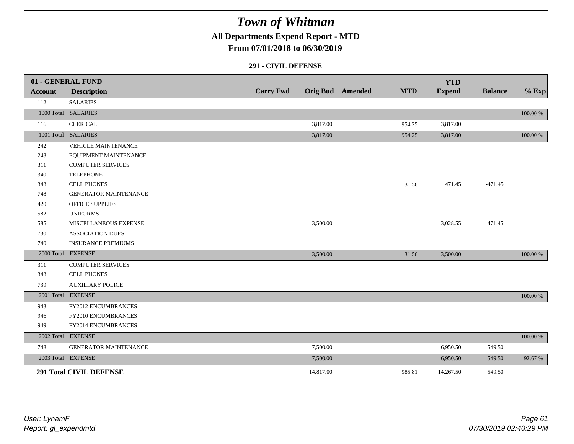### **All Departments Expend Report - MTD**

### **From 07/01/2018 to 06/30/2019**

#### **291 - CIVIL DEFENSE**

|                | 01 - GENERAL FUND              |                  |           |                         |            | <b>YTD</b>    |                |             |
|----------------|--------------------------------|------------------|-----------|-------------------------|------------|---------------|----------------|-------------|
| <b>Account</b> | <b>Description</b>             | <b>Carry Fwd</b> |           | <b>Orig Bud</b> Amended | <b>MTD</b> | <b>Expend</b> | <b>Balance</b> | $%$ Exp     |
| 112            | <b>SALARIES</b>                |                  |           |                         |            |               |                |             |
|                | 1000 Total SALARIES            |                  |           |                         |            |               |                | 100.00 %    |
| 116            | <b>CLERICAL</b>                |                  | 3,817.00  |                         | 954.25     | 3,817.00      |                |             |
|                | 1001 Total SALARIES            |                  | 3,817.00  |                         | 954.25     | 3,817.00      |                | 100.00 %    |
| 242            | <b>VEHICLE MAINTENANCE</b>     |                  |           |                         |            |               |                |             |
| 243            | EQUIPMENT MAINTENANCE          |                  |           |                         |            |               |                |             |
| 311            | <b>COMPUTER SERVICES</b>       |                  |           |                         |            |               |                |             |
| 340            | <b>TELEPHONE</b>               |                  |           |                         |            |               |                |             |
| 343            | <b>CELL PHONES</b>             |                  |           |                         | 31.56      | 471.45        | $-471.45$      |             |
| 748            | <b>GENERATOR MAINTENANCE</b>   |                  |           |                         |            |               |                |             |
| 420            | <b>OFFICE SUPPLIES</b>         |                  |           |                         |            |               |                |             |
| 582            | <b>UNIFORMS</b>                |                  |           |                         |            |               |                |             |
| 585            | MISCELLANEOUS EXPENSE          |                  | 3,500.00  |                         |            | 3,028.55      | 471.45         |             |
| 730            | <b>ASSOCIATION DUES</b>        |                  |           |                         |            |               |                |             |
| 740            | <b>INSURANCE PREMIUMS</b>      |                  |           |                         |            |               |                |             |
|                | 2000 Total EXPENSE             |                  | 3,500.00  |                         | 31.56      | 3,500.00      |                | 100.00 %    |
| 311            | <b>COMPUTER SERVICES</b>       |                  |           |                         |            |               |                |             |
| 343            | <b>CELL PHONES</b>             |                  |           |                         |            |               |                |             |
| 739            | <b>AUXILIARY POLICE</b>        |                  |           |                         |            |               |                |             |
|                | 2001 Total EXPENSE             |                  |           |                         |            |               |                | 100.00 %    |
| 943            | FY2012 ENCUMBRANCES            |                  |           |                         |            |               |                |             |
| 946            | FY2010 ENCUMBRANCES            |                  |           |                         |            |               |                |             |
| 949            | FY2014 ENCUMBRANCES            |                  |           |                         |            |               |                |             |
|                | 2002 Total EXPENSE             |                  |           |                         |            |               |                | $100.00~\%$ |
| 748            | <b>GENERATOR MAINTENANCE</b>   |                  | 7,500.00  |                         |            | 6,950.50      | 549.50         |             |
|                | 2003 Total EXPENSE             |                  | 7,500.00  |                         |            | 6,950.50      | 549.50         | 92.67 %     |
|                | <b>291 Total CIVIL DEFENSE</b> |                  | 14,817.00 |                         | 985.81     | 14,267.50     | 549.50         |             |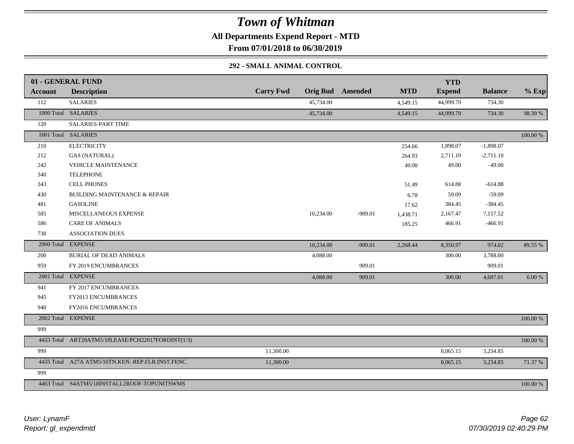**All Departments Expend Report - MTD**

**From 07/01/2018 to 06/30/2019**

### **292 - SMALL ANIMAL CONTROL**

|         | 01 - GENERAL FUND                                 |                  |                 |           |            | <b>YTD</b>    |                |          |
|---------|---------------------------------------------------|------------------|-----------------|-----------|------------|---------------|----------------|----------|
| Account | <b>Description</b>                                | <b>Carry Fwd</b> | <b>Orig Bud</b> | Amended   | <b>MTD</b> | <b>Expend</b> | <b>Balance</b> | $%$ Exp  |
| 112     | <b>SALARIES</b>                                   |                  | 45,734.00       |           | 4,549.15   | 44,999.70     | 734.30         |          |
|         | 1000 Total SALARIES                               |                  | 45,734.00       |           | 4,549.15   | 44,999.70     | 734.30         | 98.39 %  |
| 120     | <b>SALARIES-PART TIME</b>                         |                  |                 |           |            |               |                |          |
|         | 1001 Total SALARIES                               |                  |                 |           |            |               |                | 100.00 % |
| 210     | <b>ELECTRICITY</b>                                |                  |                 |           | 254.66     | 1,898.07      | $-1,898.07$    |          |
| 212     | <b>GAS (NATURAL)</b>                              |                  |                 |           | 264.93     | 2,711.10      | $-2,711.10$    |          |
| 242     | <b>VEHICLE MAINTENANCE</b>                        |                  |                 |           | 49.00      | 49.00         | $-49.00$       |          |
| 340     | <b>TELEPHONE</b>                                  |                  |                 |           |            |               |                |          |
| 343     | <b>CELL PHONES</b>                                |                  |                 |           | 51.49      | 614.88        | $-614.88$      |          |
| 430     | <b>BUILDING MAINTENANCE &amp; REPAIR</b>          |                  |                 |           | 6.78       | 59.09         | $-59.09$       |          |
| 481     | <b>GASOLINE</b>                                   |                  |                 |           | 17.62      | 384.45        | $-384.45$      |          |
| 585     | MISCELLANEOUS EXPENSE                             |                  | 10,234.00       | $-909.01$ | 1,438.71   | 2,167.47      | 7,157.52       |          |
| 586     | <b>CARE OF ANIMALS</b>                            |                  |                 |           | 185.25     | 466.91        | $-466.91$      |          |
| 730     | ASSOCIATION DUES                                  |                  |                 |           |            |               |                |          |
|         | 2000 Total EXPENSE                                |                  | 10,234.00       | $-909.01$ | 2,268.44   | 8,350.97      | 974.02         | 89.55 %  |
| 200     | <b>BURIAL OF DEAD ANIMALS</b>                     |                  | 4,088.00        |           |            | 300.00        | 3,788.00       |          |
| 959     | FY 2019 ENCUMBRANCES                              |                  |                 | 909.01    |            |               | 909.01         |          |
|         | 2001 Total EXPENSE                                |                  | 4,088.00        | 909.01    |            | 300.00        | 4,697.01       | 6.00 %   |
| 941     | FY 2017 ENCUMBRANCES                              |                  |                 |           |            |               |                |          |
| 945     | FY2013 ENCUMBRANCES                               |                  |                 |           |            |               |                |          |
| 940     | FY2016 ENCUMBRANCES                               |                  |                 |           |            |               |                |          |
|         | 2002 Total EXPENSE                                |                  |                 |           |            |               |                | 100.00 % |
| 999     |                                                   |                  |                 |           |            |               |                |          |
|         | 4433 Total ART20ATM5/18LEASE/PCH22017FORDINT(1/3) |                  |                 |           |            |               |                | 100.00 % |
| 999     |                                                   | 11,300.00        |                 |           |            | 8,065.15      | 3,234.85       |          |
|         | 4435 Total A27A ATM5/16TN.KEN.-REP.FLR.INST.FENC  | 11,300.00        |                 |           |            | 8,065.15      | 3,234.85       | 71.37 %  |
| 999     |                                                   |                  |                 |           |            |               |                |          |
|         | 4463 Total S4ATM5/18INSTALL2ROOF-TOPUNITSWMS      |                  |                 |           |            |               |                | 100.00 % |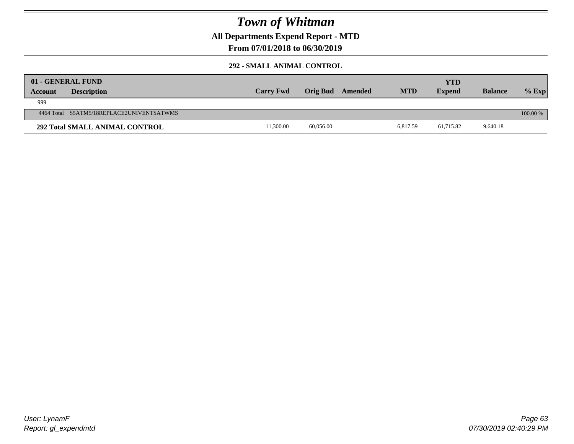**All Departments Expend Report - MTD**

### **From 07/01/2018 to 06/30/2019**

### **292 - SMALL ANIMAL CONTROL**

| <b>Account</b> | 01 - GENERAL FUND<br><b>Description</b>   | <b>Carry Fwd</b> | Orig Bud  | Amended | <b>MTD</b> | <b>YTD</b><br><b>Expend</b> | <b>Balance</b> | $%$ Exp  |
|----------------|-------------------------------------------|------------------|-----------|---------|------------|-----------------------------|----------------|----------|
| 999            |                                           |                  |           |         |            |                             |                |          |
|                | 4464 Total S5ATM5/18REPLACE2UNIVENTSATWMS |                  |           |         |            |                             |                | 100.00 % |
|                | <b>292 Total SMALL ANIMAL CONTROL</b>     | 11,300.00        | 60,056.00 |         | 6.817.59   | 61,715.82                   | 9,640.18       |          |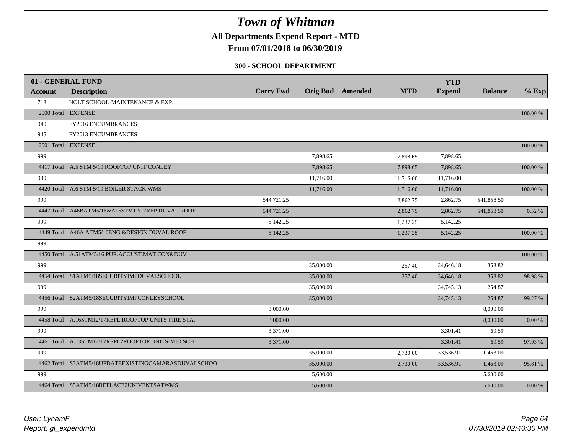**All Departments Expend Report - MTD**

### **From 07/01/2018 to 06/30/2019**

#### **300 - SCHOOL DEPARTMENT**

|         | 01 - GENERAL FUND                                   |                  |           |                         |            | <b>YTD</b>    |                |             |
|---------|-----------------------------------------------------|------------------|-----------|-------------------------|------------|---------------|----------------|-------------|
| Account | <b>Description</b>                                  | <b>Carry Fwd</b> |           | <b>Orig Bud</b> Amended | <b>MTD</b> | <b>Expend</b> | <b>Balance</b> | $%$ Exp     |
| 718     | HOLT SCHOOL-MAINTENANCE & EXP.                      |                  |           |                         |            |               |                |             |
|         | 2000 Total EXPENSE                                  |                  |           |                         |            |               |                | $100.00~\%$ |
| 940     | FY2016 ENCUMBRANCES                                 |                  |           |                         |            |               |                |             |
| 945     | FY2013 ENCUMBRANCES                                 |                  |           |                         |            |               |                |             |
|         | 2001 Total EXPENSE                                  |                  |           |                         |            |               |                | 100.00 %    |
| 999     |                                                     |                  | 7,898.65  |                         | 7,898.65   | 7,898.65      |                |             |
|         | 4417 Total A.5 STM 5/19 ROOFTOP UNIT CONLEY         |                  | 7,898.65  |                         | 7,898.65   | 7,898.65      |                | 100.00 %    |
| 999     |                                                     |                  | 11,716.00 |                         | 11,716.00  | 11,716.00     |                |             |
|         | 4420 Total A.6 STM 5/19 BOILER STACK WMS            |                  | 11,716.00 |                         | 11,716.00  | 11,716.00     |                | 100.00 %    |
| 999     |                                                     | 544,721.25       |           |                         | 2,862.75   | 2,862.75      | 541,858.50     |             |
|         | 4447 Total A46BATM5/16&A15STM12/17REP.DUVAL ROOF    | 544,721.25       |           |                         | 2,862.75   | 2,862.75      | 541,858.50     | 0.52%       |
| 999     |                                                     | 5,142.25         |           |                         | 1,237.25   | 5,142.25      |                |             |
|         | 4449 Total A46A ATM5/16ENG.&DESIGN DUVAL ROOF       | 5,142.25         |           |                         | 1,237.25   | 5,142.25      |                | 100.00 %    |
| 999     |                                                     |                  |           |                         |            |               |                |             |
|         | 4450 Total A.51ATM5/16 PUR.ACOUST.MAT.CON&DUV       |                  |           |                         |            |               |                | 100.00 %    |
| 999     |                                                     |                  | 35,000.00 |                         | 257.40     | 34,646.18     | 353.82         |             |
|         | 4454 Total S1ATM5/18SECURITYIMPDUVALSCHOOL          |                  | 35,000.00 |                         | 257.40     | 34,646.18     | 353.82         | 98.98%      |
| 999     |                                                     |                  | 35,000.00 |                         |            | 34,745.13     | 254.87         |             |
|         | 4456 Total S2ATM5/18SECURITYIMPCONLEYSCHOOL         |                  | 35,000.00 |                         |            | 34,745.13     | 254.87         | 99.27 %     |
| 999     |                                                     | 8,000.00         |           |                         |            |               | 8,000.00       |             |
|         | 4458 Total A.16STM12/17REPL.ROOFTOP UNITS-FIRE STA. | 8,000.00         |           |                         |            |               | 8,000.00       | $0.00\,\%$  |
| 999     |                                                     | 3,371.00         |           |                         |            | 3,301.41      | 69.59          |             |
|         | 4461 Total A.13STM12/17REPL2ROOFTOP UNITS-MID.SCH   | 3,371.00         |           |                         |            | 3,301.41      | 69.59          | 97.93 %     |
| 999     |                                                     |                  | 35,000.00 |                         | 2,730.00   | 33,536.91     | 1,463.09       |             |
|         | 4462 Total S3ATM5/18UPDATEEXISTINGCAMARASDUVALSCHOO |                  | 35,000.00 |                         | 2,730.00   | 33,536.91     | 1,463.09       | 95.81 %     |
| 999     |                                                     |                  | 5,600.00  |                         |            |               | 5,600.00       |             |
|         | 4464 Total S5ATM5/18REPLACE2UNIVENTSATWMS           |                  | 5,600.00  |                         |            |               | 5,600.00       | $0.00\ \%$  |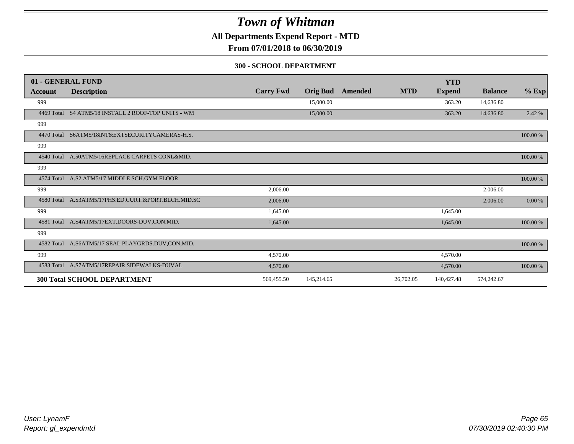**All Departments Expend Report - MTD**

**From 07/01/2018 to 06/30/2019**

#### **300 - SCHOOL DEPARTMENT**

|            | 01 - GENERAL FUND                                   |                  |                 |         |            | <b>YTD</b>    |                |          |
|------------|-----------------------------------------------------|------------------|-----------------|---------|------------|---------------|----------------|----------|
| Account    | <b>Description</b>                                  | <b>Carry Fwd</b> | <b>Orig Bud</b> | Amended | <b>MTD</b> | <b>Expend</b> | <b>Balance</b> | $%$ Exp  |
| 999        |                                                     |                  | 15,000.00       |         |            | 363.20        | 14,636.80      |          |
|            | 4469 Total S4 ATM5/18 INSTALL 2 ROOF-TOP UNITS - WM |                  | 15,000.00       |         |            | 363.20        | 14,636.80      | 2.42 %   |
| 999        |                                                     |                  |                 |         |            |               |                |          |
| 4470 Total | S6ATM5/18INT&EXTSECURITYCAMERAS-H.S.                |                  |                 |         |            |               |                | 100.00 % |
| 999        |                                                     |                  |                 |         |            |               |                |          |
|            | 4540 Total A.50ATM5/16REPLACE CARPETS CONL&MID.     |                  |                 |         |            |               |                | 100.00 % |
| 999        |                                                     |                  |                 |         |            |               |                |          |
|            | 4574 Total A.S2 ATM5/17 MIDDLE SCH.GYM FLOOR        |                  |                 |         |            |               |                | 100.00 % |
| 999        |                                                     | 2,006.00         |                 |         |            |               | 2,006.00       |          |
| 4580 Total | A.S3ATM5/17PHS.ED.CURT.&PORT.BLCH.MID.SC            | 2,006.00         |                 |         |            |               | 2,006.00       | 0.00 %   |
| 999        |                                                     | 1,645.00         |                 |         |            | 1,645.00      |                |          |
| 4581 Total | A.S4ATM5/17EXT.DOORS-DUV,CON.MID.                   | 1,645.00         |                 |         |            | 1,645.00      |                | 100.00 % |
| 999        |                                                     |                  |                 |         |            |               |                |          |
|            | 4582 Total A.S6ATM5/17 SEAL PLAYGRDS.DUV.CON,MID.   |                  |                 |         |            |               |                | 100.00 % |
| 999        |                                                     | 4,570.00         |                 |         |            | 4,570.00      |                |          |
|            | 4583 Total A.S7ATM5/17REPAIR SIDEWALKS-DUVAL        | 4,570.00         |                 |         |            | 4,570.00      |                | 100.00 % |
|            | <b>300 Total SCHOOL DEPARTMENT</b>                  | 569,455.50       | 145,214.65      |         | 26,702.05  | 140,427.48    | 574,242.67     |          |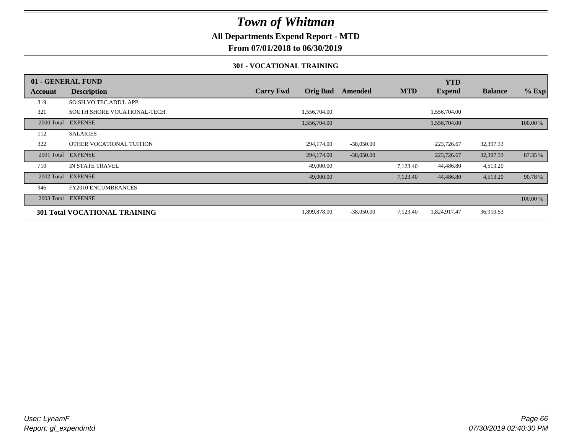### **All Departments Expend Report - MTD**

### **From 07/01/2018 to 06/30/2019**

#### **301 - VOCATIONAL TRAINING**

|            | 01 - GENERAL FUND                    |                  |                 |              |            | <b>YTD</b>    |                |          |
|------------|--------------------------------------|------------------|-----------------|--------------|------------|---------------|----------------|----------|
| Account    | <b>Description</b>                   | <b>Carry Fwd</b> | <b>Orig Bud</b> | Amended      | <b>MTD</b> | <b>Expend</b> | <b>Balance</b> | $%$ Exp  |
| 319        | SO.SH.VO.TEC.ADD'L APP.              |                  |                 |              |            |               |                |          |
| 321        | SOUTH SHORE VOCATIONAL-TECH.         |                  | 1,556,704.00    |              |            | 1,556,704.00  |                |          |
|            | 2000 Total EXPENSE                   |                  | 1,556,704.00    |              |            | 1,556,704.00  |                | 100.00 % |
| 112        | <b>SALARIES</b>                      |                  |                 |              |            |               |                |          |
| 322        | OTHER VOCATIONAL TUITION             |                  | 294,174.00      | $-38,050.00$ |            | 223,726.67    | 32,397.33      |          |
| 2001 Total | <b>EXPENSE</b>                       |                  | 294,174.00      | $-38,050.00$ |            | 223,726.67    | 32,397.33      | 87.35 %  |
| 710        | <b>IN STATE TRAVEL</b>               |                  | 49,000.00       |              | 7,123.40   | 44,486.80     | 4,513.20       |          |
|            | 2002 Total EXPENSE                   |                  | 49,000.00       |              | 7,123.40   | 44,486.80     | 4,513.20       | 90.78%   |
| 946        | <b>FY2010 ENCUMBRANCES</b>           |                  |                 |              |            |               |                |          |
|            | 2003 Total EXPENSE                   |                  |                 |              |            |               |                | 100.00 % |
|            | <b>301 Total VOCATIONAL TRAINING</b> |                  | 1,899,878.00    | $-38,050.00$ | 7,123.40   | 1,824,917.47  | 36,910.53      |          |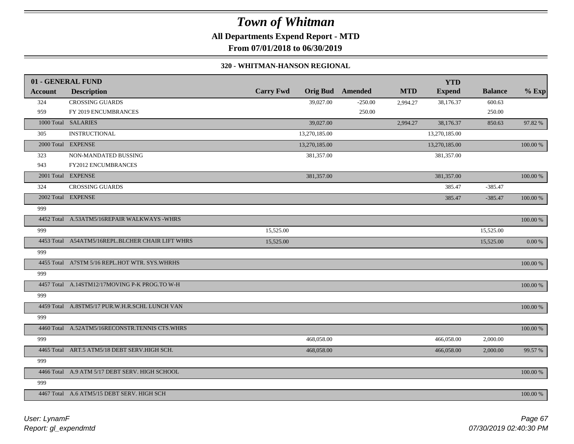## *Town of Whitman* **All Departments Expend Report - MTD**

**From 07/01/2018 to 06/30/2019**

#### **320 - WHITMAN-HANSON REGIONAL**

|                | 01 - GENERAL FUND                                |                  |               |                         |            | <b>YTD</b>    |                |             |
|----------------|--------------------------------------------------|------------------|---------------|-------------------------|------------|---------------|----------------|-------------|
| <b>Account</b> | <b>Description</b>                               | <b>Carry Fwd</b> |               | <b>Orig Bud</b> Amended | <b>MTD</b> | <b>Expend</b> | <b>Balance</b> | $%$ Exp     |
| 324            | <b>CROSSING GUARDS</b>                           |                  | 39,027.00     | $-250.00$               | 2,994.27   | 38,176.37     | 600.63         |             |
| 959            | FY 2019 ENCUMBRANCES                             |                  |               | 250.00                  |            |               | 250.00         |             |
|                | 1000 Total SALARIES                              |                  | 39,027.00     |                         | 2,994.27   | 38,176.37     | 850.63         | 97.82 %     |
| 305            | <b>INSTRUCTIONAL</b>                             |                  | 13,270,185.00 |                         |            | 13,270,185.00 |                |             |
|                | 2000 Total EXPENSE                               |                  | 13,270,185.00 |                         |            | 13,270,185.00 |                | 100.00 %    |
| 323            | NON-MANDATED BUSSING                             |                  | 381,357.00    |                         |            | 381,357.00    |                |             |
| 943            | FY2012 ENCUMBRANCES                              |                  |               |                         |            |               |                |             |
|                | 2001 Total EXPENSE                               |                  | 381,357.00    |                         |            | 381,357.00    |                | $100.00~\%$ |
| 324            | <b>CROSSING GUARDS</b>                           |                  |               |                         |            | 385.47        | $-385.47$      |             |
|                | 2002 Total EXPENSE                               |                  |               |                         |            | 385.47        | $-385.47$      | $100.00~\%$ |
| 999            |                                                  |                  |               |                         |            |               |                |             |
|                | 4452 Total A.53ATM5/16REPAIR WALKWAYS -WHRS      |                  |               |                         |            |               |                | $100.00~\%$ |
| 999            |                                                  | 15,525.00        |               |                         |            |               | 15,525.00      |             |
|                | 4453 Total A54ATM5/16REPL.BLCHER CHAIR LIFT WHRS | 15,525.00        |               |                         |            |               | 15,525.00      | $0.00\ \%$  |
| 999            |                                                  |                  |               |                         |            |               |                |             |
|                | 4455 Total A7STM 5/16 REPL.HOT WTR. SYS.WHRHS    |                  |               |                         |            |               |                | $100.00~\%$ |
| 999            |                                                  |                  |               |                         |            |               |                |             |
|                | 4457 Total A.14STM12/17MOVING P-K PROG.TO W-H    |                  |               |                         |            |               |                | 100.00 %    |
| 999            |                                                  |                  |               |                         |            |               |                |             |
|                | 4459 Total A.8STM5/17 PUR.W.H.R.SCHL LUNCH VAN   |                  |               |                         |            |               |                | $100.00~\%$ |
| 999            |                                                  |                  |               |                         |            |               |                |             |
|                | 4460 Total A.52ATM5/16RECONSTR.TENNIS CTS.WHRS   |                  |               |                         |            |               |                | $100.00~\%$ |
| 999            |                                                  |                  | 468,058.00    |                         |            | 466,058.00    | 2,000.00       |             |
|                | 4465 Total ART.5 ATM5/18 DEBT SERV.HIGH SCH.     |                  | 468,058.00    |                         |            | 466,058.00    | 2,000.00       | 99.57 %     |
| 999            |                                                  |                  |               |                         |            |               |                |             |
|                | 4466 Total A.9 ATM 5/17 DEBT SERV. HIGH SCHOOL   |                  |               |                         |            |               |                | 100.00 %    |
| 999            |                                                  |                  |               |                         |            |               |                |             |
|                | 4467 Total A.6 ATM5/15 DEBT SERV. HIGH SCH       |                  |               |                         |            |               |                | 100.00 %    |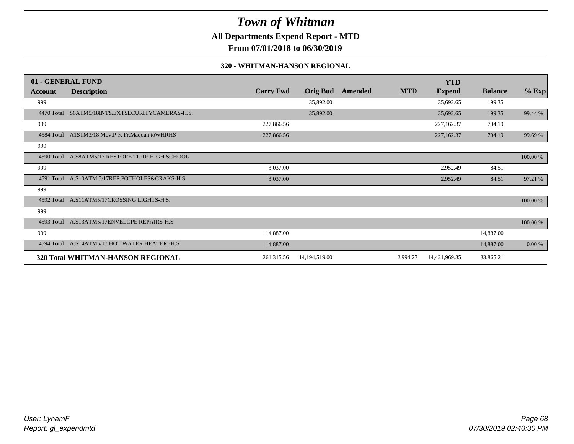**All Departments Expend Report - MTD**

**From 07/01/2018 to 06/30/2019**

#### **320 - WHITMAN-HANSON REGIONAL**

|            | 01 - GENERAL FUND                               |                  |                 |         |            | <b>YTD</b>    |                |          |
|------------|-------------------------------------------------|------------------|-----------------|---------|------------|---------------|----------------|----------|
| Account    | <b>Description</b>                              | <b>Carry Fwd</b> | <b>Orig Bud</b> | Amended | <b>MTD</b> | <b>Expend</b> | <b>Balance</b> | $%$ Exp  |
| 999        |                                                 |                  | 35,892.00       |         |            | 35,692.65     | 199.35         |          |
| 4470 Total | S6ATM5/18INT&EXTSECURITYCAMERAS-H.S.            |                  | 35,892.00       |         |            | 35,692.65     | 199.35         | 99.44 %  |
| 999        |                                                 | 227,866.56       |                 |         |            | 227,162.37    | 704.19         |          |
|            | 4584 Total A1STM3/18 Mov.P-K Fr.Maquan toWHRHS  | 227,866.56       |                 |         |            | 227,162.37    | 704.19         | 99.69 %  |
| 999        |                                                 |                  |                 |         |            |               |                |          |
| 4590 Total | A.S8ATM5/17 RESTORE TURF-HIGH SCHOOL            |                  |                 |         |            |               |                | 100.00 % |
| 999        |                                                 | 3,037.00         |                 |         |            | 2,952.49      | 84.51          |          |
|            | 4591 Total A.S10ATM 5/17REP.POTHOLES&CRAKS-H.S. | 3,037.00         |                 |         |            | 2,952.49      | 84.51          | 97.21 %  |
| 999        |                                                 |                  |                 |         |            |               |                |          |
| 4592 Total | A.S11ATM5/17CROSSING LIGHTS-H.S.                |                  |                 |         |            |               |                | 100.00 % |
| 999        |                                                 |                  |                 |         |            |               |                |          |
|            | 4593 Total A.S13ATM5/17ENVELOPE REPAIRS-H.S.    |                  |                 |         |            |               |                | 100.00 % |
| 999        |                                                 | 14,887.00        |                 |         |            |               | 14,887.00      |          |
|            | 4594 Total A.S14ATM5/17 HOT WATER HEATER -H.S.  | 14,887.00        |                 |         |            |               | 14,887.00      | 0.00 %   |
|            | 320 Total WHITMAN-HANSON REGIONAL               | 261,315.56       | 14,194,519.00   |         | 2,994.27   | 14,421,969.35 | 33,865.21      |          |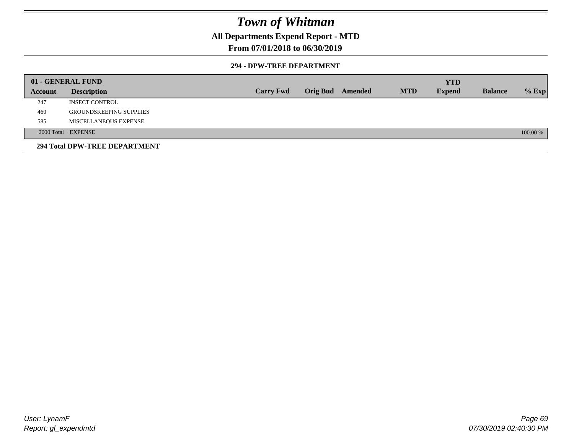### **All Departments Expend Report - MTD**

### **From 07/01/2018 to 06/30/2019**

#### **294 - DPW-TREE DEPARTMENT**

|         | 01 - GENERAL FUND              |                  |                         |            | <b>YTD</b>    |                |          |
|---------|--------------------------------|------------------|-------------------------|------------|---------------|----------------|----------|
| Account | <b>Description</b>             | <b>Carry Fwd</b> | <b>Orig Bud</b> Amended | <b>MTD</b> | <b>Expend</b> | <b>Balance</b> | $%$ Exp  |
| 247     | <b>INSECT CONTROL</b>          |                  |                         |            |               |                |          |
| 460     | <b>GROUNDSKEEPING SUPPLIES</b> |                  |                         |            |               |                |          |
| 585     | MISCELLANEOUS EXPENSE          |                  |                         |            |               |                |          |
|         | 2000 Total EXPENSE             |                  |                         |            |               |                | 100.00 % |
|         | 294 Total DPW-TREE DEPARTMENT  |                  |                         |            |               |                |          |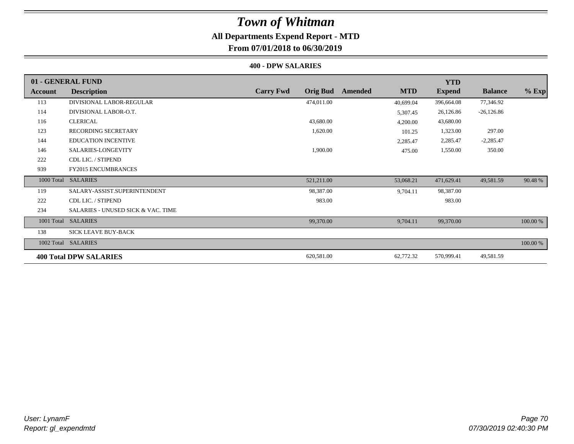### **All Departments Expend Report - MTD**

### **From 07/01/2018 to 06/30/2019**

#### **400 - DPW SALARIES**

|            | 01 - GENERAL FUND                             |                                     |                       | <b>YTD</b>    |                |          |
|------------|-----------------------------------------------|-------------------------------------|-----------------------|---------------|----------------|----------|
| Account    | <b>Description</b>                            | <b>Carry Fwd</b><br><b>Orig Bud</b> | <b>MTD</b><br>Amended | <b>Expend</b> | <b>Balance</b> | $%$ Exp  |
| 113        | DIVISIONAL LABOR-REGULAR                      | 474,011.00                          | 40,699.04             | 396,664.08    | 77,346.92      |          |
| 114        | DIVISIONAL LABOR-O.T.                         |                                     | 5,307.45              | 26,126.86     | $-26,126.86$   |          |
| 116        | <b>CLERICAL</b>                               | 43,680.00                           | 4,200.00              | 43,680.00     |                |          |
| 123        | <b>RECORDING SECRETARY</b>                    | 1,620.00                            | 101.25                | 1,323.00      | 297.00         |          |
| 144        | <b>EDUCATION INCENTIVE</b>                    |                                     | 2,285.47              | 2,285.47      | $-2,285.47$    |          |
| 146        | SALARIES-LONGEVITY                            | 1,900.00                            | 475.00                | 1,550.00      | 350.00         |          |
| 222        | CDL LIC. / STIPEND                            |                                     |                       |               |                |          |
| 939        | <b>FY2015 ENCUMBRANCES</b>                    |                                     |                       |               |                |          |
|            | 1000 Total SALARIES                           | 521,211.00                          | 53,068.21             | 471,629.41    | 49,581.59      | 90.48%   |
| 119        | SALARY-ASSIST.SUPERINTENDENT                  | 98,387.00                           | 9,704.11              | 98,387.00     |                |          |
| 222        | CDL LIC. / STIPEND                            | 983.00                              |                       | 983.00        |                |          |
| 234        | <b>SALARIES - UNUSED SICK &amp; VAC. TIME</b> |                                     |                       |               |                |          |
| 1001 Total | <b>SALARIES</b>                               | 99,370.00                           | 9,704.11              | 99,370.00     |                | 100.00 % |
| 138        | <b>SICK LEAVE BUY-BACK</b>                    |                                     |                       |               |                |          |
|            | 1002 Total SALARIES                           |                                     |                       |               |                | 100.00 % |
|            | <b>400 Total DPW SALARIES</b>                 | 620,581.00                          | 62,772.32             | 570,999.41    | 49,581.59      |          |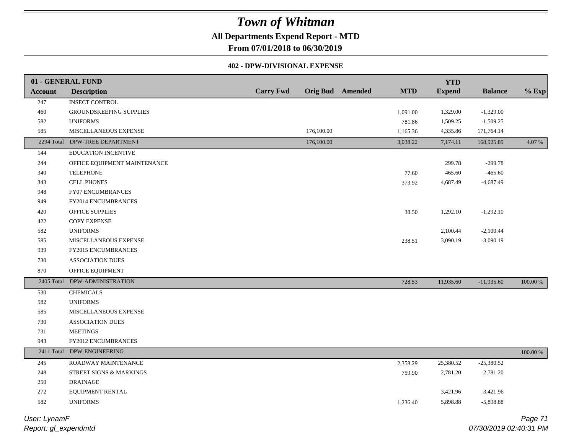### **All Departments Expend Report - MTD**

**From 07/01/2018 to 06/30/2019**

#### **402 - DPW-DIVISIONAL EXPENSE**

|            | 01 - GENERAL FUND              |                  |            |                         |            | <b>YTD</b>    |                |             |
|------------|--------------------------------|------------------|------------|-------------------------|------------|---------------|----------------|-------------|
| Account    | <b>Description</b>             | <b>Carry Fwd</b> |            | <b>Orig Bud</b> Amended | <b>MTD</b> | <b>Expend</b> | <b>Balance</b> | $%$ Exp     |
| 247        | <b>INSECT CONTROL</b>          |                  |            |                         |            |               |                |             |
| $460\,$    | <b>GROUNDSKEEPING SUPPLIES</b> |                  |            |                         | 1,091.00   | 1,329.00      | $-1,329.00$    |             |
| 582        | <b>UNIFORMS</b>                |                  |            |                         | 781.86     | 1,509.25      | $-1,509.25$    |             |
| 585        | MISCELLANEOUS EXPENSE          |                  | 176,100.00 |                         | 1,165.36   | 4,335.86      | 171,764.14     |             |
|            | 2294 Total DPW-TREE DEPARTMENT |                  | 176,100.00 |                         | 3,038.22   | 7,174.11      | 168,925.89     | 4.07 %      |
| 144        | EDUCATION INCENTIVE            |                  |            |                         |            |               |                |             |
| 244        | OFFICE EQUIPMENT MAINTENANCE   |                  |            |                         |            | 299.78        | $-299.78$      |             |
| 340        | <b>TELEPHONE</b>               |                  |            |                         | 77.60      | 465.60        | $-465.60$      |             |
| 343        | <b>CELL PHONES</b>             |                  |            |                         | 373.92     | 4,687.49      | $-4,687.49$    |             |
| 948        | FY07 ENCUMBRANCES              |                  |            |                         |            |               |                |             |
| 949        | <b>FY2014 ENCUMBRANCES</b>     |                  |            |                         |            |               |                |             |
| 420        | OFFICE SUPPLIES                |                  |            |                         | 38.50      | 1,292.10      | $-1,292.10$    |             |
| 422        | <b>COPY EXPENSE</b>            |                  |            |                         |            |               |                |             |
| 582        | <b>UNIFORMS</b>                |                  |            |                         |            | 2,100.44      | $-2,100.44$    |             |
| 585        | MISCELLANEOUS EXPENSE          |                  |            |                         | 238.51     | 3,090.19      | $-3,090.19$    |             |
| 939        | FY2015 ENCUMBRANCES            |                  |            |                         |            |               |                |             |
| 730        | <b>ASSOCIATION DUES</b>        |                  |            |                         |            |               |                |             |
| 870        | OFFICE EQUIPMENT               |                  |            |                         |            |               |                |             |
| 2405 Total | DPW-ADMINISTRATION             |                  |            |                         | 728.53     | 11,935.60     | $-11,935.60$   | 100.00 %    |
| 530        | <b>CHEMICALS</b>               |                  |            |                         |            |               |                |             |
| 582        | <b>UNIFORMS</b>                |                  |            |                         |            |               |                |             |
| 585        | MISCELLANEOUS EXPENSE          |                  |            |                         |            |               |                |             |
| 730        | <b>ASSOCIATION DUES</b>        |                  |            |                         |            |               |                |             |
| 731        | <b>MEETINGS</b>                |                  |            |                         |            |               |                |             |
| 943        | FY2012 ENCUMBRANCES            |                  |            |                         |            |               |                |             |
|            | 2411 Total DPW-ENGINEERING     |                  |            |                         |            |               |                | $100.00~\%$ |
| $245\,$    | ROADWAY MAINTENANCE            |                  |            |                         | 2,358.29   | 25,380.52     | $-25,380.52$   |             |
| $248\,$    | STREET SIGNS & MARKINGS        |                  |            |                         | 759.90     | 2,781.20      | $-2,781.20$    |             |
| 250        | <b>DRAINAGE</b>                |                  |            |                         |            |               |                |             |
| 272        | EQUIPMENT RENTAL               |                  |            |                         |            | 3,421.96      | $-3,421.96$    |             |
| 582        | <b>UNIFORMS</b>                |                  |            |                         | 1,236.40   | 5,898.88      | $-5,898.88$    |             |
|            |                                |                  |            |                         |            |               |                |             |

*Report: gl\_expendmtd User: LynamF*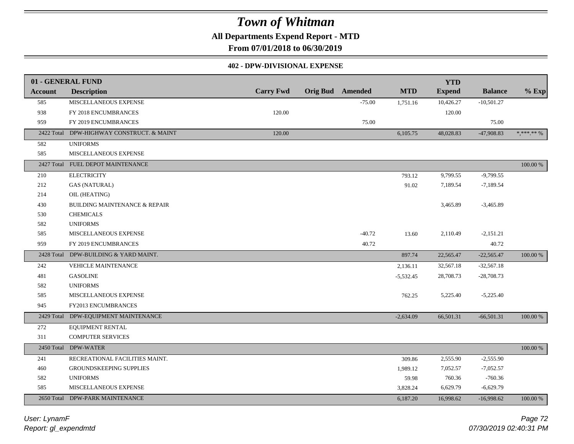**All Departments Expend Report - MTD**

**From 07/01/2018 to 06/30/2019**

#### **402 - DPW-DIVISIONAL EXPENSE**

|                | 01 - GENERAL FUND                        |                  |                         |             | <b>YTD</b>    |                |              |
|----------------|------------------------------------------|------------------|-------------------------|-------------|---------------|----------------|--------------|
| <b>Account</b> | <b>Description</b>                       | <b>Carry Fwd</b> | <b>Orig Bud Amended</b> | <b>MTD</b>  | <b>Expend</b> | <b>Balance</b> | $%$ Exp      |
| 585            | MISCELLANEOUS EXPENSE                    |                  | $-75.00$                | 1,751.16    | 10,426.27     | $-10,501.27$   |              |
| 938            | FY 2018 ENCUMBRANCES                     | 120.00           |                         |             | 120.00        |                |              |
| 959            | FY 2019 ENCUMBRANCES                     |                  | 75.00                   |             |               | 75.00          |              |
| 2422 Total     | DPW-HIGHWAY CONSTRUCT. & MAINT           | 120.00           |                         | 6,105.75    | 48,028.83     | $-47,908.83$   | $*,******\%$ |
| 582            | <b>UNIFORMS</b>                          |                  |                         |             |               |                |              |
| 585            | MISCELLANEOUS EXPENSE                    |                  |                         |             |               |                |              |
| 2427 Total     | FUEL DEPOT MAINTENANCE                   |                  |                         |             |               |                | $100.00~\%$  |
| 210            | <b>ELECTRICITY</b>                       |                  |                         | 793.12      | 9,799.55      | $-9,799.55$    |              |
| 212            | <b>GAS (NATURAL)</b>                     |                  |                         | 91.02       | 7,189.54      | $-7,189.54$    |              |
| 214            | OIL (HEATING)                            |                  |                         |             |               |                |              |
| 430            | <b>BUILDING MAINTENANCE &amp; REPAIR</b> |                  |                         |             | 3,465.89      | $-3,465.89$    |              |
| 530            | <b>CHEMICALS</b>                         |                  |                         |             |               |                |              |
| 582            | <b>UNIFORMS</b>                          |                  |                         |             |               |                |              |
| 585            | MISCELLANEOUS EXPENSE                    |                  | $-40.72$                | 13.60       | 2,110.49      | $-2,151.21$    |              |
| 959            | FY 2019 ENCUMBRANCES                     |                  | 40.72                   |             |               | 40.72          |              |
| 2428 Total     | DPW-BUILDING & YARD MAINT.               |                  |                         | 897.74      | 22,565.47     | $-22,565.47$   | 100.00 %     |
| 242            | VEHICLE MAINTENANCE                      |                  |                         | 2,136.11    | 32,567.18     | $-32,567.18$   |              |
| 481            | <b>GASOLINE</b>                          |                  |                         | $-5,532.45$ | 28,708.73     | $-28,708.73$   |              |
| 582            | <b>UNIFORMS</b>                          |                  |                         |             |               |                |              |
| 585            | MISCELLANEOUS EXPENSE                    |                  |                         | 762.25      | 5,225.40      | $-5,225.40$    |              |
| 945            | FY2013 ENCUMBRANCES                      |                  |                         |             |               |                |              |
| 2429 Total     | DPW-EQUIPMENT MAINTENANCE                |                  |                         | $-2,634.09$ | 66,501.31     | $-66,501.31$   | 100.00 %     |
| 272            | EQUIPMENT RENTAL                         |                  |                         |             |               |                |              |
| 311            | <b>COMPUTER SERVICES</b>                 |                  |                         |             |               |                |              |
| 2450 Total     | <b>DPW-WATER</b>                         |                  |                         |             |               |                | $100.00~\%$  |
| 241            | RECREATIONAL FACILITIES MAINT.           |                  |                         | 309.86      | 2,555.90      | $-2,555.90$    |              |
| 460            | GROUNDSKEEPING SUPPLIES                  |                  |                         | 1,989.12    | 7,052.57      | $-7,052.57$    |              |
| 582            | <b>UNIFORMS</b>                          |                  |                         | 59.98       | 760.36        | $-760.36$      |              |
| 585            | MISCELLANEOUS EXPENSE                    |                  |                         | 3,828.24    | 6,629.79      | $-6,629.79$    |              |
| 2650 Total     | <b>DPW-PARK MAINTENANCE</b>              |                  |                         | 6,187.20    | 16,998.62     | $-16,998.62$   | 100.00 %     |

*Report: gl\_expendmtd User: LynamF*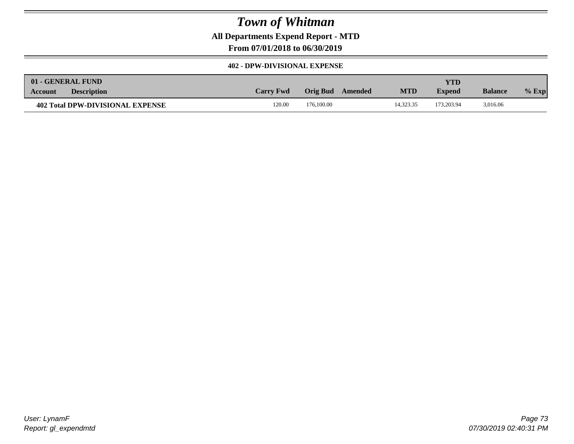**All Departments Expend Report - MTD**

**From 07/01/2018 to 06/30/2019**

### **402 - DPW-DIVISIONAL EXPENSE**

|                                  | 01 - GENERAL FUND  |                  |            |         |            | YTD.          |                |         |
|----------------------------------|--------------------|------------------|------------|---------|------------|---------------|----------------|---------|
| Account                          | <b>Description</b> | <b>Carry Fwd</b> | Orig Bud   | Amended | <b>MTD</b> | <b>Expend</b> | <b>Balance</b> | $%$ Exp |
| 402 Total DPW-DIVISIONAL EXPENSE |                    | 120.00           | 176,100.00 |         | 14.323.35  | 173.203.94    | 3,016.06       |         |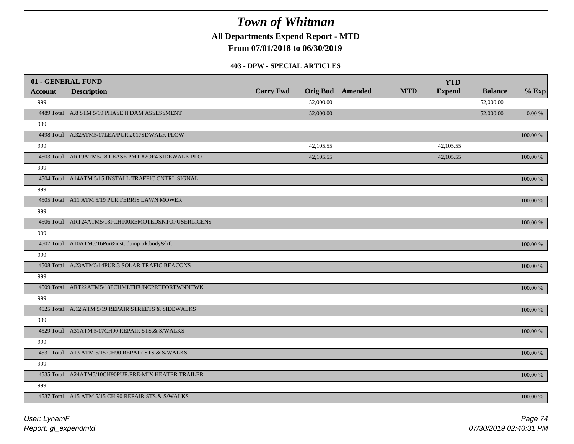**All Departments Expend Report - MTD**

**From 07/01/2018 to 06/30/2019**

#### **403 - DPW - SPECIAL ARTICLES**

|                | 01 - GENERAL FUND                                   |                  |           |                         |            | <b>YTD</b>    |                |             |
|----------------|-----------------------------------------------------|------------------|-----------|-------------------------|------------|---------------|----------------|-------------|
| <b>Account</b> | <b>Description</b>                                  | <b>Carry Fwd</b> |           | <b>Orig Bud</b> Amended | <b>MTD</b> | <b>Expend</b> | <b>Balance</b> | $%$ Exp     |
| 999            |                                                     |                  | 52,000.00 |                         |            |               | 52,000.00      |             |
|                | 4489 Total A.8 STM 5/19 PHASE II DAM ASSESSMENT     |                  | 52,000.00 |                         |            |               | 52,000.00      | $0.00\,\%$  |
| 999            |                                                     |                  |           |                         |            |               |                |             |
|                | 4498 Total A.32ATM5/17LEA/PUR.2017SDWALK PLOW       |                  |           |                         |            |               |                | 100.00 %    |
| 999            |                                                     |                  | 42,105.55 |                         |            | 42,105.55     |                |             |
|                | 4503 Total ART9ATM5/18 LEASE PMT #2OF4 SIDEWALK PLO |                  | 42,105.55 |                         |            | 42,105.55     |                | 100.00 %    |
| 999            |                                                     |                  |           |                         |            |               |                |             |
|                | 4504 Total A14ATM 5/15 INSTALL TRAFFIC CNTRL.SIGNAL |                  |           |                         |            |               |                | 100.00 %    |
| 999            |                                                     |                  |           |                         |            |               |                |             |
|                | 4505 Total A11 ATM 5/19 PUR FERRIS LAWN MOWER       |                  |           |                         |            |               |                | 100.00 %    |
| 999            |                                                     |                  |           |                         |            |               |                |             |
|                | 4506 Total ART24ATM5/18PCH100REMOTEDSKTOPUSERLICENS |                  |           |                         |            |               |                | 100.00 %    |
| 999            |                                                     |                  |           |                         |            |               |                |             |
|                | 4507 Total A10ATM5/16Pur&instdump trk.body&lift     |                  |           |                         |            |               |                | 100.00 %    |
| 999            |                                                     |                  |           |                         |            |               |                |             |
|                | 4508 Total A.23ATM5/14PUR.3 SOLAR TRAFIC BEACONS    |                  |           |                         |            |               |                | $100.00~\%$ |
| 999            |                                                     |                  |           |                         |            |               |                |             |
|                | 4509 Total ART22ATM5/18PCHMLTIFUNCPRTFORTWNNTWK     |                  |           |                         |            |               |                | 100.00 %    |
| 999            |                                                     |                  |           |                         |            |               |                |             |
|                | 4525 Total A.12 ATM 5/19 REPAIR STREETS & SIDEWALKS |                  |           |                         |            |               |                | 100.00 %    |
| 999            |                                                     |                  |           |                         |            |               |                |             |
|                | 4529 Total A31ATM 5/17CH90 REPAIR STS.& S/WALKS     |                  |           |                         |            |               |                | 100.00 %    |
| 999            |                                                     |                  |           |                         |            |               |                |             |
|                | 4531 Total A13 ATM 5/15 CH90 REPAIR STS.& S/WALKS   |                  |           |                         |            |               |                | 100.00 %    |
| 999            |                                                     |                  |           |                         |            |               |                |             |
|                | 4535 Total A24ATM5/10CH90PUR.PRE-MIX HEATER TRAILER |                  |           |                         |            |               |                | 100.00 %    |
| 999            |                                                     |                  |           |                         |            |               |                |             |
|                | 4537 Total A15 ATM 5/15 CH 90 REPAIR STS.& S/WALKS  |                  |           |                         |            |               |                | 100.00 %    |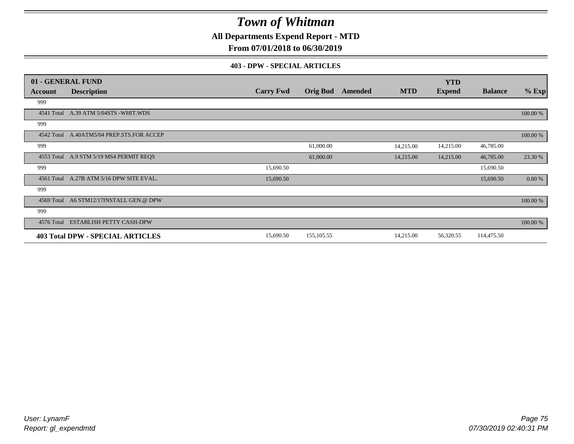**All Departments Expend Report - MTD**

### **From 07/01/2018 to 06/30/2019**

#### **403 - DPW - SPECIAL ARTICLES**

|            | 01 - GENERAL FUND                         |                  |                 |                |            | <b>YTD</b>    |                |           |
|------------|-------------------------------------------|------------------|-----------------|----------------|------------|---------------|----------------|-----------|
| Account    | <b>Description</b>                        | <b>Carry Fwd</b> | <b>Orig Bud</b> | <b>Amended</b> | <b>MTD</b> | <b>Expend</b> | <b>Balance</b> | $%$ Exp   |
| 999        |                                           |                  |                 |                |            |               |                |           |
| 4541 Total | A.39 ATM 5/04STS -WHIT.WDS                |                  |                 |                |            |               |                | 100.00 %  |
| 999        |                                           |                  |                 |                |            |               |                |           |
|            | 4542 Total A.40ATM5/04 PREP.STS.FOR ACCEP |                  |                 |                |            |               |                | 100.00 %  |
| 999        |                                           |                  | 61,000.00       |                | 14,215.00  | 14,215.00     | 46,785.00      |           |
|            | 4553 Total A.9 STM 5/19 MS4 PERMIT REQS   |                  | 61,000.00       |                | 14,215.00  | 14,215.00     | 46,785.00      | 23.30 %   |
| 999        |                                           | 15,690.50        |                 |                |            |               | 15,690.50      |           |
| 4561 Total | A.27B ATM 5/16 DPW SITE EVAL.             | 15,690.50        |                 |                |            |               | 15,690.50      | $0.00 \%$ |
| 999        |                                           |                  |                 |                |            |               |                |           |
| 4569 Total | A6 STM12/17INSTALL GEN.@ DPW              |                  |                 |                |            |               |                | 100.00 %  |
| 999        |                                           |                  |                 |                |            |               |                |           |
| 4576 Total | <b>ESTABLISH PETTY CASH-DPW</b>           |                  |                 |                |            |               |                | 100.00 %  |
|            | <b>403 Total DPW - SPECIAL ARTICLES</b>   | 15,690.50        | 155,105.55      |                | 14,215.00  | 56,320.55     | 114,475.50     |           |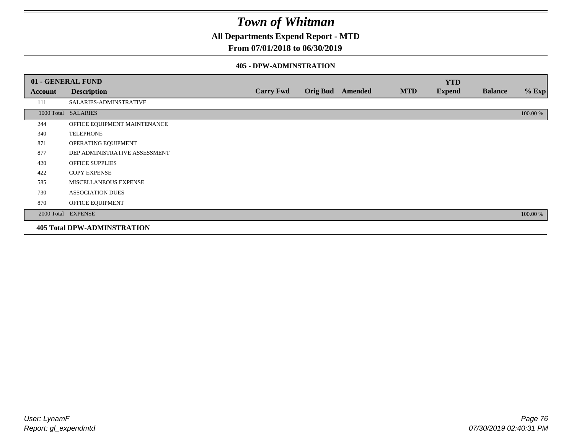**All Departments Expend Report - MTD**

### **From 07/01/2018 to 06/30/2019**

#### **405 - DPW-ADMINSTRATION**

|         | 01 - GENERAL FUND                  |                  |                  |            | <b>YTD</b>    |                |          |
|---------|------------------------------------|------------------|------------------|------------|---------------|----------------|----------|
| Account | <b>Description</b>                 | <b>Carry Fwd</b> | Orig Bud Amended | <b>MTD</b> | <b>Expend</b> | <b>Balance</b> | $%$ Exp  |
| 111     | SALARIES-ADMINSTRATIVE             |                  |                  |            |               |                |          |
|         | 1000 Total SALARIES                |                  |                  |            |               |                | 100.00 % |
| 244     | OFFICE EQUIPMENT MAINTENANCE       |                  |                  |            |               |                |          |
| 340     | <b>TELEPHONE</b>                   |                  |                  |            |               |                |          |
| 871     | OPERATING EQUIPMENT                |                  |                  |            |               |                |          |
| 877     | DEP ADMINISTRATIVE ASSESSMENT      |                  |                  |            |               |                |          |
| 420     | <b>OFFICE SUPPLIES</b>             |                  |                  |            |               |                |          |
| 422     | <b>COPY EXPENSE</b>                |                  |                  |            |               |                |          |
| 585     | MISCELLANEOUS EXPENSE              |                  |                  |            |               |                |          |
| 730     | <b>ASSOCIATION DUES</b>            |                  |                  |            |               |                |          |
| 870     | OFFICE EQUIPMENT                   |                  |                  |            |               |                |          |
|         | 2000 Total EXPENSE                 |                  |                  |            |               |                | 100.00 % |
|         | <b>405 Total DPW-ADMINSTRATION</b> |                  |                  |            |               |                |          |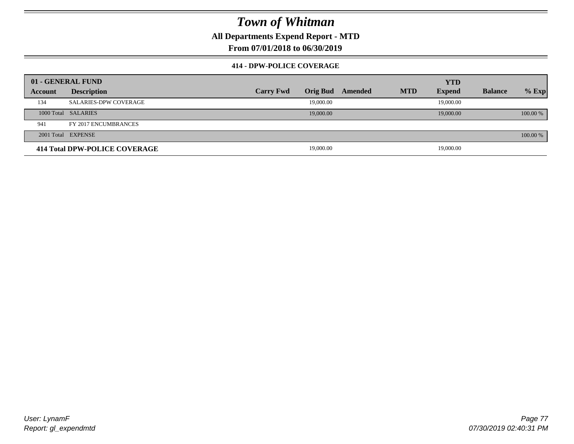**All Departments Expend Report - MTD**

**From 07/01/2018 to 06/30/2019**

### **414 - DPW-POLICE COVERAGE**

|         | 01 - GENERAL FUND             |                  |                 |         |            | <b>YTD</b>    |                |          |
|---------|-------------------------------|------------------|-----------------|---------|------------|---------------|----------------|----------|
| Account | <b>Description</b>            | <b>Carry Fwd</b> | <b>Orig Bud</b> | Amended | <b>MTD</b> | <b>Expend</b> | <b>Balance</b> | $%$ Exp  |
| 134     | <b>SALARIES-DPW COVERAGE</b>  |                  | 19,000.00       |         |            | 19,000.00     |                |          |
|         | 1000 Total SALARIES           |                  | 19,000.00       |         |            | 19,000.00     |                | 100.00 % |
| 941     | FY 2017 ENCUMBRANCES          |                  |                 |         |            |               |                |          |
|         | 2001 Total EXPENSE            |                  |                 |         |            |               |                | 100.00 % |
|         | 414 Total DPW-POLICE COVERAGE |                  | 19,000.00       |         |            | 19,000.00     |                |          |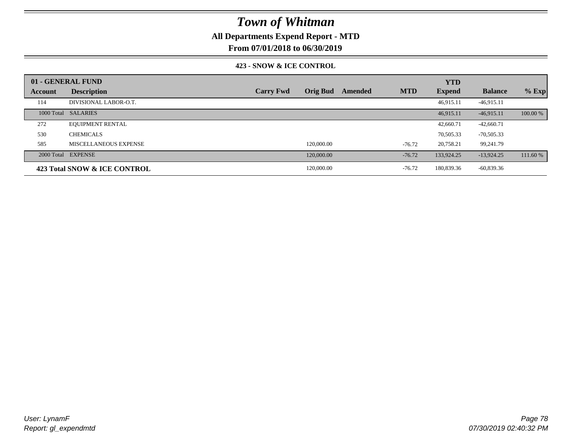### **All Departments Expend Report - MTD**

**From 07/01/2018 to 06/30/2019**

### **423 - SNOW & ICE CONTROL**

|         | 01 - GENERAL FUND            |                  |                 |         |            | <b>YTD</b>    |                |          |
|---------|------------------------------|------------------|-----------------|---------|------------|---------------|----------------|----------|
| Account | <b>Description</b>           | <b>Carry Fwd</b> | <b>Orig Bud</b> | Amended | <b>MTD</b> | <b>Expend</b> | <b>Balance</b> | $%$ Exp  |
| 114     | DIVISIONAL LABOR-O.T.        |                  |                 |         |            | 46,915.11     | $-46,915.11$   |          |
|         | 1000 Total SALARIES          |                  |                 |         |            | 46.915.11     | $-46.915.11$   | 100.00 % |
| 272     | <b>EQUIPMENT RENTAL</b>      |                  |                 |         |            | 42,660.71     | $-42,660.71$   |          |
| 530     | <b>CHEMICALS</b>             |                  |                 |         |            | 70,505.33     | $-70,505.33$   |          |
| 585     | MISCELLANEOUS EXPENSE        |                  | 120,000.00      |         | $-76.72$   | 20,758.21     | 99,241.79      |          |
|         | 2000 Total EXPENSE           |                  | 120,000.00      |         | $-76.72$   | 133,924.25    | $-13,924.25$   | 111.60 % |
|         | 423 Total SNOW & ICE CONTROL |                  | 120,000.00      |         | $-76.72$   | 180,839.36    | $-60,839.36$   |          |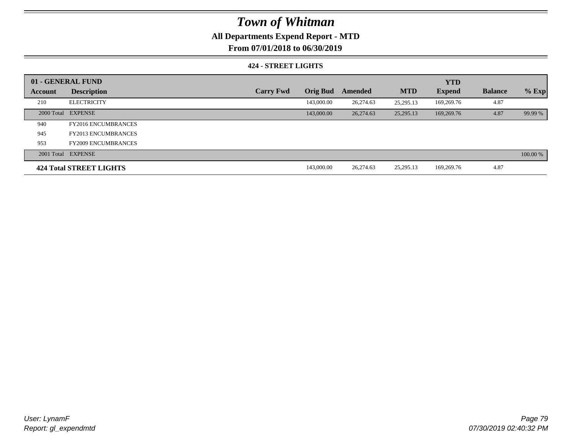### **All Departments Expend Report - MTD**

**From 07/01/2018 to 06/30/2019**

#### **424 - STREET LIGHTS**

|         | 01 - GENERAL FUND              |                  |                 |           |            | <b>YTD</b>    |                |          |
|---------|--------------------------------|------------------|-----------------|-----------|------------|---------------|----------------|----------|
| Account | <b>Description</b>             | <b>Carry Fwd</b> | <b>Orig Bud</b> | Amended   | <b>MTD</b> | <b>Expend</b> | <b>Balance</b> | $%$ Exp  |
| 210     | <b>ELECTRICITY</b>             |                  | 143,000.00      | 26,274.63 | 25.295.13  | 169,269.76    | 4.87           |          |
|         | 2000 Total EXPENSE             |                  | 143,000.00      | 26,274.63 | 25,295.13  | 169,269.76    | 4.87           | 99.99 %  |
| 940     | <b>FY2016 ENCUMBRANCES</b>     |                  |                 |           |            |               |                |          |
| 945     | <b>FY2013 ENCUMBRANCES</b>     |                  |                 |           |            |               |                |          |
| 953     | <b>FY2009 ENCUMBRANCES</b>     |                  |                 |           |            |               |                |          |
|         | 2001 Total EXPENSE             |                  |                 |           |            |               |                | 100.00 % |
|         | <b>424 Total STREET LIGHTS</b> |                  | 143,000.00      | 26,274.63 | 25,295.13  | 169,269.76    | 4.87           |          |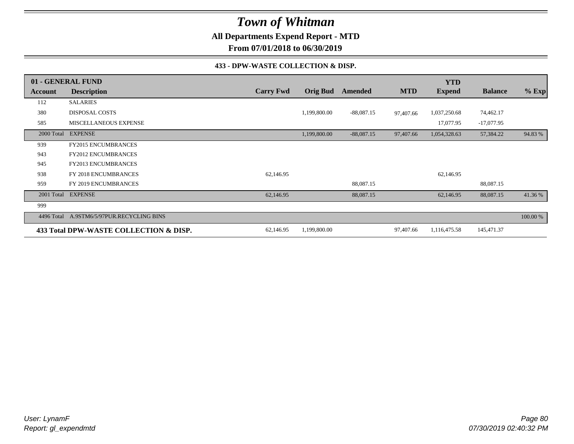**All Departments Expend Report - MTD**

**From 07/01/2018 to 06/30/2019**

#### **433 - DPW-WASTE COLLECTION & DISP.**

|            | 01 - GENERAL FUND                      |                  |                 |              |            | <b>YTD</b>    |                |          |
|------------|----------------------------------------|------------------|-----------------|--------------|------------|---------------|----------------|----------|
| Account    | <b>Description</b>                     | <b>Carry Fwd</b> | <b>Orig Bud</b> | Amended      | <b>MTD</b> | <b>Expend</b> | <b>Balance</b> | $%$ Exp  |
| 112        | <b>SALARIES</b>                        |                  |                 |              |            |               |                |          |
| 380        | <b>DISPOSAL COSTS</b>                  |                  | 1,199,800.00    | $-88,087.15$ | 97,407.66  | 1,037,250.68  | 74,462.17      |          |
| 585        | MISCELLANEOUS EXPENSE                  |                  |                 |              |            | 17,077.95     | $-17,077.95$   |          |
| 2000 Total | <b>EXPENSE</b>                         |                  | 1,199,800.00    | $-88,087.15$ | 97,407.66  | 1,054,328.63  | 57,384.22      | 94.83 %  |
| 939        | <b>FY2015 ENCUMBRANCES</b>             |                  |                 |              |            |               |                |          |
| 943        | <b>FY2012 ENCUMBRANCES</b>             |                  |                 |              |            |               |                |          |
| 945        | FY2013 ENCUMBRANCES                    |                  |                 |              |            |               |                |          |
| 938        | FY 2018 ENCUMBRANCES                   | 62,146.95        |                 |              |            | 62,146.95     |                |          |
| 959        | FY 2019 ENCUMBRANCES                   |                  |                 | 88,087.15    |            |               | 88,087.15      |          |
| 2001 Total | <b>EXPENSE</b>                         | 62,146.95        |                 | 88,087.15    |            | 62,146.95     | 88,087.15      | 41.36 %  |
| 999        |                                        |                  |                 |              |            |               |                |          |
| 4496 Total | A.9STM6/5/97PUR.RECYCLING BINS         |                  |                 |              |            |               |                | 100.00 % |
|            | 433 Total DPW-WASTE COLLECTION & DISP. | 62,146.95        | 1,199,800.00    |              | 97,407.66  | 1,116,475.58  | 145,471.37     |          |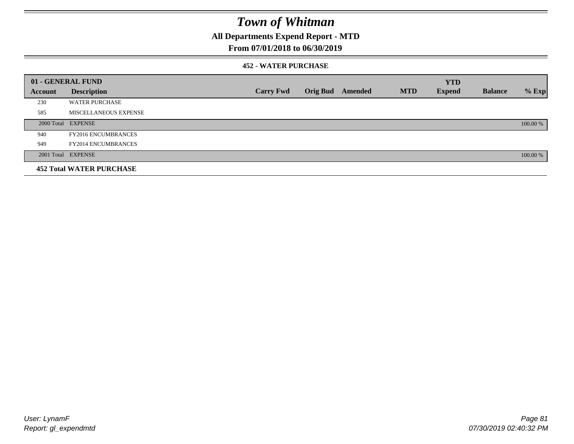**All Departments Expend Report - MTD**

### **From 07/01/2018 to 06/30/2019**

#### **452 - WATER PURCHASE**

|         | 01 - GENERAL FUND               |                  |                 |         |            | <b>YTD</b>    |                |          |
|---------|---------------------------------|------------------|-----------------|---------|------------|---------------|----------------|----------|
| Account | <b>Description</b>              | <b>Carry Fwd</b> | <b>Orig Bud</b> | Amended | <b>MTD</b> | <b>Expend</b> | <b>Balance</b> | $%$ Exp  |
| 230     | <b>WATER PURCHASE</b>           |                  |                 |         |            |               |                |          |
| 585     | MISCELLANEOUS EXPENSE           |                  |                 |         |            |               |                |          |
|         | 2000 Total EXPENSE              |                  |                 |         |            |               |                | 100.00 % |
| 940     | <b>FY2016 ENCUMBRANCES</b>      |                  |                 |         |            |               |                |          |
| 949     | <b>FY2014 ENCUMBRANCES</b>      |                  |                 |         |            |               |                |          |
|         | 2001 Total EXPENSE              |                  |                 |         |            |               |                | 100.00 % |
|         | <b>452 Total WATER PURCHASE</b> |                  |                 |         |            |               |                |          |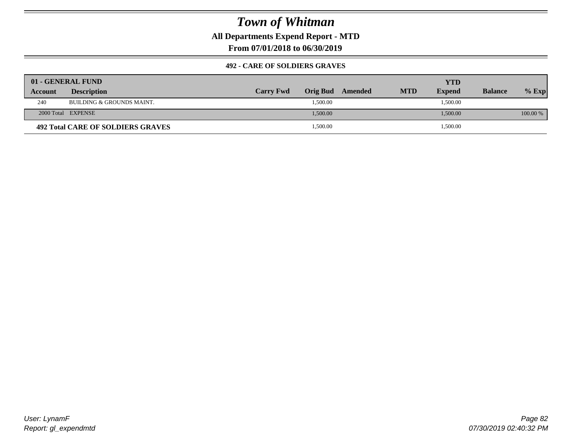**All Departments Expend Report - MTD**

**From 07/01/2018 to 06/30/2019**

### **492 - CARE OF SOLDIERS GRAVES**

|         | 01 - GENERAL FUND                        |                  |          |         | YTD        |               |                |          |
|---------|------------------------------------------|------------------|----------|---------|------------|---------------|----------------|----------|
| Account | <b>Description</b>                       | <b>Carry Fwd</b> | Orig Bud | Amended | <b>MTD</b> | <b>Expend</b> | <b>Balance</b> | $%$ Exp  |
| 240     | BUILDING & GROUNDS MAINT.                |                  | 1,500.00 |         |            | 1,500.00      |                |          |
|         | 2000 Total EXPENSE                       |                  | 1,500.00 |         |            | 1,500.00      |                | 100.00 % |
|         | <b>492 Total CARE OF SOLDIERS GRAVES</b> |                  | 1,500.00 |         |            | 1,500.00      |                |          |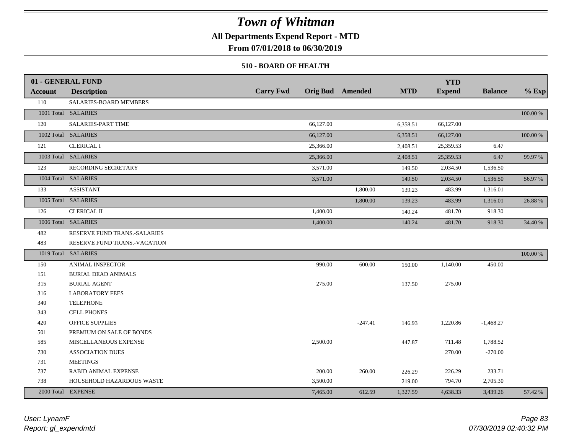### **All Departments Expend Report - MTD**

**From 07/01/2018 to 06/30/2019**

#### **510 - BOARD OF HEALTH**

|                | 01 - GENERAL FUND            |                  |                         |            | <b>YTD</b>    |                |          |
|----------------|------------------------------|------------------|-------------------------|------------|---------------|----------------|----------|
| <b>Account</b> | <b>Description</b>           | <b>Carry Fwd</b> | <b>Orig Bud</b> Amended | <b>MTD</b> | <b>Expend</b> | <b>Balance</b> | $%$ Exp  |
| 110            | SALARIES-BOARD MEMBERS       |                  |                         |            |               |                |          |
|                | 1001 Total SALARIES          |                  |                         |            |               |                | 100.00 % |
| 120            | <b>SALARIES-PART TIME</b>    | 66,127.00        |                         | 6,358.51   | 66,127.00     |                |          |
|                | 1002 Total SALARIES          | 66,127.00        |                         | 6,358.51   | 66,127.00     |                | 100.00 % |
| 121            | <b>CLERICAL I</b>            | 25,366.00        |                         | 2,408.51   | 25,359.53     | 6.47           |          |
|                | 1003 Total SALARIES          | 25,366.00        |                         | 2,408.51   | 25,359.53     | 6.47           | 99.97 %  |
| 123            | RECORDING SECRETARY          | 3,571.00         |                         | 149.50     | 2,034.50      | 1,536.50       |          |
|                | 1004 Total SALARIES          | 3,571.00         |                         | 149.50     | 2,034.50      | 1,536.50       | 56.97 %  |
| 133            | <b>ASSISTANT</b>             |                  | 1,800.00                | 139.23     | 483.99        | 1,316.01       |          |
|                | 1005 Total SALARIES          |                  | 1,800.00                | 139.23     | 483.99        | 1,316.01       | 26.88 %  |
| 126            | <b>CLERICAL II</b>           | 1,400.00         |                         | 140.24     | 481.70        | 918.30         |          |
|                | 1006 Total SALARIES          | 1,400.00         |                         | 140.24     | 481.70        | 918.30         | 34.40 %  |
| 482            | RESERVE FUND TRANS.-SALARIES |                  |                         |            |               |                |          |
| 483            | RESERVE FUND TRANS.-VACATION |                  |                         |            |               |                |          |
|                | 1019 Total SALARIES          |                  |                         |            |               |                | 100.00 % |
| 150            | ANIMAL INSPECTOR             | 990.00           | 600.00                  | 150.00     | 1,140.00      | 450.00         |          |
| 151            | <b>BURIAL DEAD ANIMALS</b>   |                  |                         |            |               |                |          |
| 315            | <b>BURIAL AGENT</b>          | 275.00           |                         | 137.50     | 275.00        |                |          |
| 316            | <b>LABORATORY FEES</b>       |                  |                         |            |               |                |          |
| 340            | <b>TELEPHONE</b>             |                  |                         |            |               |                |          |
| 343            | <b>CELL PHONES</b>           |                  |                         |            |               |                |          |
| 420            | <b>OFFICE SUPPLIES</b>       |                  | $-247.41$               | 146.93     | 1,220.86      | $-1,468.27$    |          |
| 501            | PREMIUM ON SALE OF BONDS     |                  |                         |            |               |                |          |
| 585            | MISCELLANEOUS EXPENSE        | 2,500.00         |                         | 447.87     | 711.48        | 1,788.52       |          |
| 730            | <b>ASSOCIATION DUES</b>      |                  |                         |            | 270.00        | $-270.00$      |          |
| 731            | <b>MEETINGS</b>              |                  |                         |            |               |                |          |
| 737            | RABID ANIMAL EXPENSE         | 200.00           | 260.00                  | 226.29     | 226.29        | 233.71         |          |
| 738            | HOUSEHOLD HAZARDOUS WASTE    | 3,500.00         |                         | 219.00     | 794.70        | 2,705.30       |          |
|                | 2000 Total EXPENSE           | 7,465.00         | 612.59                  | 1,327.59   | 4,638.33      | 3,439.26       | 57.42 %  |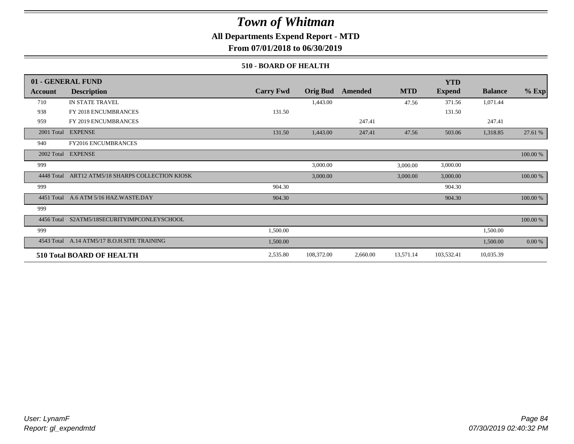### **All Departments Expend Report - MTD**

**From 07/01/2018 to 06/30/2019**

#### **510 - BOARD OF HEALTH**

|            | 01 - GENERAL FUND                           |                  |                 |          |            | <b>YTD</b>    |                |          |
|------------|---------------------------------------------|------------------|-----------------|----------|------------|---------------|----------------|----------|
| Account    | <b>Description</b>                          | <b>Carry Fwd</b> | <b>Orig Bud</b> | Amended  | <b>MTD</b> | <b>Expend</b> | <b>Balance</b> | $%$ Exp  |
| 710        | IN STATE TRAVEL                             |                  | 1,443.00        |          | 47.56      | 371.56        | 1,071.44       |          |
| 938        | FY 2018 ENCUMBRANCES                        | 131.50           |                 |          |            | 131.50        |                |          |
| 959        | FY 2019 ENCUMBRANCES                        |                  |                 | 247.41   |            |               | 247.41         |          |
|            | 2001 Total EXPENSE                          | 131.50           | 1,443.00        | 247.41   | 47.56      | 503.06        | 1,318.85       | 27.61 %  |
| 940        | FY2016 ENCUMBRANCES                         |                  |                 |          |            |               |                |          |
|            | 2002 Total EXPENSE                          |                  |                 |          |            |               |                | 100.00 % |
| 999        |                                             |                  | 3,000.00        |          | 3,000.00   | 3,000.00      |                |          |
| 4448 Total | ART12 ATM5/18 SHARPS COLLECTION KIOSK       |                  | 3,000.00        |          | 3,000.00   | 3,000.00      |                | 100.00 % |
| 999        |                                             | 904.30           |                 |          |            | 904.30        |                |          |
|            | 4451 Total A.6 ATM 5/16 HAZ.WASTE.DAY       | 904.30           |                 |          |            | 904.30        |                | 100.00 % |
| 999        |                                             |                  |                 |          |            |               |                |          |
| 4456 Total | S2ATM5/18SECURITYIMPCONLEYSCHOOL            |                  |                 |          |            |               |                | 100.00 % |
| 999        |                                             | 1,500.00         |                 |          |            |               | 1,500.00       |          |
|            | 4543 Total A.14 ATM5/17 B.O.H.SITE TRAINING | 1,500.00         |                 |          |            |               | 1,500.00       | 0.00 %   |
|            | <b>510 Total BOARD OF HEALTH</b>            | 2,535.80         | 108,372.00      | 2,660.00 | 13,571.14  | 103,532.41    | 10,035.39      |          |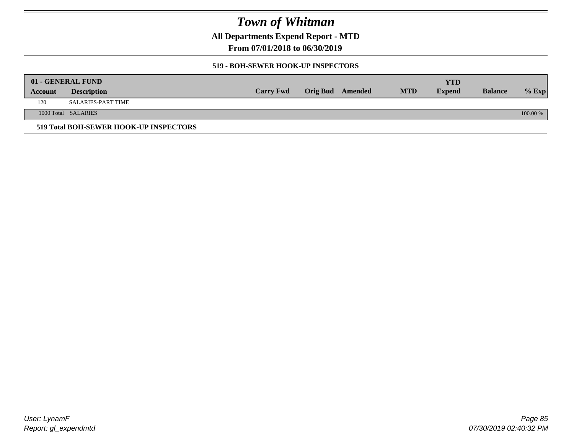**All Departments Expend Report - MTD**

**From 07/01/2018 to 06/30/2019**

### **519 - BOH-SEWER HOOK-UP INSPECTORS**

|         | 01 - GENERAL FUND                      |                  |                  |            | YTD           |                |          |
|---------|----------------------------------------|------------------|------------------|------------|---------------|----------------|----------|
| Account | <b>Description</b>                     | <b>Carry Fwd</b> | Orig Bud Amended | <b>MTD</b> | <b>Expend</b> | <b>Balance</b> | $%$ Exp  |
| 120     | SALARIES-PART TIME                     |                  |                  |            |               |                |          |
|         | 1000 Total SALARIES                    |                  |                  |            |               |                | 100.00 % |
|         | 519 Total BOH-SEWER HOOK-UP INSPECTORS |                  |                  |            |               |                |          |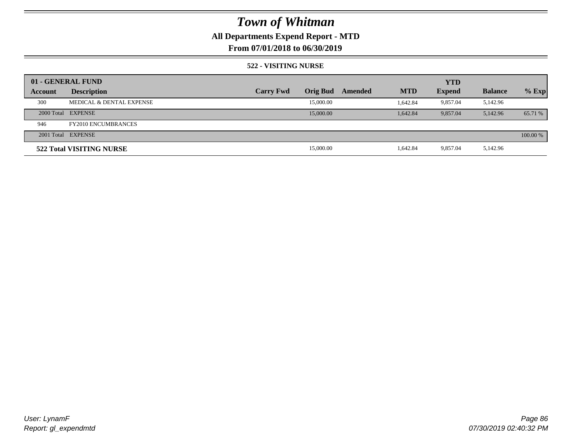## **All Departments Expend Report - MTD**

### **From 07/01/2018 to 06/30/2019**

#### **522 - VISITING NURSE**

|         | 01 - GENERAL FUND          |                  |                 |         |            | <b>YTD</b>    |                |          |
|---------|----------------------------|------------------|-----------------|---------|------------|---------------|----------------|----------|
| Account | <b>Description</b>         | <b>Carry Fwd</b> | <b>Orig Bud</b> | Amended | <b>MTD</b> | <b>Expend</b> | <b>Balance</b> | $%$ Exp  |
| 300     | MEDICAL & DENTAL EXPENSE   |                  | 15,000.00       |         | 1.642.84   | 9.857.04      | 5,142.96       |          |
|         | 2000 Total EXPENSE         |                  | 15,000.00       |         | 1.642.84   | 9,857.04      | 5,142.96       | 65.71 %  |
| 946     | <b>FY2010 ENCUMBRANCES</b> |                  |                 |         |            |               |                |          |
|         | 2001 Total EXPENSE         |                  |                 |         |            |               |                | 100.00 % |
|         | 522 Total VISITING NURSE   |                  | 15,000.00       |         | 1,642.84   | 9.857.04      | 5,142.96       |          |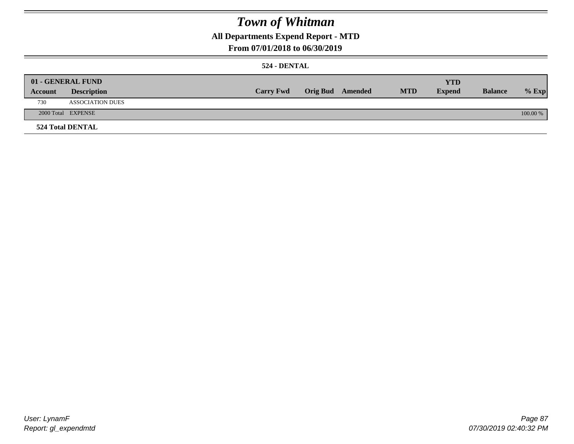### **All Departments Expend Report - MTD**

### **From 07/01/2018 to 06/30/2019**

### **524 - DENTAL**

|         | 01 - GENERAL FUND       |                  |                  |            | <b>YTD</b>    |                |          |
|---------|-------------------------|------------------|------------------|------------|---------------|----------------|----------|
| Account | <b>Description</b>      | <b>Carry Fwd</b> | Orig Bud Amended | <b>MTD</b> | <b>Expend</b> | <b>Balance</b> | $%$ Exp  |
| 730     | <b>ASSOCIATION DUES</b> |                  |                  |            |               |                |          |
|         | 2000 Total EXPENSE      |                  |                  |            |               |                | 100.00 % |
|         | <b>524 Total DENTAL</b> |                  |                  |            |               |                |          |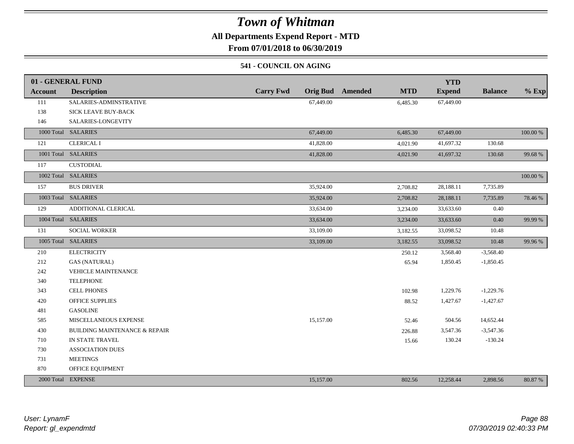### **All Departments Expend Report - MTD**

**From 07/01/2018 to 06/30/2019**

### **541 - COUNCIL ON AGING**

|                | 01 - GENERAL FUND                        |                                     |                       | <b>YTD</b>    |                |          |
|----------------|------------------------------------------|-------------------------------------|-----------------------|---------------|----------------|----------|
| <b>Account</b> | <b>Description</b>                       | <b>Carry Fwd</b><br><b>Orig Bud</b> | Amended<br><b>MTD</b> | <b>Expend</b> | <b>Balance</b> | $%$ Exp  |
| 111            | SALARIES-ADMINSTRATIVE                   | 67,449.00                           | 6,485.30              | 67,449.00     |                |          |
| 138            | SICK LEAVE BUY-BACK                      |                                     |                       |               |                |          |
| 146            | SALARIES-LONGEVITY                       |                                     |                       |               |                |          |
|                | 1000 Total SALARIES                      | 67,449.00                           | 6,485.30              | 67,449.00     |                | 100.00 % |
| 121            | <b>CLERICAL I</b>                        | 41,828.00                           | 4,021.90              | 41,697.32     | 130.68         |          |
|                | 1001 Total SALARIES                      | 41,828.00                           | 4,021.90              | 41,697.32     | 130.68         | 99.68%   |
| 117            | CUSTODIAL                                |                                     |                       |               |                |          |
|                | 1002 Total SALARIES                      |                                     |                       |               |                | 100.00 % |
| 157            | <b>BUS DRIVER</b>                        | 35,924.00                           | 2,708.82              | 28,188.11     | 7,735.89       |          |
|                | 1003 Total SALARIES                      | 35,924.00                           | 2,708.82              | 28,188.11     | 7,735.89       | 78.46 %  |
| 129            | ADDITIONAL CLERICAL                      | 33,634.00                           | 3,234.00              | 33,633.60     | 0.40           |          |
|                | 1004 Total SALARIES                      | 33,634.00                           | 3,234.00              | 33,633.60     | 0.40           | 99.99 %  |
| 131            | SOCIAL WORKER                            | 33,109.00                           | 3,182.55              | 33,098.52     | 10.48          |          |
|                | 1005 Total SALARIES                      | 33,109.00                           | 3,182.55              | 33,098.52     | 10.48          | 99.96%   |
| 210            | <b>ELECTRICITY</b>                       |                                     | 250.12                | 3,568.40      | $-3,568.40$    |          |
| 212            | <b>GAS (NATURAL)</b>                     |                                     | 65.94                 | 1,850.45      | $-1,850.45$    |          |
| 242            | <b>VEHICLE MAINTENANCE</b>               |                                     |                       |               |                |          |
| 340            | <b>TELEPHONE</b>                         |                                     |                       |               |                |          |
| 343            | CELL PHONES                              |                                     | 102.98                | 1,229.76      | $-1,229.76$    |          |
| 420            | <b>OFFICE SUPPLIES</b>                   |                                     | 88.52                 | 1,427.67      | $-1,427.67$    |          |
| 481            | <b>GASOLINE</b>                          |                                     |                       |               |                |          |
| 585            | MISCELLANEOUS EXPENSE                    | 15,157.00                           | 52.46                 | 504.56        | 14,652.44      |          |
| 430            | <b>BUILDING MAINTENANCE &amp; REPAIR</b> |                                     | 226.88                | 3,547.36      | $-3,547.36$    |          |
| 710            | IN STATE TRAVEL                          |                                     | 15.66                 | 130.24        | $-130.24$      |          |
| 730            | <b>ASSOCIATION DUES</b>                  |                                     |                       |               |                |          |
| 731            | <b>MEETINGS</b>                          |                                     |                       |               |                |          |
| 870            | OFFICE EQUIPMENT                         |                                     |                       |               |                |          |
|                | 2000 Total EXPENSE                       | 15,157.00                           | 802.56                | 12,258.44     | 2,898.56       | 80.87 %  |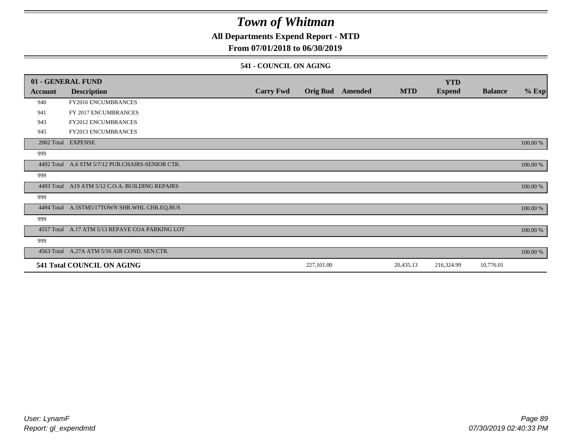### **All Departments Expend Report - MTD**

### **From 07/01/2018 to 06/30/2019**

#### **541 - COUNCIL ON AGING**

|         | 01 - GENERAL FUND                                |                  |                 |         |            | <b>YTD</b>    |                |          |
|---------|--------------------------------------------------|------------------|-----------------|---------|------------|---------------|----------------|----------|
| Account | <b>Description</b>                               | <b>Carry Fwd</b> | <b>Orig Bud</b> | Amended | <b>MTD</b> | <b>Expend</b> | <b>Balance</b> | $%$ Exp  |
| 940     | <b>FY2016 ENCUMBRANCES</b>                       |                  |                 |         |            |               |                |          |
| 941     | FY 2017 ENCUMBRANCES                             |                  |                 |         |            |               |                |          |
| 943     | FY2012 ENCUMBRANCES                              |                  |                 |         |            |               |                |          |
| 945     | <b>FY2013 ENCUMBRANCES</b>                       |                  |                 |         |            |               |                |          |
|         | 2002 Total EXPENSE                               |                  |                 |         |            |               |                | 100.00 % |
| 999     |                                                  |                  |                 |         |            |               |                |          |
|         | 4492 Total A.6 STM 5/7/12 PUR.CHAIRS-SENIOR CTR. |                  |                 |         |            |               |                | 100.00 % |
| 999     |                                                  |                  |                 |         |            |               |                |          |
|         | 4493 Total A19 ATM 5/12 C.O.A. BUILDING REPAIRS  |                  |                 |         |            |               |                | 100.00 % |
| 999     |                                                  |                  |                 |         |            |               |                |          |
|         | 4494 Total A.5STM5/17TOWN SHR.WHL CHR.EQ.BUS     |                  |                 |         |            |               |                | 100.00 % |
| 999     |                                                  |                  |                 |         |            |               |                |          |
|         | 4557 Total A.17 ATM 5/13 REPAVE COA PARKING LOT  |                  |                 |         |            |               |                | 100.00 % |
| 999     |                                                  |                  |                 |         |            |               |                |          |
|         | 4563 Total A.27A ATM 5/16 AIR COND. SEN.CTR.     |                  |                 |         |            |               |                | 100.00 % |
|         | 541 Total COUNCIL ON AGING                       |                  | 227,101.00      |         | 20,435.13  | 216,324.99    | 10,776.01      |          |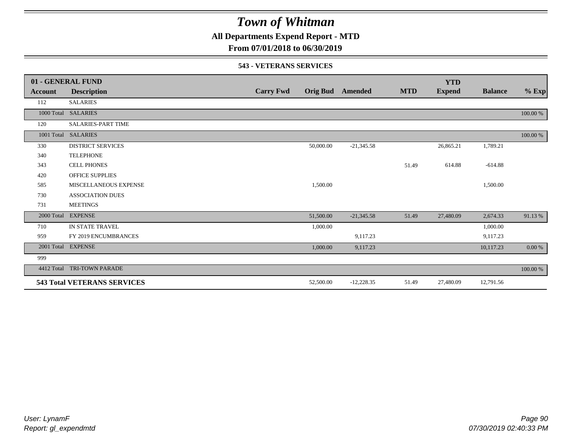**All Departments Expend Report - MTD**

**From 07/01/2018 to 06/30/2019**

#### **543 - VETERANS SERVICES**

|            | 01 - GENERAL FUND                  |                  |           |                         |            | <b>YTD</b>    |                |           |
|------------|------------------------------------|------------------|-----------|-------------------------|------------|---------------|----------------|-----------|
| Account    | <b>Description</b>                 | <b>Carry Fwd</b> |           | <b>Orig Bud</b> Amended | <b>MTD</b> | <b>Expend</b> | <b>Balance</b> | $%$ Exp   |
| 112        | <b>SALARIES</b>                    |                  |           |                         |            |               |                |           |
|            | 1000 Total SALARIES                |                  |           |                         |            |               |                | 100.00 %  |
| 120        | SALARIES-PART TIME                 |                  |           |                         |            |               |                |           |
| 1001 Total | <b>SALARIES</b>                    |                  |           |                         |            |               |                | 100.00 %  |
| 330        | <b>DISTRICT SERVICES</b>           |                  | 50,000.00 | $-21,345.58$            |            | 26,865.21     | 1,789.21       |           |
| 340        | <b>TELEPHONE</b>                   |                  |           |                         |            |               |                |           |
| 343        | <b>CELL PHONES</b>                 |                  |           |                         | 51.49      | 614.88        | $-614.88$      |           |
| 420        | <b>OFFICE SUPPLIES</b>             |                  |           |                         |            |               |                |           |
| 585        | MISCELLANEOUS EXPENSE              |                  | 1.500.00  |                         |            |               | 1,500.00       |           |
| 730        | <b>ASSOCIATION DUES</b>            |                  |           |                         |            |               |                |           |
| 731        | <b>MEETINGS</b>                    |                  |           |                         |            |               |                |           |
| 2000 Total | <b>EXPENSE</b>                     |                  | 51,500.00 | $-21,345.58$            | 51.49      | 27,480.09     | 2,674.33       | 91.13%    |
| 710        | IN STATE TRAVEL                    |                  | 1,000.00  |                         |            |               | 1,000.00       |           |
| 959        | FY 2019 ENCUMBRANCES               |                  |           | 9,117.23                |            |               | 9,117.23       |           |
| 2001 Total | <b>EXPENSE</b>                     |                  | 1,000.00  | 9,117.23                |            |               | 10,117.23      | $0.00~\%$ |
| 999        |                                    |                  |           |                         |            |               |                |           |
| 4412 Total | TRI-TOWN PARADE                    |                  |           |                         |            |               |                | 100.00 %  |
|            | <b>543 Total VETERANS SERVICES</b> |                  | 52,500.00 | $-12,228.35$            | 51.49      | 27,480.09     | 12,791.56      |           |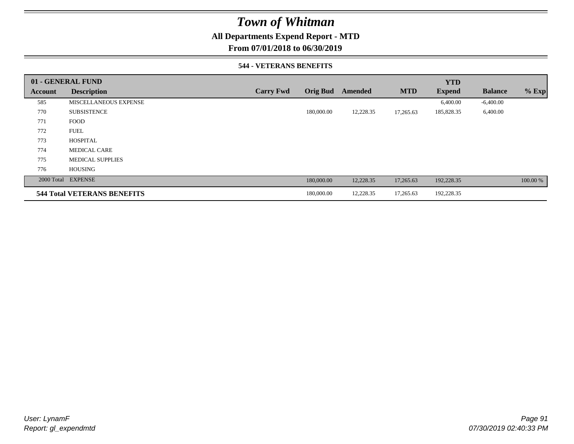### **All Departments Expend Report - MTD**

**From 07/01/2018 to 06/30/2019**

#### **544 - VETERANS BENEFITS**

|         | 01 - GENERAL FUND                  |                  |                 |           |            | <b>YTD</b>    |                |          |
|---------|------------------------------------|------------------|-----------------|-----------|------------|---------------|----------------|----------|
| Account | <b>Description</b>                 | <b>Carry Fwd</b> | <b>Orig Bud</b> | Amended   | <b>MTD</b> | <b>Expend</b> | <b>Balance</b> | $%$ Exp  |
| 585     | MISCELLANEOUS EXPENSE              |                  |                 |           |            | 6,400.00      | $-6,400.00$    |          |
| 770     | <b>SUBSISTENCE</b>                 |                  | 180,000.00      | 12,228.35 | 17,265.63  | 185,828.35    | 6,400.00       |          |
| 771     | <b>FOOD</b>                        |                  |                 |           |            |               |                |          |
| 772     | <b>FUEL</b>                        |                  |                 |           |            |               |                |          |
| 773     | <b>HOSPITAL</b>                    |                  |                 |           |            |               |                |          |
| 774     | <b>MEDICAL CARE</b>                |                  |                 |           |            |               |                |          |
| 775     | <b>MEDICAL SUPPLIES</b>            |                  |                 |           |            |               |                |          |
| 776     | <b>HOUSING</b>                     |                  |                 |           |            |               |                |          |
|         | 2000 Total EXPENSE                 |                  | 180,000.00      | 12,228.35 | 17,265.63  | 192,228.35    |                | 100.00 % |
|         | <b>544 Total VETERANS BENEFITS</b> |                  | 180,000.00      | 12,228.35 | 17,265.63  | 192,228.35    |                |          |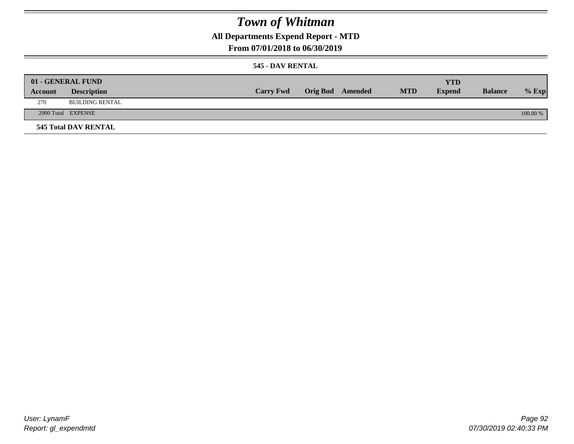## **All Departments Expend Report - MTD**

### **From 07/01/2018 to 06/30/2019**

### **545 - DAV RENTAL**

|         | 01 - GENERAL FUND           |                  |                         |            | YTD           |                |            |
|---------|-----------------------------|------------------|-------------------------|------------|---------------|----------------|------------|
| Account | <b>Description</b>          | <b>Carry Fwd</b> | <b>Orig Bud</b> Amended | <b>MTD</b> | <b>Expend</b> | <b>Balance</b> | $%$ Exp    |
| 270     | <b>BUILDING RENTAL</b>      |                  |                         |            |               |                |            |
|         | 2000 Total EXPENSE          |                  |                         |            |               |                | $100.00\%$ |
|         | <b>545 Total DAV RENTAL</b> |                  |                         |            |               |                |            |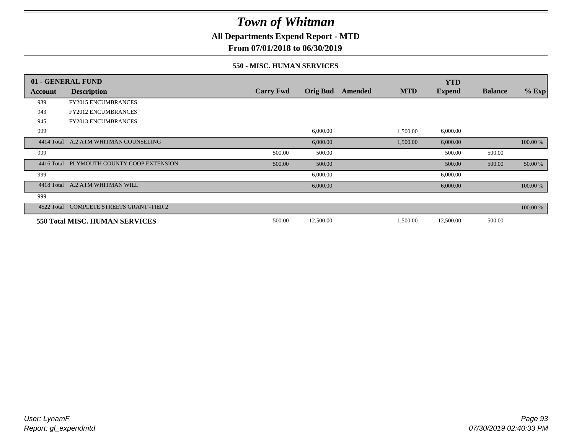**All Departments Expend Report - MTD**

**From 07/01/2018 to 06/30/2019**

#### **550 - MISC. HUMAN SERVICES**

|            | 01 - GENERAL FUND                         |                  |                 |         |            | <b>YTD</b>    |                |          |
|------------|-------------------------------------------|------------------|-----------------|---------|------------|---------------|----------------|----------|
| Account    | <b>Description</b>                        | <b>Carry Fwd</b> | <b>Orig Bud</b> | Amended | <b>MTD</b> | <b>Expend</b> | <b>Balance</b> | $%$ Exp  |
| 939        | <b>FY2015 ENCUMBRANCES</b>                |                  |                 |         |            |               |                |          |
| 943        | <b>FY2012 ENCUMBRANCES</b>                |                  |                 |         |            |               |                |          |
| 945        | <b>FY2013 ENCUMBRANCES</b>                |                  |                 |         |            |               |                |          |
| 999        |                                           |                  | 6,000.00        |         | 1,500.00   | 6,000.00      |                |          |
| 4414 Total | A.2 ATM WHITMAN COUNSELING                |                  | 6,000.00        |         | 1,500.00   | 6,000.00      |                | 100.00 % |
| 999        |                                           | 500.00           | 500.00          |         |            | 500.00        | 500.00         |          |
|            | 4416 Total PLYMOUTH COUNTY COOP EXTENSION | 500.00           | 500.00          |         |            | 500.00        | 500.00         | 50.00 %  |
| 999        |                                           |                  | 6,000.00        |         |            | 6,000.00      |                |          |
| 4418 Total | A.2 ATM WHITMAN WILL                      |                  | 6,000.00        |         |            | 6,000.00      |                | 100.00 % |
| 999        |                                           |                  |                 |         |            |               |                |          |
| 4522 Total | <b>COMPLETE STREETS GRANT -TIER 2</b>     |                  |                 |         |            |               |                | 100.00 % |
|            | 550 Total MISC. HUMAN SERVICES            | 500.00           | 12,500.00       |         | 1,500.00   | 12,500.00     | 500.00         |          |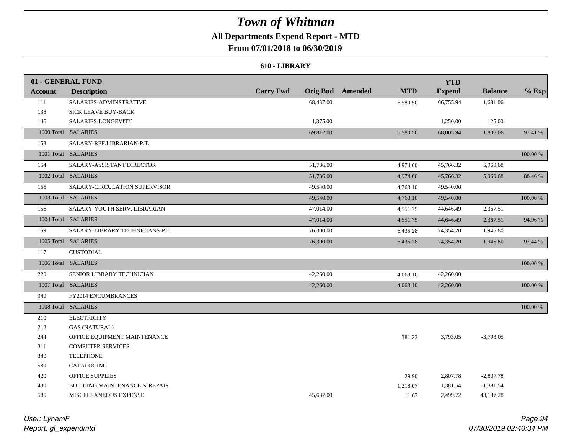## **All Departments Expend Report - MTD**

**From 07/01/2018 to 06/30/2019**

#### **610 - LIBRARY**

|                | 01 - GENERAL FUND                        |                  |           |                         |            | <b>YTD</b>    |                |          |
|----------------|------------------------------------------|------------------|-----------|-------------------------|------------|---------------|----------------|----------|
| <b>Account</b> | <b>Description</b>                       | <b>Carry Fwd</b> |           | <b>Orig Bud</b> Amended | <b>MTD</b> | <b>Expend</b> | <b>Balance</b> | $%$ Exp  |
| 111            | SALARIES-ADMINSTRATIVE                   |                  | 68,437.00 |                         | 6,580.50   | 66,755.94     | 1,681.06       |          |
| 138            | SICK LEAVE BUY-BACK                      |                  |           |                         |            |               |                |          |
| 146            | SALARIES-LONGEVITY                       |                  | 1,375.00  |                         |            | 1,250.00      | 125.00         |          |
|                | 1000 Total SALARIES                      |                  | 69,812.00 |                         | 6,580.50   | 68,005.94     | 1,806.06       | 97.41 %  |
| 153            | SALARY-REF.LIBRARIAN-P.T.                |                  |           |                         |            |               |                |          |
|                | 1001 Total SALARIES                      |                  |           |                         |            |               |                | 100.00 % |
| 154            | SALARY-ASSISTANT DIRECTOR                |                  | 51,736.00 |                         | 4,974.60   | 45,766.32     | 5,969.68       |          |
|                | 1002 Total SALARIES                      |                  | 51,736.00 |                         | 4,974.60   | 45,766.32     | 5,969.68       | 88.46%   |
| 155            | SALARY-CIRCULATION SUPERVISOR            |                  | 49,540.00 |                         | 4,763.10   | 49,540.00     |                |          |
|                | 1003 Total SALARIES                      |                  | 49,540.00 |                         | 4,763.10   | 49,540.00     |                | 100.00 % |
| 156            | SALARY-YOUTH SERV. LIBRARIAN             |                  | 47,014.00 |                         | 4,551.75   | 44,646.49     | 2,367.51       |          |
|                | 1004 Total SALARIES                      |                  | 47,014.00 |                         | 4,551.75   | 44,646.49     | 2,367.51       | 94.96%   |
| 159            | SALARY-LIBRARY TECHNICIANS-P.T.          |                  | 76,300.00 |                         | 6,435.28   | 74,354.20     | 1,945.80       |          |
|                | 1005 Total SALARIES                      |                  | 76,300.00 |                         | 6,435.28   | 74,354.20     | 1,945.80       | 97.44 %  |
| 117            | <b>CUSTODIAL</b>                         |                  |           |                         |            |               |                |          |
|                | 1006 Total SALARIES                      |                  |           |                         |            |               |                | 100.00 % |
| 220            | SENIOR LIBRARY TECHNICIAN                |                  | 42,260.00 |                         | 4,063.10   | 42,260.00     |                |          |
|                | 1007 Total SALARIES                      |                  | 42,260.00 |                         | 4,063.10   | 42,260.00     |                | 100.00 % |
| 949            | FY2014 ENCUMBRANCES                      |                  |           |                         |            |               |                |          |
|                | 1008 Total SALARIES                      |                  |           |                         |            |               |                | 100.00 % |
| 210            | <b>ELECTRICITY</b>                       |                  |           |                         |            |               |                |          |
| 212            | <b>GAS (NATURAL)</b>                     |                  |           |                         |            |               |                |          |
| 244            | OFFICE EQUIPMENT MAINTENANCE             |                  |           |                         | 381.23     | 3,793.05      | $-3,793.05$    |          |
| 311            | <b>COMPUTER SERVICES</b>                 |                  |           |                         |            |               |                |          |
| 340            | <b>TELEPHONE</b>                         |                  |           |                         |            |               |                |          |
| 589            | CATALOGING                               |                  |           |                         |            |               |                |          |
| 420            | <b>OFFICE SUPPLIES</b>                   |                  |           |                         | 29.90      | 2,807.78      | $-2,807.78$    |          |
| 430            | <b>BUILDING MAINTENANCE &amp; REPAIR</b> |                  |           |                         | 1,218.07   | 1,381.54      | $-1,381.54$    |          |
| 585            | MISCELLANEOUS EXPENSE                    |                  | 45,637.00 |                         | 11.67      | 2,499.72      | 43,137.28      |          |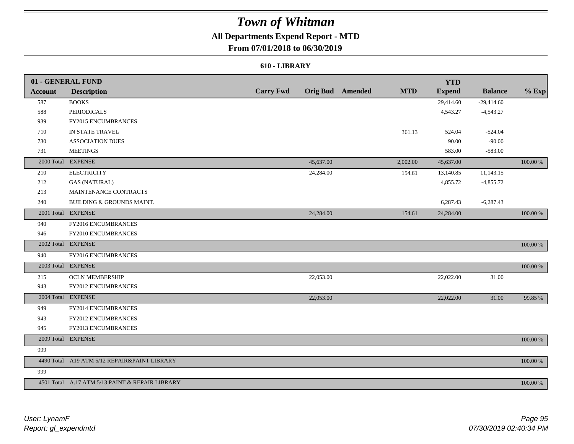## **All Departments Expend Report - MTD**

**From 07/01/2018 to 06/30/2019**

#### **610 - LIBRARY**

|                | 01 - GENERAL FUND                               |                  |           |                         |            | <b>YTD</b>    |                |          |
|----------------|-------------------------------------------------|------------------|-----------|-------------------------|------------|---------------|----------------|----------|
| <b>Account</b> | <b>Description</b>                              | <b>Carry Fwd</b> |           | <b>Orig Bud</b> Amended | <b>MTD</b> | <b>Expend</b> | <b>Balance</b> | $%$ Exp  |
| 587            | <b>BOOKS</b>                                    |                  |           |                         |            | 29,414.60     | $-29,414.60$   |          |
| 588            | <b>PERIODICALS</b>                              |                  |           |                         |            | 4,543.27      | $-4,543.27$    |          |
| 939            | <b>FY2015 ENCUMBRANCES</b>                      |                  |           |                         |            |               |                |          |
| 710            | IN STATE TRAVEL                                 |                  |           |                         | 361.13     | 524.04        | $-524.04$      |          |
| 730            | <b>ASSOCIATION DUES</b>                         |                  |           |                         |            | 90.00         | $-90.00$       |          |
| 731            | <b>MEETINGS</b>                                 |                  |           |                         |            | 583.00        | $-583.00$      |          |
|                | 2000 Total EXPENSE                              |                  | 45,637.00 |                         | 2,002.00   | 45,637.00     |                | 100.00 % |
| 210            | <b>ELECTRICITY</b>                              |                  | 24,284.00 |                         | 154.61     | 13,140.85     | 11,143.15      |          |
| 212            | <b>GAS (NATURAL)</b>                            |                  |           |                         |            | 4,855.72      | $-4,855.72$    |          |
| 213            | MAINTENANCE CONTRACTS                           |                  |           |                         |            |               |                |          |
| 240            | BUILDING & GROUNDS MAINT.                       |                  |           |                         |            | 6,287.43      | $-6,287.43$    |          |
|                | 2001 Total EXPENSE                              |                  | 24,284.00 |                         | 154.61     | 24,284.00     |                | 100.00 % |
| 940            | FY2016 ENCUMBRANCES                             |                  |           |                         |            |               |                |          |
| 946            | FY2010 ENCUMBRANCES                             |                  |           |                         |            |               |                |          |
|                | 2002 Total EXPENSE                              |                  |           |                         |            |               |                | 100.00 % |
| 940            | FY2016 ENCUMBRANCES                             |                  |           |                         |            |               |                |          |
|                | 2003 Total EXPENSE                              |                  |           |                         |            |               |                | 100.00 % |
| 215            | <b>OCLN MEMBERSHIP</b>                          |                  | 22,053.00 |                         |            | 22,022.00     | 31.00          |          |
| 943            | FY2012 ENCUMBRANCES                             |                  |           |                         |            |               |                |          |
|                | 2004 Total EXPENSE                              |                  | 22,053.00 |                         |            | 22,022.00     | 31.00          | 99.85 %  |
| 949            | FY2014 ENCUMBRANCES                             |                  |           |                         |            |               |                |          |
| 943            | FY2012 ENCUMBRANCES                             |                  |           |                         |            |               |                |          |
| 945            | FY2013 ENCUMBRANCES                             |                  |           |                         |            |               |                |          |
|                | 2009 Total EXPENSE                              |                  |           |                         |            |               |                | 100.00 % |
| 999            |                                                 |                  |           |                         |            |               |                |          |
|                | 4490 Total A19 ATM 5/12 REPAIR&PAINT LIBRARY    |                  |           |                         |            |               |                | 100.00 % |
| 999            |                                                 |                  |           |                         |            |               |                |          |
|                | 4501 Total A.17 ATM 5/13 PAINT & REPAIR LIBRARY |                  |           |                         |            |               |                | 100.00 % |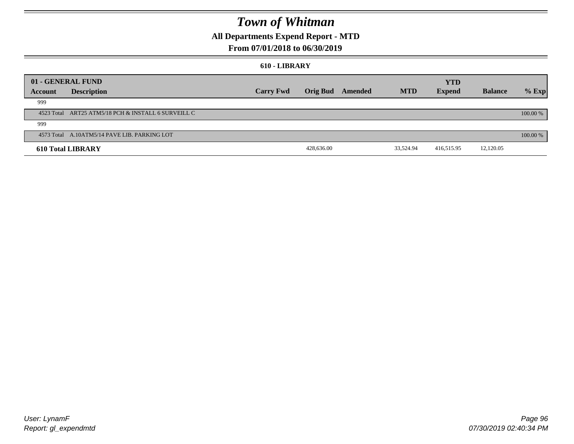### **All Departments Expend Report - MTD**

### **From 07/01/2018 to 06/30/2019**

#### **610 - LIBRARY**

|         | 01 - GENERAL FUND                                   |                  |                 |         |            | <b>YTD</b>    |                |          |
|---------|-----------------------------------------------------|------------------|-----------------|---------|------------|---------------|----------------|----------|
| Account | <b>Description</b>                                  | <b>Carry Fwd</b> | <b>Orig Bud</b> | Amended | <b>MTD</b> | <b>Expend</b> | <b>Balance</b> | $%$ Exp  |
| 999     |                                                     |                  |                 |         |            |               |                |          |
|         | 4523 Total ART25 ATM5/18 PCH & INSTALL 6 SURVEILL C |                  |                 |         |            |               |                | 100.00 % |
| 999     |                                                     |                  |                 |         |            |               |                |          |
|         | 4573 Total A.10ATM5/14 PAVE LIB. PARKING LOT        |                  |                 |         |            |               |                | 100.00 % |
|         | <b>610 Total LIBRARY</b>                            |                  | 428,636.00      |         | 33,524.94  | 416,515.95    | 12,120.05      |          |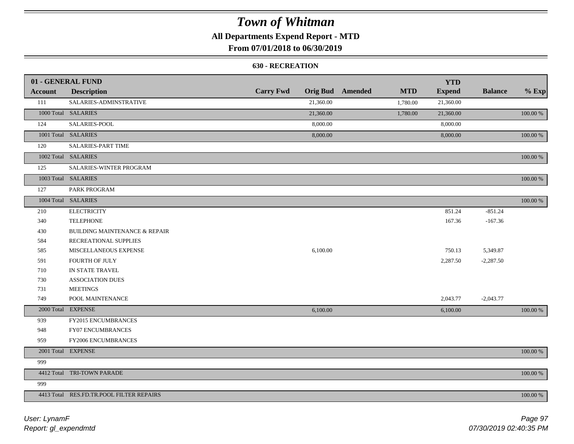### **All Departments Expend Report - MTD**

### **From 07/01/2018 to 06/30/2019**

#### **630 - RECREATION**

|                | 01 - GENERAL FUND                        |                  |           |                         |            | <b>YTD</b>    |                |             |
|----------------|------------------------------------------|------------------|-----------|-------------------------|------------|---------------|----------------|-------------|
| <b>Account</b> | <b>Description</b>                       | <b>Carry Fwd</b> |           | <b>Orig Bud</b> Amended | <b>MTD</b> | <b>Expend</b> | <b>Balance</b> | $%$ Exp     |
| 111            | SALARIES-ADMINSTRATIVE                   |                  | 21,360.00 |                         | 1,780.00   | 21,360.00     |                |             |
|                | 1000 Total SALARIES                      |                  | 21,360.00 |                         | 1,780.00   | 21,360.00     |                | 100.00 %    |
| 124            | SALARIES-POOL                            |                  | 8,000.00  |                         |            | 8,000.00      |                |             |
|                | 1001 Total SALARIES                      |                  | 8,000.00  |                         |            | 8,000.00      |                | 100.00 %    |
| 120            | <b>SALARIES-PART TIME</b>                |                  |           |                         |            |               |                |             |
|                | 1002 Total SALARIES                      |                  |           |                         |            |               |                | 100.00 %    |
| 125            | SALARIES-WINTER PROGRAM                  |                  |           |                         |            |               |                |             |
|                | 1003 Total SALARIES                      |                  |           |                         |            |               |                | 100.00 %    |
| 127            | PARK PROGRAM                             |                  |           |                         |            |               |                |             |
|                | 1004 Total SALARIES                      |                  |           |                         |            |               |                | 100.00 %    |
| 210            | <b>ELECTRICITY</b>                       |                  |           |                         |            | 851.24        | $-851.24$      |             |
| 340            | <b>TELEPHONE</b>                         |                  |           |                         |            | 167.36        | $-167.36$      |             |
| 430            | <b>BUILDING MAINTENANCE &amp; REPAIR</b> |                  |           |                         |            |               |                |             |
| 584            | RECREATIONAL SUPPLIES                    |                  |           |                         |            |               |                |             |
| 585            | MISCELLANEOUS EXPENSE                    |                  | 6,100.00  |                         |            | 750.13        | 5,349.87       |             |
| 591            | FOURTH OF JULY                           |                  |           |                         |            | 2,287.50      | $-2,287.50$    |             |
| 710            | IN STATE TRAVEL                          |                  |           |                         |            |               |                |             |
| 730            | <b>ASSOCIATION DUES</b>                  |                  |           |                         |            |               |                |             |
| 731            | <b>MEETINGS</b>                          |                  |           |                         |            |               |                |             |
| 749            | POOL MAINTENANCE                         |                  |           |                         |            | 2,043.77      | $-2,043.77$    |             |
|                | 2000 Total EXPENSE                       |                  | 6,100.00  |                         |            | 6,100.00      |                | 100.00 %    |
| 939            | FY2015 ENCUMBRANCES                      |                  |           |                         |            |               |                |             |
| 948            | FY07 ENCUMBRANCES                        |                  |           |                         |            |               |                |             |
| 959            | <b>FY2006 ENCUMBRANCES</b>               |                  |           |                         |            |               |                |             |
|                | 2001 Total EXPENSE                       |                  |           |                         |            |               |                | $100.00~\%$ |
| 999            |                                          |                  |           |                         |            |               |                |             |
|                | 4412 Total TRI-TOWN PARADE               |                  |           |                         |            |               |                | 100.00 %    |
| 999            |                                          |                  |           |                         |            |               |                |             |
|                | 4413 Total RES.FD.TR.POOL FILTER REPAIRS |                  |           |                         |            |               |                | 100.00 %    |

*Report: gl\_expendmtd User: LynamF*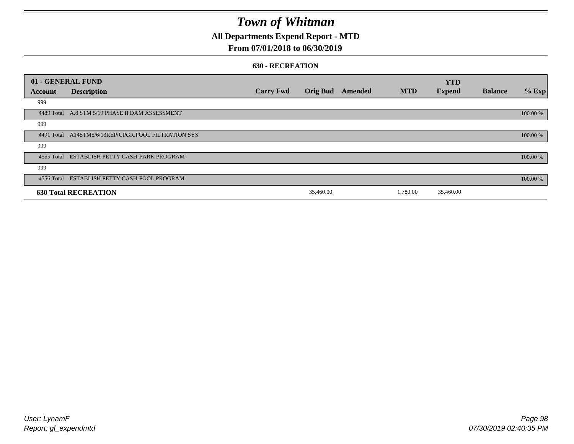### **All Departments Expend Report - MTD**

### **From 07/01/2018 to 06/30/2019**

#### **630 - RECREATION**

|         | 01 - GENERAL FUND                                   |                  |                 |         |            | <b>YTD</b>    |                |          |
|---------|-----------------------------------------------------|------------------|-----------------|---------|------------|---------------|----------------|----------|
| Account | <b>Description</b>                                  | <b>Carry Fwd</b> | <b>Orig Bud</b> | Amended | <b>MTD</b> | <b>Expend</b> | <b>Balance</b> | % Exp    |
| 999     |                                                     |                  |                 |         |            |               |                |          |
|         | 4489 Total A.8 STM 5/19 PHASE II DAM ASSESSMENT     |                  |                 |         |            |               |                | 100.00 % |
| 999     |                                                     |                  |                 |         |            |               |                |          |
|         | 4491 Total A14STM5/6/13REP/UPGR.POOL FILTRATION SYS |                  |                 |         |            |               |                | 100.00 % |
| 999     |                                                     |                  |                 |         |            |               |                |          |
|         | 4555 Total ESTABLISH PETTY CASH-PARK PROGRAM        |                  |                 |         |            |               |                | 100.00 % |
| 999     |                                                     |                  |                 |         |            |               |                |          |
|         | 4556 Total ESTABLISH PETTY CASH-POOL PROGRAM        |                  |                 |         |            |               |                | 100.00 % |
|         | <b>630 Total RECREATION</b>                         |                  | 35,460.00       |         | 1,780.00   | 35,460.00     |                |          |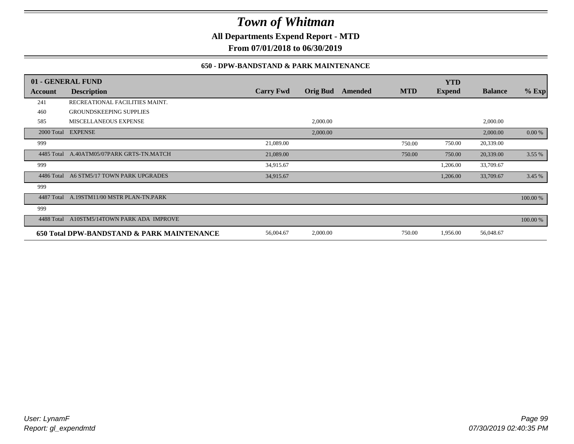**All Departments Expend Report - MTD**

**From 07/01/2018 to 06/30/2019**

### **650 - DPW-BANDSTAND & PARK MAINTENANCE**

|            | 01 - GENERAL FUND                          |                  |                 |         |            | <b>YTD</b>    |                |          |
|------------|--------------------------------------------|------------------|-----------------|---------|------------|---------------|----------------|----------|
| Account    | <b>Description</b>                         | <b>Carry Fwd</b> | <b>Orig Bud</b> | Amended | <b>MTD</b> | <b>Expend</b> | <b>Balance</b> | $%$ Exp  |
| 241        | RECREATIONAL FACILITIES MAINT.             |                  |                 |         |            |               |                |          |
| 460        | <b>GROUNDSKEEPING SUPPLIES</b>             |                  |                 |         |            |               |                |          |
| 585        | MISCELLANEOUS EXPENSE                      |                  | 2,000.00        |         |            |               | 2,000.00       |          |
|            | 2000 Total EXPENSE                         |                  | 2,000.00        |         |            |               | 2,000.00       | 0.00 %   |
| 999        |                                            | 21,089.00        |                 |         | 750.00     | 750.00        | 20,339.00      |          |
| 4485 Total | A.40ATM05/07PARK GRTS-TN.MATCH             | 21,089.00        |                 |         | 750.00     | 750.00        | 20,339.00      | 3.55%    |
| 999        |                                            | 34,915.67        |                 |         |            | 1,206.00      | 33,709.67      |          |
| 4486 Total | A6 STM5/17 TOWN PARK UPGRADES              | 34,915.67        |                 |         |            | 1,206.00      | 33,709.67      | 3.45 %   |
| 999        |                                            |                  |                 |         |            |               |                |          |
| 4487 Total | A.19STM11/00 MSTR PLAN-TN.PARK             |                  |                 |         |            |               |                | 100.00 % |
| 999        |                                            |                  |                 |         |            |               |                |          |
| 4488 Total | A10STM5/14TOWN PARK ADA IMPROVE            |                  |                 |         |            |               |                | 100.00 % |
|            | 650 Total DPW-BANDSTAND & PARK MAINTENANCE | 56,004.67        | 2,000.00        |         | 750.00     | 1,956.00      | 56,048.67      |          |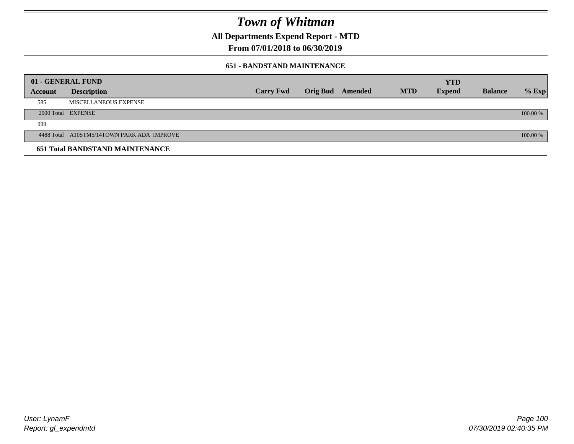**All Departments Expend Report - MTD**

**From 07/01/2018 to 06/30/2019**

### **651 - BANDSTAND MAINTENANCE**

| 01 - GENERAL FUND |                                            |                  |                         |            | <b>YTD</b>    |                |          |
|-------------------|--------------------------------------------|------------------|-------------------------|------------|---------------|----------------|----------|
| <b>Account</b>    | <b>Description</b>                         | <b>Carry Fwd</b> | <b>Orig Bud</b> Amended | <b>MTD</b> | <b>Expend</b> | <b>Balance</b> | $%$ Exp  |
| 585               | MISCELLANEOUS EXPENSE                      |                  |                         |            |               |                |          |
|                   | 2000 Total EXPENSE                         |                  |                         |            |               |                | 100.00 % |
| 999               |                                            |                  |                         |            |               |                |          |
|                   | 4488 Total A10STM5/14TOWN PARK ADA IMPROVE |                  |                         |            |               |                | 100.00 % |
|                   | <b>651 Total BANDSTAND MAINTENANCE</b>     |                  |                         |            |               |                |          |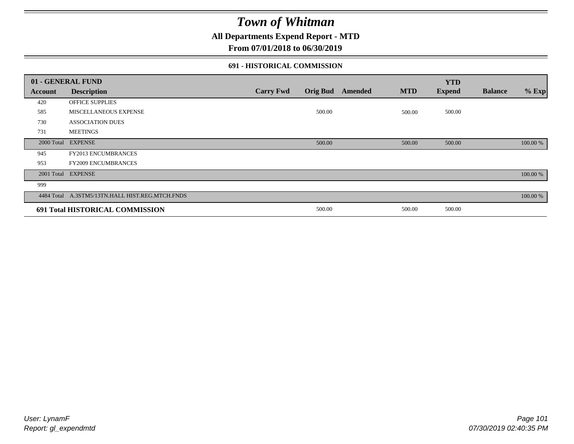**All Departments Expend Report - MTD**

**From 07/01/2018 to 06/30/2019**

### **691 - HISTORICAL COMMISSION**

|         | 01 - GENERAL FUND                               |                  |                 |         |            | <b>YTD</b>    |                |          |
|---------|-------------------------------------------------|------------------|-----------------|---------|------------|---------------|----------------|----------|
| Account | <b>Description</b>                              | <b>Carry Fwd</b> | <b>Orig Bud</b> | Amended | <b>MTD</b> | <b>Expend</b> | <b>Balance</b> | $%$ Exp  |
| 420     | OFFICE SUPPLIES                                 |                  |                 |         |            |               |                |          |
| 585     | MISCELLANEOUS EXPENSE                           |                  | 500.00          |         | 500.00     | 500.00        |                |          |
| 730     | <b>ASSOCIATION DUES</b>                         |                  |                 |         |            |               |                |          |
| 731     | <b>MEETINGS</b>                                 |                  |                 |         |            |               |                |          |
|         | 2000 Total EXPENSE                              |                  | 500.00          |         | 500.00     | 500.00        |                | 100.00 % |
| 945     | FY2013 ENCUMBRANCES                             |                  |                 |         |            |               |                |          |
| 953     | <b>FY2009 ENCUMBRANCES</b>                      |                  |                 |         |            |               |                |          |
|         | 2001 Total EXPENSE                              |                  |                 |         |            |               |                | 100.00 % |
| 999     |                                                 |                  |                 |         |            |               |                |          |
|         | 4484 Total A.3STM5/13TN.HALL HIST.REG.MTCH.FNDS |                  |                 |         |            |               |                | 100.00 % |
|         | 691 Total HISTORICAL COMMISSION                 |                  | 500.00          |         | 500.00     | 500.00        |                |          |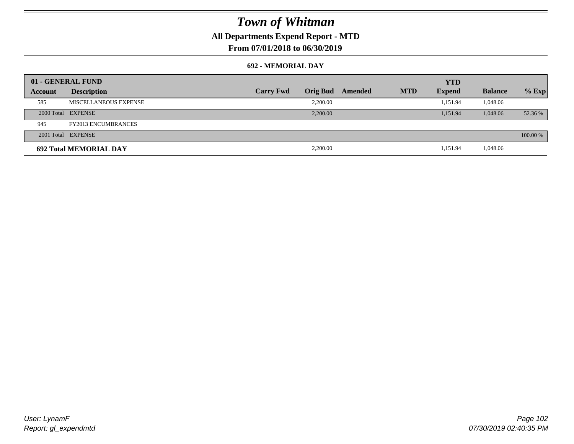### **All Departments Expend Report - MTD**

### **From 07/01/2018 to 06/30/2019**

#### **692 - MEMORIAL DAY**

|         | 01 - GENERAL FUND             |                  |                 |         |            | <b>YTD</b>    |                |          |
|---------|-------------------------------|------------------|-----------------|---------|------------|---------------|----------------|----------|
| Account | <b>Description</b>            | <b>Carry Fwd</b> | <b>Orig Bud</b> | Amended | <b>MTD</b> | <b>Expend</b> | <b>Balance</b> | $%$ Exp  |
| 585     | MISCELLANEOUS EXPENSE         |                  | 2,200.00        |         |            | 1.151.94      | 1,048.06       |          |
|         | 2000 Total EXPENSE            |                  | 2,200,00        |         |            | 1.151.94      | 1,048.06       | 52.36 %  |
| 945     | <b>FY2013 ENCUMBRANCES</b>    |                  |                 |         |            |               |                |          |
|         | 2001 Total EXPENSE            |                  |                 |         |            |               |                | 100.00 % |
|         | <b>692 Total MEMORIAL DAY</b> |                  | 2,200.00        |         |            | 1,151.94      | 1,048.06       |          |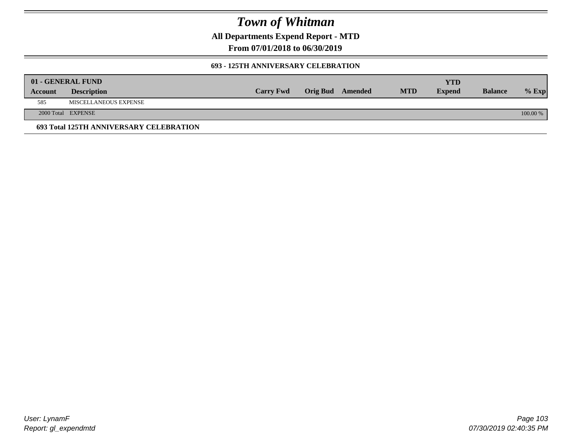**All Departments Expend Report - MTD**

**From 07/01/2018 to 06/30/2019**

### **693 - 125TH ANNIVERSARY CELEBRATION**

|         | 01 - GENERAL FUND                       |                  |                         |            | YTD           |                |          |
|---------|-----------------------------------------|------------------|-------------------------|------------|---------------|----------------|----------|
| Account | <b>Description</b>                      | <b>Carry Fwd</b> | <b>Orig Bud</b> Amended | <b>MTD</b> | <b>Expend</b> | <b>Balance</b> | $%$ Exp  |
| 585     | MISCELLANEOUS EXPENSE                   |                  |                         |            |               |                |          |
|         | 2000 Total EXPENSE                      |                  |                         |            |               |                | 100.00 % |
|         | 693 Total 125TH ANNIVERSARY CELEBRATION |                  |                         |            |               |                |          |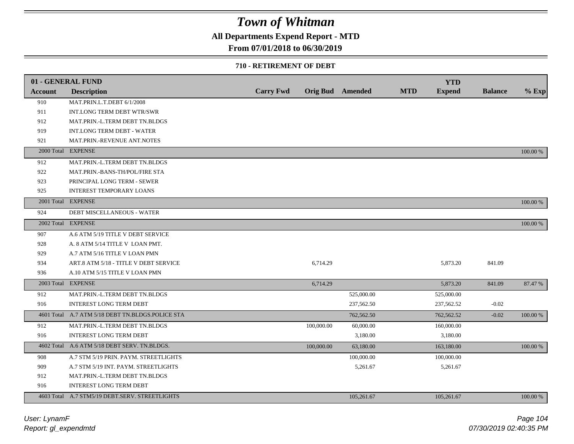### **All Departments Expend Report - MTD**

### **From 07/01/2018 to 06/30/2019**

#### **710 - RETIREMENT OF DEBT**

|                | 01 - GENERAL FUND                                |                  |            |                         |            | <b>YTD</b>    |                |          |
|----------------|--------------------------------------------------|------------------|------------|-------------------------|------------|---------------|----------------|----------|
| <b>Account</b> | <b>Description</b>                               | <b>Carry Fwd</b> |            | <b>Orig Bud</b> Amended | <b>MTD</b> | <b>Expend</b> | <b>Balance</b> | $%$ Exp  |
| 910            | MAT.PRIN.L.T.DEBT 6/1/2008                       |                  |            |                         |            |               |                |          |
| 911            | INT.LONG TERM DEBT WTR/SWR                       |                  |            |                         |            |               |                |          |
| 912            | MAT.PRIN.-L.TERM DEBT TN.BLDGS                   |                  |            |                         |            |               |                |          |
| 919            | <b>INT.LONG TERM DEBT - WATER</b>                |                  |            |                         |            |               |                |          |
| 921            | MAT.PRIN.-REVENUE ANT.NOTES                      |                  |            |                         |            |               |                |          |
| 2000 Total     | <b>EXPENSE</b>                                   |                  |            |                         |            |               |                | 100.00 % |
| 912            | MAT.PRIN.-L.TERM DEBT TN.BLDGS                   |                  |            |                         |            |               |                |          |
| 922            | MAT.PRIN.-BANS-TH/POL/FIRE STA                   |                  |            |                         |            |               |                |          |
| 923            | PRINCIPAL LONG TERM - SEWER                      |                  |            |                         |            |               |                |          |
| 925            | <b>INTEREST TEMPORARY LOANS</b>                  |                  |            |                         |            |               |                |          |
|                | 2001 Total EXPENSE                               |                  |            |                         |            |               |                | 100.00 % |
| 924            | DEBT MISCELLANEOUS - WATER                       |                  |            |                         |            |               |                |          |
|                | 2002 Total EXPENSE                               |                  |            |                         |            |               |                | 100.00 % |
| 907            | A.6 ATM 5/19 TITLE V DEBT SERVICE                |                  |            |                         |            |               |                |          |
| 928            | A. 8 ATM 5/14 TITLE V LOAN PMT.                  |                  |            |                         |            |               |                |          |
| 929            | A.7 ATM 5/16 TITLE V LOAN PMN                    |                  |            |                         |            |               |                |          |
| 934            | ART.8 ATM 5/18 - TITLE V DEBT SERVICE            |                  | 6,714.29   |                         |            | 5,873.20      | 841.09         |          |
| 936            | A.10 ATM 5/15 TITLE V LOAN PMN                   |                  |            |                         |            |               |                |          |
|                | 2003 Total EXPENSE                               |                  | 6,714.29   |                         |            | 5,873.20      | 841.09         | 87.47 %  |
| 912            | MAT.PRIN.-L.TERM DEBT TN.BLDGS                   |                  |            | 525,000.00              |            | 525,000.00    |                |          |
| 916            | INTEREST LONG TERM DEBT                          |                  |            | 237,562.50              |            | 237,562.52    | $-0.02$        |          |
|                | 4601 Total A.7 ATM 5/18 DEBT TN.BLDGS.POLICE STA |                  |            | 762,562.50              |            | 762,562.52    | $-0.02$        | 100.00 % |
| 912            | MAT.PRIN.-L.TERM DEBT TN.BLDGS                   |                  | 100,000.00 | 60,000.00               |            | 160,000.00    |                |          |
| 916            | <b>INTEREST LONG TERM DEBT</b>                   |                  |            | 3,180.00                |            | 3,180.00      |                |          |
|                | 4602 Total A.6 ATM 5/18 DEBT SERV. TN.BLDGS.     |                  | 100,000.00 | 63,180.00               |            | 163,180.00    |                | 100.00 % |
| 908            | A.7 STM 5/19 PRIN. PAYM. STREETLIGHTS            |                  |            | 100,000.00              |            | 100,000.00    |                |          |
| 909            | A.7 STM 5/19 INT. PAYM. STREETLIGHTS             |                  |            | 5,261.67                |            | 5,261.67      |                |          |
| 912            | MAT.PRIN.-L.TERM DEBT TN.BLDGS                   |                  |            |                         |            |               |                |          |
| 916            | INTEREST LONG TERM DEBT                          |                  |            |                         |            |               |                |          |
|                | 4603 Total A.7 STM5/19 DEBT.SERV. STREETLIGHTS   |                  |            | 105,261.67              |            | 105,261.67    |                | 100.00 % |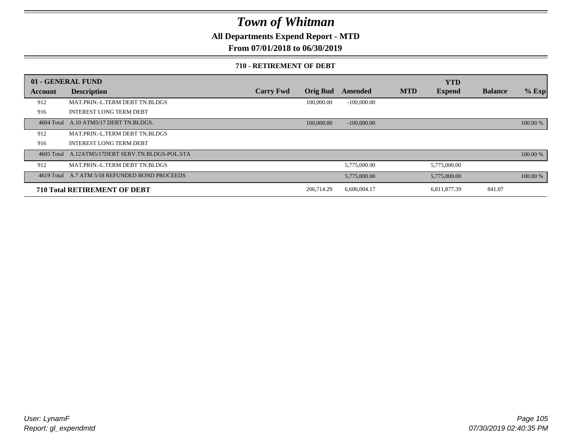**All Departments Expend Report - MTD**

**From 07/01/2018 to 06/30/2019**

#### **710 - RETIREMENT OF DEBT**

|         | 01 - GENERAL FUND                                |                  |                 |               |            | <b>YTD</b>    |                |          |
|---------|--------------------------------------------------|------------------|-----------------|---------------|------------|---------------|----------------|----------|
| Account | <b>Description</b>                               | <b>Carry Fwd</b> | <b>Orig Bud</b> | Amended       | <b>MTD</b> | <b>Expend</b> | <b>Balance</b> | $%$ Exp  |
| 912     | MAT.PRIN.-L.TERM DEBT TN.BLDGS                   |                  | 100,000.00      | $-100,000.00$ |            |               |                |          |
| 916     | <b>INTEREST LONG TERM DEBT</b>                   |                  |                 |               |            |               |                |          |
|         | 4604 Total A.10 ATM5/17 DEBT TN.BLDGS.           |                  | 100,000,00      | $-100,000,00$ |            |               |                | 100.00 % |
| 912     | MAT.PRIN.-L.TERM DEBT TN.BLDGS                   |                  |                 |               |            |               |                |          |
| 916     | <b>INTEREST LONG TERM DEBT</b>                   |                  |                 |               |            |               |                |          |
|         | 4605 Total A.12ATM5/17DEBT SERV.TN.BLDGS-POL.STA |                  |                 |               |            |               |                | 100.00 % |
| 912     | MAT.PRIN.-L.TERM DEBT TN.BLDGS                   |                  |                 | 5,775,000.00  |            | 5,775,000.00  |                |          |
|         | 4619 Total A.7 ATM 5/18 REFUNDED BOND PROCEEDS   |                  |                 | 5,775,000.00  |            | 5,775,000.00  |                | 100.00 % |
|         | <b>710 Total RETIREMENT OF DEBT</b>              |                  | 206,714.29      | 6,606,004.17  |            | 6,811,877.39  | 841.07         |          |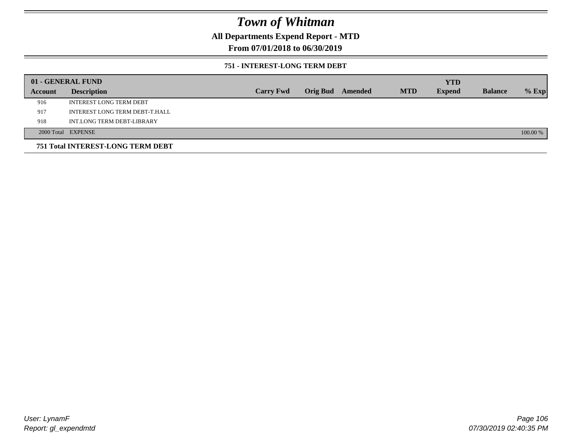**All Departments Expend Report - MTD**

### **From 07/01/2018 to 06/30/2019**

### **751 - INTEREST-LONG TERM DEBT**

|         | 01 - GENERAL FUND                 |                  |  |                  |            | <b>YTD</b>    |                |          |
|---------|-----------------------------------|------------------|--|------------------|------------|---------------|----------------|----------|
| Account | <b>Description</b>                | <b>Carry Fwd</b> |  | Orig Bud Amended | <b>MTD</b> | <b>Expend</b> | <b>Balance</b> | $%$ Exp  |
| 916     | <b>INTEREST LONG TERM DEBT</b>    |                  |  |                  |            |               |                |          |
| 917     | INTEREST LONG TERM DEBT-T.HALL    |                  |  |                  |            |               |                |          |
| 918     | INT.LONG TERM DEBT-LIBRARY        |                  |  |                  |            |               |                |          |
|         | 2000 Total EXPENSE                |                  |  |                  |            |               |                | 100.00 % |
|         | 751 Total INTEREST-LONG TERM DEBT |                  |  |                  |            |               |                |          |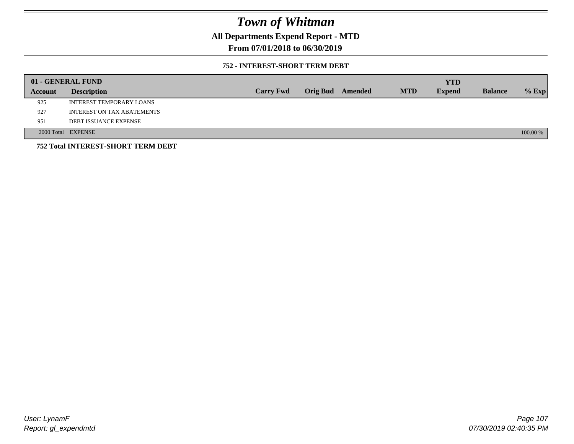**All Departments Expend Report - MTD**

**From 07/01/2018 to 06/30/2019**

### **752 - INTEREST-SHORT TERM DEBT**

|         | 01 - GENERAL FUND                         |                  |                 |         |            | <b>YTD</b>    |                |          |
|---------|-------------------------------------------|------------------|-----------------|---------|------------|---------------|----------------|----------|
| Account | <b>Description</b>                        | <b>Carry Fwd</b> | <b>Orig Bud</b> | Amended | <b>MTD</b> | <b>Expend</b> | <b>Balance</b> | $%$ Exp  |
| 925     | INTEREST TEMPORARY LOANS                  |                  |                 |         |            |               |                |          |
| 927     | INTEREST ON TAX ABATEMENTS                |                  |                 |         |            |               |                |          |
| 951     | <b>DEBT ISSUANCE EXPENSE</b>              |                  |                 |         |            |               |                |          |
|         | 2000 Total EXPENSE                        |                  |                 |         |            |               |                | 100.00 % |
|         | <b>752 Total INTEREST-SHORT TERM DEBT</b> |                  |                 |         |            |               |                |          |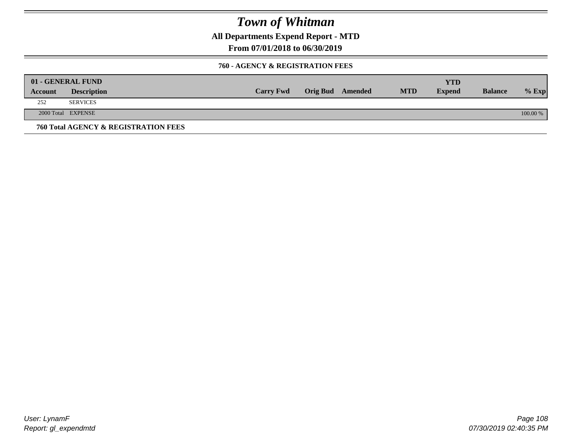**All Departments Expend Report - MTD**

**From 07/01/2018 to 06/30/2019**

### **760 - AGENCY & REGISTRATION FEES**

|         | 01 - GENERAL FUND                    |                  |                         |            | YTD           |                |          |
|---------|--------------------------------------|------------------|-------------------------|------------|---------------|----------------|----------|
| Account | <b>Description</b>                   | <b>Carry Fwd</b> | <b>Orig Bud</b> Amended | <b>MTD</b> | <b>Expend</b> | <b>Balance</b> | $%$ Exp  |
| 252     | <b>SERVICES</b>                      |                  |                         |            |               |                |          |
|         | 2000 Total EXPENSE                   |                  |                         |            |               |                | 100.00 % |
|         | 760 Total AGENCY & REGISTRATION FEES |                  |                         |            |               |                |          |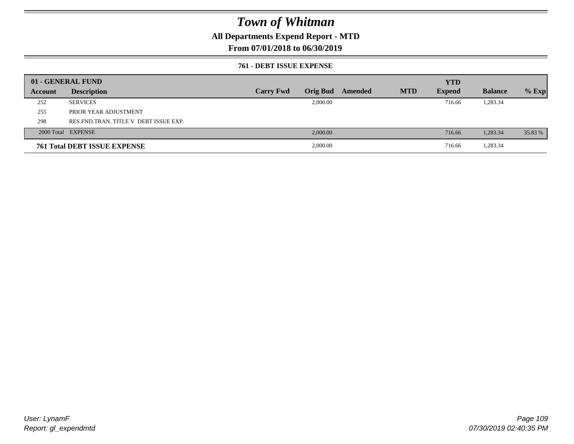### **All Departments Expend Report - MTD**

### **From 07/01/2018 to 06/30/2019**

#### **761 - DEBT ISSUE EXPENSE**

|         | 01 - GENERAL FUND                       |                  |                 |         |            | <b>YTD</b>    |                |         |
|---------|-----------------------------------------|------------------|-----------------|---------|------------|---------------|----------------|---------|
| Account | <b>Description</b>                      | <b>Carry Fwd</b> | <b>Orig Bud</b> | Amended | <b>MTD</b> | <b>Expend</b> | <b>Balance</b> | $%$ Exp |
| 252     | <b>SERVICES</b>                         |                  | 2,000.00        |         |            | 716.66        | 1,283.34       |         |
| 255     | PRIOR YEAR ADJUSTMENT                   |                  |                 |         |            |               |                |         |
| 298     | RES. FND. TRAN. TITLE V DEBT ISSUE EXP. |                  |                 |         |            |               |                |         |
|         | 2000 Total EXPENSE                      |                  | 2,000.00        |         |            | 716.66        | 1,283.34       | 35.83 % |
|         | <b>761 Total DEBT ISSUE EXPENSE</b>     |                  | 2,000.00        |         |            | 716.66        | 1,283.34       |         |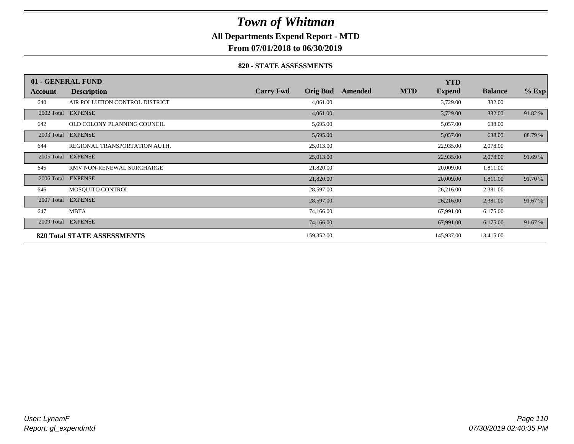### **All Departments Expend Report - MTD**

**From 07/01/2018 to 06/30/2019**

#### **820 - STATE ASSESSMENTS**

|            | 01 - GENERAL FUND                  |                                     |         |            | <b>YTD</b>    |                |         |
|------------|------------------------------------|-------------------------------------|---------|------------|---------------|----------------|---------|
| Account    | <b>Description</b>                 | <b>Orig Bud</b><br><b>Carry Fwd</b> | Amended | <b>MTD</b> | <b>Expend</b> | <b>Balance</b> | $%$ Exp |
| 640        | AIR POLLUTION CONTROL DISTRICT     | 4,061.00                            |         |            | 3,729.00      | 332.00         |         |
| 2002 Total | <b>EXPENSE</b>                     | 4,061.00                            |         |            | 3,729.00      | 332.00         | 91.82%  |
| 642        | OLD COLONY PLANNING COUNCIL        | 5,695.00                            |         |            | 5,057.00      | 638.00         |         |
| 2003 Total | <b>EXPENSE</b>                     | 5,695.00                            |         |            | 5,057.00      | 638.00         | 88.79 % |
| 644        | REGIONAL TRANSPORTATION AUTH.      | 25,013.00                           |         |            | 22,935.00     | 2,078.00       |         |
| 2005 Total | <b>EXPENSE</b>                     | 25,013.00                           |         |            | 22,935.00     | 2,078.00       | 91.69%  |
| 645        | RMV NON-RENEWAL SURCHARGE          | 21,820.00                           |         |            | 20,009.00     | 1,811.00       |         |
| 2006 Total | <b>EXPENSE</b>                     | 21,820.00                           |         |            | 20,009.00     | 1,811.00       | 91.70 % |
| 646        | MOSOUITO CONTROL                   | 28,597.00                           |         |            | 26,216.00     | 2,381.00       |         |
| 2007 Total | <b>EXPENSE</b>                     | 28,597.00                           |         |            | 26,216.00     | 2,381.00       | 91.67%  |
| 647        | <b>MBTA</b>                        | 74,166.00                           |         |            | 67,991.00     | 6,175.00       |         |
| 2009 Total | <b>EXPENSE</b>                     | 74,166.00                           |         |            | 67,991.00     | 6,175.00       | 91.67 % |
|            | <b>820 Total STATE ASSESSMENTS</b> | 159,352.00                          |         |            | 145,937.00    | 13,415.00      |         |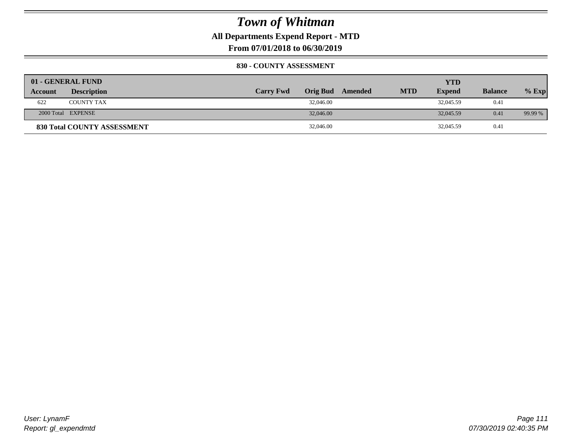**All Departments Expend Report - MTD**

**From 07/01/2018 to 06/30/2019**

#### **830 - COUNTY ASSESSMENT**

|                | 01 - GENERAL FUND                  |                  |                  |            | YTD           |                |         |
|----------------|------------------------------------|------------------|------------------|------------|---------------|----------------|---------|
| <b>Account</b> | <b>Description</b>                 | <b>Carry Fwd</b> | Orig Bud Amended | <b>MTD</b> | <b>Expend</b> | <b>Balance</b> | $%$ Exp |
| 622            | <b>COUNTY TAX</b>                  | 32,046.00        |                  |            | 32,045.59     | 0.41           |         |
|                | 2000 Total EXPENSE                 | 32,046.00        |                  |            | 32,045.59     | 0.41           | 99.99 % |
|                | <b>830 Total COUNTY ASSESSMENT</b> | 32,046.00        |                  |            | 32,045.59     | 0.41           |         |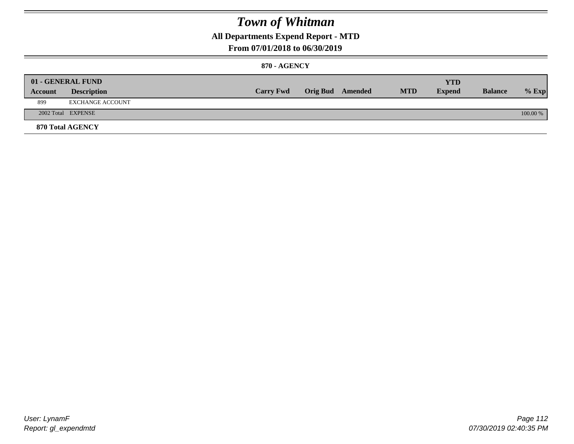### **All Departments Expend Report - MTD**

### **From 07/01/2018 to 06/30/2019**

#### **870 - AGENCY**

| Account | 01 - GENERAL FUND<br><b>Description</b> | <b>Carry Fwd</b> | <b>Orig Bud</b> Amended | <b>MTD</b> | <b>YTD</b><br><b>Expend</b> | <b>Balance</b> | $%$ Exp  |
|---------|-----------------------------------------|------------------|-------------------------|------------|-----------------------------|----------------|----------|
| 899     | EXCHANGE ACCOUNT                        |                  |                         |            |                             |                |          |
|         | 2002 Total EXPENSE                      |                  |                         |            |                             |                | 100.00 % |
|         | <b>870 Total AGENCY</b>                 |                  |                         |            |                             |                |          |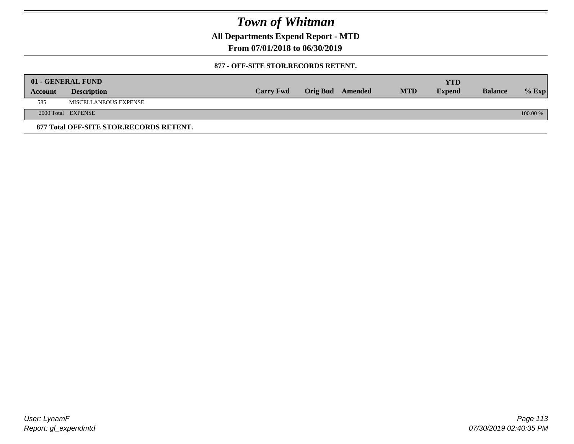**All Departments Expend Report - MTD**

**From 07/01/2018 to 06/30/2019**

#### **877 - OFF-SITE STOR.RECORDS RETENT.**

|         | 01 - GENERAL FUND                       |                  |                         |            | <b>YTD</b>    |                |            |
|---------|-----------------------------------------|------------------|-------------------------|------------|---------------|----------------|------------|
| Account | <b>Description</b>                      | <b>Carry Fwd</b> | <b>Orig Bud</b> Amended | <b>MTD</b> | <b>Expend</b> | <b>Balance</b> | $%$ Exp    |
| 585     | MISCELLANEOUS EXPENSE                   |                  |                         |            |               |                |            |
|         | 2000 Total EXPENSE                      |                  |                         |            |               |                | $100.00\%$ |
|         | 877 Total OFF-SITE STOR.RECORDS RETENT. |                  |                         |            |               |                |            |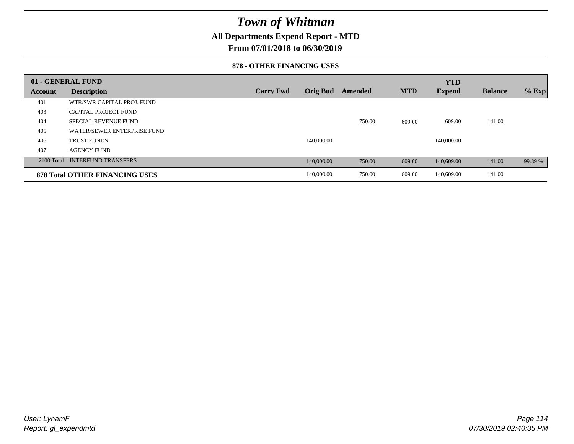### **All Departments Expend Report - MTD**

**From 07/01/2018 to 06/30/2019**

#### **878 - OTHER FINANCING USES**

|              | 01 - GENERAL FUND                     |                  |                 |         |            | <b>YTD</b>    |                |         |
|--------------|---------------------------------------|------------------|-----------------|---------|------------|---------------|----------------|---------|
| Account      | <b>Description</b>                    | <b>Carry Fwd</b> | <b>Orig Bud</b> | Amended | <b>MTD</b> | <b>Expend</b> | <b>Balance</b> | $%$ Exp |
| 401          | WTR/SWR CAPITAL PROJ. FUND            |                  |                 |         |            |               |                |         |
| 403          | <b>CAPITAL PROJECT FUND</b>           |                  |                 |         |            |               |                |         |
| 404          | <b>SPECIAL REVENUE FUND</b>           |                  |                 | 750.00  | 609.00     | 609.00        | 141.00         |         |
| 405          | WATER/SEWER ENTERPRISE FUND           |                  |                 |         |            |               |                |         |
| 406          | <b>TRUST FUNDS</b>                    |                  | 140,000.00      |         |            | 140,000.00    |                |         |
| 407          | <b>AGENCY FUND</b>                    |                  |                 |         |            |               |                |         |
| $2100$ Total | <b>INTERFUND TRANSFERS</b>            |                  | 140,000.00      | 750.00  | 609.00     | 140,609.00    | 141.00         | 99.89 % |
|              | <b>878 Total OTHER FINANCING USES</b> |                  | 140,000.00      | 750.00  | 609.00     | 140,609.00    | 141.00         |         |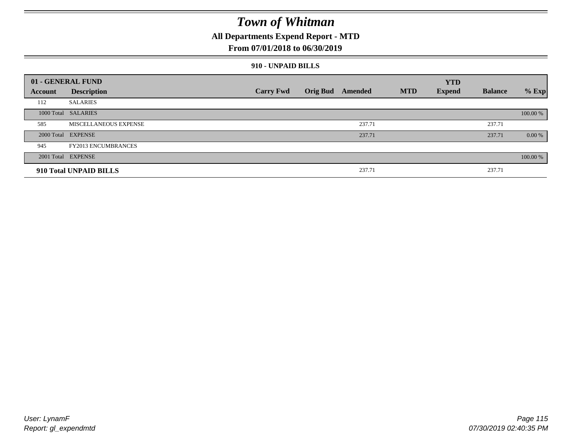### **All Departments Expend Report - MTD**

### **From 07/01/2018 to 06/30/2019**

#### **910 - UNPAID BILLS**

|         | 01 - GENERAL FUND            |                  |                  |            | <b>YTD</b>    |                |          |
|---------|------------------------------|------------------|------------------|------------|---------------|----------------|----------|
| Account | <b>Description</b>           | <b>Carry Fwd</b> | Orig Bud Amended | <b>MTD</b> | <b>Expend</b> | <b>Balance</b> | $%$ Exp  |
| 112     | <b>SALARIES</b>              |                  |                  |            |               |                |          |
|         | 1000 Total SALARIES          |                  |                  |            |               |                | 100.00 % |
| 585     | <b>MISCELLANEOUS EXPENSE</b> |                  | 237.71           |            |               | 237.71         |          |
|         | 2000 Total EXPENSE           |                  | 237.71           |            |               | 237.71         | 0.00 %   |
| 945     | <b>FY2013 ENCUMBRANCES</b>   |                  |                  |            |               |                |          |
|         | 2001 Total EXPENSE           |                  |                  |            |               |                | 100.00 % |
|         | 910 Total UNPAID BILLS       |                  | 237.71           |            |               | 237.71         |          |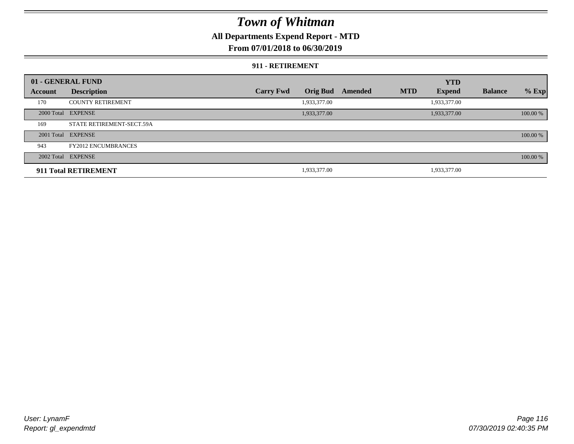### **All Departments Expend Report - MTD**

### **From 07/01/2018 to 06/30/2019**

#### **911 - RETIREMENT**

|         | 01 - GENERAL FUND          |                  |                 |         |            | <b>YTD</b>    |                |          |
|---------|----------------------------|------------------|-----------------|---------|------------|---------------|----------------|----------|
| Account | <b>Description</b>         | <b>Carry Fwd</b> | <b>Orig Bud</b> | Amended | <b>MTD</b> | <b>Expend</b> | <b>Balance</b> | $%$ Exp  |
| 170     | <b>COUNTY RETIREMENT</b>   |                  | 1,933,377.00    |         |            | 1,933,377.00  |                |          |
|         | 2000 Total EXPENSE         |                  | 1,933,377.00    |         |            | 1,933,377.00  |                | 100.00 % |
| 169     | STATE RETIREMENT-SECT.59A  |                  |                 |         |            |               |                |          |
|         | 2001 Total EXPENSE         |                  |                 |         |            |               |                | 100.00 % |
| 943     | <b>FY2012 ENCUMBRANCES</b> |                  |                 |         |            |               |                |          |
|         | 2002 Total EXPENSE         |                  |                 |         |            |               |                | 100.00 % |
|         | 911 Total RETIREMENT       |                  | 1,933,377.00    |         |            | 1,933,377.00  |                |          |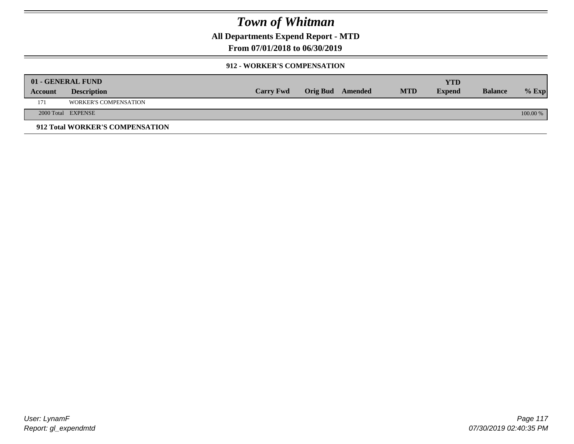**All Departments Expend Report - MTD**

**From 07/01/2018 to 06/30/2019**

#### **912 - WORKER'S COMPENSATION**

|         | 01 - GENERAL FUND               |                  |                  |            | <b>YTD</b>    |                |          |
|---------|---------------------------------|------------------|------------------|------------|---------------|----------------|----------|
| Account | <b>Description</b>              | <b>Carry Fwd</b> | Orig Bud Amended | <b>MTD</b> | <b>Expend</b> | <b>Balance</b> | $%$ Exp  |
| 171     | <b>WORKER'S COMPENSATION</b>    |                  |                  |            |               |                |          |
|         | 2000 Total EXPENSE              |                  |                  |            |               |                | 100.00 % |
|         | 912 Total WORKER'S COMPENSATION |                  |                  |            |               |                |          |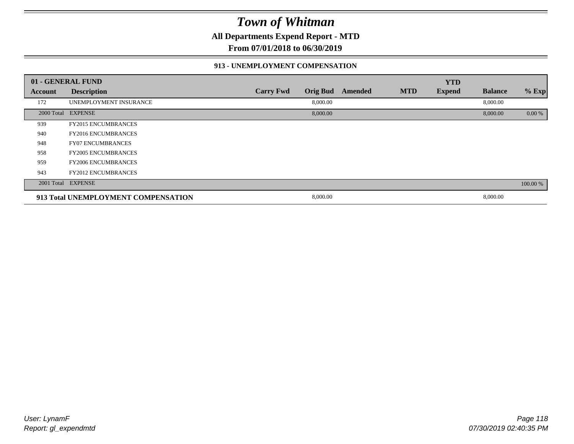**All Departments Expend Report - MTD**

**From 07/01/2018 to 06/30/2019**

#### **913 - UNEMPLOYMENT COMPENSATION**

|         | 01 - GENERAL FUND                   |                  |                 |         |            | <b>YTD</b>    |                |          |
|---------|-------------------------------------|------------------|-----------------|---------|------------|---------------|----------------|----------|
| Account | <b>Description</b>                  | <b>Carry Fwd</b> | <b>Orig Bud</b> | Amended | <b>MTD</b> | <b>Expend</b> | <b>Balance</b> | % Exp    |
| 172     | UNEMPLOYMENT INSURANCE              |                  | 8,000.00        |         |            |               | 8,000.00       |          |
|         | 2000 Total EXPENSE                  |                  | 8,000.00        |         |            |               | 8,000.00       | 0.00 %   |
| 939     | <b>FY2015 ENCUMBRANCES</b>          |                  |                 |         |            |               |                |          |
| 940     | <b>FY2016 ENCUMBRANCES</b>          |                  |                 |         |            |               |                |          |
| 948     | <b>FY07 ENCUMBRANCES</b>            |                  |                 |         |            |               |                |          |
| 958     | <b>FY2005 ENCUMBRANCES</b>          |                  |                 |         |            |               |                |          |
| 959     | <b>FY2006 ENCUMBRANCES</b>          |                  |                 |         |            |               |                |          |
| 943     | <b>FY2012 ENCUMBRANCES</b>          |                  |                 |         |            |               |                |          |
|         | 2001 Total EXPENSE                  |                  |                 |         |            |               |                | 100.00 % |
|         | 913 Total UNEMPLOYMENT COMPENSATION |                  | 8,000.00        |         |            |               | 8,000.00       |          |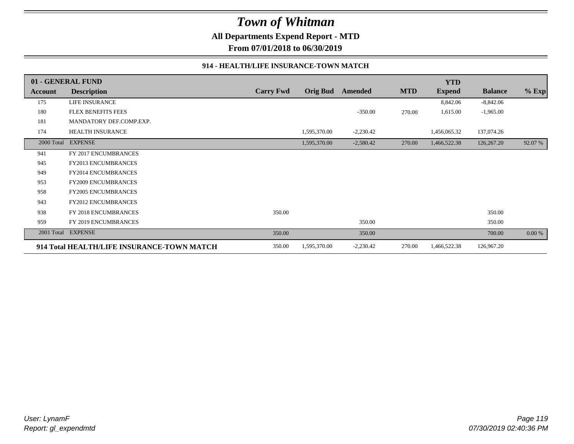**All Departments Expend Report - MTD**

**From 07/01/2018 to 06/30/2019**

#### **914 - HEALTH/LIFE INSURANCE-TOWN MATCH**

|            | 01 - GENERAL FUND                          |                  |                 |             |            | <b>YTD</b>    |                |         |
|------------|--------------------------------------------|------------------|-----------------|-------------|------------|---------------|----------------|---------|
| Account    | <b>Description</b>                         | <b>Carry Fwd</b> | <b>Orig Bud</b> | Amended     | <b>MTD</b> | <b>Expend</b> | <b>Balance</b> | $%$ Exp |
| 175        | LIFE INSURANCE                             |                  |                 |             |            | 8,842.06      | $-8,842.06$    |         |
| 180        | <b>FLEX BENEFITS FEES</b>                  |                  |                 | $-350.00$   | 270.00     | 1,615.00      | $-1,965.00$    |         |
| 181        | MANDATORY DEF.COMP.EXP.                    |                  |                 |             |            |               |                |         |
| 174        | <b>HEALTH INSURANCE</b>                    |                  | 1,595,370.00    | $-2,230.42$ |            | 1,456,065.32  | 137,074.26     |         |
| 2000 Total | <b>EXPENSE</b>                             |                  | 1,595,370.00    | $-2,580.42$ | 270.00     | 1,466,522.38  | 126,267.20     | 92.07 % |
| 941        | FY 2017 ENCUMBRANCES                       |                  |                 |             |            |               |                |         |
| 945        | <b>FY2013 ENCUMBRANCES</b>                 |                  |                 |             |            |               |                |         |
| 949        | <b>FY2014 ENCUMBRANCES</b>                 |                  |                 |             |            |               |                |         |
| 953        | <b>FY2009 ENCUMBRANCES</b>                 |                  |                 |             |            |               |                |         |
| 958        | <b>FY2005 ENCUMBRANCES</b>                 |                  |                 |             |            |               |                |         |
| 943        | <b>FY2012 ENCUMBRANCES</b>                 |                  |                 |             |            |               |                |         |
| 938        | FY 2018 ENCUMBRANCES                       | 350.00           |                 |             |            |               | 350.00         |         |
| 959        | FY 2019 ENCUMBRANCES                       |                  |                 | 350.00      |            |               | 350.00         |         |
|            | 2001 Total EXPENSE                         | 350.00           |                 | 350.00      |            |               | 700.00         | 0.00 %  |
|            | 914 Total HEALTH/LIFE INSURANCE-TOWN MATCH | 350.00           | 1,595,370.00    | $-2,230.42$ | 270.00     | 1,466,522.38  | 126,967.20     |         |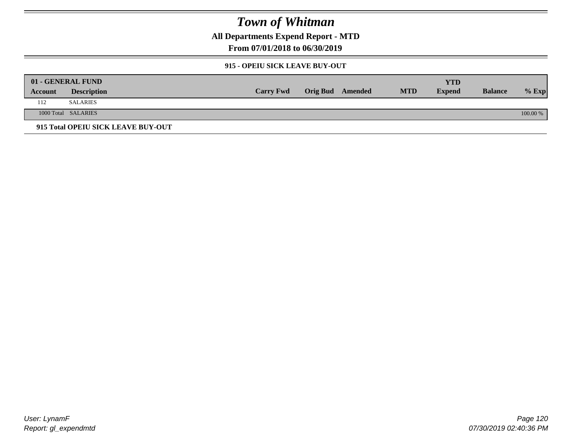**All Departments Expend Report - MTD**

**From 07/01/2018 to 06/30/2019**

### **915 - OPEIU SICK LEAVE BUY-OUT**

| 01 - GENERAL FUND |                                    |                  |                         |            | <b>YTD</b>    |                |            |
|-------------------|------------------------------------|------------------|-------------------------|------------|---------------|----------------|------------|
| Account           | <b>Description</b>                 | <b>Carry Fwd</b> | <b>Orig Bud</b> Amended | <b>MTD</b> | <b>Expend</b> | <b>Balance</b> | $%$ Exp    |
| 112               | <b>SALARIES</b>                    |                  |                         |            |               |                |            |
|                   | 1000 Total SALARIES                |                  |                         |            |               |                | $100.00\%$ |
|                   | 915 Total OPEIU SICK LEAVE BUY-OUT |                  |                         |            |               |                |            |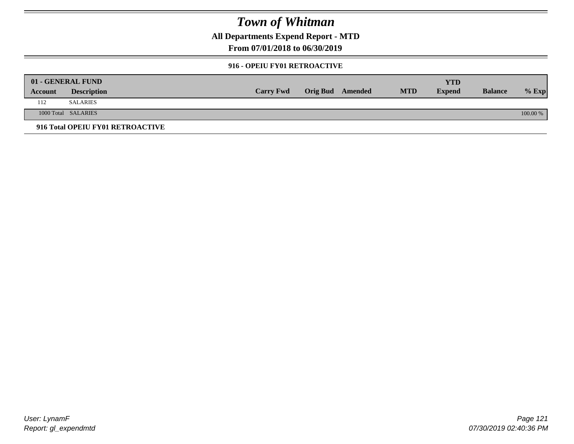**All Departments Expend Report - MTD**

**From 07/01/2018 to 06/30/2019**

#### **916 - OPEIU FY01 RETROACTIVE**

| 01 - GENERAL FUND |                                  |                  |                         |            | YTD           |                |          |
|-------------------|----------------------------------|------------------|-------------------------|------------|---------------|----------------|----------|
| Account           | <b>Description</b>               | <b>Carry Fwd</b> | <b>Orig Bud</b> Amended | <b>MTD</b> | <b>Expend</b> | <b>Balance</b> | $%$ Exp  |
| 112               | <b>SALARIES</b>                  |                  |                         |            |               |                |          |
|                   | 1000 Total SALARIES              |                  |                         |            |               |                | 100.00 % |
|                   | 916 Total OPEIU FY01 RETROACTIVE |                  |                         |            |               |                |          |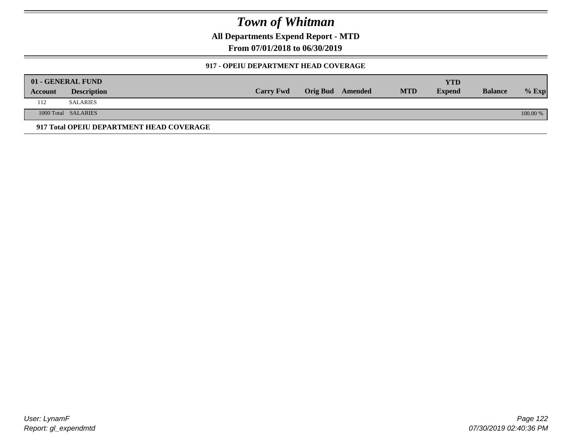**All Departments Expend Report - MTD**

**From 07/01/2018 to 06/30/2019**

### **917 - OPEIU DEPARTMENT HEAD COVERAGE**

|         | 01 - GENERAL FUND                        |                  |                  |            | <b>YTD</b>    |                |          |
|---------|------------------------------------------|------------------|------------------|------------|---------------|----------------|----------|
| Account | <b>Description</b>                       | <b>Carry Fwd</b> | Orig Bud Amended | <b>MTD</b> | <b>Expend</b> | <b>Balance</b> | $%$ Exp  |
| 112     | SALARIES                                 |                  |                  |            |               |                |          |
|         | 1000 Total SALARIES                      |                  |                  |            |               |                | 100.00 % |
|         | 917 Total OPEIU DEPARTMENT HEAD COVERAGE |                  |                  |            |               |                |          |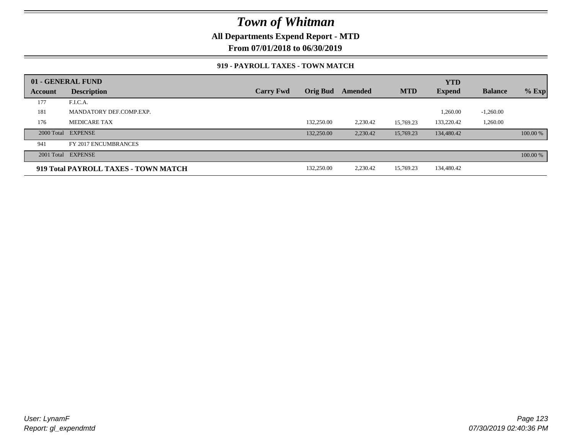### **All Departments Expend Report - MTD**

**From 07/01/2018 to 06/30/2019**

#### **919 - PAYROLL TAXES - TOWN MATCH**

|         | 01 - GENERAL FUND                    |                  |                 |          |            | <b>YTD</b>    |                |          |
|---------|--------------------------------------|------------------|-----------------|----------|------------|---------------|----------------|----------|
| Account | <b>Description</b>                   | <b>Carry Fwd</b> | <b>Orig Bud</b> | Amended  | <b>MTD</b> | <b>Expend</b> | <b>Balance</b> | $%$ Exp  |
| 177     | F.I.C.A.                             |                  |                 |          |            |               |                |          |
| 181     | MANDATORY DEF.COMP.EXP.              |                  |                 |          |            | 1,260.00      | $-1,260.00$    |          |
| 176     | MEDICARE TAX                         |                  | 132,250.00      | 2,230.42 | 15.769.23  | 133,220.42    | 1,260.00       |          |
|         | 2000 Total EXPENSE                   |                  | 132,250.00      | 2,230.42 | 15,769.23  | 134,480.42    |                | 100.00 % |
| 941     | FY 2017 ENCUMBRANCES                 |                  |                 |          |            |               |                |          |
|         | 2001 Total EXPENSE                   |                  |                 |          |            |               |                | 100.00 % |
|         | 919 Total PAYROLL TAXES - TOWN MATCH |                  | 132,250.00      | 2,230.42 | 15,769.23  | 134,480.42    |                |          |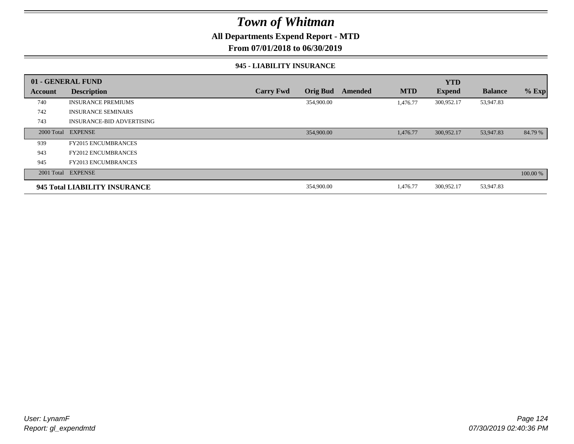### **All Departments Expend Report - MTD**

**From 07/01/2018 to 06/30/2019**

#### **945 - LIABILITY INSURANCE**

|         | 01 - GENERAL FUND                |                  |                 |         |            | <b>YTD</b>    |                |          |
|---------|----------------------------------|------------------|-----------------|---------|------------|---------------|----------------|----------|
| Account | <b>Description</b>               | <b>Carry Fwd</b> | <b>Orig Bud</b> | Amended | <b>MTD</b> | <b>Expend</b> | <b>Balance</b> | $%$ Exp  |
| 740     | <b>INSURANCE PREMIUMS</b>        |                  | 354,900.00      |         | 1.476.77   | 300,952.17    | 53,947.83      |          |
| 742     | <b>INSURANCE SEMINARS</b>        |                  |                 |         |            |               |                |          |
| 743     | <b>INSURANCE-BID ADVERTISING</b> |                  |                 |         |            |               |                |          |
|         | 2000 Total EXPENSE               |                  | 354,900.00      |         | 1,476.77   | 300,952.17    | 53,947.83      | 84.79 %  |
| 939     | <b>FY2015 ENCUMBRANCES</b>       |                  |                 |         |            |               |                |          |
| 943     | <b>FY2012 ENCUMBRANCES</b>       |                  |                 |         |            |               |                |          |
| 945     | <b>FY2013 ENCUMBRANCES</b>       |                  |                 |         |            |               |                |          |
|         | 2001 Total EXPENSE               |                  |                 |         |            |               |                | 100.00 % |
|         | 945 Total LIABILITY INSURANCE    |                  | 354,900.00      |         | 1,476.77   | 300,952.17    | 53,947.83      |          |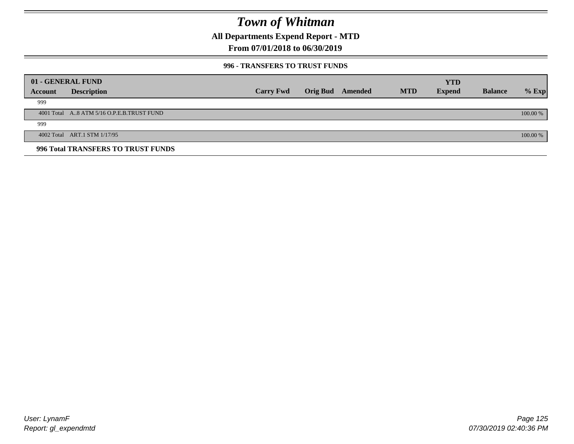**All Departments Expend Report - MTD**

**From 07/01/2018 to 06/30/2019**

#### **996 - TRANSFERS TO TRUST FUNDS**

|         | 01 - GENERAL FUND                         |                  |                 |         |            | <b>YTD</b>    |                |            |
|---------|-------------------------------------------|------------------|-----------------|---------|------------|---------------|----------------|------------|
| Account | <b>Description</b>                        | <b>Carry Fwd</b> | <b>Orig Bud</b> | Amended | <b>MTD</b> | <b>Expend</b> | <b>Balance</b> | $%$ Exp    |
| 999     |                                           |                  |                 |         |            |               |                |            |
|         | 4001 Total A8 ATM 5/16 O.P.E.B.TRUST FUND |                  |                 |         |            |               |                | $100.00\%$ |
| 999     |                                           |                  |                 |         |            |               |                |            |
|         | 4002 Total ART.1 STM 1/17/95              |                  |                 |         |            |               |                | 100.00 %   |
|         | 996 Total TRANSFERS TO TRUST FUNDS        |                  |                 |         |            |               |                |            |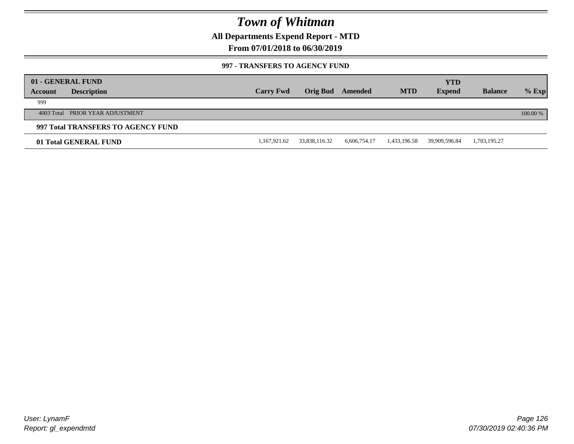**All Departments Expend Report - MTD**

**From 07/01/2018 to 06/30/2019**

#### **997 - TRANSFERS TO AGENCY FUND**

|         | 01 - GENERAL FUND                  |                  |               |              |              | YTD           |                |          |
|---------|------------------------------------|------------------|---------------|--------------|--------------|---------------|----------------|----------|
| Account | <b>Description</b>                 | <b>Carry Fwd</b> | Orig Bud      | Amended      | <b>MTD</b>   | <b>Expend</b> | <b>Balance</b> | $%$ Exp  |
| 999     |                                    |                  |               |              |              |               |                |          |
|         | 4003 Total PRIOR YEAR ADJUSTMENT   |                  |               |              |              |               |                | 100.00 % |
|         | 997 Total TRANSFERS TO AGENCY FUND |                  |               |              |              |               |                |          |
|         | 01 Total GENERAL FUND              | 1,167,921.62     | 33,838,116.32 | 6,606,754.17 | 1,433,196.58 | 39,909,596.84 | 1,703,195.27   |          |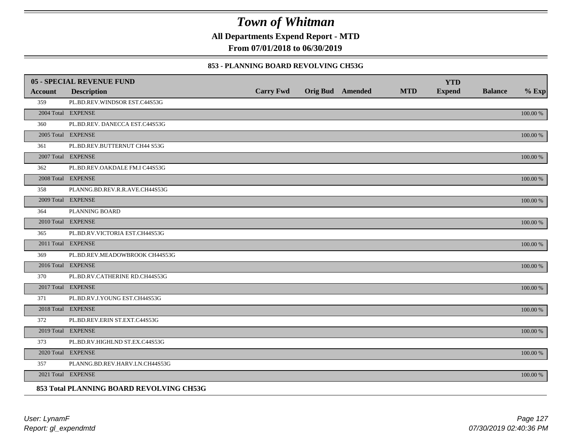**All Departments Expend Report - MTD**

**From 07/01/2018 to 06/30/2019**

#### **853 - PLANNING BOARD REVOLVING CH53G**

|         | <b>05 - SPECIAL REVENUE FUND</b>         |                  |                  |            | <b>YTD</b>    |                |             |
|---------|------------------------------------------|------------------|------------------|------------|---------------|----------------|-------------|
| Account | <b>Description</b>                       | <b>Carry Fwd</b> | Orig Bud Amended | <b>MTD</b> | <b>Expend</b> | <b>Balance</b> | $%$ Exp     |
| 359     | PL.BD.REV.WINDSOR EST.C44S53G            |                  |                  |            |               |                |             |
|         | 2004 Total EXPENSE                       |                  |                  |            |               |                | 100.00 %    |
| 360     | PL.BD.REV. DANECCA EST.C44S53G           |                  |                  |            |               |                |             |
|         | 2005 Total EXPENSE                       |                  |                  |            |               |                | 100.00 %    |
| 361     | PL.BD.REV.BUTTERNUT CH44 S53G            |                  |                  |            |               |                |             |
|         | 2007 Total EXPENSE                       |                  |                  |            |               |                | 100.00 %    |
| 362     | PL.BD.REV.OAKDALE FM.I C44S53G           |                  |                  |            |               |                |             |
|         | 2008 Total EXPENSE                       |                  |                  |            |               |                | $100.00~\%$ |
| 358     | PLANNG.BD.REV.R.R.AVE.CH44S53G           |                  |                  |            |               |                |             |
|         | 2009 Total EXPENSE                       |                  |                  |            |               |                | 100.00 %    |
| 364     | PLANNING BOARD                           |                  |                  |            |               |                |             |
|         | 2010 Total EXPENSE                       |                  |                  |            |               |                | $100.00~\%$ |
| 365     | PL.BD.RV.VICTORIA EST.CH44S53G           |                  |                  |            |               |                |             |
|         | 2011 Total EXPENSE                       |                  |                  |            |               |                | 100.00 %    |
| 369     | PL.BD.REV.MEADOWBROOK CH44S53G           |                  |                  |            |               |                |             |
|         | 2016 Total EXPENSE                       |                  |                  |            |               |                | 100.00 %    |
| 370     | PL.BD.RV.CATHERINE RD.CH44S53G           |                  |                  |            |               |                |             |
|         | 2017 Total EXPENSE                       |                  |                  |            |               |                | 100.00 %    |
| 371     | PL.BD.RV.J.YOUNG EST.CH44S53G            |                  |                  |            |               |                |             |
|         | 2018 Total EXPENSE                       |                  |                  |            |               |                | $100.00~\%$ |
| 372     | PL.BD.REV.ERIN ST.EXT.C44S53G            |                  |                  |            |               |                |             |
|         | 2019 Total EXPENSE                       |                  |                  |            |               |                | 100.00 %    |
| 373     | PL.BD.RV.HIGHLND ST.EX.C44S53G           |                  |                  |            |               |                |             |
|         | 2020 Total EXPENSE                       |                  |                  |            |               |                | 100.00 %    |
| 357     | PLANNG.BD.REV.HARV.LN.CH44S53G           |                  |                  |            |               |                |             |
|         | 2021 Total EXPENSE                       |                  |                  |            |               |                | 100.00 %    |
|         | 853 Total PLANNING BOARD REVOLVING CH53G |                  |                  |            |               |                |             |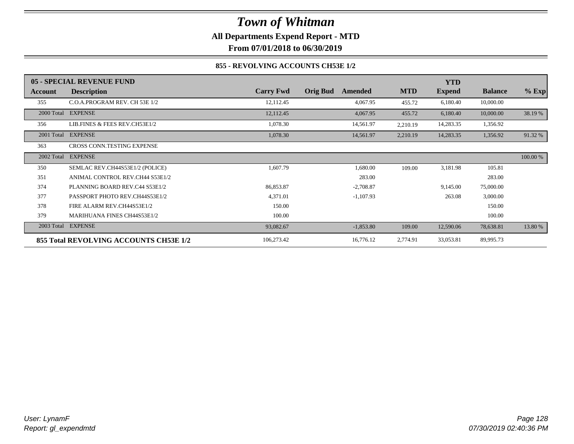**All Departments Expend Report - MTD**

**From 07/01/2018 to 06/30/2019**

### **855 - REVOLVING ACCOUNTS CH53E 1/2**

|            | 05 - SPECIAL REVENUE FUND              |                  |                            |            | <b>YTD</b>    |                |          |
|------------|----------------------------------------|------------------|----------------------------|------------|---------------|----------------|----------|
| Account    | <b>Description</b>                     | <b>Carry Fwd</b> | <b>Orig Bud</b><br>Amended | <b>MTD</b> | <b>Expend</b> | <b>Balance</b> | $%$ Exp  |
| 355        | C.O.A.PROGRAM REV. CH 53E 1/2          | 12,112.45        | 4,067.95                   | 455.72     | 6,180.40      | 10,000.00      |          |
|            | 2000 Total EXPENSE                     | 12,112.45        | 4,067.95                   | 455.72     | 6,180.40      | 10,000.00      | 38.19 %  |
| 356        | LIB.FINES & FEES REV.CH53E1/2          | 1,078.30         | 14,561.97                  | 2,210.19   | 14,283.35     | 1,356.92       |          |
| 2001 Total | <b>EXPENSE</b>                         | 1,078.30         | 14,561.97                  | 2,210.19   | 14,283.35     | 1,356.92       | 91.32 %  |
| 363        | CROSS CONN.TESTING EXPENSE             |                  |                            |            |               |                |          |
| 2002 Total | <b>EXPENSE</b>                         |                  |                            |            |               |                | 100.00 % |
| 350        | SEMLAC REV.CH44S53E1/2 (POLICE)        | 1,607.79         | 1,680.00                   | 109.00     | 3,181.98      | 105.81         |          |
| 351        | ANIMAL CONTROL REV.CH44 S53E1/2        |                  | 283.00                     |            |               | 283.00         |          |
| 374        | PLANNING BOARD REV.C44 S53E1/2         | 86,853.87        | $-2,708.87$                |            | 9,145.00      | 75,000.00      |          |
| 377        | PASSPORT PHOTO REV.CH44S53E1/2         | 4,371.01         | $-1,107.93$                |            | 263.08        | 3,000.00       |          |
| 378        | FIRE ALARM REV.CH44S53E1/2             | 150.00           |                            |            |               | 150.00         |          |
| 379        | <b>MARIHUANA FINES CH44S53E1/2</b>     | 100.00           |                            |            |               | 100.00         |          |
| 2003 Total | <b>EXPENSE</b>                         | 93,082.67        | $-1,853.80$                | 109.00     | 12,590.06     | 78,638.81      | 13.80 %  |
|            | 855 Total REVOLVING ACCOUNTS CH53E 1/2 | 106,273.42       | 16,776.12                  | 2,774.91   | 33,053.81     | 89,995.73      |          |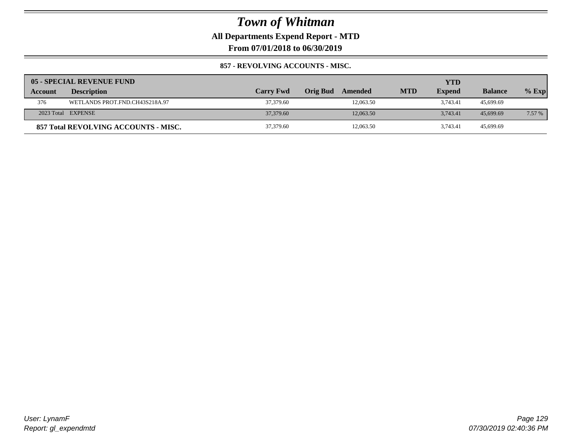**All Departments Expend Report - MTD**

**From 07/01/2018 to 06/30/2019**

### **857 - REVOLVING ACCOUNTS - MISC.**

|         | 05 - SPECIAL REVENUE FUND            |                  |                     |            | YTD           |                |         |
|---------|--------------------------------------|------------------|---------------------|------------|---------------|----------------|---------|
| Account | <b>Description</b>                   | <b>Carry Fwd</b> | Orig Bud<br>Amended | <b>MTD</b> | <b>Expend</b> | <b>Balance</b> | $%$ Exp |
| 376     | WETLANDS PROT.FND.CH43S218A.97       | 37,379.60        | 12,063.50           |            | 3.743.41      | 45,699.69      |         |
|         | 2023 Total EXPENSE                   | 37,379.60        | 12,063.50           |            | 3.743.41      | 45,699.69      | 7.57 %  |
|         | 857 Total REVOLVING ACCOUNTS - MISC. | 37,379.60        | 12,063.50           |            | 3.743.41      | 45.699.69      |         |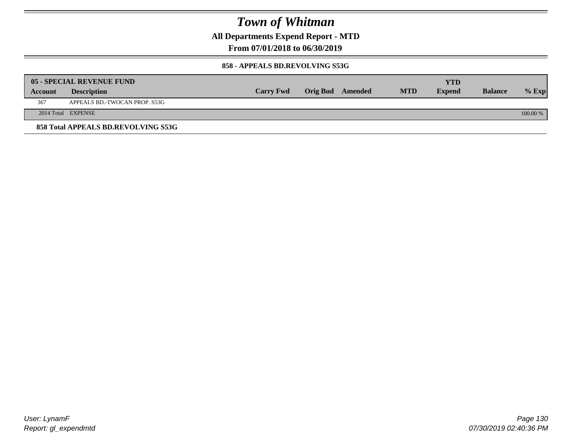**All Departments Expend Report - MTD**

**From 07/01/2018 to 06/30/2019**

#### **858 - APPEALS BD.REVOLVING S53G**

|         | 05 - SPECIAL REVENUE FUND           |                  |                  |            | YTD           |                |            |
|---------|-------------------------------------|------------------|------------------|------------|---------------|----------------|------------|
| Account | <b>Description</b>                  | <b>Carry Fwd</b> | Orig Bud Amended | <b>MTD</b> | <b>Expend</b> | <b>Balance</b> | $\%$ Exp   |
| 367     | APPEALS BD.-TWOCAN PROP. S53G       |                  |                  |            |               |                |            |
|         | 2014 Total EXPENSE                  |                  |                  |            |               |                | $100.00\%$ |
|         | 858 Total APPEALS BD.REVOLVING S53G |                  |                  |            |               |                |            |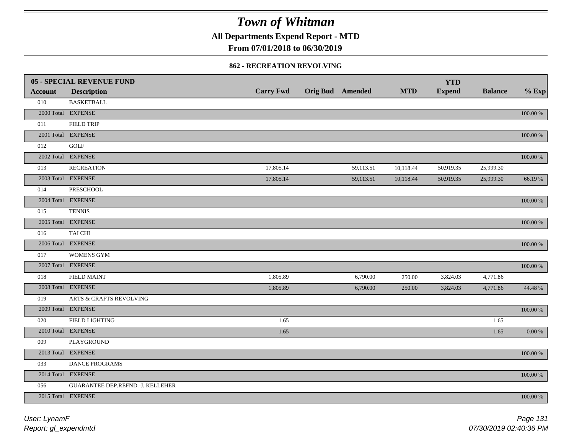**All Departments Expend Report - MTD**

**From 07/01/2018 to 06/30/2019**

#### **862 - RECREATION REVOLVING**

|                | <b>05 - SPECIAL REVENUE FUND</b> |                  |                         |            | <b>YTD</b>    |                |             |
|----------------|----------------------------------|------------------|-------------------------|------------|---------------|----------------|-------------|
| <b>Account</b> | <b>Description</b>               | <b>Carry Fwd</b> | <b>Orig Bud</b> Amended | <b>MTD</b> | <b>Expend</b> | <b>Balance</b> | $%$ Exp     |
| 010            | <b>BASKETBALL</b>                |                  |                         |            |               |                |             |
|                | 2000 Total EXPENSE               |                  |                         |            |               |                | 100.00 %    |
| 011            | <b>FIELD TRIP</b>                |                  |                         |            |               |                |             |
|                | 2001 Total EXPENSE               |                  |                         |            |               |                | 100.00 %    |
| 012            | GOLF                             |                  |                         |            |               |                |             |
|                | 2002 Total EXPENSE               |                  |                         |            |               |                | 100.00 %    |
| 013            | <b>RECREATION</b>                | 17,805.14        | 59,113.51               | 10,118.44  | 50,919.35     | 25,999.30      |             |
|                | 2003 Total EXPENSE               | 17,805.14        | 59,113.51               | 10,118.44  | 50,919.35     | 25,999.30      | 66.19%      |
| 014            | PRESCHOOL                        |                  |                         |            |               |                |             |
|                | 2004 Total EXPENSE               |                  |                         |            |               |                | 100.00 %    |
| 015            | <b>TENNIS</b>                    |                  |                         |            |               |                |             |
|                | 2005 Total EXPENSE               |                  |                         |            |               |                | 100.00 %    |
| 016            | TAI CHI                          |                  |                         |            |               |                |             |
|                | 2006 Total EXPENSE               |                  |                         |            |               |                | 100.00 %    |
| 017            | WOMENS GYM                       |                  |                         |            |               |                |             |
|                | 2007 Total EXPENSE               |                  |                         |            |               |                | $100.00~\%$ |
| 018            | <b>FIELD MAINT</b>               | 1,805.89         | 6,790.00                | 250.00     | 3,824.03      | 4,771.86       |             |
|                | 2008 Total EXPENSE               | 1,805.89         | 6,790.00                | 250.00     | 3,824.03      | 4,771.86       | 44.48 %     |
| 019            | ARTS & CRAFTS REVOLVING          |                  |                         |            |               |                |             |
|                | 2009 Total EXPENSE               |                  |                         |            |               |                | $100.00~\%$ |
| 020            | <b>FIELD LIGHTING</b>            | 1.65             |                         |            |               | 1.65           |             |
|                | 2010 Total EXPENSE               | 1.65             |                         |            |               | 1.65           | $0.00\,\%$  |
| 009            | PLAYGROUND                       |                  |                         |            |               |                |             |
|                | 2013 Total EXPENSE               |                  |                         |            |               |                | $100.00~\%$ |
| 033            | DANCE PROGRAMS                   |                  |                         |            |               |                |             |
|                | 2014 Total EXPENSE               |                  |                         |            |               |                | 100.00 %    |
| 056            | GUARANTEE DEP.REFND.-J. KELLEHER |                  |                         |            |               |                |             |
|                | 2015 Total EXPENSE               |                  |                         |            |               |                | 100.00 %    |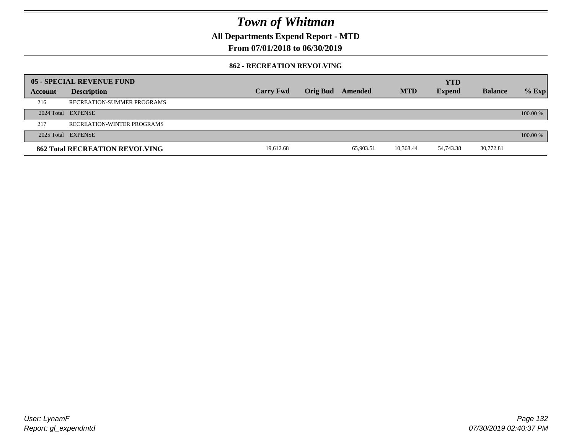**All Departments Expend Report - MTD**

**From 07/01/2018 to 06/30/2019**

#### **862 - RECREATION REVOLVING**

|         | 05 - SPECIAL REVENUE FUND             |                  |                  |           |            | <b>YTD</b>    |                |          |
|---------|---------------------------------------|------------------|------------------|-----------|------------|---------------|----------------|----------|
| Account | <b>Description</b>                    | <b>Carry Fwd</b> | Orig Bud Amended |           | <b>MTD</b> | <b>Expend</b> | <b>Balance</b> | $%$ Exp  |
| 216     | RECREATION-SUMMER PROGRAMS            |                  |                  |           |            |               |                |          |
|         | 2024 Total EXPENSE                    |                  |                  |           |            |               |                | 100.00 % |
| 217     | RECREATION-WINTER PROGRAMS            |                  |                  |           |            |               |                |          |
|         | 2025 Total EXPENSE                    |                  |                  |           |            |               |                | 100.00 % |
|         | <b>862 Total RECREATION REVOLVING</b> | 19.612.68        |                  | 65.903.51 | 10.368.44  | 54,743.38     | 30,772.81      |          |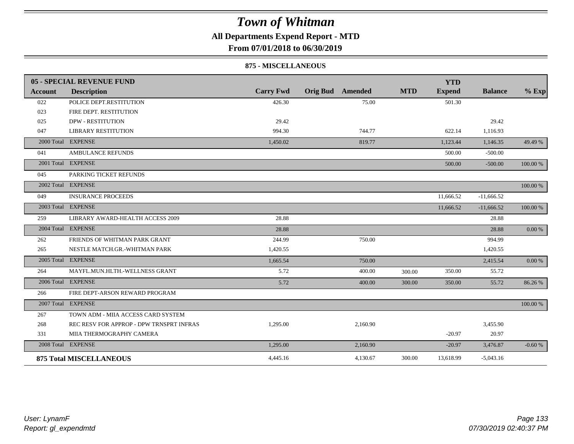### **All Departments Expend Report - MTD**

**From 07/01/2018 to 06/30/2019**

#### **875 - MISCELLANEOUS**

|                | 05 - SPECIAL REVENUE FUND                |                  |                         |          |            | <b>YTD</b>    |                |          |
|----------------|------------------------------------------|------------------|-------------------------|----------|------------|---------------|----------------|----------|
| <b>Account</b> | <b>Description</b>                       | <b>Carry Fwd</b> | <b>Orig Bud</b> Amended |          | <b>MTD</b> | <b>Expend</b> | <b>Balance</b> | $%$ Exp  |
| 022            | POLICE DEPT.RESTITUTION                  | 426.30           |                         | 75.00    |            | 501.30        |                |          |
| 023            | FIRE DEPT. RESTITUTION                   |                  |                         |          |            |               |                |          |
| 025            | <b>DPW - RESTITUTION</b>                 | 29.42            |                         |          |            |               | 29.42          |          |
| 047            | <b>LIBRARY RESTITUTION</b>               | 994.30           |                         | 744.77   |            | 622.14        | 1,116.93       |          |
|                | 2000 Total EXPENSE                       | 1,450.02         |                         | 819.77   |            | 1,123.44      | 1,146.35       | 49.49 %  |
| 041            | <b>AMBULANCE REFUNDS</b>                 |                  |                         |          |            | 500.00        | $-500.00$      |          |
|                | 2001 Total EXPENSE                       |                  |                         |          |            | 500.00        | $-500.00$      | 100.00 % |
| 045            | PARKING TICKET REFUNDS                   |                  |                         |          |            |               |                |          |
|                | 2002 Total EXPENSE                       |                  |                         |          |            |               |                | 100.00 % |
| 049            | <b>INSURANCE PROCEEDS</b>                |                  |                         |          |            | 11,666.52     | $-11,666.52$   |          |
|                | 2003 Total EXPENSE                       |                  |                         |          |            | 11,666.52     | $-11,666.52$   | 100.00 % |
| 259            | LIBRARY AWARD-HEALTH ACCESS 2009         | 28.88            |                         |          |            |               | 28.88          |          |
|                | 2004 Total EXPENSE                       | 28.88            |                         |          |            |               | 28.88          | 0.00 %   |
| 262            | FRIENDS OF WHITMAN PARK GRANT            | 244.99           |                         | 750.00   |            |               | 994.99         |          |
| 265            | NESTLE MATCH.GR.-WHITMAN PARK            | 1,420.55         |                         |          |            |               | 1,420.55       |          |
|                | 2005 Total EXPENSE                       | 1,665.54         |                         | 750.00   |            |               | 2,415.54       | 0.00 %   |
| 264            | MAYFL.MUN.HLTH.-WELLNESS GRANT           | 5.72             |                         | 400.00   | 300.00     | 350.00        | 55.72          |          |
|                | 2006 Total EXPENSE                       | 5.72             |                         | 400.00   | 300.00     | 350.00        | 55.72          | 86.26 %  |
| 266            | FIRE DEPT-ARSON REWARD PROGRAM           |                  |                         |          |            |               |                |          |
|                | 2007 Total EXPENSE                       |                  |                         |          |            |               |                | 100.00 % |
| 267            | TOWN ADM - MIIA ACCESS CARD SYSTEM       |                  |                         |          |            |               |                |          |
| 268            | REC RESV FOR APPROP - DPW TRNSPRT INFRAS | 1,295.00         |                         | 2,160.90 |            |               | 3,455.90       |          |
| 331            | MIIA THERMOGRAPHY CAMERA                 |                  |                         |          |            | $-20.97$      | 20.97          |          |
|                | 2008 Total EXPENSE                       | 1,295.00         |                         | 2,160.90 |            | $-20.97$      | 3,476.87       | $-0.60%$ |
|                | <b>875 Total MISCELLANEOUS</b>           | 4,445.16         |                         | 4,130.67 | 300.00     | 13,618.99     | $-5,043.16$    |          |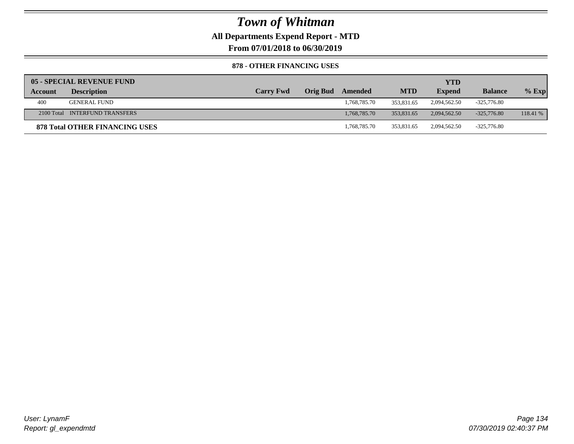**All Departments Expend Report - MTD**

**From 07/01/2018 to 06/30/2019**

#### **878 - OTHER FINANCING USES**

|         | 05 - SPECIAL REVENUE FUND             |                  |                 |              |            | YTD           |                |          |
|---------|---------------------------------------|------------------|-----------------|--------------|------------|---------------|----------------|----------|
| Account | <b>Description</b>                    | <b>Carry Fwd</b> | <b>Orig Bud</b> | Amended      | <b>MTD</b> | <b>Expend</b> | <b>Balance</b> | $%$ Exp  |
| 400     | <b>GENERAL FUND</b>                   |                  |                 | 1,768,785.70 | 353,831.65 | 2,094,562.50  | -325,776.80    |          |
|         | 2100 Total INTERFUND TRANSFERS        |                  |                 | 1.768.785.70 | 353,831.65 | 2.094.562.50  | $-325,776.80$  | 118.41 % |
|         | <b>878 Total OTHER FINANCING USES</b> |                  |                 | 1.768.785.70 | 353,831.65 | 2.094.562.50  | $-325.776.80$  |          |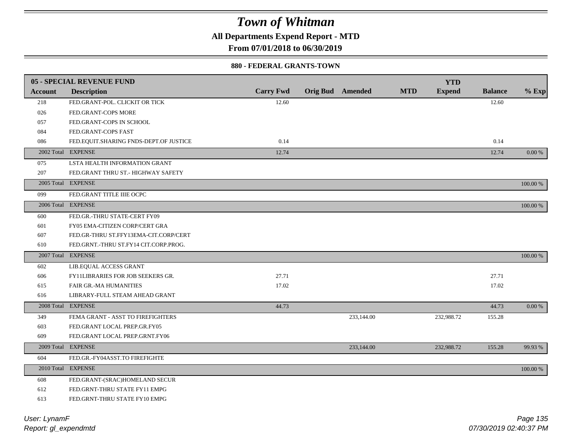**All Departments Expend Report - MTD**

**From 07/01/2018 to 06/30/2019**

#### **880 - FEDERAL GRANTS-TOWN**

|                | <b>05 - SPECIAL REVENUE FUND</b>         |                  |                         |            | <b>YTD</b>    |                |          |
|----------------|------------------------------------------|------------------|-------------------------|------------|---------------|----------------|----------|
| <b>Account</b> | <b>Description</b>                       | <b>Carry Fwd</b> | <b>Orig Bud</b> Amended | <b>MTD</b> | <b>Expend</b> | <b>Balance</b> | $%$ Exp  |
| 218            | FED.GRANT-POL. CLICKIT OR TICK           | 12.60            |                         |            |               | 12.60          |          |
| 026            | FED.GRANT-COPS MORE                      |                  |                         |            |               |                |          |
| 057            | FED.GRANT-COPS IN SCHOOL                 |                  |                         |            |               |                |          |
| 084            | FED.GRANT-COPS FAST                      |                  |                         |            |               |                |          |
| 086            | FED.EQUIT.SHARING FNDS-DEPT.OF JUSTICE   | 0.14             |                         |            |               | 0.14           |          |
|                | 2002 Total EXPENSE                       | 12.74            |                         |            |               | 12.74          | 0.00 %   |
| 075            | LSTA HEALTH INFORMATION GRANT            |                  |                         |            |               |                |          |
| 207            | FED.GRANT THRU ST.- HIGHWAY SAFETY       |                  |                         |            |               |                |          |
|                | 2005 Total EXPENSE                       |                  |                         |            |               |                | 100.00 % |
| 099            | FED.GRANT TITLE IIIE OCPC                |                  |                         |            |               |                |          |
| 2006 Total     | <b>EXPENSE</b>                           |                  |                         |            |               |                | 100.00 % |
| 600            | FED.GR.-THRU STATE-CERT FY09             |                  |                         |            |               |                |          |
| 601            | FY05 EMA-CITIZEN CORP/CERT GRA           |                  |                         |            |               |                |          |
| 607            | FED.GR-THRU ST.FFY13EMA-CIT.CORP/CERT    |                  |                         |            |               |                |          |
| 610            | FED.GRNT.-THRU ST.FY14 CIT.CORP.PROG.    |                  |                         |            |               |                |          |
|                | 2007 Total EXPENSE                       |                  |                         |            |               |                | 100.00 % |
| 602            | LIB.EQUAL ACCESS GRANT                   |                  |                         |            |               |                |          |
| 606            | <b>FY11LIBRARIES FOR JOB SEEKERS GR.</b> | 27.71            |                         |            |               | 27.71          |          |
| 615            | <b>FAIR GR.-MA HUMANITIES</b>            | 17.02            |                         |            |               | 17.02          |          |
| 616            | LIBRARY-FULL STEAM AHEAD GRANT           |                  |                         |            |               |                |          |
|                | 2008 Total EXPENSE                       | 44.73            |                         |            |               | 44.73          | 0.00 %   |
| 349            | FEMA GRANT - ASST TO FIREFIGHTERS        |                  | 233,144.00              |            | 232,988.72    | 155.28         |          |
| 603            | FED.GRANT LOCAL PREP.GR.FY05             |                  |                         |            |               |                |          |
| 609            | FED.GRANT LOCAL PREP.GRNT.FY06           |                  |                         |            |               |                |          |
|                | 2009 Total EXPENSE                       |                  | 233,144.00              |            | 232,988.72    | 155.28         | 99.93%   |
| 604            | FED.GR.-FY04ASST.TO FIREFIGHTE           |                  |                         |            |               |                |          |
|                | 2010 Total EXPENSE                       |                  |                         |            |               |                | 100.00 % |
| 608            | FED.GRANT-(SRAC)HOMELAND SECUR           |                  |                         |            |               |                |          |
| 612            | FED.GRNT-THRU STATE FY11 EMPG            |                  |                         |            |               |                |          |
| 613            | FED.GRNT-THRU STATE FY10 EMPG            |                  |                         |            |               |                |          |
|                |                                          |                  |                         |            |               |                |          |

*Report: gl\_expendmtd User: LynamF*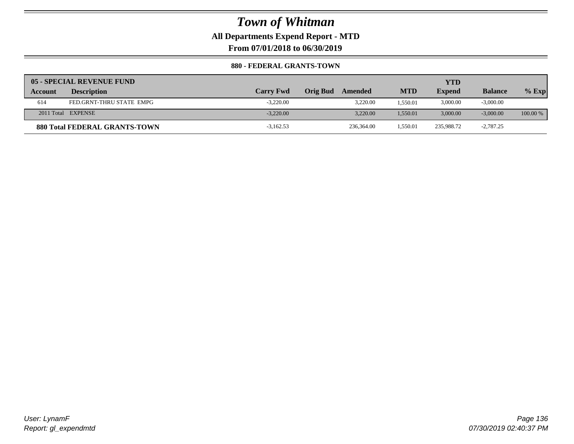**All Departments Expend Report - MTD**

**From 07/01/2018 to 06/30/2019**

#### **880 - FEDERAL GRANTS-TOWN**

|         | 05 - SPECIAL REVENUE FUND            |                  |                 |            |            | YTD           |                |            |
|---------|--------------------------------------|------------------|-----------------|------------|------------|---------------|----------------|------------|
| Account | <b>Description</b>                   | <b>Carry Fwd</b> | <b>Orig Bud</b> | Amended    | <b>MTD</b> | <b>Expend</b> | <b>Balance</b> | $%$ Exp    |
| 614     | FED.GRNT-THRU STATE EMPG             | $-3.220.00$      |                 | 3,220.00   | .550.01    | 3,000.00      | $-3,000.00$    |            |
|         | 2011 Total EXPENSE                   | $-3.220.00$      |                 | 3.220.00   | 1.550.01   | 3,000.00      | $-3,000,00$    | $100.00\%$ |
|         | <b>880 Total FEDERAL GRANTS-TOWN</b> | $-3,162.53$      |                 | 236,364.00 | 1.550.01   | 235,988.72    | $-2,787.25$    |            |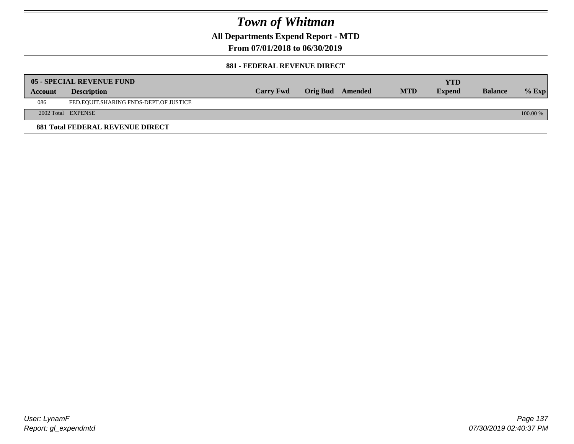**All Departments Expend Report - MTD**

**From 07/01/2018 to 06/30/2019**

#### **881 - FEDERAL REVENUE DIRECT**

|         | <b>05 - SPECIAL REVENUE FUND</b>        |                  |                  |            | YTD           |                |          |
|---------|-----------------------------------------|------------------|------------------|------------|---------------|----------------|----------|
| Account | <b>Description</b>                      | <b>Carry Fwd</b> | Orig Bud Amended | <b>MTD</b> | <b>Expend</b> | <b>Balance</b> | $%$ Exp  |
| 086     | FED.EQUIT.SHARING FNDS-DEPT.OF JUSTICE  |                  |                  |            |               |                |          |
|         | 2002 Total EXPENSE                      |                  |                  |            |               |                | 100.00 % |
|         | <b>881 Total FEDERAL REVENUE DIRECT</b> |                  |                  |            |               |                |          |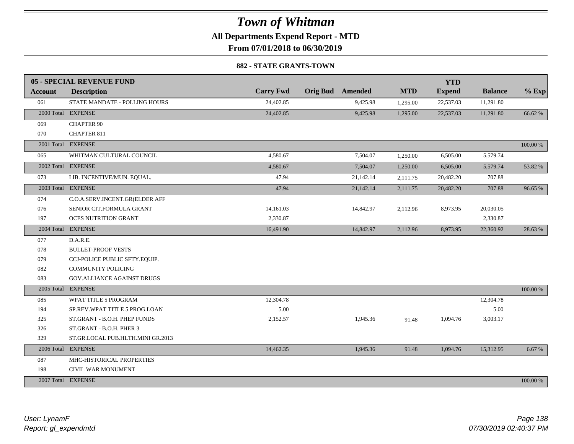**All Departments Expend Report - MTD**

**From 07/01/2018 to 06/30/2019**

#### **882 - STATE GRANTS-TOWN**

|                | 05 - SPECIAL REVENUE FUND         |                  |                         |            | <b>YTD</b>    |                |          |
|----------------|-----------------------------------|------------------|-------------------------|------------|---------------|----------------|----------|
| <b>Account</b> | <b>Description</b>                | <b>Carry Fwd</b> | <b>Orig Bud</b> Amended | <b>MTD</b> | <b>Expend</b> | <b>Balance</b> | $%$ Exp  |
| 061            | STATE MANDATE - POLLING HOURS     | 24,402.85        | 9,425.98                | 1,295.00   | 22,537.03     | 11,291.80      |          |
|                | 2000 Total EXPENSE                | 24,402.85        | 9,425.98                | 1,295.00   | 22,537.03     | 11,291.80      | 66.62 %  |
| 069            | <b>CHAPTER 90</b>                 |                  |                         |            |               |                |          |
| 070            | <b>CHAPTER 811</b>                |                  |                         |            |               |                |          |
|                | 2001 Total EXPENSE                |                  |                         |            |               |                | 100.00 % |
| 065            | WHITMAN CULTURAL COUNCIL          | 4,580.67         | 7,504.07                | 1,250.00   | 6,505.00      | 5,579.74       |          |
|                | 2002 Total EXPENSE                | 4,580.67         | 7,504.07                | 1,250.00   | 6,505.00      | 5,579.74       | 53.82 %  |
| 073            | LIB. INCENTIVE/MUN. EQUAL.        | 47.94            | 21,142.14               | 2,111.75   | 20,482.20     | 707.88         |          |
|                | 2003 Total EXPENSE                | 47.94            | 21,142.14               | 2,111.75   | 20,482.20     | 707.88         | 96.65 %  |
| 074            | C.O.A.SERV.INCENT.GR(ELDER AFF    |                  |                         |            |               |                |          |
| 076            | SENIOR CIT.FORMULA GRANT          | 14,161.03        | 14,842.97               | 2,112.96   | 8,973.95      | 20,030.05      |          |
| 197            | <b>OCES NUTRITION GRANT</b>       | 2,330.87         |                         |            |               | 2,330.87       |          |
|                | 2004 Total EXPENSE                | 16,491.90        | 14,842.97               | 2,112.96   | 8,973.95      | 22,360.92      | 28.63 %  |
| 077            | D.A.R.E.                          |                  |                         |            |               |                |          |
| 078            | <b>BULLET-PROOF VESTS</b>         |                  |                         |            |               |                |          |
| 079            | CCJ-POLICE PUBLIC SFTY.EQUIP.     |                  |                         |            |               |                |          |
| 082            | <b>COMMUNITY POLICING</b>         |                  |                         |            |               |                |          |
| 083            | GOV.ALLIANCE AGAINST DRUGS        |                  |                         |            |               |                |          |
| 2005 Total     | <b>EXPENSE</b>                    |                  |                         |            |               |                | 100.00 % |
| 085            | WPAT TITLE 5 PROGRAM              | 12,304.78        |                         |            |               | 12,304.78      |          |
| 194            | SP.REV.WPAT TITLE 5 PROG.LOAN     | 5.00             |                         |            |               | 5.00           |          |
| 325            | ST.GRANT - B.O.H. PHEP FUNDS      | 2,152.57         | 1,945.36                | 91.48      | 1,094.76      | 3,003.17       |          |
| 326            | ST.GRANT - B.O.H. PHER 3          |                  |                         |            |               |                |          |
| 329            | ST.GR.LOCAL PUB.HLTH.MINI GR.2013 |                  |                         |            |               |                |          |
|                | 2006 Total EXPENSE                | 14,462.35        | 1,945.36                | 91.48      | 1,094.76      | 15,312.95      | 6.67%    |
| 087            | MHC-HISTORICAL PROPERTIES         |                  |                         |            |               |                |          |
| 198            | CIVIL WAR MONUMENT                |                  |                         |            |               |                |          |
|                | 2007 Total EXPENSE                |                  |                         |            |               |                | 100.00 % |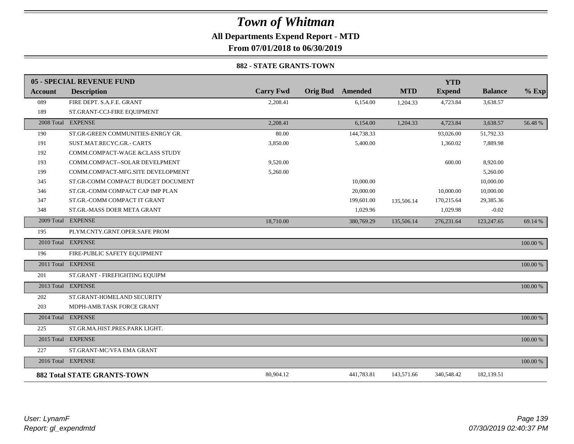**All Departments Expend Report - MTD**

**From 07/01/2018 to 06/30/2019**

#### **882 - STATE GRANTS-TOWN**

|                | 05 - SPECIAL REVENUE FUND          |                  |                         |            | <b>YTD</b>    |                |          |
|----------------|------------------------------------|------------------|-------------------------|------------|---------------|----------------|----------|
| <b>Account</b> | <b>Description</b>                 | <b>Carry Fwd</b> | <b>Orig Bud</b> Amended | <b>MTD</b> | <b>Expend</b> | <b>Balance</b> | $%$ Exp  |
| 089            | FIRE DEPT. S.A.F.E. GRANT          | 2,208.41         | 6,154.00                | 1,204.33   | 4,723.84      | 3,638.57       |          |
| 189            | ST.GRANT-CCJ-FIRE EQUIPMENT        |                  |                         |            |               |                |          |
|                | 2008 Total EXPENSE                 | 2,208.41         | 6,154.00                | 1,204.33   | 4,723.84      | 3,638.57       | 56.48 %  |
| 190            | ST.GR-GREEN COMMUNITIES-ENRGY GR.  | 80.00            | 144,738.33              |            | 93,026.00     | 51,792.33      |          |
| 191            | SUST.MAT.RECYC.GR.- CARTS          | 3,850.00         | 5,400.00                |            | 1,360.02      | 7,889.98       |          |
| 192            | COMM.COMPACT-WAGE &CLASS STUDY     |                  |                         |            |               |                |          |
| 193            | COMM.COMPACT--SOLAR DEVELPMENT     | 9,520.00         |                         |            | 600.00        | 8,920.00       |          |
| 199            | COMM.COMPACT-MFG.SITE DEVELOPMENT  | 5,260.00         |                         |            |               | 5,260.00       |          |
| 345            | ST.GR-COMM COMPACT BUDGET DOCUMENT |                  | 10,000.00               |            |               | 10,000.00      |          |
| 346            | ST.GR.-COMM COMPACT CAP IMP PLAN   |                  | 20,000.00               |            | 10,000.00     | 10,000.00      |          |
| 347            | ST.GR.-COMM COMPACT IT GRANT       |                  | 199,601.00              | 135,506.14 | 170,215.64    | 29,385.36      |          |
| 348            | ST.GR.-MASS DOER META GRANT        |                  | 1,029.96                |            | 1,029.98      | $-0.02$        |          |
|                | 2009 Total EXPENSE                 | 18,710.00        | 380,769.29              | 135,506.14 | 276, 231.64   | 123,247.65     | 69.14 %  |
| 195            | PLYM.CNTY.GRNT.OPER.SAFE PROM      |                  |                         |            |               |                |          |
|                | 2010 Total EXPENSE                 |                  |                         |            |               |                | 100.00 % |
| 196            | FIRE-PUBLIC SAFETY EQUIPMENT       |                  |                         |            |               |                |          |
|                | 2011 Total EXPENSE                 |                  |                         |            |               |                | 100.00 % |
| 201            | ST.GRANT - FIREFIGHTING EQUIPM     |                  |                         |            |               |                |          |
|                | 2013 Total EXPENSE                 |                  |                         |            |               |                | 100.00 % |
| 202            | ST.GRANT-HOMELAND SECURITY         |                  |                         |            |               |                |          |
| 203            | MDPH-AMB.TASK FORCE GRANT          |                  |                         |            |               |                |          |
|                | 2014 Total EXPENSE                 |                  |                         |            |               |                | 100.00 % |
| 225            | ST.GR.MA.HIST.PRES.PARK LIGHT.     |                  |                         |            |               |                |          |
|                | 2015 Total EXPENSE                 |                  |                         |            |               |                | 100.00 % |
| 227            | ST.GRANT-MC/VFA EMA GRANT          |                  |                         |            |               |                |          |
|                | 2016 Total EXPENSE                 |                  |                         |            |               |                | 100.00 % |
|                | <b>882 Total STATE GRANTS-TOWN</b> | 80,904.12        | 441,783.81              | 143,571.66 | 340,548.42    | 182,139.51     |          |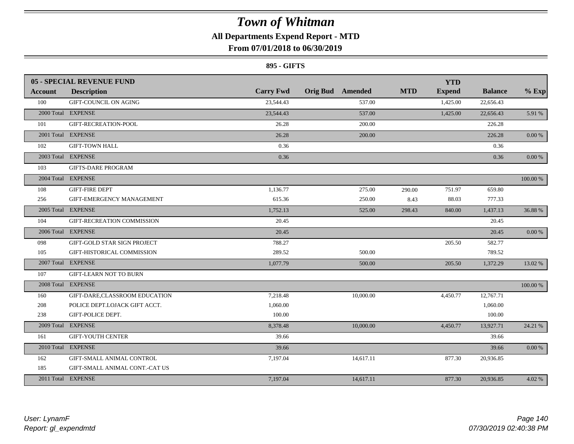### **All Departments Expend Report - MTD**

### **From 07/01/2018 to 06/30/2019**

#### **895 - GIFTS**

|            | <b>05 - SPECIAL REVENUE FUND</b>   |                  |                  |            | <b>YTD</b>    |                |            |
|------------|------------------------------------|------------------|------------------|------------|---------------|----------------|------------|
| Account    | <b>Description</b>                 | <b>Carry Fwd</b> | Orig Bud Amended | <b>MTD</b> | <b>Expend</b> | <b>Balance</b> | $%$ Exp    |
| 100        | GIFT-COUNCIL ON AGING              | 23,544.43        | 537.00           |            | 1,425.00      | 22,656.43      |            |
|            | 2000 Total EXPENSE                 | 23,544.43        | 537.00           |            | 1,425.00      | 22,656.43      | 5.91 %     |
| 101        | GIFT-RECREATION-POOL               | 26.28            | 200.00           |            |               | 226.28         |            |
|            | 2001 Total EXPENSE                 | 26.28            | 200.00           |            |               | 226.28         | $0.00\ \%$ |
| 102        | <b>GIFT-TOWN HALL</b>              | 0.36             |                  |            |               | 0.36           |            |
|            | 2003 Total EXPENSE                 | 0.36             |                  |            |               | 0.36           | 0.00 %     |
| 103        | <b>GIFTS-DARE PROGRAM</b>          |                  |                  |            |               |                |            |
|            | 2004 Total EXPENSE                 |                  |                  |            |               |                | 100.00 %   |
| 108        | <b>GIFT-FIRE DEPT</b>              | 1.136.77         | 275.00           | 290.00     | 751.97        | 659.80         |            |
| 256        | GIFT-EMERGENCY MANAGEMENT          | 615.36           | 250.00           | 8.43       | 88.03         | 777.33         |            |
|            | 2005 Total EXPENSE                 | 1,752.13         | 525.00           | 298.43     | 840.00        | 1,437.13       | 36.88%     |
| 104        | GIFT-RECREATION COMMISSION         | 20.45            |                  |            |               | 20.45          |            |
|            | 2006 Total EXPENSE                 | 20.45            |                  |            |               | 20.45          | 0.00 %     |
| 098        | <b>GIFT-GOLD STAR SIGN PROJECT</b> | 788.27           |                  |            | 205.50        | 582.77         |            |
| 105        | GIFT-HISTORICAL COMMISSION         | 289.52           | 500.00           |            |               | 789.52         |            |
|            | 2007 Total EXPENSE                 | 1,077.79         | 500.00           |            | 205.50        | 1,372.29       | 13.02 %    |
| 107        | <b>GIFT-LEARN NOT TO BURN</b>      |                  |                  |            |               |                |            |
| 2008 Total | <b>EXPENSE</b>                     |                  |                  |            |               |                | 100.00 %   |
| 160        | GIFT-DARE,CLASSROOM EDUCATION      | 7,218.48         | 10,000.00        |            | 4,450.77      | 12,767.71      |            |
| 208        | POLICE DEPT.LOJACK GIFT ACCT.      | 1,060.00         |                  |            |               | 1,060.00       |            |
| 238        | GIFT-POLICE DEPT.                  | 100.00           |                  |            |               | 100.00         |            |
|            | 2009 Total EXPENSE                 | 8,378.48         | 10,000.00        |            | 4,450.77      | 13,927.71      | 24.21 %    |
| 161        | <b>GIFT-YOUTH CENTER</b>           | 39.66            |                  |            |               | 39.66          |            |
|            | 2010 Total EXPENSE                 | 39.66            |                  |            |               | 39.66          | $0.00\ \%$ |
| 162        | <b>GIFT-SMALL ANIMAL CONTROL</b>   | 7,197.04         | 14,617.11        |            | 877.30        | 20,936.85      |            |
| 185        | GIFT-SMALL ANIMAL CONT.-CAT US     |                  |                  |            |               |                |            |
|            | 2011 Total EXPENSE                 | 7,197.04         | 14,617.11        |            | 877.30        | 20,936.85      | 4.02 %     |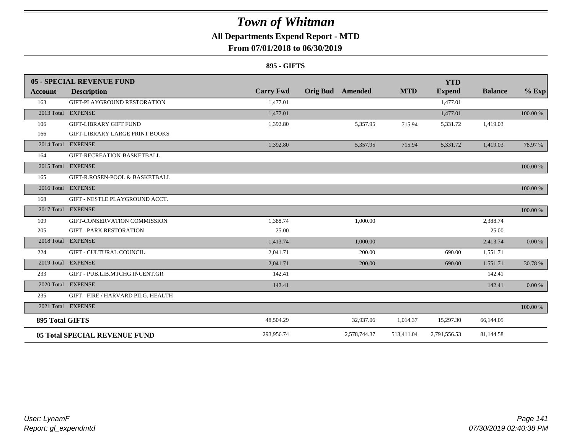### **All Departments Expend Report - MTD**

### **From 07/01/2018 to 06/30/2019**

#### **895 - GIFTS**

|                        | 05 - SPECIAL REVENUE FUND             |                  |                 |              |            | <b>YTD</b>    |                |          |
|------------------------|---------------------------------------|------------------|-----------------|--------------|------------|---------------|----------------|----------|
| <b>Account</b>         | <b>Description</b>                    | <b>Carry Fwd</b> | <b>Orig Bud</b> | Amended      | <b>MTD</b> | <b>Expend</b> | <b>Balance</b> | $%$ Exp  |
| 163                    | GIFT-PLAYGROUND RESTORATION           | 1.477.01         |                 |              |            | 1.477.01      |                |          |
|                        | 2013 Total EXPENSE                    | 1,477.01         |                 |              |            | 1,477.01      |                | 100.00 % |
| 106                    | <b>GIFT-LIBRARY GIFT FUND</b>         | 1,392.80         |                 | 5,357.95     | 715.94     | 5,331.72      | 1,419.03       |          |
| 166                    | <b>GIFT-LIBRARY LARGE PRINT BOOKS</b> |                  |                 |              |            |               |                |          |
|                        | 2014 Total EXPENSE                    | 1,392.80         |                 | 5,357.95     | 715.94     | 5,331.72      | 1,419.03       | 78.97 %  |
| 164                    | GIFT-RECREATION-BASKETBALL            |                  |                 |              |            |               |                |          |
|                        | 2015 Total EXPENSE                    |                  |                 |              |            |               |                | 100.00 % |
| 165                    | GIFT-R.ROSEN-POOL & BASKETBALL        |                  |                 |              |            |               |                |          |
|                        | 2016 Total EXPENSE                    |                  |                 |              |            |               |                | 100.00 % |
| 168                    | GIFT - NESTLE PLAYGROUND ACCT.        |                  |                 |              |            |               |                |          |
|                        | 2017 Total EXPENSE                    |                  |                 |              |            |               |                | 100.00 % |
| 109                    | GIFT-CONSERVATION COMMISSION          | 1,388.74         |                 | 1,000.00     |            |               | 2,388.74       |          |
| 205                    | <b>GIFT - PARK RESTORATION</b>        | 25.00            |                 |              |            |               | 25.00          |          |
|                        | 2018 Total EXPENSE                    | 1,413.74         |                 | 1,000.00     |            |               | 2,413.74       | 0.00 %   |
| 224                    | <b>GIFT - CULTURAL COUNCIL</b>        | 2.041.71         |                 | 200.00       |            | 690.00        | 1,551.71       |          |
|                        | 2019 Total EXPENSE                    | 2,041.71         |                 | 200.00       |            | 690.00        | 1,551.71       | 30.78 %  |
| 233                    | GIFT - PUB.LIB.MTCHG.INCENT.GR        | 142.41           |                 |              |            |               | 142.41         |          |
|                        | 2020 Total EXPENSE                    | 142.41           |                 |              |            |               | 142.41         | 0.00 %   |
| 235                    | GIFT - FIRE / HARVARD PILG. HEALTH    |                  |                 |              |            |               |                |          |
|                        | 2021 Total EXPENSE                    |                  |                 |              |            |               |                | 100.00 % |
| <b>895 Total GIFTS</b> |                                       | 48,504.29        |                 | 32,937.06    | 1,014.37   | 15,297.30     | 66,144.05      |          |
|                        | <b>05 Total SPECIAL REVENUE FUND</b>  | 293,956.74       |                 | 2,578,744.37 | 513,411.04 | 2,791,556.53  | 81,144.58      |          |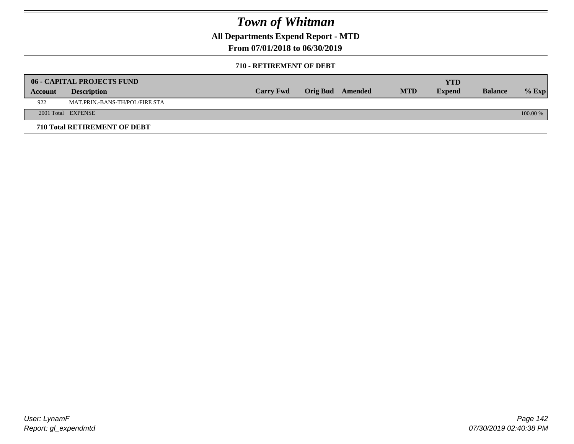**All Departments Expend Report - MTD**

**From 07/01/2018 to 06/30/2019**

#### **710 - RETIREMENT OF DEBT**

|         | <b>06 - CAPITAL PROJECTS FUND</b> |                  |                  |            | <b>YTD</b>    |                |            |
|---------|-----------------------------------|------------------|------------------|------------|---------------|----------------|------------|
| Account | <b>Description</b>                | <b>Carry Fwd</b> | Orig Bud Amended | <b>MTD</b> | <b>Expend</b> | <b>Balance</b> | $%$ Exp    |
| 922     | MAT.PRIN.-BANS-TH/POL/FIRE STA    |                  |                  |            |               |                |            |
|         | 2001 Total EXPENSE                |                  |                  |            |               |                | $100.00\%$ |
|         | 710 Total RETIREMENT OF DEBT      |                  |                  |            |               |                |            |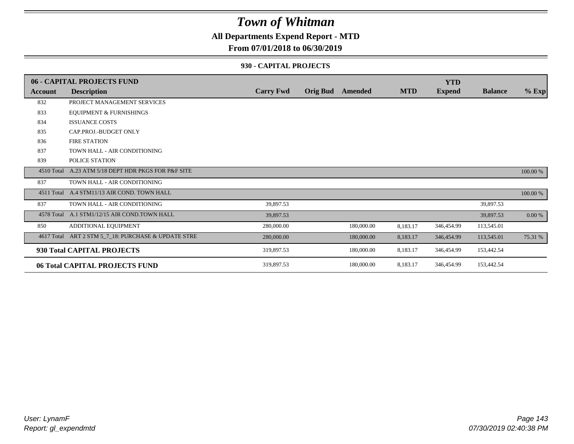### **All Departments Expend Report - MTD**

#### **From 07/01/2018 to 06/30/2019**

#### **930 - CAPITAL PROJECTS**

|                | 06 - CAPITAL PROJECTS FUND                   |                  |                 |            |            | <b>YTD</b>    |                |          |
|----------------|----------------------------------------------|------------------|-----------------|------------|------------|---------------|----------------|----------|
| <b>Account</b> | <b>Description</b>                           | <b>Carry Fwd</b> | <b>Orig Bud</b> | Amended    | <b>MTD</b> | <b>Expend</b> | <b>Balance</b> | $%$ Exp  |
| 832            | PROJECT MANAGEMENT SERVICES                  |                  |                 |            |            |               |                |          |
| 833            | <b>EQUIPMENT &amp; FURNISHINGS</b>           |                  |                 |            |            |               |                |          |
| 834            | <b>ISSUANCE COSTS</b>                        |                  |                 |            |            |               |                |          |
| 835            | CAP.PROJ.-BUDGET ONLY                        |                  |                 |            |            |               |                |          |
| 836            | <b>FIRE STATION</b>                          |                  |                 |            |            |               |                |          |
| 837            | TOWN HALL - AIR CONDITIONING                 |                  |                 |            |            |               |                |          |
| 839            | POLICE STATION                               |                  |                 |            |            |               |                |          |
| 4510 Total     | A.23 ATM 5/18 DEPT HDR PKGS FOR P&F SITE     |                  |                 |            |            |               |                | 100.00 % |
| 837            | TOWN HALL - AIR CONDITIONING                 |                  |                 |            |            |               |                |          |
|                | 4511 Total A.4 STM11/13 AIR COND. TOWN HALL  |                  |                 |            |            |               |                | 100.00 % |
| 837            | TOWN HALL - AIR CONDITIONING                 | 39,897.53        |                 |            |            |               | 39,897.53      |          |
|                | 4578 Total A.1 STM1/12/15 AIR COND.TOWN HALL | 39,897.53        |                 |            |            |               | 39,897.53      | 0.00 %   |
| 850            | ADDITIONAL EQUIPMENT                         | 280,000.00       |                 | 180,000.00 | 8,183.17   | 346,454.99    | 113,545.01     |          |
| 4617 Total     | ART 2 STM 5_7_18: PURCHASE & UPDATE STRE     | 280,000.00       |                 | 180,000.00 | 8,183.17   | 346,454.99    | 113,545.01     | 75.31 %  |
|                | 930 Total CAPITAL PROJECTS                   | 319,897.53       |                 | 180,000.00 | 8,183.17   | 346,454.99    | 153,442.54     |          |
|                | 06 Total CAPITAL PROJECTS FUND               | 319,897.53       |                 | 180,000.00 | 8,183.17   | 346,454.99    | 153,442.54     |          |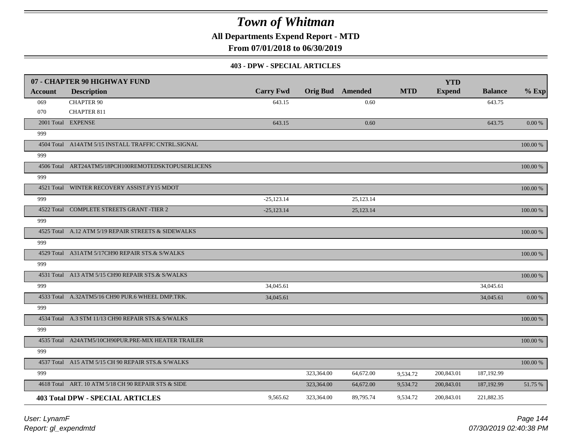**All Departments Expend Report - MTD**

**From 07/01/2018 to 06/30/2019**

#### **403 - DPW - SPECIAL ARTICLES**

|         | 07 - CHAPTER 90 HIGHWAY FUND                        |                  |            |                         |            | <b>YTD</b>    |                |           |
|---------|-----------------------------------------------------|------------------|------------|-------------------------|------------|---------------|----------------|-----------|
| Account | <b>Description</b>                                  | <b>Carry Fwd</b> |            | <b>Orig Bud</b> Amended | <b>MTD</b> | <b>Expend</b> | <b>Balance</b> | $%$ Exp   |
| 069     | <b>CHAPTER 90</b>                                   | 643.15           |            | 0.60                    |            |               | 643.75         |           |
| 070     | <b>CHAPTER 811</b>                                  |                  |            |                         |            |               |                |           |
|         | 2001 Total EXPENSE                                  | 643.15           |            | 0.60                    |            |               | 643.75         | 0.00 %    |
| 999     |                                                     |                  |            |                         |            |               |                |           |
|         | 4504 Total A14ATM 5/15 INSTALL TRAFFIC CNTRL.SIGNAL |                  |            |                         |            |               |                | 100.00 %  |
| 999     |                                                     |                  |            |                         |            |               |                |           |
|         | 4506 Total ART24ATM5/18PCH100REMOTEDSKTOPUSERLICENS |                  |            |                         |            |               |                | 100.00 %  |
| 999     |                                                     |                  |            |                         |            |               |                |           |
|         | 4521 Total WINTER RECOVERY ASSIST.FY15 MDOT         |                  |            |                         |            |               |                | 100.00 %  |
| 999     |                                                     | $-25,123.14$     |            | 25,123.14               |            |               |                |           |
|         | 4522 Total COMPLETE STREETS GRANT -TIER 2           | $-25,123.14$     |            | 25,123.14               |            |               |                | 100.00 %  |
| 999     |                                                     |                  |            |                         |            |               |                |           |
|         | 4525 Total A.12 ATM 5/19 REPAIR STREETS & SIDEWALKS |                  |            |                         |            |               |                | 100.00 %  |
| 999     |                                                     |                  |            |                         |            |               |                |           |
|         | 4529 Total A31ATM 5/17CH90 REPAIR STS.& S/WALKS     |                  |            |                         |            |               |                | 100.00 %  |
| 999     |                                                     |                  |            |                         |            |               |                |           |
|         | 4531 Total A13 ATM 5/15 CH90 REPAIR STS.& S/WALKS   |                  |            |                         |            |               |                | 100.00 %  |
| 999     |                                                     | 34,045.61        |            |                         |            |               | 34,045.61      |           |
|         | 4533 Total A.32ATM5/16 CH90 PUR.6 WHEEL DMP.TRK.    | 34,045.61        |            |                         |            |               | 34,045.61      | $0.00~\%$ |
| 999     |                                                     |                  |            |                         |            |               |                |           |
|         | 4534 Total A.3 STM 11/13 CH90 REPAIR STS.& S/WALKS  |                  |            |                         |            |               |                | 100.00 %  |
| 999     |                                                     |                  |            |                         |            |               |                |           |
|         | 4535 Total A24ATM5/10CH90PUR.PRE-MIX HEATER TRAILER |                  |            |                         |            |               |                | 100.00 %  |
| 999     |                                                     |                  |            |                         |            |               |                |           |
|         | 4537 Total A15 ATM 5/15 CH 90 REPAIR STS.& S/WALKS  |                  |            |                         |            |               |                | 100.00 %  |
| 999     |                                                     |                  | 323,364.00 | 64,672.00               | 9,534.72   | 200,843.01    | 187,192.99     |           |
|         | 4618 Total ART. 10 ATM 5/18 CH 90 REPAIR STS & SIDE |                  | 323,364.00 | 64,672.00               | 9,534.72   | 200,843.01    | 187,192.99     | 51.75 %   |
|         | <b>403 Total DPW - SPECIAL ARTICLES</b>             | 9,565.62         | 323,364.00 | 89,795.74               | 9,534.72   | 200,843.01    | 221,882.35     |           |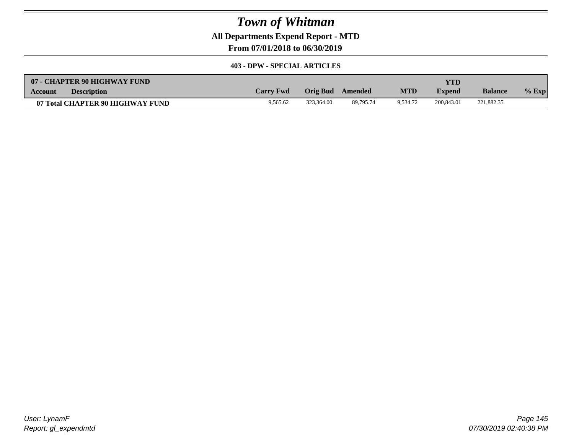**All Departments Expend Report - MTD**

**From 07/01/2018 to 06/30/2019**

#### **403 - DPW - SPECIAL ARTICLES**

| 07 - CHAPTER 90 HIGHWAY FUND         |                  |            |           |            | YTD           |                |         |
|--------------------------------------|------------------|------------|-----------|------------|---------------|----------------|---------|
| <b>Description</b><br><b>Account</b> | <b>Carry Fwd</b> | Orig Bud   | Amended   | <b>MTD</b> | <b>Expend</b> | <b>Balance</b> | $%$ Exp |
| 07 Total CHAPTER 90 HIGHWAY FUND     | 9,565.62         | 323,364.00 | 89,795.74 | 9.534.72   | 200,843.01    | 221,882.35     |         |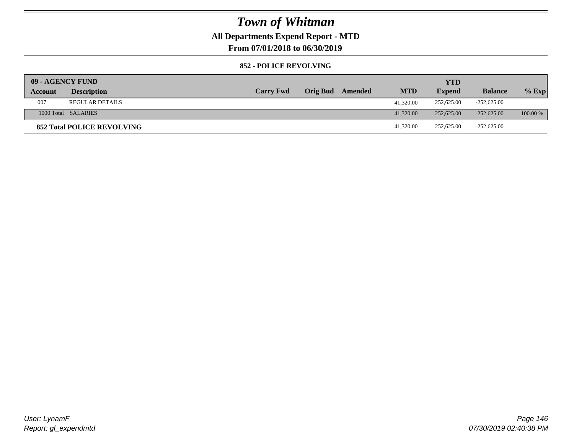### **All Departments Expend Report - MTD**

**From 07/01/2018 to 06/30/2019**

#### **852 - POLICE REVOLVING**

| 09 - AGENCY FUND |                                   |                  |                         |            | <b>YTD</b>    |                |            |
|------------------|-----------------------------------|------------------|-------------------------|------------|---------------|----------------|------------|
| Account          | <b>Description</b>                | <b>Carry Fwd</b> | <b>Orig Bud</b> Amended | <b>MTD</b> | <b>Expend</b> | <b>Balance</b> | $%$ Exp    |
| 007              | <b>REGULAR DETAILS</b>            |                  |                         | 41,320.00  | 252,625.00    | $-252,625.00$  |            |
|                  | 1000 Total SALARIES               |                  |                         | 41,320.00  | 252,625,00    | $-252.625.00$  | $100.00\%$ |
|                  | <b>852 Total POLICE REVOLVING</b> |                  |                         | 41,320.00  | 252,625.00    | $-252,625.00$  |            |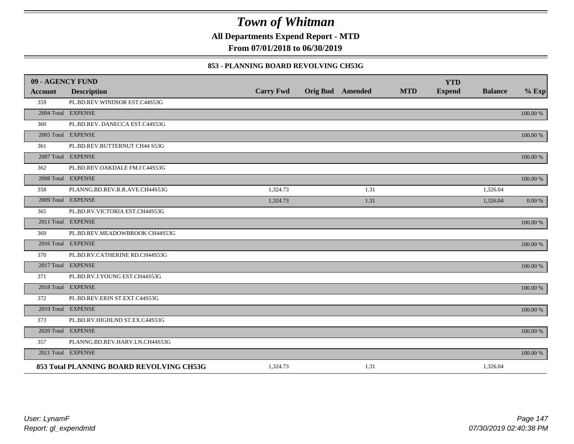**All Departments Expend Report - MTD**

**From 07/01/2018 to 06/30/2019**

#### **853 - PLANNING BOARD REVOLVING CH53G**

| 09 - AGENCY FUND |                                          |                  |                         |            | <b>YTD</b>    |                |             |
|------------------|------------------------------------------|------------------|-------------------------|------------|---------------|----------------|-------------|
| <b>Account</b>   | <b>Description</b>                       | <b>Carry Fwd</b> | <b>Orig Bud</b> Amended | <b>MTD</b> | <b>Expend</b> | <b>Balance</b> | $%$ Exp     |
| 359              | PL.BD.REV.WINDSOR EST.C44S53G            |                  |                         |            |               |                |             |
|                  | 2004 Total EXPENSE                       |                  |                         |            |               |                | 100.00 %    |
| 360              | PL.BD.REV. DANECCA EST.C44S53G           |                  |                         |            |               |                |             |
|                  | 2005 Total EXPENSE                       |                  |                         |            |               |                | 100.00 %    |
| 361              | PL.BD.REV.BUTTERNUT CH44 S53G            |                  |                         |            |               |                |             |
|                  | 2007 Total EXPENSE                       |                  |                         |            |               |                | $100.00~\%$ |
| 362              | PL.BD.REV.OAKDALE FM.I C44S53G           |                  |                         |            |               |                |             |
|                  | 2008 Total EXPENSE                       |                  |                         |            |               |                | 100.00 %    |
| 358              | PLANNG.BD.REV.R.R.AVE.CH44S53G           | 1,324.73         | 1.31                    |            |               | 1,326.04       |             |
|                  | 2009 Total EXPENSE                       | 1,324.73         | 1.31                    |            |               | 1,326.04       | 0.00 %      |
| 365              | PL.BD.RV.VICTORIA EST.CH44S53G           |                  |                         |            |               |                |             |
|                  | 2011 Total EXPENSE                       |                  |                         |            |               |                | $100.00~\%$ |
| 369              | PL.BD.REV.MEADOWBROOK CH44S53G           |                  |                         |            |               |                |             |
|                  | 2016 Total EXPENSE                       |                  |                         |            |               |                | 100.00 %    |
| 370              | PL.BD.RV.CATHERINE RD.CH44S53G           |                  |                         |            |               |                |             |
|                  | 2017 Total EXPENSE                       |                  |                         |            |               |                | 100.00 %    |
| 371              | PL.BD.RV.J.YOUNG EST.CH44S53G            |                  |                         |            |               |                |             |
|                  | 2018 Total EXPENSE                       |                  |                         |            |               |                | 100.00 %    |
| 372              | PL.BD.REV.ERIN ST.EXT.C44S53G            |                  |                         |            |               |                |             |
|                  | 2019 Total EXPENSE                       |                  |                         |            |               |                | 100.00 %    |
| 373              | PL.BD.RV.HIGHLND ST.EX.C44S53G           |                  |                         |            |               |                |             |
|                  | 2020 Total EXPENSE                       |                  |                         |            |               |                | 100.00 %    |
| 357              | PLANNG.BD.REV.HARV.LN.CH44S53G           |                  |                         |            |               |                |             |
|                  | 2021 Total EXPENSE                       |                  |                         |            |               |                | 100.00 %    |
|                  | 853 Total PLANNING BOARD REVOLVING CH53G | 1,324.73         | 1.31                    |            |               | 1,326.04       |             |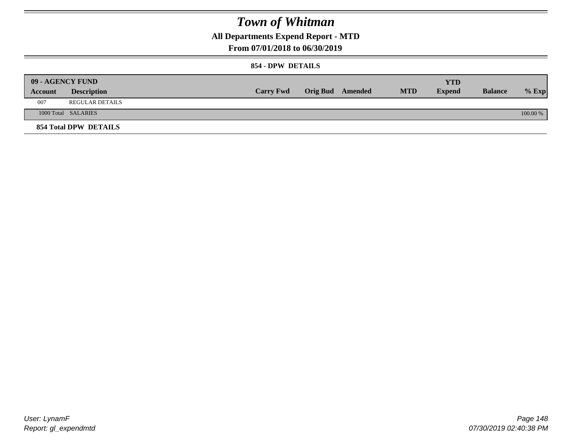### **All Departments Expend Report - MTD**

### **From 07/01/2018 to 06/30/2019**

#### **854 - DPW DETAILS**

|         | 09 - AGENCY FUND      |                  |                         |            | YTD           |                |            |
|---------|-----------------------|------------------|-------------------------|------------|---------------|----------------|------------|
| Account | <b>Description</b>    | <b>Carry Fwd</b> | <b>Orig Bud</b> Amended | <b>MTD</b> | <b>Expend</b> | <b>Balance</b> | $%$ Exp    |
| 007     | REGULAR DETAILS       |                  |                         |            |               |                |            |
|         | 1000 Total SALARIES   |                  |                         |            |               |                | $100.00\%$ |
|         | 854 Total DPW DETAILS |                  |                         |            |               |                |            |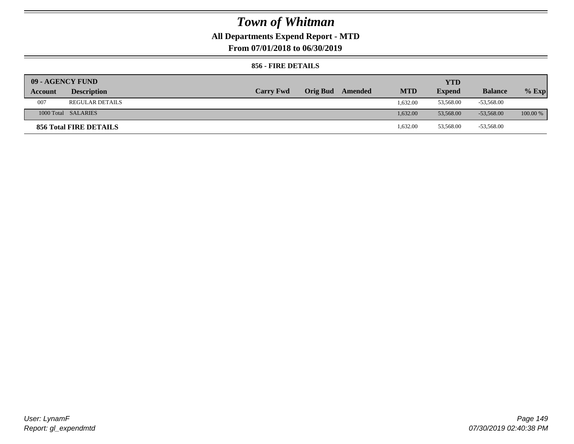## **All Departments Expend Report - MTD**

**From 07/01/2018 to 06/30/2019**

### **856 - FIRE DETAILS**

| 09 - AGENCY FUND |                        |                  |                 |         |            | <b>YTD</b>    |                |            |
|------------------|------------------------|------------------|-----------------|---------|------------|---------------|----------------|------------|
| Account          | <b>Description</b>     | <b>Carry Fwd</b> | <b>Orig Bud</b> | Amended | <b>MTD</b> | <b>Expend</b> | <b>Balance</b> | $%$ Exp    |
| 007              | <b>REGULAR DETAILS</b> |                  |                 |         | 1.632.00   | 53,568.00     | -53,568.00     |            |
|                  | 1000 Total SALARIES    |                  |                 |         | 1.632.00   | 53,568,00     | $-53.568.00$   | $100.00\%$ |
|                  | 856 Total FIRE DETAILS |                  |                 |         | 1,632.00   | 53,568.00     | -53,568.00     |            |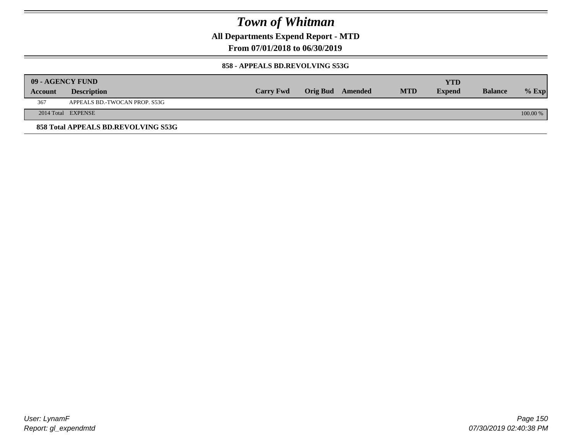**All Departments Expend Report - MTD**

**From 07/01/2018 to 06/30/2019**

#### **858 - APPEALS BD.REVOLVING S53G**

|         | 09 - AGENCY FUND                    |                  |                  |            | YTD           |                |            |
|---------|-------------------------------------|------------------|------------------|------------|---------------|----------------|------------|
| Account | <b>Description</b>                  | <b>Carry Fwd</b> | Orig Bud Amended | <b>MTD</b> | <b>Expend</b> | <b>Balance</b> | $%$ Exp    |
| 367     | APPEALS BD.-TWOCAN PROP. S53G       |                  |                  |            |               |                |            |
|         | 2014 Total EXPENSE                  |                  |                  |            |               |                | $100.00\%$ |
|         | 858 Total APPEALS BD.REVOLVING S53G |                  |                  |            |               |                |            |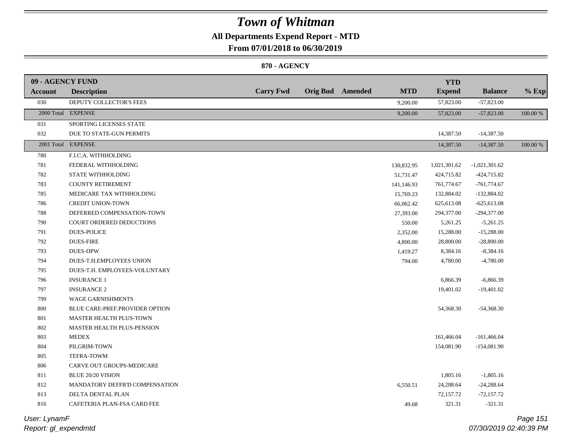### **All Departments Expend Report - MTD**

**From 07/01/2018 to 06/30/2019**

#### **870 - AGENCY**

| 09 - AGENCY FUND |                                 |                  |                         |            | <b>YTD</b>    |                 |          |
|------------------|---------------------------------|------------------|-------------------------|------------|---------------|-----------------|----------|
| Account          | <b>Description</b>              | <b>Carry Fwd</b> | <b>Orig Bud</b> Amended | <b>MTD</b> | <b>Expend</b> | <b>Balance</b>  | $%$ Exp  |
| 030              | DEPUTY COLLECTOR'S FEES         |                  |                         | 9,200.00   | 57,823.00     | $-57,823.00$    |          |
|                  | 2000 Total EXPENSE              |                  |                         | 9,200.00   | 57,823.00     | $-57,823.00$    | 100.00 % |
| 031              | SPORTING LICENSES STATE         |                  |                         |            |               |                 |          |
| 032              | DUE TO STATE-GUN PERMITS        |                  |                         |            | 14,387.50     | $-14,387.50$    |          |
|                  | 2001 Total EXPENSE              |                  |                         |            | 14,387.50     | $-14,387.50$    | 100.00 % |
| 780              | F.I.C.A. WITHHOLDING            |                  |                         |            |               |                 |          |
| 781              | FEDERAL WITHHOLDING             |                  |                         | 130,832.95 | 1,021,301.62  | $-1,021,301.62$ |          |
| 782              | STATE WITHHOLDING               |                  |                         | 51,731.47  | 424,715.82    | $-424,715.82$   |          |
| 783              | <b>COUNTY RETIREMENT</b>        |                  |                         | 141,146.93 | 761,774.67    | $-761,774.67$   |          |
| 785              | MEDICARE TAX WITHHOLDING        |                  |                         | 15,769.23  | 132,884.02    | $-132,884.02$   |          |
| 786              | <b>CREDIT UNION-TOWN</b>        |                  |                         | 66,062.42  | 625,613.08    | $-625,613.08$   |          |
| 788              | DEFERRED COMPENSATION-TOWN      |                  |                         | 27,393.00  | 294,377.00    | $-294,377.00$   |          |
| 790              | <b>COURT ORDERED DEDUCTIONS</b> |                  |                         | 550.00     | 5,261.25      | $-5,261.25$     |          |
| 791              | <b>DUES-POLICE</b>              |                  |                         | 2,352.00   | 15,288.00     | $-15,288.00$    |          |
| 792              | <b>DUES-FIRE</b>                |                  |                         | 4,800.00   | 28,800.00     | $-28,800.00$    |          |
| 793              | <b>DUES-DPW</b>                 |                  |                         | 1,419.27   | 8,384.16      | $-8,384.16$     |          |
| 794              | DUES-T.H.EMPLOYEES UNION        |                  |                         | 794.00     | 4,780.00      | $-4,780.00$     |          |
| 795              | DUES-T.H. EMPLOYEES-VOLUNTARY   |                  |                         |            |               |                 |          |
| 796              | <b>INSURANCE 1</b>              |                  |                         |            | 6,866.39      | $-6,866.39$     |          |
| 797              | <b>INSURANCE 2</b>              |                  |                         |            | 19,401.02     | $-19,401.02$    |          |
| 799              | WAGE GARNISHMENTS               |                  |                         |            |               |                 |          |
| 800              | BLUE CARE-PREF.PROVIDER OPTION  |                  |                         |            | 54,368.30     | $-54,368.30$    |          |
| 801              | MASTER HEALTH PLUS-TOWN         |                  |                         |            |               |                 |          |
| 802              | MASTER HEALTH PLUS-PENSION      |                  |                         |            |               |                 |          |
| 803              | <b>MEDEX</b>                    |                  |                         |            | 161,466.04    | $-161,466.04$   |          |
| 804              | PILGRIM-TOWN                    |                  |                         |            | 154,081.90    | $-154,081.90$   |          |
| 805              | TEFRA-TOWM                      |                  |                         |            |               |                 |          |
| 806              | CARVE OUT GROUPS-MEDICARE       |                  |                         |            |               |                 |          |
| 811              | BLUE 20/20 VISION               |                  |                         |            | 1,805.16      | $-1,805.16$     |          |
| 812              | MANDATORY DEFFR'D COMPENSATION  |                  |                         | 6,550.51   | 24,288.64     | $-24,288.64$    |          |
| 813              | DELTA DENTAL PLAN               |                  |                         |            | 72,157.72     | $-72,157.72$    |          |
| 816              | CAFETERIA PLAN-FSA CARD FEE     |                  |                         | 49.68      | 321.31        | $-321.31$       |          |

*Report: gl\_expendmtd User: LynamF*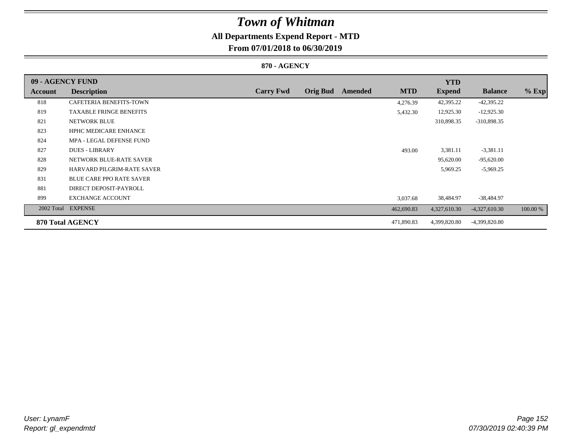## **All Departments Expend Report - MTD**

### **From 07/01/2018 to 06/30/2019**

#### **870 - AGENCY**

| 09 - AGENCY FUND |                                 |                  |                 |         |            | <b>YTD</b>    |                 |          |
|------------------|---------------------------------|------------------|-----------------|---------|------------|---------------|-----------------|----------|
| Account          | <b>Description</b>              | <b>Carry Fwd</b> | <b>Orig Bud</b> | Amended | <b>MTD</b> | <b>Expend</b> | <b>Balance</b>  | $%$ Exp  |
| 818              | <b>CAFETERIA BENEFITS-TOWN</b>  |                  |                 |         | 4,276.39   | 42,395.22     | $-42,395.22$    |          |
| 819              | <b>TAXABLE FRINGE BENEFITS</b>  |                  |                 |         | 5,432.30   | 12,925.30     | $-12,925.30$    |          |
| 821              | <b>NETWORK BLUE</b>             |                  |                 |         |            | 310,898.35    | -310,898.35     |          |
| 823              | <b>HPHC MEDICARE ENHANCE</b>    |                  |                 |         |            |               |                 |          |
| 824              | MPA - LEGAL DEFENSE FUND        |                  |                 |         |            |               |                 |          |
| 827              | <b>DUES - LIBRARY</b>           |                  |                 |         | 493.00     | 3,381.11      | $-3,381.11$     |          |
| 828              | NETWORK BLUE-RATE SAVER         |                  |                 |         |            | 95,620.00     | $-95,620.00$    |          |
| 829              | HARVARD PILGRIM-RATE SAVER      |                  |                 |         |            | 5,969.25      | $-5,969.25$     |          |
| 831              | <b>BLUE CARE PPO RATE SAVER</b> |                  |                 |         |            |               |                 |          |
| 881              | DIRECT DEPOSIT-PAYROLL          |                  |                 |         |            |               |                 |          |
| 899              | <b>EXCHANGE ACCOUNT</b>         |                  |                 |         | 3,037.68   | 38,484.97     | $-38,484.97$    |          |
| 2002 Total       | <b>EXPENSE</b>                  |                  |                 |         | 462,690.83 | 4,327,610.30  | $-4,327,610.30$ | 100.00 % |
|                  | 870 Total AGENCY                |                  |                 |         | 471,890.83 | 4,399,820.80  | -4,399,820.80   |          |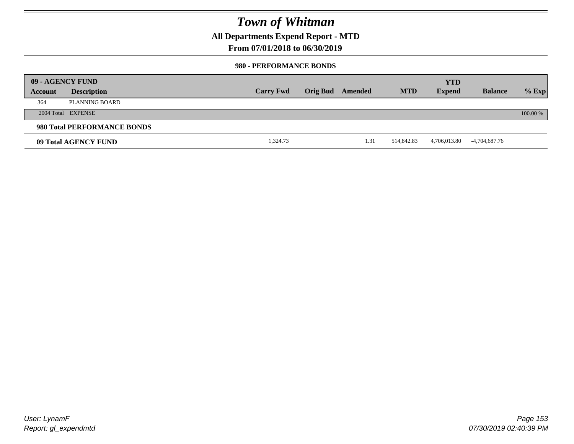**All Departments Expend Report - MTD**

### **From 07/01/2018 to 06/30/2019**

#### **980 - PERFORMANCE BONDS**

|         | 09 - AGENCY FUND            |                  |                 |         |            | <b>YTD</b>    |                |          |
|---------|-----------------------------|------------------|-----------------|---------|------------|---------------|----------------|----------|
| Account | <b>Description</b>          | <b>Carry Fwd</b> | <b>Orig Bud</b> | Amended | <b>MTD</b> | <b>Expend</b> | <b>Balance</b> | $%$ Exp  |
| 364     | PLANNING BOARD              |                  |                 |         |            |               |                |          |
|         | 2004 Total EXPENSE          |                  |                 |         |            |               |                | 100.00 % |
|         | 980 Total PERFORMANCE BONDS |                  |                 |         |            |               |                |          |
|         | 09 Total AGENCY FUND        | 1,324.73         |                 | 1.31    | 514,842.83 | 4,706,013.80  | -4,704,687.76  |          |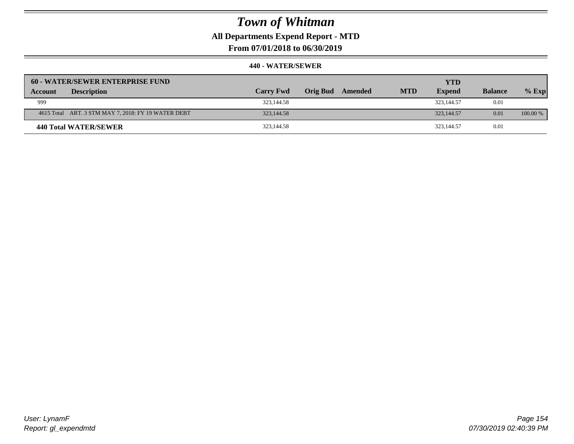**All Departments Expend Report - MTD**

**From 07/01/2018 to 06/30/2019**

| 60 - WATER/SEWER ENTERPRISE FUND                    |                  |                     |            | <b>YTD</b>    |                |            |
|-----------------------------------------------------|------------------|---------------------|------------|---------------|----------------|------------|
| <b>Description</b><br>Account                       | <b>Carry Fwd</b> | Orig Bud<br>Amended | <b>MTD</b> | <b>Expend</b> | <b>Balance</b> | $%$ Exp    |
| 999                                                 | 323,144.58       |                     |            | 323,144.57    | 0.01           |            |
| 4615 Total ART. 3 STM MAY 7, 2018: FY 19 WATER DEBT | 323,144.58       |                     |            | 323,144.57    | 0.01           | $100.00\%$ |
| 440 Total WATER/SEWER                               | 323,144.58       |                     |            | 323,144.57    | 0.01           |            |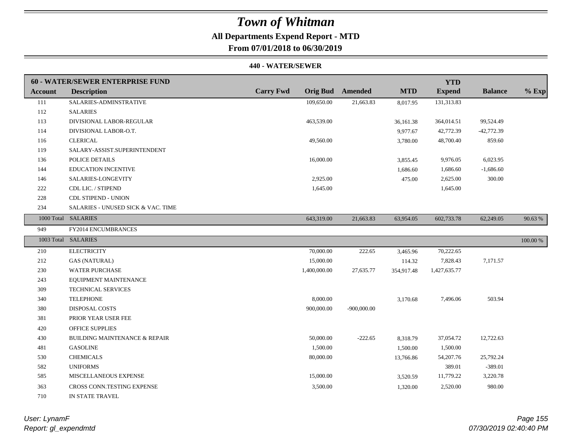### **All Departments Expend Report - MTD**

**From 07/01/2018 to 06/30/2019**

#### **440 - WATER/SEWER**

|                | <b>60 - WATER/SEWER ENTERPRISE FUND</b>  |                                     |                |            | <b>YTD</b>    |                |             |
|----------------|------------------------------------------|-------------------------------------|----------------|------------|---------------|----------------|-------------|
| <b>Account</b> | <b>Description</b>                       | <b>Carry Fwd</b><br><b>Orig Bud</b> | <b>Amended</b> | <b>MTD</b> | <b>Expend</b> | <b>Balance</b> | $%$ Exp     |
| 111            | SALARIES-ADMINSTRATIVE                   | 109,650.00                          | 21,663.83      | 8,017.95   | 131,313.83    |                |             |
| 112            | <b>SALARIES</b>                          |                                     |                |            |               |                |             |
| 113            | DIVISIONAL LABOR-REGULAR                 | 463,539.00                          |                | 36,161.38  | 364,014.51    | 99,524.49      |             |
| 114            | DIVISIONAL LABOR-O.T.                    |                                     |                | 9,977.67   | 42,772.39     | $-42,772.39$   |             |
| 116            | <b>CLERICAL</b>                          | 49,560.00                           |                | 3,780.00   | 48,700.40     | 859.60         |             |
| 119            | SALARY-ASSIST.SUPERINTENDENT             |                                     |                |            |               |                |             |
| 136            | POLICE DETAILS                           | 16,000.00                           |                | 3,855.45   | 9,976.05      | 6,023.95       |             |
| 144            | <b>EDUCATION INCENTIVE</b>               |                                     |                | 1,686.60   | 1,686.60      | $-1,686.60$    |             |
| 146            | SALARIES-LONGEVITY                       | 2,925.00                            |                | 475.00     | 2,625.00      | 300.00         |             |
| 222            | CDL LIC. / STIPEND                       | 1,645.00                            |                |            | 1,645.00      |                |             |
| 228            | <b>CDL STIPEND - UNION</b>               |                                     |                |            |               |                |             |
| 234            | SALARIES - UNUSED SICK & VAC. TIME       |                                     |                |            |               |                |             |
|                | 1000 Total SALARIES                      | 643,319.00                          | 21,663.83      | 63,954.05  | 602,733.78    | 62,249.05      | 90.63%      |
| 949            | FY2014 ENCUMBRANCES                      |                                     |                |            |               |                |             |
|                | 1003 Total SALARIES                      |                                     |                |            |               |                | $100.00~\%$ |
| 210            | <b>ELECTRICITY</b>                       | 70,000.00                           | 222.65         | 3,465.96   | 70,222.65     |                |             |
| 212            | <b>GAS (NATURAL)</b>                     | 15,000.00                           |                | 114.32     | 7,828.43      | 7,171.57       |             |
| 230            | <b>WATER PURCHASE</b>                    | 1,400,000.00                        | 27,635.77      | 354,917.48 | 1,427,635.77  |                |             |
| 243            | EQUIPMENT MAINTENANCE                    |                                     |                |            |               |                |             |
| 309            | TECHNICAL SERVICES                       |                                     |                |            |               |                |             |
| 340            | <b>TELEPHONE</b>                         | 8,000.00                            |                | 3,170.68   | 7,496.06      | 503.94         |             |
| 380            | <b>DISPOSAL COSTS</b>                    | 900,000.00                          | $-900,000.00$  |            |               |                |             |
| 381            | PRIOR YEAR USER FEE                      |                                     |                |            |               |                |             |
| 420            | <b>OFFICE SUPPLIES</b>                   |                                     |                |            |               |                |             |
| 430            | <b>BUILDING MAINTENANCE &amp; REPAIR</b> | 50,000.00                           | $-222.65$      | 8,318.79   | 37,054.72     | 12,722.63      |             |
| 481            | <b>GASOLINE</b>                          | 1,500.00                            |                | 1,500.00   | 1,500.00      |                |             |
| 530            | <b>CHEMICALS</b>                         | 80,000.00                           |                | 13,766.86  | 54,207.76     | 25,792.24      |             |
| 582            | <b>UNIFORMS</b>                          |                                     |                |            | 389.01        | $-389.01$      |             |
| 585            | MISCELLANEOUS EXPENSE                    | 15,000.00                           |                | 3,520.59   | 11,779.22     | 3,220.78       |             |
| 363            | CROSS CONN.TESTING EXPENSE               | 3,500.00                            |                | 1,320.00   | 2,520.00      | 980.00         |             |
| 710            | IN STATE TRAVEL                          |                                     |                |            |               |                |             |

*Report: gl\_expendmtd User: LynamF*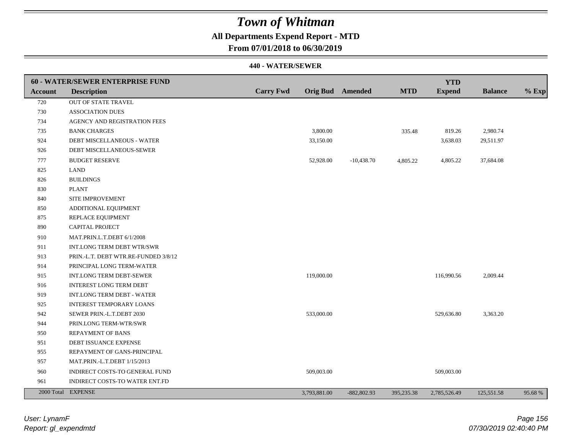### **All Departments Expend Report - MTD**

**From 07/01/2018 to 06/30/2019**

|         | <b>60 - WATER/SEWER ENTERPRISE FUND</b> |                  |                         |               |            | <b>YTD</b>    |                |         |
|---------|-----------------------------------------|------------------|-------------------------|---------------|------------|---------------|----------------|---------|
| Account | <b>Description</b>                      | <b>Carry Fwd</b> | <b>Orig Bud</b> Amended |               | <b>MTD</b> | <b>Expend</b> | <b>Balance</b> | $%$ Exp |
| 720     | <b>OUT OF STATE TRAVEL</b>              |                  |                         |               |            |               |                |         |
| 730     | <b>ASSOCIATION DUES</b>                 |                  |                         |               |            |               |                |         |
| 734     | AGENCY AND REGISTRATION FEES            |                  |                         |               |            |               |                |         |
| 735     | <b>BANK CHARGES</b>                     |                  | 3,800.00                |               | 335.48     | 819.26        | 2,980.74       |         |
| 924     | DEBT MISCELLANEOUS - WATER              |                  | 33,150.00               |               |            | 3,638.03      | 29,511.97      |         |
| 926     | DEBT MISCELLANEOUS-SEWER                |                  |                         |               |            |               |                |         |
| 777     | <b>BUDGET RESERVE</b>                   |                  | 52,928.00               | $-10,438.70$  | 4,805.22   | 4,805.22      | 37,684.08      |         |
| 825     | <b>LAND</b>                             |                  |                         |               |            |               |                |         |
| 826     | <b>BUILDINGS</b>                        |                  |                         |               |            |               |                |         |
| 830     | <b>PLANT</b>                            |                  |                         |               |            |               |                |         |
| 840     | SITE IMPROVEMENT                        |                  |                         |               |            |               |                |         |
| 850     | ADDITIONAL EQUIPMENT                    |                  |                         |               |            |               |                |         |
| 875     | REPLACE EQUIPMENT                       |                  |                         |               |            |               |                |         |
| 890     | CAPITAL PROJECT                         |                  |                         |               |            |               |                |         |
| 910     | MAT.PRIN.L.T.DEBT 6/1/2008              |                  |                         |               |            |               |                |         |
| 911     | <b>INT.LONG TERM DEBT WTR/SWR</b>       |                  |                         |               |            |               |                |         |
| 913     | PRIN.-L.T. DEBT WTR.RE-FUNDED 3/8/12    |                  |                         |               |            |               |                |         |
| 914     | PRINCIPAL LONG TERM-WATER               |                  |                         |               |            |               |                |         |
| 915     | INT.LONG TERM DEBT-SEWER                |                  | 119,000.00              |               |            | 116,990.56    | 2,009.44       |         |
| 916     | <b>INTEREST LONG TERM DEBT</b>          |                  |                         |               |            |               |                |         |
| 919     | INT.LONG TERM DEBT - WATER              |                  |                         |               |            |               |                |         |
| 925     | <b>INTEREST TEMPORARY LOANS</b>         |                  |                         |               |            |               |                |         |
| 942     | SEWER PRIN.-L.T.DEBT 2030               |                  | 533,000.00              |               |            | 529,636.80    | 3,363.20       |         |
| 944     | PRIN.LONG TERM-WTR/SWR                  |                  |                         |               |            |               |                |         |
| 950     | REPAYMENT OF BANS                       |                  |                         |               |            |               |                |         |
| 951     | DEBT ISSUANCE EXPENSE                   |                  |                         |               |            |               |                |         |
| 955     | REPAYMENT OF GANS-PRINCIPAL             |                  |                         |               |            |               |                |         |
| 957     | MAT.PRIN.-L.T.DEBT 1/15/2013            |                  |                         |               |            |               |                |         |
| 960     | INDIRECT COSTS-TO GENERAL FUND          |                  | 509,003.00              |               |            | 509,003.00    |                |         |
| 961     | INDIRECT COSTS-TO WATER ENT.FD          |                  |                         |               |            |               |                |         |
|         | 2000 Total EXPENSE                      |                  | 3,793,881.00            | $-882,802.93$ | 395,235.38 | 2,785,526.49  | 125,551.58     | 95.68%  |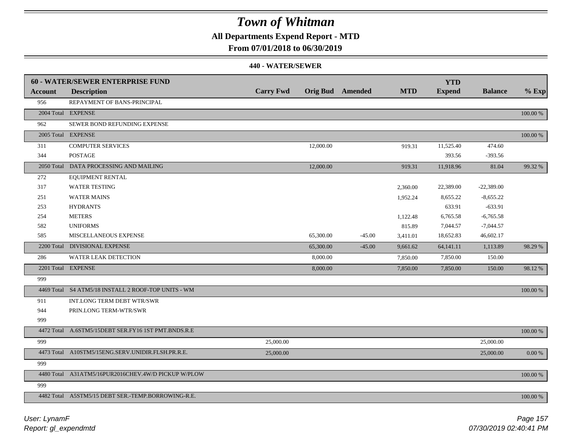### **All Departments Expend Report - MTD**

### **From 07/01/2018 to 06/30/2019**

|         | <b>60 - WATER/SEWER ENTERPRISE FUND</b>             |                  |           |                         |            | <b>YTD</b>    |                |          |
|---------|-----------------------------------------------------|------------------|-----------|-------------------------|------------|---------------|----------------|----------|
| Account | <b>Description</b>                                  | <b>Carry Fwd</b> |           | <b>Orig Bud</b> Amended | <b>MTD</b> | <b>Expend</b> | <b>Balance</b> | $%$ Exp  |
| 956     | REPAYMENT OF BANS-PRINCIPAL                         |                  |           |                         |            |               |                |          |
|         | 2004 Total EXPENSE                                  |                  |           |                         |            |               |                | 100.00 % |
| 962     | SEWER BOND REFUNDING EXPENSE                        |                  |           |                         |            |               |                |          |
|         | 2005 Total EXPENSE                                  |                  |           |                         |            |               |                | 100.00 % |
| 311     | <b>COMPUTER SERVICES</b>                            |                  | 12,000.00 |                         | 919.31     | 11,525.40     | 474.60         |          |
| 344     | <b>POSTAGE</b>                                      |                  |           |                         |            | 393.56        | $-393.56$      |          |
|         | 2050 Total DATA PROCESSING AND MAILING              |                  | 12,000.00 |                         | 919.31     | 11,918.96     | 81.04          | 99.32 %  |
| 272     | <b>EQUIPMENT RENTAL</b>                             |                  |           |                         |            |               |                |          |
| 317     | <b>WATER TESTING</b>                                |                  |           |                         | 2,360.00   | 22,389.00     | $-22,389.00$   |          |
| 251     | <b>WATER MAINS</b>                                  |                  |           |                         | 1,952.24   | 8,655.22      | $-8,655.22$    |          |
| 253     | <b>HYDRANTS</b>                                     |                  |           |                         |            | 633.91        | $-633.91$      |          |
| 254     | <b>METERS</b>                                       |                  |           |                         | 1,122.48   | 6,765.58      | $-6,765.58$    |          |
| 582     | <b>UNIFORMS</b>                                     |                  |           |                         | 815.89     | 7,044.57      | $-7,044.57$    |          |
| 585     | MISCELLANEOUS EXPENSE                               |                  | 65,300.00 | $-45.00$                | 3,411.01   | 18,652.83     | 46,602.17      |          |
|         | 2200 Total DIVISIONAL EXPENSE                       |                  | 65,300.00 | $-45.00$                | 9,661.62   | 64,141.11     | 1,113.89       | 98.29 %  |
| 286     | <b>WATER LEAK DETECTION</b>                         |                  | 8,000.00  |                         | 7,850.00   | 7,850.00      | 150.00         |          |
|         | 2201 Total EXPENSE                                  |                  | 8,000.00  |                         | 7,850.00   | 7,850.00      | 150.00         | 98.12%   |
| 999     |                                                     |                  |           |                         |            |               |                |          |
|         | 4469 Total S4 ATM5/18 INSTALL 2 ROOF-TOP UNITS - WM |                  |           |                         |            |               |                | 100.00 % |
| 911     | INT.LONG TERM DEBT WTR/SWR                          |                  |           |                         |            |               |                |          |
| 944     | PRIN.LONG TERM-WTR/SWR                              |                  |           |                         |            |               |                |          |
| 999     |                                                     |                  |           |                         |            |               |                |          |
|         | 4472 Total A.6STM5/15DEBT SER.FY16 1ST PMT.BNDS.R.E |                  |           |                         |            |               |                | 100.00 % |
| 999     |                                                     | 25,000.00        |           |                         |            |               | 25,000.00      |          |
|         | 4473 Total A10STM5/15ENG.SERV.UNIDIR.FLSH.PR.R.E.   | 25,000.00        |           |                         |            |               | 25,000.00      | 0.00 %   |
| 999     |                                                     |                  |           |                         |            |               |                |          |
|         | 4480 Total A31ATM5/16PUR2016CHEV.4W/D PICKUP W/PLOW |                  |           |                         |            |               |                | 100.00 % |
| 999     |                                                     |                  |           |                         |            |               |                |          |
|         | 4482 Total A5STM5/15 DEBT SER.-TEMP.BORROWING-R.E.  |                  |           |                         |            |               |                | 100.00 % |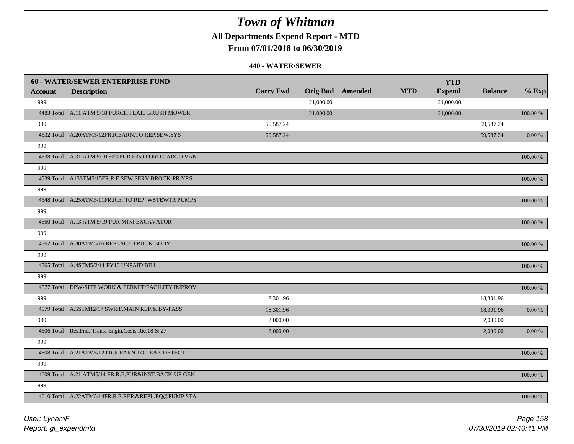**All Departments Expend Report - MTD**

**From 07/01/2018 to 06/30/2019**

|         | <b>60 - WATER/SEWER ENTERPRISE FUND</b>              |                  |           |                         |            | <b>YTD</b>    |                |             |
|---------|------------------------------------------------------|------------------|-----------|-------------------------|------------|---------------|----------------|-------------|
| Account | <b>Description</b>                                   | <b>Carry Fwd</b> |           | <b>Orig Bud</b> Amended | <b>MTD</b> | <b>Expend</b> | <b>Balance</b> | $%$ Exp     |
| 999     |                                                      |                  | 21,000.00 |                         |            | 21,000.00     |                |             |
|         | 4483 Total A.11 ATM 5/18 PURCH FLAIL BRUSH MOWER     |                  | 21,000.00 |                         |            | 21,000.00     |                | 100.00 %    |
| 999     |                                                      | 59,587.24        |           |                         |            |               | 59,587.24      |             |
|         | 4532 Total A.20ATM5/12FR.R.EARN.TO REP.SEW.SYS       | 59,587.24        |           |                         |            |               | 59,587.24      | 0.00 %      |
| 999     |                                                      |                  |           |                         |            |               |                |             |
|         | 4538 Total A.31 ATM 5/10 50% PUR.E350 FORD CARGO VAN |                  |           |                         |            |               |                | 100.00 %    |
| 999     |                                                      |                  |           |                         |            |               |                |             |
|         | 4539 Total A13STM5/15FR.R.E.SEW.SERV.BROCK-PR.YRS    |                  |           |                         |            |               |                | 100.00 %    |
| 999     |                                                      |                  |           |                         |            |               |                |             |
|         | 4548 Total A.25ATM5/11FR.R.E. TO REP. WSTEWTR PUMPS  |                  |           |                         |            |               |                | 100.00 %    |
| 999     |                                                      |                  |           |                         |            |               |                |             |
|         | 4560 Total A.13 ATM 5/19 PUR MINI EXCAVATOR          |                  |           |                         |            |               |                | 100.00 %    |
| 999     |                                                      |                  |           |                         |            |               |                |             |
|         | 4562 Total A.30ATM5/16 REPLACE TRUCK BODY            |                  |           |                         |            |               |                | 100.00 %    |
| 999     |                                                      |                  |           |                         |            |               |                |             |
|         | 4565 Total A.4STM5/2/11 FY10 UNPAID BILL             |                  |           |                         |            |               |                | $100.00~\%$ |
| 999     |                                                      |                  |           |                         |            |               |                |             |
|         | 4577 Total DPW-SITE WORK & PERMIT/FACILITY IMPROV.   |                  |           |                         |            |               |                | 100.00 %    |
| 999     |                                                      | 18,301.96        |           |                         |            |               | 18,301.96      |             |
|         | 4579 Total A.5STM12/17 SWR.F.MAIN REP.& BY-PASS      | 18,301.96        |           |                         |            |               | 18,301.96      | 0.00 %      |
| 999     |                                                      | 2,000.00         |           |                         |            |               | 2,000.00       |             |
|         | 4606 Total Res.Fnd. Trans.-Engin.Costs Rte.18 & 27   | 2,000.00         |           |                         |            |               | 2,000.00       | $0.00 \%$   |
| 999     |                                                      |                  |           |                         |            |               |                |             |
|         | 4608 Total A.21ATM5/12 FR.R.EARN.TO LEAK DETECT.     |                  |           |                         |            |               |                | 100.00 %    |
| 999     |                                                      |                  |           |                         |            |               |                |             |
|         | 4609 Total A.21 ATM5/14 FR.R.E.PUR&INST.BACK-UP GEN  |                  |           |                         |            |               |                | 100.00 %    |
| 999     |                                                      |                  |           |                         |            |               |                |             |
|         | 4610 Total A.22ATM5/14FR.R.E.REP.&REPL.EQ@PUMP STA.  |                  |           |                         |            |               |                | 100.00 %    |
|         |                                                      |                  |           |                         |            |               |                |             |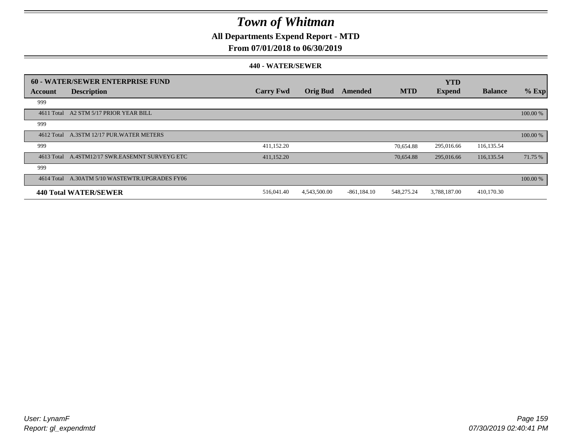### **All Departments Expend Report - MTD**

### **From 07/01/2018 to 06/30/2019**

|            | <b>60 - WATER/SEWER ENTERPRISE FUND</b> |                  |                 |                |            | <b>YTD</b>    |                |          |
|------------|-----------------------------------------|------------------|-----------------|----------------|------------|---------------|----------------|----------|
| Account    | <b>Description</b>                      | <b>Carry Fwd</b> | <b>Orig Bud</b> | Amended        | <b>MTD</b> | <b>Expend</b> | <b>Balance</b> | $%$ Exp  |
| 999        |                                         |                  |                 |                |            |               |                |          |
| 4611 Total | A2 STM 5/17 PRIOR YEAR BILL             |                  |                 |                |            |               |                | 100.00 % |
| 999        |                                         |                  |                 |                |            |               |                |          |
| 4612 Total | A.3STM 12/17 PUR.WATER METERS           |                  |                 |                |            |               |                | 100.00 % |
| 999        |                                         | 411,152.20       |                 |                | 70,654.88  | 295,016.66    | 116,135.54     |          |
| 4613 Total | A.4STM12/17 SWR.EASEMNT SURVEYG ETC     | 411,152.20       |                 |                | 70,654.88  | 295,016.66    | 116,135.54     | 71.75 %  |
| 999        |                                         |                  |                 |                |            |               |                |          |
| 4614 Total | A.30ATM 5/10 WASTEWTR.UPGRADES FY06     |                  |                 |                |            |               |                | 100.00 % |
|            | 440 Total WATER/SEWER                   | 516,041.40       | 4,543,500.00    | $-861, 184.10$ | 548,275.24 | 3,788,187.00  | 410,170.30     |          |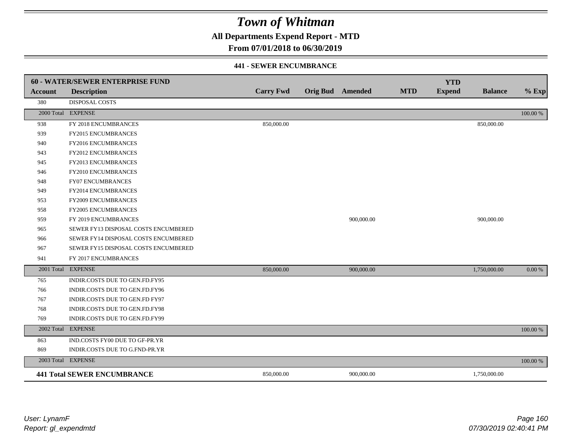**All Departments Expend Report - MTD**

### **From 07/01/2018 to 06/30/2019**

#### **441 - SEWER ENCUMBRANCE**

|                | <b>60 - WATER/SEWER ENTERPRISE FUND</b> |                  |                         |            |            | <b>YTD</b>    |                |          |
|----------------|-----------------------------------------|------------------|-------------------------|------------|------------|---------------|----------------|----------|
| <b>Account</b> | <b>Description</b>                      | <b>Carry Fwd</b> | <b>Orig Bud</b> Amended |            | <b>MTD</b> | <b>Expend</b> | <b>Balance</b> | $%$ Exp  |
| 380            | <b>DISPOSAL COSTS</b>                   |                  |                         |            |            |               |                |          |
|                | 2000 Total EXPENSE                      |                  |                         |            |            |               |                | 100.00 % |
| 938            | FY 2018 ENCUMBRANCES                    | 850,000.00       |                         |            |            |               | 850,000.00     |          |
| 939            | FY2015 ENCUMBRANCES                     |                  |                         |            |            |               |                |          |
| 940            | FY2016 ENCUMBRANCES                     |                  |                         |            |            |               |                |          |
| 943            | <b>FY2012 ENCUMBRANCES</b>              |                  |                         |            |            |               |                |          |
| 945            | FY2013 ENCUMBRANCES                     |                  |                         |            |            |               |                |          |
| 946            | FY2010 ENCUMBRANCES                     |                  |                         |            |            |               |                |          |
| 948            | <b>FY07 ENCUMBRANCES</b>                |                  |                         |            |            |               |                |          |
| 949            | FY2014 ENCUMBRANCES                     |                  |                         |            |            |               |                |          |
| 953            | FY2009 ENCUMBRANCES                     |                  |                         |            |            |               |                |          |
| 958            | FY2005 ENCUMBRANCES                     |                  |                         |            |            |               |                |          |
| 959            | FY 2019 ENCUMBRANCES                    |                  |                         | 900,000.00 |            |               | 900,000.00     |          |
| 965            | SEWER FY13 DISPOSAL COSTS ENCUMBERED    |                  |                         |            |            |               |                |          |
| 966            | SEWER FY14 DISPOSAL COSTS ENCUMBERED    |                  |                         |            |            |               |                |          |
| 967            | SEWER FY15 DISPOSAL COSTS ENCUMBERED    |                  |                         |            |            |               |                |          |
| 941            | FY 2017 ENCUMBRANCES                    |                  |                         |            |            |               |                |          |
|                | 2001 Total EXPENSE                      | 850,000.00       |                         | 900,000.00 |            |               | 1,750,000.00   | 0.00 %   |
| 765            | INDIR.COSTS DUE TO GEN.FD.FY95          |                  |                         |            |            |               |                |          |
| 766            | INDIR.COSTS DUE TO GEN.FD.FY96          |                  |                         |            |            |               |                |          |
| 767            | INDIR.COSTS DUE TO GEN.FD FY97          |                  |                         |            |            |               |                |          |
| 768            | INDIR.COSTS DUE TO GEN.FD.FY98          |                  |                         |            |            |               |                |          |
| 769            | INDIR.COSTS DUE TO GEN.FD.FY99          |                  |                         |            |            |               |                |          |
| 2002 Total     | <b>EXPENSE</b>                          |                  |                         |            |            |               |                | 100.00 % |
| 863            | IND.COSTS FY00 DUE TO GF-PR.YR          |                  |                         |            |            |               |                |          |
| 869            | INDIR.COSTS DUE TO G.FND-PR.YR          |                  |                         |            |            |               |                |          |
|                | 2003 Total EXPENSE                      |                  |                         |            |            |               |                | 100.00 % |
|                | <b>441 Total SEWER ENCUMBRANCE</b>      | 850,000.00       |                         | 900,000.00 |            |               | 1,750,000.00   |          |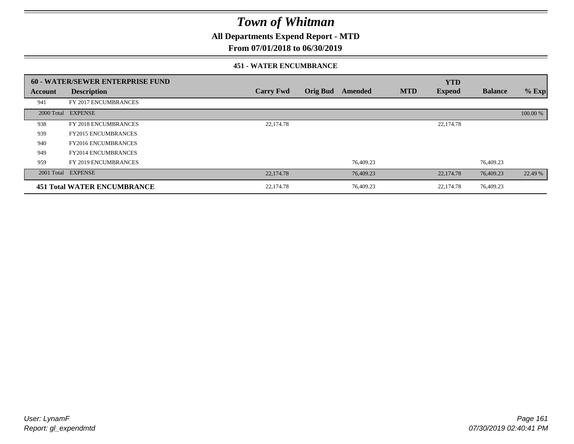**All Departments Expend Report - MTD**

### **From 07/01/2018 to 06/30/2019**

#### **451 - WATER ENCUMBRANCE**

|            | 60 - WATER/SEWER ENTERPRISE FUND   |                  |                 |           |            | <b>YTD</b>    |                |          |
|------------|------------------------------------|------------------|-----------------|-----------|------------|---------------|----------------|----------|
| Account    | <b>Description</b>                 | <b>Carry Fwd</b> | <b>Orig Bud</b> | Amended   | <b>MTD</b> | <b>Expend</b> | <b>Balance</b> | $%$ Exp  |
| 941        | FY 2017 ENCUMBRANCES               |                  |                 |           |            |               |                |          |
| 2000 Total | <b>EXPENSE</b>                     |                  |                 |           |            |               |                | 100.00 % |
| 938        | FY 2018 ENCUMBRANCES               | 22,174.78        |                 |           |            | 22,174.78     |                |          |
| 939        | <b>FY2015 ENCUMBRANCES</b>         |                  |                 |           |            |               |                |          |
| 940        | <b>FY2016 ENCUMBRANCES</b>         |                  |                 |           |            |               |                |          |
| 949        | <b>FY2014 ENCUMBRANCES</b>         |                  |                 |           |            |               |                |          |
| 959        | FY 2019 ENCUMBRANCES               |                  |                 | 76.409.23 |            |               | 76,409.23      |          |
|            | 2001 Total EXPENSE                 | 22,174.78        |                 | 76,409.23 |            | 22,174.78     | 76,409.23      | 22.49 %  |
|            | <b>451 Total WATER ENCUMBRANCE</b> | 22,174.78        |                 | 76,409.23 |            | 22,174.78     | 76,409.23      |          |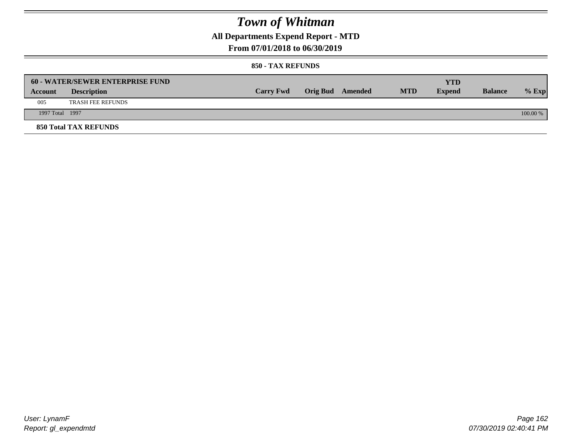### **All Departments Expend Report - MTD**

### **From 07/01/2018 to 06/30/2019**

#### **850 - TAX REFUNDS**

|                 | <b>60 - WATER/SEWER ENTERPRISE FUND</b> |                  |                         |            | YTD           |                |            |
|-----------------|-----------------------------------------|------------------|-------------------------|------------|---------------|----------------|------------|
| Account         | <b>Description</b>                      | <b>Carry Fwd</b> | <b>Orig Bud</b> Amended | <b>MTD</b> | <b>Expend</b> | <b>Balance</b> | $%$ Exp    |
| 005             | <b>TRASH FEE REFUNDS</b>                |                  |                         |            |               |                |            |
| 1997 Total 1997 |                                         |                  |                         |            |               |                | $100.00\%$ |
|                 | <b>850 Total TAX REFUNDS</b>            |                  |                         |            |               |                |            |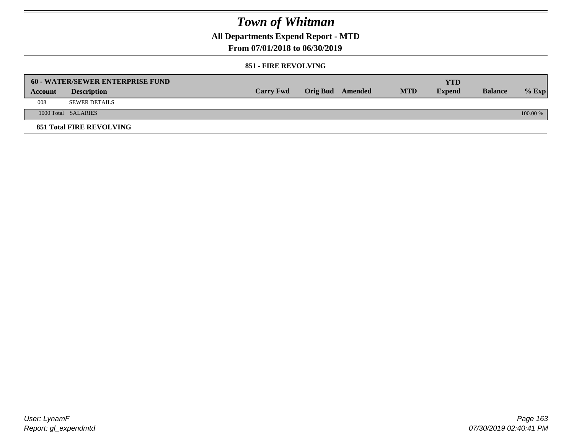**All Departments Expend Report - MTD**

**From 07/01/2018 to 06/30/2019**

#### **851 - FIRE REVOLVING**

|                | <b>60 - WATER/SEWER ENTERPRISE FUND</b> |                  |                  |            | <b>YTD</b>    |                |            |
|----------------|-----------------------------------------|------------------|------------------|------------|---------------|----------------|------------|
| <b>Account</b> | <b>Description</b>                      | <b>Carry Fwd</b> | Orig Bud Amended | <b>MTD</b> | <b>Expend</b> | <b>Balance</b> | $%$ Exp    |
| 008            | <b>SEWER DETAILS</b>                    |                  |                  |            |               |                |            |
|                | 1000 Total SALARIES                     |                  |                  |            |               |                | $100.00\%$ |
|                | <b>851 Total FIRE REVOLVING</b>         |                  |                  |            |               |                |            |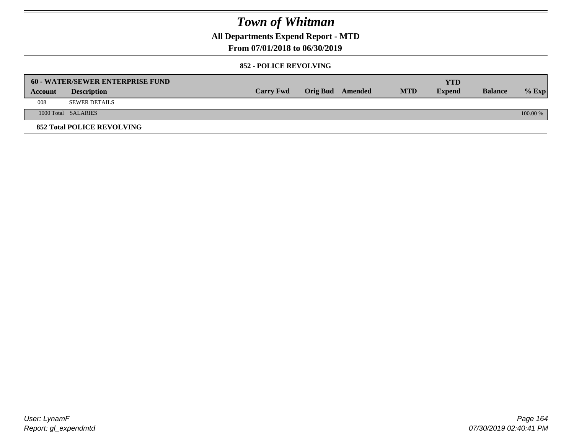**All Departments Expend Report - MTD**

### **From 07/01/2018 to 06/30/2019**

#### **852 - POLICE REVOLVING**

|         | 60 - WATER/SEWER ENTERPRISE FUND  |                  |                  |            | <b>YTD</b>    |                |            |
|---------|-----------------------------------|------------------|------------------|------------|---------------|----------------|------------|
| Account | <b>Description</b>                | <b>Carry Fwd</b> | Orig Bud Amended | <b>MTD</b> | <b>Expend</b> | <b>Balance</b> | $%$ Exp    |
| 008     | <b>SEWER DETAILS</b>              |                  |                  |            |               |                |            |
|         | 1000 Total SALARIES               |                  |                  |            |               |                | $100.00\%$ |
|         | <b>852 Total POLICE REVOLVING</b> |                  |                  |            |               |                |            |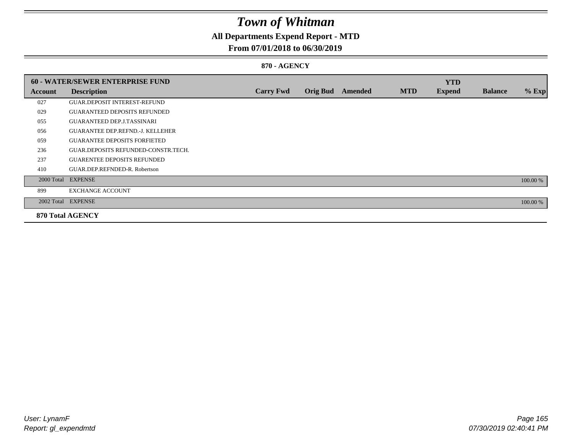## **All Departments Expend Report - MTD**

### **From 07/01/2018 to 06/30/2019**

#### **870 - AGENCY**

|         | <b>60 - WATER/SEWER ENTERPRISE FUND</b> |                  |                 |                |            | <b>YTD</b>    |                |          |
|---------|-----------------------------------------|------------------|-----------------|----------------|------------|---------------|----------------|----------|
| Account | <b>Description</b>                      | <b>Carry Fwd</b> | <b>Orig Bud</b> | <b>Amended</b> | <b>MTD</b> | <b>Expend</b> | <b>Balance</b> | $%$ Exp  |
| 027     | <b>GUAR.DEPOSIT INTEREST-REFUND</b>     |                  |                 |                |            |               |                |          |
| 029     | <b>GUARANTEED DEPOSITS REFUNDED</b>     |                  |                 |                |            |               |                |          |
| 055     | <b>GUARANTEED DEP.J.TASSINARI</b>       |                  |                 |                |            |               |                |          |
| 056     | <b>GUARANTEE DEP.REFND.-J. KELLEHER</b> |                  |                 |                |            |               |                |          |
| 059     | <b>GUARANTEE DEPOSITS FORFIETED</b>     |                  |                 |                |            |               |                |          |
| 236     | GUAR.DEPOSITS REFUNDED-CONSTR.TECH.     |                  |                 |                |            |               |                |          |
| 237     | <b>GUARENTEE DEPOSITS REFUNDED</b>      |                  |                 |                |            |               |                |          |
| 410     | GUAR.DEP.REFNDED-R. Robertson           |                  |                 |                |            |               |                |          |
|         | 2000 Total EXPENSE                      |                  |                 |                |            |               |                | 100.00 % |
| 899     | <b>EXCHANGE ACCOUNT</b>                 |                  |                 |                |            |               |                |          |
|         | 2002 Total EXPENSE                      |                  |                 |                |            |               |                | 100.00 % |
|         | <b>870 Total AGENCY</b>                 |                  |                 |                |            |               |                |          |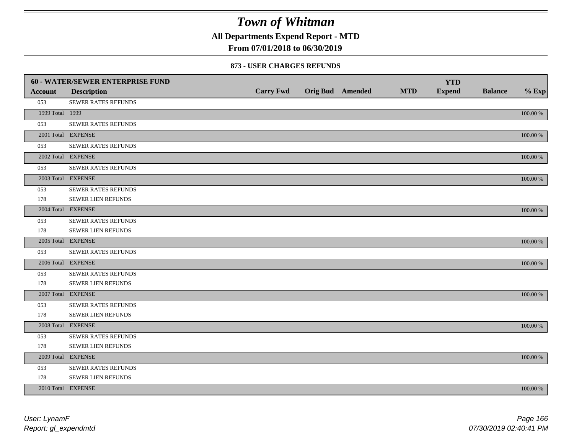**All Departments Expend Report - MTD**

### **From 07/01/2018 to 06/30/2019**

#### **873 - USER CHARGES REFUNDS**

|                 | 60 - WATER/SEWER ENTERPRISE FUND |                  |                         |            | <b>YTD</b>    |                |             |
|-----------------|----------------------------------|------------------|-------------------------|------------|---------------|----------------|-------------|
| <b>Account</b>  | <b>Description</b>               | <b>Carry Fwd</b> | <b>Orig Bud</b> Amended | <b>MTD</b> | <b>Expend</b> | <b>Balance</b> | $%$ Exp     |
| 053             | SEWER RATES REFUNDS              |                  |                         |            |               |                |             |
| 1999 Total 1999 |                                  |                  |                         |            |               |                | 100.00 %    |
| 053             | SEWER RATES REFUNDS              |                  |                         |            |               |                |             |
|                 | 2001 Total EXPENSE               |                  |                         |            |               |                | 100.00 %    |
| 053             | SEWER RATES REFUNDS              |                  |                         |            |               |                |             |
|                 | 2002 Total EXPENSE               |                  |                         |            |               |                | $100.00~\%$ |
| 053             | SEWER RATES REFUNDS              |                  |                         |            |               |                |             |
|                 | 2003 Total EXPENSE               |                  |                         |            |               |                | 100.00 %    |
| 053             | SEWER RATES REFUNDS              |                  |                         |            |               |                |             |
| 178             | <b>SEWER LIEN REFUNDS</b>        |                  |                         |            |               |                |             |
|                 | 2004 Total EXPENSE               |                  |                         |            |               |                | 100.00 %    |
| 053             | SEWER RATES REFUNDS              |                  |                         |            |               |                |             |
| 178             | SEWER LIEN REFUNDS               |                  |                         |            |               |                |             |
|                 | 2005 Total EXPENSE               |                  |                         |            |               |                | 100.00 %    |
| 053             | <b>SEWER RATES REFUNDS</b>       |                  |                         |            |               |                |             |
|                 | 2006 Total EXPENSE               |                  |                         |            |               |                | 100.00 %    |
| 053             | <b>SEWER RATES REFUNDS</b>       |                  |                         |            |               |                |             |
| 178             | SEWER LIEN REFUNDS               |                  |                         |            |               |                |             |
|                 | 2007 Total EXPENSE               |                  |                         |            |               |                | 100.00 %    |
| 053             | SEWER RATES REFUNDS              |                  |                         |            |               |                |             |
| 178             | <b>SEWER LIEN REFUNDS</b>        |                  |                         |            |               |                |             |
|                 | 2008 Total EXPENSE               |                  |                         |            |               |                | 100.00 %    |
| 053             | <b>SEWER RATES REFUNDS</b>       |                  |                         |            |               |                |             |
| 178             | SEWER LIEN REFUNDS               |                  |                         |            |               |                |             |
|                 | 2009 Total EXPENSE               |                  |                         |            |               |                | 100.00 %    |
| 053             | SEWER RATES REFUNDS              |                  |                         |            |               |                |             |
| 178             | <b>SEWER LIEN REFUNDS</b>        |                  |                         |            |               |                |             |
|                 | 2010 Total EXPENSE               |                  |                         |            |               |                | 100.00 %    |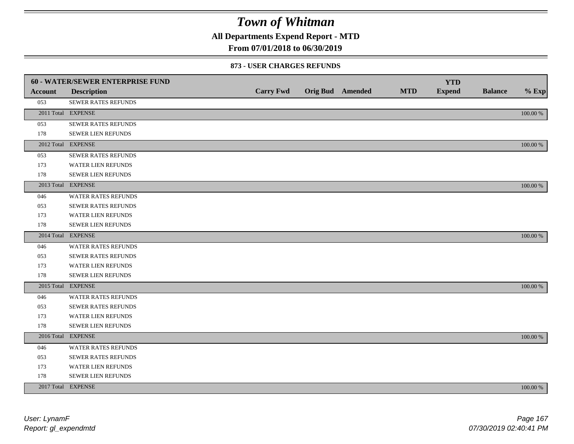**All Departments Expend Report - MTD**

### **From 07/01/2018 to 06/30/2019**

#### **873 - USER CHARGES REFUNDS**

|                | <b>60 - WATER/SEWER ENTERPRISE FUND</b> |                  |                         |            | <b>YTD</b>    |                |          |
|----------------|-----------------------------------------|------------------|-------------------------|------------|---------------|----------------|----------|
| <b>Account</b> | <b>Description</b>                      | <b>Carry Fwd</b> | <b>Orig Bud</b> Amended | <b>MTD</b> | <b>Expend</b> | <b>Balance</b> | $%$ Exp  |
| 053            | SEWER RATES REFUNDS                     |                  |                         |            |               |                |          |
|                | 2011 Total EXPENSE                      |                  |                         |            |               |                | 100.00 % |
| 053            | SEWER RATES REFUNDS                     |                  |                         |            |               |                |          |
| 178            | SEWER LIEN REFUNDS                      |                  |                         |            |               |                |          |
|                | 2012 Total EXPENSE                      |                  |                         |            |               |                | 100.00 % |
| 053            | SEWER RATES REFUNDS                     |                  |                         |            |               |                |          |
| 173            | <b>WATER LIEN REFUNDS</b>               |                  |                         |            |               |                |          |
| 178            | SEWER LIEN REFUNDS                      |                  |                         |            |               |                |          |
|                | 2013 Total EXPENSE                      |                  |                         |            |               |                | 100.00 % |
| 046            | WATER RATES REFUNDS                     |                  |                         |            |               |                |          |
| 053            | <b>SEWER RATES REFUNDS</b>              |                  |                         |            |               |                |          |
| 173            | WATER LIEN REFUNDS                      |                  |                         |            |               |                |          |
| 178            | SEWER LIEN REFUNDS                      |                  |                         |            |               |                |          |
|                | 2014 Total EXPENSE                      |                  |                         |            |               |                | 100.00 % |
| 046            | <b>WATER RATES REFUNDS</b>              |                  |                         |            |               |                |          |
| 053            | SEWER RATES REFUNDS                     |                  |                         |            |               |                |          |
| 173            | WATER LIEN REFUNDS                      |                  |                         |            |               |                |          |
| 178            | SEWER LIEN REFUNDS                      |                  |                         |            |               |                |          |
|                | 2015 Total EXPENSE                      |                  |                         |            |               |                | 100.00 % |
| 046            | WATER RATES REFUNDS                     |                  |                         |            |               |                |          |
| 053            | SEWER RATES REFUNDS                     |                  |                         |            |               |                |          |
| 173            | <b>WATER LIEN REFUNDS</b>               |                  |                         |            |               |                |          |
| 178            | SEWER LIEN REFUNDS                      |                  |                         |            |               |                |          |
|                | 2016 Total EXPENSE                      |                  |                         |            |               |                | 100.00 % |
| 046            | WATER RATES REFUNDS                     |                  |                         |            |               |                |          |
| 053            | <b>SEWER RATES REFUNDS</b>              |                  |                         |            |               |                |          |
| 173            | WATER LIEN REFUNDS                      |                  |                         |            |               |                |          |
| 178            | SEWER LIEN REFUNDS                      |                  |                         |            |               |                |          |
|                | 2017 Total EXPENSE                      |                  |                         |            |               |                | 100.00 % |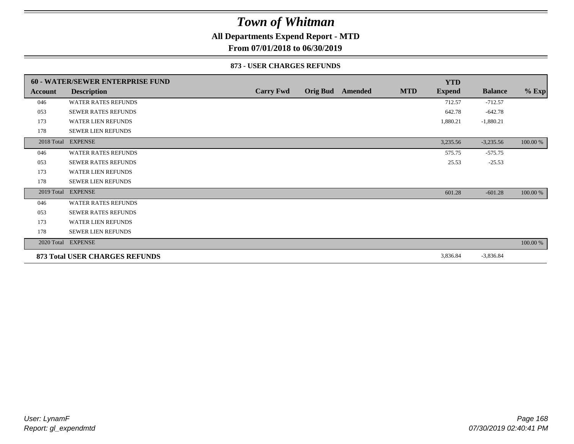### **All Departments Expend Report - MTD**

**From 07/01/2018 to 06/30/2019**

#### **873 - USER CHARGES REFUNDS**

|                | 60 - WATER/SEWER ENTERPRISE FUND |                  |                         |            | <b>YTD</b>    |                |          |
|----------------|----------------------------------|------------------|-------------------------|------------|---------------|----------------|----------|
| <b>Account</b> | <b>Description</b>               | <b>Carry Fwd</b> | <b>Orig Bud</b> Amended | <b>MTD</b> | <b>Expend</b> | <b>Balance</b> | $%$ Exp  |
| 046            | <b>WATER RATES REFUNDS</b>       |                  |                         |            | 712.57        | $-712.57$      |          |
| 053            | <b>SEWER RATES REFUNDS</b>       |                  |                         |            | 642.78        | $-642.78$      |          |
| 173            | <b>WATER LIEN REFUNDS</b>        |                  |                         |            | 1,880.21      | $-1,880.21$    |          |
| 178            | <b>SEWER LIEN REFUNDS</b>        |                  |                         |            |               |                |          |
|                | 2018 Total EXPENSE               |                  |                         |            | 3,235.56      | $-3,235.56$    | 100.00 % |
| 046            | <b>WATER RATES REFUNDS</b>       |                  |                         |            | 575.75        | $-575.75$      |          |
| 053            | <b>SEWER RATES REFUNDS</b>       |                  |                         |            | 25.53         | $-25.53$       |          |
| 173            | <b>WATER LIEN REFUNDS</b>        |                  |                         |            |               |                |          |
| 178            | <b>SEWER LIEN REFUNDS</b>        |                  |                         |            |               |                |          |
| 2019 Total     | <b>EXPENSE</b>                   |                  |                         |            | 601.28        | $-601.28$      | 100.00 % |
| 046            | <b>WATER RATES REFUNDS</b>       |                  |                         |            |               |                |          |
| 053            | <b>SEWER RATES REFUNDS</b>       |                  |                         |            |               |                |          |
| 173            | <b>WATER LIEN REFUNDS</b>        |                  |                         |            |               |                |          |
| 178            | <b>SEWER LIEN REFUNDS</b>        |                  |                         |            |               |                |          |
|                | 2020 Total EXPENSE               |                  |                         |            |               |                | 100.00 % |
|                | 873 Total USER CHARGES REFUNDS   |                  |                         |            | 3,836.84      | $-3,836.84$    |          |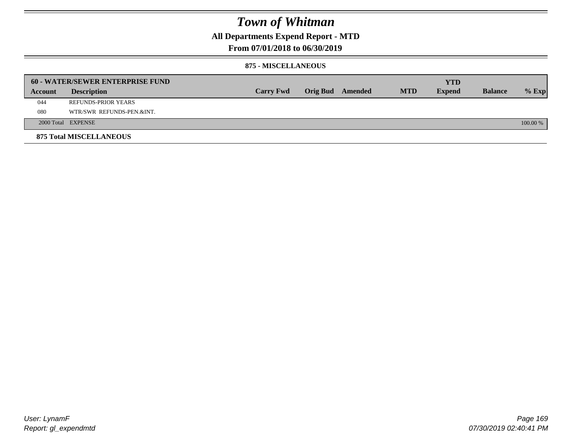**All Departments Expend Report - MTD**

### **From 07/01/2018 to 06/30/2019**

#### **875 - MISCELLANEOUS**

|         | <b>60 - WATER/SEWER ENTERPRISE FUND</b> |                  |                 |         |            | <b>YTD</b>    |                |            |
|---------|-----------------------------------------|------------------|-----------------|---------|------------|---------------|----------------|------------|
| Account | <b>Description</b>                      | <b>Carry Fwd</b> | <b>Orig Bud</b> | Amended | <b>MTD</b> | <b>Expend</b> | <b>Balance</b> | $%$ Exp    |
| 044     | REFUNDS-PRIOR YEARS                     |                  |                 |         |            |               |                |            |
| 080     | WTR/SWR REFUNDS-PEN.&INT.               |                  |                 |         |            |               |                |            |
|         | 2000 Total EXPENSE                      |                  |                 |         |            |               |                | $100.00\%$ |
|         | <b>875 Total MISCELLANEOUS</b>          |                  |                 |         |            |               |                |            |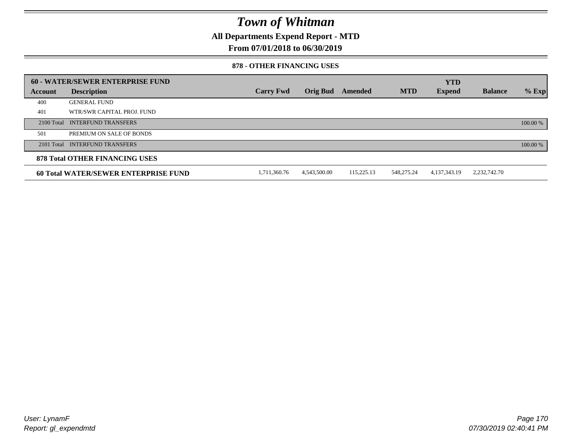**All Departments Expend Report - MTD**

**From 07/01/2018 to 06/30/2019**

#### **878 - OTHER FINANCING USES**

|         | 60 - WATER/SEWER ENTERPRISE FUND            |                  |                 |            |            | <b>YTD</b>    |                |          |
|---------|---------------------------------------------|------------------|-----------------|------------|------------|---------------|----------------|----------|
| Account | <b>Description</b>                          | <b>Carry Fwd</b> | <b>Orig Bud</b> | Amended    | <b>MTD</b> | <b>Expend</b> | <b>Balance</b> | $%$ Exp  |
| 400     | <b>GENERAL FUND</b>                         |                  |                 |            |            |               |                |          |
| 401     | WTR/SWR CAPITAL PROJ. FUND                  |                  |                 |            |            |               |                |          |
|         | 2100 Total INTERFUND TRANSFERS              |                  |                 |            |            |               |                | 100.00 % |
| 501     | PREMIUM ON SALE OF BONDS                    |                  |                 |            |            |               |                |          |
|         | 2101 Total INTERFUND TRANSFERS              |                  |                 |            |            |               |                | 100.00 % |
|         | <b>878 Total OTHER FINANCING USES</b>       |                  |                 |            |            |               |                |          |
|         | <b>60 Total WATER/SEWER ENTERPRISE FUND</b> | 1,711,360.76     | 4,543,500.00    | 115,225.13 | 548,275.24 | 4,137,343.19  | 2,232,742.70   |          |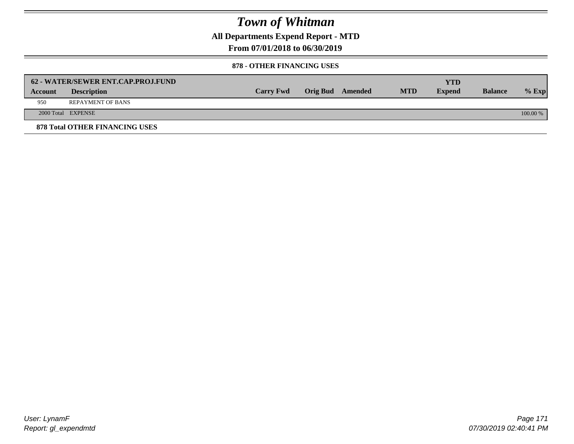**All Departments Expend Report - MTD**

**From 07/01/2018 to 06/30/2019**

#### **878 - OTHER FINANCING USES**

|         | 62 - WATER/SEWER ENT.CAP.PROJ.FUND    |                  |                         |            | <b>YTD</b>    |                |            |
|---------|---------------------------------------|------------------|-------------------------|------------|---------------|----------------|------------|
| Account | <b>Description</b>                    | <b>Carry Fwd</b> | <b>Orig Bud</b> Amended | <b>MTD</b> | <b>Expend</b> | <b>Balance</b> | $\%$ Exp   |
| 950     | <b>REPAYMENT OF BANS</b>              |                  |                         |            |               |                |            |
|         | 2000 Total EXPENSE                    |                  |                         |            |               |                | $100.00\%$ |
|         | <b>878 Total OTHER FINANCING USES</b> |                  |                         |            |               |                |            |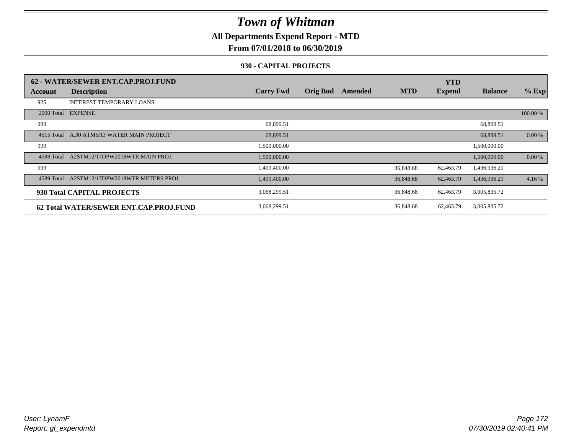**All Departments Expend Report - MTD**

### **From 07/01/2018 to 06/30/2019**

#### **930 - CAPITAL PROJECTS**

|            | 62 - WATER/SEWER ENT.CAP.PROJ.FUND     |                  |                 |         |            | <b>YTD</b>    |                |          |
|------------|----------------------------------------|------------------|-----------------|---------|------------|---------------|----------------|----------|
| Account    | <b>Description</b>                     | <b>Carry Fwd</b> | <b>Orig Bud</b> | Amended | <b>MTD</b> | <b>Expend</b> | <b>Balance</b> | $%$ Exp  |
| 925        | <b>INTEREST TEMPORARY LOANS</b>        |                  |                 |         |            |               |                |          |
|            | 2000 Total EXPENSE                     |                  |                 |         |            |               |                | 100.00 % |
| 999        |                                        | 68,899.51        |                 |         |            |               | 68,899.51      |          |
| 4515 Total | A.30 ATM5/13 WATER MAIN PROJECT        | 68,899.51        |                 |         |            |               | 68,899.51      | 0.00 %   |
| 999        |                                        | 1,500,000.00     |                 |         |            |               | 1,500,000.00   |          |
| 4588 Total | A2STM12/17DPW2018WTR.MAIN PROJ.        | 1,500,000.00     |                 |         |            |               | 1,500,000.00   | 0.00 %   |
| 999        |                                        | 1,499,400.00     |                 |         | 36,848.68  | 62,463.79     | 1,436,936.21   |          |
| 4589 Total | A2STM12/17DPW2018WTR.METERS PROJ       | 1,499,400.00     |                 |         | 36,848.68  | 62,463.79     | 1,436,936.21   | 4.16 %   |
|            | 930 Total CAPITAL PROJECTS             | 3,068,299.51     |                 |         | 36,848.68  | 62,463.79     | 3,005,835.72   |          |
|            | 62 Total WATER/SEWER ENT.CAP.PROJ.FUND | 3,068,299.51     |                 |         | 36,848.68  | 62,463.79     | 3,005,835.72   |          |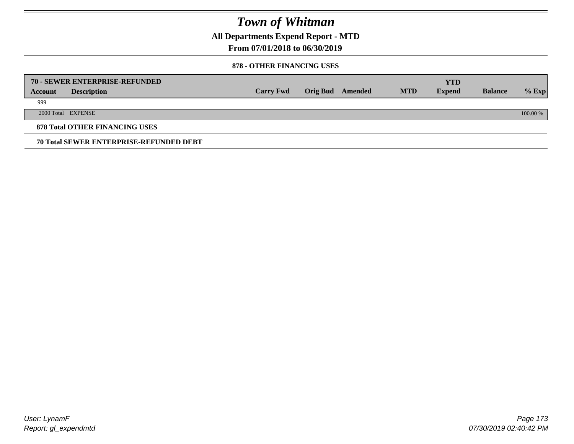**All Departments Expend Report - MTD**

**From 07/01/2018 to 06/30/2019**

#### **878 - OTHER FINANCING USES**

|         | 70 - SEWER ENTERPRISE-REFUNDED                 |                  |                 |         |            | <b>YTD</b>    |                |          |
|---------|------------------------------------------------|------------------|-----------------|---------|------------|---------------|----------------|----------|
| Account | <b>Description</b>                             | <b>Carry Fwd</b> | <b>Orig Bud</b> | Amended | <b>MTD</b> | <b>Expend</b> | <b>Balance</b> | $%$ Exp  |
| 999     |                                                |                  |                 |         |            |               |                |          |
|         | 2000 Total EXPENSE                             |                  |                 |         |            |               |                | 100.00 % |
|         | <b>878 Total OTHER FINANCING USES</b>          |                  |                 |         |            |               |                |          |
|         | <b>70 Total SEWER ENTERPRISE-REFUNDED DEBT</b> |                  |                 |         |            |               |                |          |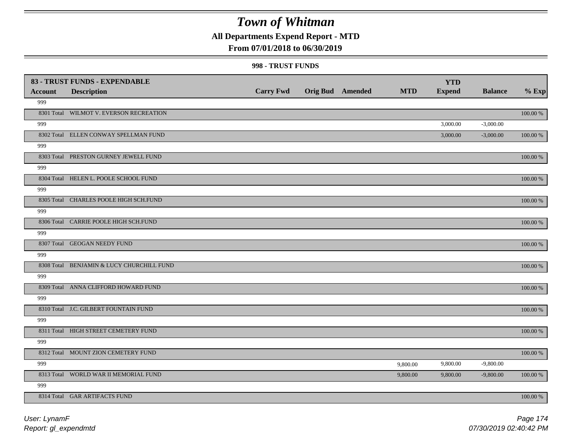### **All Departments Expend Report - MTD**

### **From 07/01/2018 to 06/30/2019**

#### **998 - TRUST FUNDS**

|                | 83 - TRUST FUNDS - EXPENDABLE             |                  |                         |            | <b>YTD</b>    |                |             |
|----------------|-------------------------------------------|------------------|-------------------------|------------|---------------|----------------|-------------|
| <b>Account</b> | <b>Description</b>                        | <b>Carry Fwd</b> | <b>Orig Bud</b> Amended | <b>MTD</b> | <b>Expend</b> | <b>Balance</b> | $%$ Exp     |
| 999            |                                           |                  |                         |            |               |                |             |
|                | 8301 Total WILMOT V. EVERSON RECREATION   |                  |                         |            |               |                | 100.00 %    |
| 999            |                                           |                  |                         |            | 3,000.00      | $-3,000.00$    |             |
|                | 8302 Total ELLEN CONWAY SPELLMAN FUND     |                  |                         |            | 3,000.00      | $-3,000.00$    | 100.00 %    |
| 999            |                                           |                  |                         |            |               |                |             |
|                | 8303 Total PRESTON GURNEY JEWELL FUND     |                  |                         |            |               |                | 100.00 %    |
| 999            |                                           |                  |                         |            |               |                |             |
|                | 8304 Total HELEN L. POOLE SCHOOL FUND     |                  |                         |            |               |                | 100.00 %    |
| 999            |                                           |                  |                         |            |               |                |             |
|                | 8305 Total CHARLES POOLE HIGH SCH.FUND    |                  |                         |            |               |                | 100.00 %    |
| 999            |                                           |                  |                         |            |               |                |             |
|                | 8306 Total CARRIE POOLE HIGH SCH.FUND     |                  |                         |            |               |                | 100.00 %    |
| 999            |                                           |                  |                         |            |               |                |             |
|                | 8307 Total GEOGAN NEEDY FUND              |                  |                         |            |               |                | 100.00 %    |
| 999            |                                           |                  |                         |            |               |                |             |
|                | 8308 Total BENJAMIN & LUCY CHURCHILL FUND |                  |                         |            |               |                | 100.00 %    |
| 999            |                                           |                  |                         |            |               |                |             |
|                | 8309 Total ANNA CLIFFORD HOWARD FUND      |                  |                         |            |               |                | 100.00 %    |
| 999            |                                           |                  |                         |            |               |                |             |
|                | 8310 Total J.C. GILBERT FOUNTAIN FUND     |                  |                         |            |               |                | $100.00~\%$ |
| 999            |                                           |                  |                         |            |               |                |             |
|                | 8311 Total HIGH STREET CEMETERY FUND      |                  |                         |            |               |                | 100.00 %    |
| 999            |                                           |                  |                         |            |               |                |             |
|                | 8312 Total MOUNT ZION CEMETERY FUND       |                  |                         |            |               |                | $100.00~\%$ |
| 999            |                                           |                  |                         | 9,800.00   | 9,800.00      | $-9,800.00$    |             |
|                | 8313 Total WORLD WAR II MEMORIAL FUND     |                  |                         | 9,800.00   | 9,800.00      | $-9,800.00$    | 100.00 %    |
| 999            |                                           |                  |                         |            |               |                |             |
|                | 8314 Total GAR ARTIFACTS FUND             |                  |                         |            |               |                | 100.00 %    |

*Report: gl\_expendmtd User: LynamF*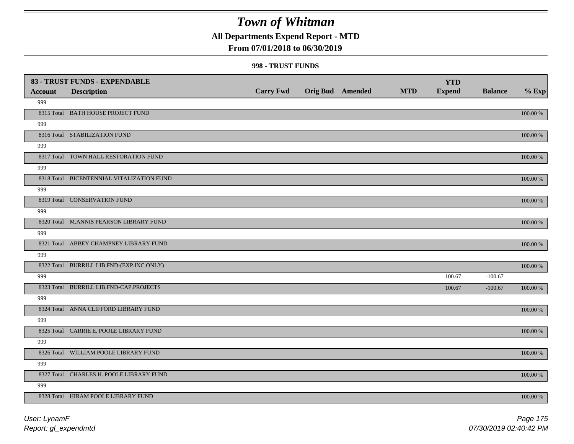### **All Departments Expend Report - MTD**

### **From 07/01/2018 to 06/30/2019**

#### **998 - TRUST FUNDS**

| <b>Account</b> | 83 - TRUST FUNDS - EXPENDABLE<br><b>Description</b> | <b>Carry Fwd</b> | <b>Orig Bud</b> Amended | <b>MTD</b> | <b>YTD</b><br><b>Expend</b> | <b>Balance</b> | $%$ Exp     |
|----------------|-----------------------------------------------------|------------------|-------------------------|------------|-----------------------------|----------------|-------------|
| 999            |                                                     |                  |                         |            |                             |                |             |
|                | 8315 Total BATH HOUSE PROJECT FUND                  |                  |                         |            |                             |                | $100.00~\%$ |
| 999            |                                                     |                  |                         |            |                             |                |             |
|                | 8316 Total STABILIZATION FUND                       |                  |                         |            |                             |                | 100.00 %    |
| 999            |                                                     |                  |                         |            |                             |                |             |
|                | 8317 Total TOWN HALL RESTORATION FUND               |                  |                         |            |                             |                | 100.00 %    |
| 999            |                                                     |                  |                         |            |                             |                |             |
|                | 8318 Total BICENTENNIAL VITALIZATION FUND           |                  |                         |            |                             |                | 100.00 %    |
| 999            |                                                     |                  |                         |            |                             |                |             |
|                | 8319 Total CONSERVATION FUND                        |                  |                         |            |                             |                | 100.00 %    |
| 999            |                                                     |                  |                         |            |                             |                |             |
|                | 8320 Total M.ANNIS PEARSON LIBRARY FUND             |                  |                         |            |                             |                | 100.00 %    |
| 999            |                                                     |                  |                         |            |                             |                |             |
|                | 8321 Total ABBEY CHAMPNEY LIBRARY FUND              |                  |                         |            |                             |                | 100.00 %    |
| 999            |                                                     |                  |                         |            |                             |                |             |
| 999            | 8322 Total BURRILL LIB.FND-(EXP.INC.ONLY)           |                  |                         |            | 100.67                      | $-100.67$      | 100.00 %    |
|                | 8323 Total BURRILL LIB.FND-CAP.PROJECTS             |                  |                         |            | 100.67                      | $-100.67$      | $100.00~\%$ |
| 999            |                                                     |                  |                         |            |                             |                |             |
|                | 8324 Total ANNA CLIFFORD LIBRARY FUND               |                  |                         |            |                             |                | 100.00 %    |
| 999            |                                                     |                  |                         |            |                             |                |             |
|                | 8325 Total CARRIE E. POOLE LIBRARY FUND             |                  |                         |            |                             |                | 100.00 %    |
| 999            |                                                     |                  |                         |            |                             |                |             |
|                | 8326 Total WILLIAM POOLE LIBRARY FUND               |                  |                         |            |                             |                | 100.00 %    |
| 999            |                                                     |                  |                         |            |                             |                |             |
|                | 8327 Total CHARLES H. POOLE LIBRARY FUND            |                  |                         |            |                             |                | $100.00~\%$ |
| 999            |                                                     |                  |                         |            |                             |                |             |
|                | 8328 Total HIRAM POOLE LIBRARY FUND                 |                  |                         |            |                             |                | 100.00 %    |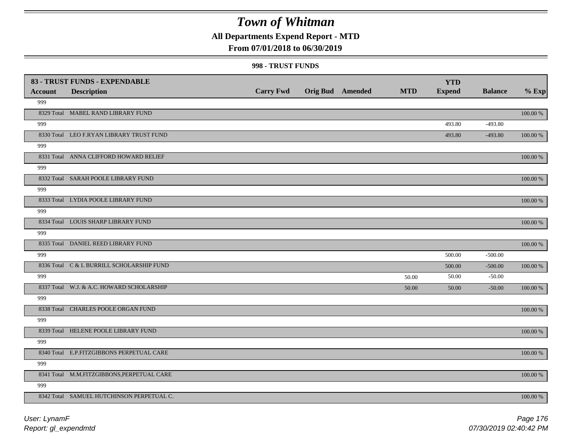### **All Departments Expend Report - MTD**

### **From 07/01/2018 to 06/30/2019**

#### **998 - TRUST FUNDS**

|                | 83 - TRUST FUNDS - EXPENDABLE              |                  |                         |            | <b>YTD</b>    |                |          |
|----------------|--------------------------------------------|------------------|-------------------------|------------|---------------|----------------|----------|
| <b>Account</b> | <b>Description</b>                         | <b>Carry Fwd</b> | <b>Orig Bud</b> Amended | <b>MTD</b> | <b>Expend</b> | <b>Balance</b> | $%$ Exp  |
| 999            |                                            |                  |                         |            |               |                |          |
|                | 8329 Total MABEL RAND LIBRARY FUND         |                  |                         |            |               |                | 100.00 % |
| 999            |                                            |                  |                         |            | 493.80        | $-493.80$      |          |
|                | 8330 Total LEO F.RYAN LIBRARY TRUST FUND   |                  |                         |            | 493.80        | $-493.80$      | 100.00 % |
| 999            |                                            |                  |                         |            |               |                |          |
|                | 8331 Total ANNA CLIFFORD HOWARD RELIEF     |                  |                         |            |               |                | 100.00 % |
| 999            |                                            |                  |                         |            |               |                |          |
|                | 8332 Total SARAH POOLE LIBRARY FUND        |                  |                         |            |               |                | 100.00 % |
| 999            |                                            |                  |                         |            |               |                |          |
|                | 8333 Total LYDIA POOLE LIBRARY FUND        |                  |                         |            |               |                | 100.00 % |
| 999            |                                            |                  |                         |            |               |                |          |
|                | 8334 Total LOUIS SHARP LIBRARY FUND        |                  |                         |            |               |                | 100.00 % |
| 999            |                                            |                  |                         |            |               |                |          |
|                | 8335 Total DANIEL REED LIBRARY FUND        |                  |                         |            |               |                | 100.00 % |
| 999            |                                            |                  |                         |            | 500.00        | $-500.00$      |          |
|                | 8336 Total C & L BURRILL SCHOLARSHIP FUND  |                  |                         |            | 500.00        | $-500.00$      | 100.00 % |
| 999            |                                            |                  |                         | 50.00      | 50.00         | $-50.00$       |          |
|                | 8337 Total W.J. & A.C. HOWARD SCHOLARSHIP  |                  |                         | 50.00      | 50.00         | $-50.00$       | 100.00 % |
| 999            |                                            |                  |                         |            |               |                |          |
|                | 8338 Total CHARLES POOLE ORGAN FUND        |                  |                         |            |               |                | 100.00 % |
| 999            |                                            |                  |                         |            |               |                |          |
|                | 8339 Total HELENE POOLE LIBRARY FUND       |                  |                         |            |               |                | 100.00 % |
| 999            |                                            |                  |                         |            |               |                |          |
|                | 8340 Total E.P.FITZGIBBONS PERPETUAL CARE  |                  |                         |            |               |                | 100.00 % |
| 999            |                                            |                  |                         |            |               |                |          |
|                | 8341 Total M.M.FITZGIBBONS, PERPETUAL CARE |                  |                         |            |               |                | 100.00 % |
| 999            |                                            |                  |                         |            |               |                |          |
|                | 8342 Total SAMUEL HUTCHINSON PERPETUAL C.  |                  |                         |            |               |                | 100.00 % |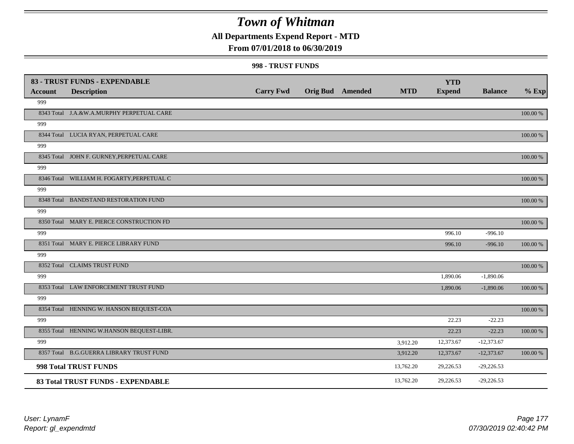### **All Departments Expend Report - MTD**

### **From 07/01/2018 to 06/30/2019**

#### **998 - TRUST FUNDS**

|                | 83 - TRUST FUNDS - EXPENDABLE              | <b>Carry Fwd</b> | <b>Orig Bud</b> Amended | <b>MTD</b> | <b>YTD</b><br><b>Expend</b> | <b>Balance</b> | $%$ Exp  |
|----------------|--------------------------------------------|------------------|-------------------------|------------|-----------------------------|----------------|----------|
| <b>Account</b> | <b>Description</b>                         |                  |                         |            |                             |                |          |
| 999            |                                            |                  |                         |            |                             |                |          |
|                | 8343 Total J.A.&W.A.MURPHY PERPETUAL CARE  |                  |                         |            |                             |                | 100.00 % |
| 999            |                                            |                  |                         |            |                             |                |          |
|                | 8344 Total LUCIA RYAN, PERPETUAL CARE      |                  |                         |            |                             |                | 100.00 % |
| 999            |                                            |                  |                         |            |                             |                |          |
|                | 8345 Total JOHN F. GURNEY, PERPETUAL CARE  |                  |                         |            |                             |                | 100.00 % |
| 999            |                                            |                  |                         |            |                             |                |          |
|                | 8346 Total WILLIAM H. FOGARTY, PERPETUAL C |                  |                         |            |                             |                | 100.00 % |
| 999            |                                            |                  |                         |            |                             |                |          |
|                | 8348 Total BANDSTAND RESTORATION FUND      |                  |                         |            |                             |                | 100.00 % |
| 999            |                                            |                  |                         |            |                             |                |          |
|                | 8350 Total MARY E. PIERCE CONSTRUCTION FD  |                  |                         |            |                             |                | 100.00 % |
| 999            |                                            |                  |                         |            | 996.10                      | $-996.10$      |          |
|                | 8351 Total MARY E. PIERCE LIBRARY FUND     |                  |                         |            | 996.10                      | $-996.10$      | 100.00 % |
| 999            |                                            |                  |                         |            |                             |                |          |
|                | 8352 Total CLAIMS TRUST FUND               |                  |                         |            |                             |                | 100.00 % |
| 999            |                                            |                  |                         |            | 1,890.06                    | $-1,890.06$    |          |
|                | 8353 Total LAW ENFORCEMENT TRUST FUND      |                  |                         |            | 1,890.06                    | $-1,890.06$    | 100.00 % |
| 999            |                                            |                  |                         |            |                             |                |          |
|                | 8354 Total HENNING W. HANSON BEQUEST-COA   |                  |                         |            |                             |                | 100.00 % |
| 999            |                                            |                  |                         |            | 22.23                       | $-22.23$       |          |
|                | 8355 Total HENNING W.HANSON BEQUEST-LIBR.  |                  |                         |            | 22.23                       | $-22.23$       | 100.00 % |
| 999            |                                            |                  |                         | 3,912.20   | 12,373.67                   | $-12,373.67$   |          |
|                | 8357 Total B.G.GUERRA LIBRARY TRUST FUND   |                  |                         | 3,912.20   | 12,373.67                   | $-12,373.67$   | 100.00 % |
|                | 998 Total TRUST FUNDS                      |                  |                         | 13,762.20  | 29,226.53                   | $-29,226.53$   |          |
|                | 83 Total TRUST FUNDS - EXPENDABLE          |                  |                         | 13,762.20  | 29,226.53                   | $-29,226.53$   |          |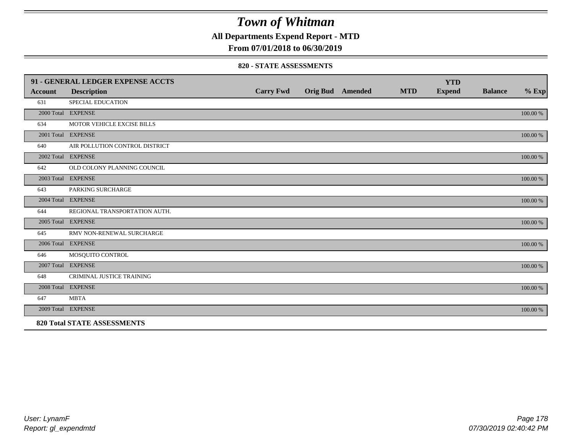**All Departments Expend Report - MTD**

### **From 07/01/2018 to 06/30/2019**

#### **820 - STATE ASSESSMENTS**

|                | 91 - GENERAL LEDGER EXPENSE ACCTS  |                  |                         |            | <b>YTD</b>    |                |          |
|----------------|------------------------------------|------------------|-------------------------|------------|---------------|----------------|----------|
| <b>Account</b> | <b>Description</b>                 | <b>Carry Fwd</b> | <b>Orig Bud</b> Amended | <b>MTD</b> | <b>Expend</b> | <b>Balance</b> | $%$ Exp  |
| 631            | SPECIAL EDUCATION                  |                  |                         |            |               |                |          |
|                | 2000 Total EXPENSE                 |                  |                         |            |               |                | 100.00 % |
| 634            | MOTOR VEHICLE EXCISE BILLS         |                  |                         |            |               |                |          |
|                | 2001 Total EXPENSE                 |                  |                         |            |               |                | 100.00 % |
| 640            | AIR POLLUTION CONTROL DISTRICT     |                  |                         |            |               |                |          |
|                | 2002 Total EXPENSE                 |                  |                         |            |               |                | 100.00 % |
| 642            | OLD COLONY PLANNING COUNCIL        |                  |                         |            |               |                |          |
|                | 2003 Total EXPENSE                 |                  |                         |            |               |                | 100.00 % |
| 643            | PARKING SURCHARGE                  |                  |                         |            |               |                |          |
|                | 2004 Total EXPENSE                 |                  |                         |            |               |                | 100.00 % |
| 644            | REGIONAL TRANSPORTATION AUTH.      |                  |                         |            |               |                |          |
|                | 2005 Total EXPENSE                 |                  |                         |            |               |                | 100.00 % |
| 645            | RMV NON-RENEWAL SURCHARGE          |                  |                         |            |               |                |          |
|                | 2006 Total EXPENSE                 |                  |                         |            |               |                | 100.00 % |
| 646            | MOSQUITO CONTROL                   |                  |                         |            |               |                |          |
|                | 2007 Total EXPENSE                 |                  |                         |            |               |                | 100.00 % |
| 648            | CRIMINAL JUSTICE TRAINING          |                  |                         |            |               |                |          |
|                | 2008 Total EXPENSE                 |                  |                         |            |               |                | 100.00 % |
| 647            | <b>MBTA</b>                        |                  |                         |            |               |                |          |
|                | 2009 Total EXPENSE                 |                  |                         |            |               |                | 100.00 % |
|                | <b>820 Total STATE ASSESSMENTS</b> |                  |                         |            |               |                |          |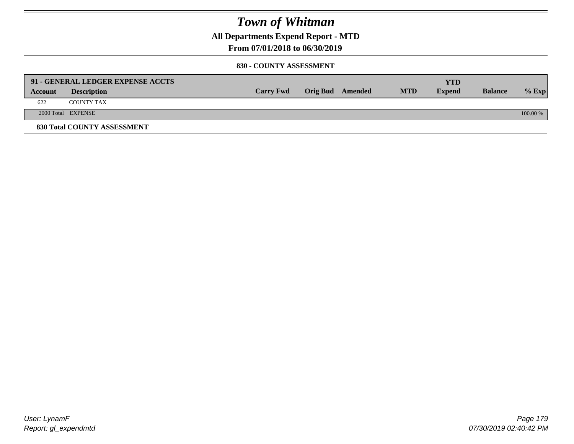**All Departments Expend Report - MTD**

**From 07/01/2018 to 06/30/2019**

#### **830 - COUNTY ASSESSMENT**

|         | 91 - GENERAL LEDGER EXPENSE ACCTS |                  |                  |            | <b>YTD</b>    |                |            |
|---------|-----------------------------------|------------------|------------------|------------|---------------|----------------|------------|
| Account | <b>Description</b>                | <b>Carry Fwd</b> | Orig Bud Amended | <b>MTD</b> | <b>Expend</b> | <b>Balance</b> | $%$ Exp    |
| 622     | <b>COUNTY TAX</b>                 |                  |                  |            |               |                |            |
|         | 2000 Total EXPENSE                |                  |                  |            |               |                | $100.00\%$ |
|         | 830 Total COUNTY ASSESSMENT       |                  |                  |            |               |                |            |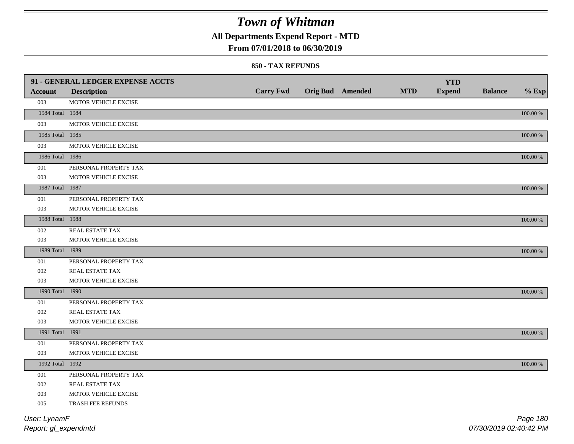### **All Departments Expend Report - MTD**

### **From 07/01/2018 to 06/30/2019**

#### **850 - TAX REFUNDS**

| Orig Bud Amended<br><b>MTD</b><br><b>Expend</b><br><b>Balance</b><br><b>Description</b><br><b>Account</b><br>003<br>MOTOR VEHICLE EXCISE<br>1984 Total 1984<br>$100.00~\%$<br>003<br>MOTOR VEHICLE EXCISE<br>1985 Total 1985<br>$100.00~\%$<br>003<br>MOTOR VEHICLE EXCISE<br>1986 Total 1986<br>$100.00~\%$<br>001<br>PERSONAL PROPERTY TAX<br>003<br>MOTOR VEHICLE EXCISE<br>1987 Total 1987<br>100.00 %<br>001<br>PERSONAL PROPERTY TAX<br>003<br>MOTOR VEHICLE EXCISE<br>1988 Total 1988<br>$100.00~\%$<br>002<br>REAL ESTATE TAX<br>003<br>MOTOR VEHICLE EXCISE<br>1989 Total 1989<br>100.00 %<br>001<br>PERSONAL PROPERTY TAX<br>002<br>REAL ESTATE TAX<br>003<br>MOTOR VEHICLE EXCISE<br>1990 Total 1990<br>100.00 %<br>001<br>PERSONAL PROPERTY TAX<br>002<br>REAL ESTATE TAX<br>003<br>MOTOR VEHICLE EXCISE<br>1991 Total 1991<br>100.00 %<br>001<br>PERSONAL PROPERTY TAX<br>003<br>MOTOR VEHICLE EXCISE<br>1992 Total 1992<br>100.00 %<br>001<br>PERSONAL PROPERTY TAX<br>002<br>REAL ESTATE TAX<br>003<br>MOTOR VEHICLE EXCISE<br>005<br>TRASH FEE REFUNDS<br>User: LynamF | 91 - GENERAL LEDGER EXPENSE ACCTS |                  |  | <b>YTD</b> |          |
|----------------------------------------------------------------------------------------------------------------------------------------------------------------------------------------------------------------------------------------------------------------------------------------------------------------------------------------------------------------------------------------------------------------------------------------------------------------------------------------------------------------------------------------------------------------------------------------------------------------------------------------------------------------------------------------------------------------------------------------------------------------------------------------------------------------------------------------------------------------------------------------------------------------------------------------------------------------------------------------------------------------------------------------------------------------------------------------|-----------------------------------|------------------|--|------------|----------|
|                                                                                                                                                                                                                                                                                                                                                                                                                                                                                                                                                                                                                                                                                                                                                                                                                                                                                                                                                                                                                                                                                        |                                   | <b>Carry Fwd</b> |  |            | $%$ Exp  |
|                                                                                                                                                                                                                                                                                                                                                                                                                                                                                                                                                                                                                                                                                                                                                                                                                                                                                                                                                                                                                                                                                        |                                   |                  |  |            |          |
|                                                                                                                                                                                                                                                                                                                                                                                                                                                                                                                                                                                                                                                                                                                                                                                                                                                                                                                                                                                                                                                                                        |                                   |                  |  |            |          |
|                                                                                                                                                                                                                                                                                                                                                                                                                                                                                                                                                                                                                                                                                                                                                                                                                                                                                                                                                                                                                                                                                        |                                   |                  |  |            |          |
|                                                                                                                                                                                                                                                                                                                                                                                                                                                                                                                                                                                                                                                                                                                                                                                                                                                                                                                                                                                                                                                                                        |                                   |                  |  |            |          |
|                                                                                                                                                                                                                                                                                                                                                                                                                                                                                                                                                                                                                                                                                                                                                                                                                                                                                                                                                                                                                                                                                        |                                   |                  |  |            |          |
|                                                                                                                                                                                                                                                                                                                                                                                                                                                                                                                                                                                                                                                                                                                                                                                                                                                                                                                                                                                                                                                                                        |                                   |                  |  |            |          |
|                                                                                                                                                                                                                                                                                                                                                                                                                                                                                                                                                                                                                                                                                                                                                                                                                                                                                                                                                                                                                                                                                        |                                   |                  |  |            |          |
|                                                                                                                                                                                                                                                                                                                                                                                                                                                                                                                                                                                                                                                                                                                                                                                                                                                                                                                                                                                                                                                                                        |                                   |                  |  |            |          |
|                                                                                                                                                                                                                                                                                                                                                                                                                                                                                                                                                                                                                                                                                                                                                                                                                                                                                                                                                                                                                                                                                        |                                   |                  |  |            |          |
|                                                                                                                                                                                                                                                                                                                                                                                                                                                                                                                                                                                                                                                                                                                                                                                                                                                                                                                                                                                                                                                                                        |                                   |                  |  |            |          |
|                                                                                                                                                                                                                                                                                                                                                                                                                                                                                                                                                                                                                                                                                                                                                                                                                                                                                                                                                                                                                                                                                        |                                   |                  |  |            |          |
|                                                                                                                                                                                                                                                                                                                                                                                                                                                                                                                                                                                                                                                                                                                                                                                                                                                                                                                                                                                                                                                                                        |                                   |                  |  |            |          |
|                                                                                                                                                                                                                                                                                                                                                                                                                                                                                                                                                                                                                                                                                                                                                                                                                                                                                                                                                                                                                                                                                        |                                   |                  |  |            |          |
|                                                                                                                                                                                                                                                                                                                                                                                                                                                                                                                                                                                                                                                                                                                                                                                                                                                                                                                                                                                                                                                                                        |                                   |                  |  |            |          |
|                                                                                                                                                                                                                                                                                                                                                                                                                                                                                                                                                                                                                                                                                                                                                                                                                                                                                                                                                                                                                                                                                        |                                   |                  |  |            |          |
|                                                                                                                                                                                                                                                                                                                                                                                                                                                                                                                                                                                                                                                                                                                                                                                                                                                                                                                                                                                                                                                                                        |                                   |                  |  |            |          |
|                                                                                                                                                                                                                                                                                                                                                                                                                                                                                                                                                                                                                                                                                                                                                                                                                                                                                                                                                                                                                                                                                        |                                   |                  |  |            |          |
|                                                                                                                                                                                                                                                                                                                                                                                                                                                                                                                                                                                                                                                                                                                                                                                                                                                                                                                                                                                                                                                                                        |                                   |                  |  |            |          |
|                                                                                                                                                                                                                                                                                                                                                                                                                                                                                                                                                                                                                                                                                                                                                                                                                                                                                                                                                                                                                                                                                        |                                   |                  |  |            |          |
|                                                                                                                                                                                                                                                                                                                                                                                                                                                                                                                                                                                                                                                                                                                                                                                                                                                                                                                                                                                                                                                                                        |                                   |                  |  |            |          |
|                                                                                                                                                                                                                                                                                                                                                                                                                                                                                                                                                                                                                                                                                                                                                                                                                                                                                                                                                                                                                                                                                        |                                   |                  |  |            |          |
|                                                                                                                                                                                                                                                                                                                                                                                                                                                                                                                                                                                                                                                                                                                                                                                                                                                                                                                                                                                                                                                                                        |                                   |                  |  |            |          |
|                                                                                                                                                                                                                                                                                                                                                                                                                                                                                                                                                                                                                                                                                                                                                                                                                                                                                                                                                                                                                                                                                        |                                   |                  |  |            |          |
|                                                                                                                                                                                                                                                                                                                                                                                                                                                                                                                                                                                                                                                                                                                                                                                                                                                                                                                                                                                                                                                                                        |                                   |                  |  |            |          |
|                                                                                                                                                                                                                                                                                                                                                                                                                                                                                                                                                                                                                                                                                                                                                                                                                                                                                                                                                                                                                                                                                        |                                   |                  |  |            |          |
|                                                                                                                                                                                                                                                                                                                                                                                                                                                                                                                                                                                                                                                                                                                                                                                                                                                                                                                                                                                                                                                                                        |                                   |                  |  |            |          |
|                                                                                                                                                                                                                                                                                                                                                                                                                                                                                                                                                                                                                                                                                                                                                                                                                                                                                                                                                                                                                                                                                        |                                   |                  |  |            |          |
|                                                                                                                                                                                                                                                                                                                                                                                                                                                                                                                                                                                                                                                                                                                                                                                                                                                                                                                                                                                                                                                                                        |                                   |                  |  |            |          |
|                                                                                                                                                                                                                                                                                                                                                                                                                                                                                                                                                                                                                                                                                                                                                                                                                                                                                                                                                                                                                                                                                        |                                   |                  |  |            |          |
|                                                                                                                                                                                                                                                                                                                                                                                                                                                                                                                                                                                                                                                                                                                                                                                                                                                                                                                                                                                                                                                                                        |                                   |                  |  |            |          |
|                                                                                                                                                                                                                                                                                                                                                                                                                                                                                                                                                                                                                                                                                                                                                                                                                                                                                                                                                                                                                                                                                        |                                   |                  |  |            | Page 180 |

*Report: gl\_expendmtd*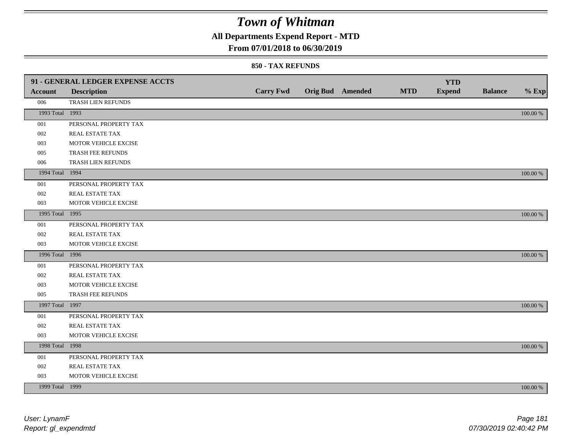## **All Departments Expend Report - MTD**

### **From 07/01/2018 to 06/30/2019**

|                 | 91 - GENERAL LEDGER EXPENSE ACCTS |                  |                  |            | <b>YTD</b>    |                |             |
|-----------------|-----------------------------------|------------------|------------------|------------|---------------|----------------|-------------|
| <b>Account</b>  | <b>Description</b>                | <b>Carry Fwd</b> | Orig Bud Amended | <b>MTD</b> | <b>Expend</b> | <b>Balance</b> | $%$ Exp     |
| 006             | TRASH LIEN REFUNDS                |                  |                  |            |               |                |             |
| 1993 Total 1993 |                                   |                  |                  |            |               |                | $100.00~\%$ |
| 001             | PERSONAL PROPERTY TAX             |                  |                  |            |               |                |             |
| 002             | REAL ESTATE TAX                   |                  |                  |            |               |                |             |
| 003             | MOTOR VEHICLE EXCISE              |                  |                  |            |               |                |             |
| 005             | TRASH FEE REFUNDS                 |                  |                  |            |               |                |             |
| 006             | TRASH LIEN REFUNDS                |                  |                  |            |               |                |             |
| 1994 Total 1994 |                                   |                  |                  |            |               |                | 100.00 %    |
| 001             | PERSONAL PROPERTY TAX             |                  |                  |            |               |                |             |
| 002             | REAL ESTATE TAX                   |                  |                  |            |               |                |             |
| 003             | MOTOR VEHICLE EXCISE              |                  |                  |            |               |                |             |
| 1995 Total 1995 |                                   |                  |                  |            |               |                | 100.00 %    |
| 001             | PERSONAL PROPERTY TAX             |                  |                  |            |               |                |             |
| 002             | REAL ESTATE TAX                   |                  |                  |            |               |                |             |
| 003             | MOTOR VEHICLE EXCISE              |                  |                  |            |               |                |             |
| 1996 Total 1996 |                                   |                  |                  |            |               |                | 100.00 %    |
| 001             | PERSONAL PROPERTY TAX             |                  |                  |            |               |                |             |
| 002             | REAL ESTATE TAX                   |                  |                  |            |               |                |             |
| 003             | MOTOR VEHICLE EXCISE              |                  |                  |            |               |                |             |
| 005             | TRASH FEE REFUNDS                 |                  |                  |            |               |                |             |
| 1997 Total 1997 |                                   |                  |                  |            |               |                | 100.00 %    |
| 001             | PERSONAL PROPERTY TAX             |                  |                  |            |               |                |             |
| 002             | REAL ESTATE TAX                   |                  |                  |            |               |                |             |
| 003             | MOTOR VEHICLE EXCISE              |                  |                  |            |               |                |             |
| 1998 Total 1998 |                                   |                  |                  |            |               |                | 100.00 %    |
| 001             | PERSONAL PROPERTY TAX             |                  |                  |            |               |                |             |
| 002             | REAL ESTATE TAX                   |                  |                  |            |               |                |             |
| 003             | MOTOR VEHICLE EXCISE              |                  |                  |            |               |                |             |
| 1999 Total 1999 |                                   |                  |                  |            |               |                | 100.00 %    |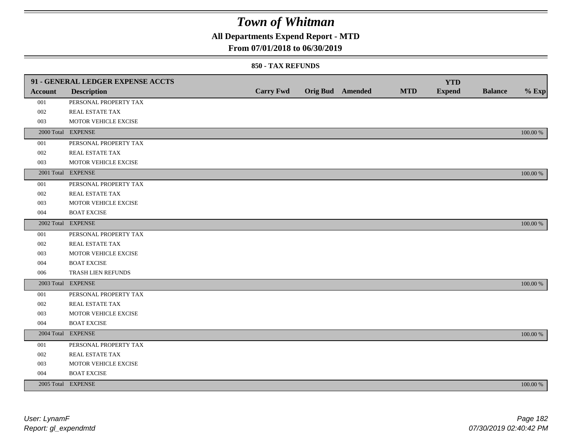## **All Departments Expend Report - MTD**

### **From 07/01/2018 to 06/30/2019**

|                | 91 - GENERAL LEDGER EXPENSE ACCTS |                  |                  |            | <b>YTD</b>    |                |             |
|----------------|-----------------------------------|------------------|------------------|------------|---------------|----------------|-------------|
| <b>Account</b> | <b>Description</b>                | <b>Carry Fwd</b> | Orig Bud Amended | <b>MTD</b> | <b>Expend</b> | <b>Balance</b> | $%$ Exp     |
| 001            | PERSONAL PROPERTY TAX             |                  |                  |            |               |                |             |
| 002            | REAL ESTATE TAX                   |                  |                  |            |               |                |             |
| 003            | MOTOR VEHICLE EXCISE              |                  |                  |            |               |                |             |
|                | 2000 Total EXPENSE                |                  |                  |            |               |                | 100.00 %    |
| 001            | PERSONAL PROPERTY TAX             |                  |                  |            |               |                |             |
| $002\,$        | REAL ESTATE TAX                   |                  |                  |            |               |                |             |
| 003            | MOTOR VEHICLE EXCISE              |                  |                  |            |               |                |             |
|                | 2001 Total EXPENSE                |                  |                  |            |               |                | 100.00 %    |
| 001            | PERSONAL PROPERTY TAX             |                  |                  |            |               |                |             |
| 002            | REAL ESTATE TAX                   |                  |                  |            |               |                |             |
| 003            | MOTOR VEHICLE EXCISE              |                  |                  |            |               |                |             |
| 004            | <b>BOAT EXCISE</b>                |                  |                  |            |               |                |             |
|                | 2002 Total EXPENSE                |                  |                  |            |               |                | 100.00 %    |
| 001            | PERSONAL PROPERTY TAX             |                  |                  |            |               |                |             |
| 002            | REAL ESTATE TAX                   |                  |                  |            |               |                |             |
| 003            | MOTOR VEHICLE EXCISE              |                  |                  |            |               |                |             |
| 004            | <b>BOAT EXCISE</b>                |                  |                  |            |               |                |             |
| 006            | TRASH LIEN REFUNDS                |                  |                  |            |               |                |             |
|                | 2003 Total EXPENSE                |                  |                  |            |               |                | 100.00 %    |
| 001            | PERSONAL PROPERTY TAX             |                  |                  |            |               |                |             |
| 002            | REAL ESTATE TAX                   |                  |                  |            |               |                |             |
| 003            | MOTOR VEHICLE EXCISE              |                  |                  |            |               |                |             |
| 004            | <b>BOAT EXCISE</b>                |                  |                  |            |               |                |             |
|                | 2004 Total EXPENSE                |                  |                  |            |               |                | 100.00 %    |
| 001            | PERSONAL PROPERTY TAX             |                  |                  |            |               |                |             |
| 002            | REAL ESTATE TAX                   |                  |                  |            |               |                |             |
| 003            | MOTOR VEHICLE EXCISE              |                  |                  |            |               |                |             |
| 004            | <b>BOAT EXCISE</b>                |                  |                  |            |               |                |             |
|                | 2005 Total EXPENSE                |                  |                  |            |               |                | $100.00~\%$ |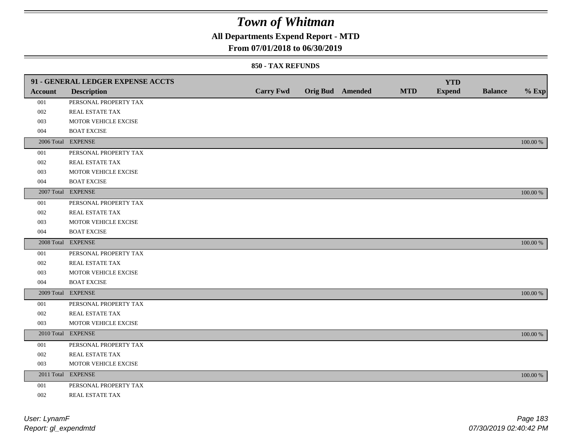## **All Departments Expend Report - MTD**

### **From 07/01/2018 to 06/30/2019**

|         | 91 - GENERAL LEDGER EXPENSE ACCTS |                  |                         |            | <b>YTD</b>    |                |             |
|---------|-----------------------------------|------------------|-------------------------|------------|---------------|----------------|-------------|
| Account | <b>Description</b>                | <b>Carry Fwd</b> | <b>Orig Bud</b> Amended | <b>MTD</b> | <b>Expend</b> | <b>Balance</b> | $%$ Exp     |
| 001     | PERSONAL PROPERTY TAX             |                  |                         |            |               |                |             |
| 002     | REAL ESTATE TAX                   |                  |                         |            |               |                |             |
| 003     | MOTOR VEHICLE EXCISE              |                  |                         |            |               |                |             |
| 004     | <b>BOAT EXCISE</b>                |                  |                         |            |               |                |             |
|         | 2006 Total EXPENSE                |                  |                         |            |               |                | 100.00 %    |
| 001     | PERSONAL PROPERTY TAX             |                  |                         |            |               |                |             |
| 002     | REAL ESTATE TAX                   |                  |                         |            |               |                |             |
| 003     | MOTOR VEHICLE EXCISE              |                  |                         |            |               |                |             |
| 004     | <b>BOAT EXCISE</b>                |                  |                         |            |               |                |             |
|         | 2007 Total EXPENSE                |                  |                         |            |               |                | 100.00 %    |
| 001     | PERSONAL PROPERTY TAX             |                  |                         |            |               |                |             |
| 002     | REAL ESTATE TAX                   |                  |                         |            |               |                |             |
| 003     | MOTOR VEHICLE EXCISE              |                  |                         |            |               |                |             |
| 004     | <b>BOAT EXCISE</b>                |                  |                         |            |               |                |             |
|         | 2008 Total EXPENSE                |                  |                         |            |               |                | 100.00 %    |
| 001     | PERSONAL PROPERTY TAX             |                  |                         |            |               |                |             |
| 002     | <b>REAL ESTATE TAX</b>            |                  |                         |            |               |                |             |
| 003     | MOTOR VEHICLE EXCISE              |                  |                         |            |               |                |             |
| 004     | <b>BOAT EXCISE</b>                |                  |                         |            |               |                |             |
|         | 2009 Total EXPENSE                |                  |                         |            |               |                | 100.00 %    |
| 001     | PERSONAL PROPERTY TAX             |                  |                         |            |               |                |             |
| 002     | REAL ESTATE TAX                   |                  |                         |            |               |                |             |
| 003     | MOTOR VEHICLE EXCISE              |                  |                         |            |               |                |             |
|         | 2010 Total EXPENSE                |                  |                         |            |               |                | 100.00 %    |
| 001     | PERSONAL PROPERTY TAX             |                  |                         |            |               |                |             |
| 002     | REAL ESTATE TAX                   |                  |                         |            |               |                |             |
| 003     | MOTOR VEHICLE EXCISE              |                  |                         |            |               |                |             |
|         | 2011 Total EXPENSE                |                  |                         |            |               |                | $100.00~\%$ |
| 001     | PERSONAL PROPERTY TAX             |                  |                         |            |               |                |             |
| 002     | REAL ESTATE TAX                   |                  |                         |            |               |                |             |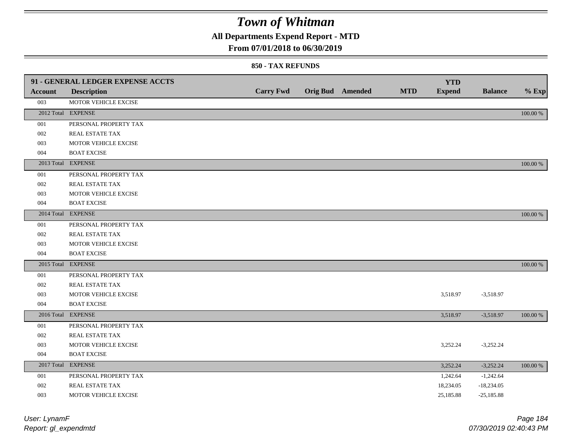## **All Departments Expend Report - MTD**

### **From 07/01/2018 to 06/30/2019**

| Account | 91 - GENERAL LEDGER EXPENSE ACCTS<br><b>Description</b> | <b>Carry Fwd</b> | <b>Orig Bud</b> Amended | <b>MTD</b> | <b>YTD</b><br><b>Expend</b> | <b>Balance</b> | $%$ Exp  |
|---------|---------------------------------------------------------|------------------|-------------------------|------------|-----------------------------|----------------|----------|
| 003     | MOTOR VEHICLE EXCISE                                    |                  |                         |            |                             |                |          |
|         | 2012 Total EXPENSE                                      |                  |                         |            |                             |                | 100.00 % |
| 001     | PERSONAL PROPERTY TAX                                   |                  |                         |            |                             |                |          |
| 002     | REAL ESTATE TAX                                         |                  |                         |            |                             |                |          |
| 003     | MOTOR VEHICLE EXCISE                                    |                  |                         |            |                             |                |          |
| 004     | <b>BOAT EXCISE</b>                                      |                  |                         |            |                             |                |          |
|         | 2013 Total EXPENSE                                      |                  |                         |            |                             |                | 100.00 % |
| 001     | PERSONAL PROPERTY TAX                                   |                  |                         |            |                             |                |          |
| 002     | REAL ESTATE TAX                                         |                  |                         |            |                             |                |          |
| 003     | MOTOR VEHICLE EXCISE                                    |                  |                         |            |                             |                |          |
| 004     | <b>BOAT EXCISE</b>                                      |                  |                         |            |                             |                |          |
|         | 2014 Total EXPENSE                                      |                  |                         |            |                             |                | 100.00 % |
| 001     | PERSONAL PROPERTY TAX                                   |                  |                         |            |                             |                |          |
| 002     | REAL ESTATE TAX                                         |                  |                         |            |                             |                |          |
| 003     | MOTOR VEHICLE EXCISE                                    |                  |                         |            |                             |                |          |
| 004     | <b>BOAT EXCISE</b>                                      |                  |                         |            |                             |                |          |
|         | 2015 Total EXPENSE                                      |                  |                         |            |                             |                | 100.00 % |
| 001     | PERSONAL PROPERTY TAX                                   |                  |                         |            |                             |                |          |
| 002     | REAL ESTATE TAX                                         |                  |                         |            |                             |                |          |
| 003     | MOTOR VEHICLE EXCISE                                    |                  |                         |            | 3,518.97                    | $-3,518.97$    |          |
| 004     | <b>BOAT EXCISE</b>                                      |                  |                         |            |                             |                |          |
|         | 2016 Total EXPENSE                                      |                  |                         |            | 3,518.97                    | $-3,518.97$    | 100.00 % |
| 001     | PERSONAL PROPERTY TAX                                   |                  |                         |            |                             |                |          |
| 002     | REAL ESTATE TAX                                         |                  |                         |            |                             |                |          |
| 003     | MOTOR VEHICLE EXCISE                                    |                  |                         |            | 3,252.24                    | $-3,252.24$    |          |
| 004     | <b>BOAT EXCISE</b>                                      |                  |                         |            |                             |                |          |
|         | 2017 Total EXPENSE                                      |                  |                         |            | 3,252.24                    | $-3,252.24$    | 100.00 % |
| 001     | PERSONAL PROPERTY TAX                                   |                  |                         |            | 1,242.64                    | $-1,242.64$    |          |
| 002     | REAL ESTATE TAX                                         |                  |                         |            | 18,234.05                   | $-18,234.05$   |          |
| 003     | MOTOR VEHICLE EXCISE                                    |                  |                         |            | 25,185.88                   | $-25,185.88$   |          |

| User: LynamF         |           |
|----------------------|-----------|
| Report: gl_expendmtd | 07/30/201 |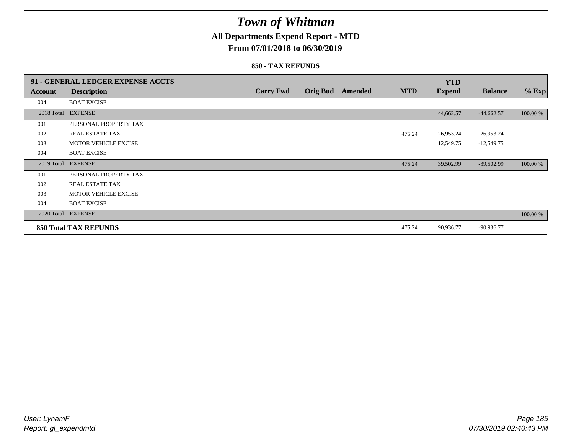## **All Departments Expend Report - MTD**

### **From 07/01/2018 to 06/30/2019**

|            | 91 - GENERAL LEDGER EXPENSE ACCTS |                  |                 |         |            | <b>YTD</b>    |                |          |
|------------|-----------------------------------|------------------|-----------------|---------|------------|---------------|----------------|----------|
| Account    | <b>Description</b>                | <b>Carry Fwd</b> | <b>Orig Bud</b> | Amended | <b>MTD</b> | <b>Expend</b> | <b>Balance</b> | $%$ Exp  |
| 004        | <b>BOAT EXCISE</b>                |                  |                 |         |            |               |                |          |
|            | 2018 Total EXPENSE                |                  |                 |         |            | 44,662.57     | $-44,662.57$   | 100.00 % |
| 001        | PERSONAL PROPERTY TAX             |                  |                 |         |            |               |                |          |
| 002        | REAL ESTATE TAX                   |                  |                 |         | 475.24     | 26,953.24     | $-26,953.24$   |          |
| 003        | <b>MOTOR VEHICLE EXCISE</b>       |                  |                 |         |            | 12,549.75     | $-12,549.75$   |          |
| 004        | <b>BOAT EXCISE</b>                |                  |                 |         |            |               |                |          |
| 2019 Total | <b>EXPENSE</b>                    |                  |                 |         | 475.24     | 39,502.99     | $-39,502.99$   | 100.00 % |
| 001        | PERSONAL PROPERTY TAX             |                  |                 |         |            |               |                |          |
| 002        | <b>REAL ESTATE TAX</b>            |                  |                 |         |            |               |                |          |
| 003        | <b>MOTOR VEHICLE EXCISE</b>       |                  |                 |         |            |               |                |          |
| 004        | <b>BOAT EXCISE</b>                |                  |                 |         |            |               |                |          |
|            | 2020 Total EXPENSE                |                  |                 |         |            |               |                | 100.00 % |
|            | <b>850 Total TAX REFUNDS</b>      |                  |                 |         | 475.24     | 90,936.77     | $-90,936.77$   |          |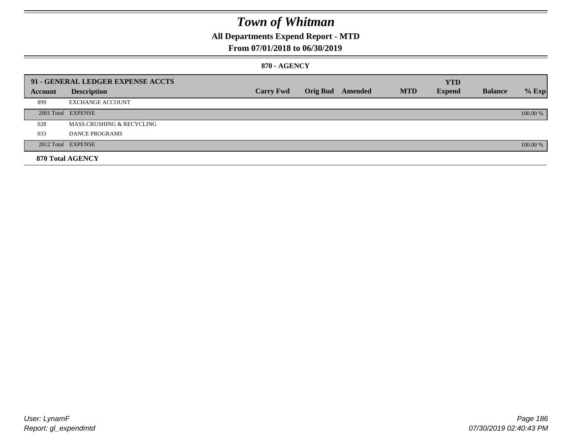## **All Departments Expend Report - MTD**

### **From 07/01/2018 to 06/30/2019**

### **870 - AGENCY**

|         | 91 - GENERAL LEDGER EXPENSE ACCTS |                  |                         |            | <b>YTD</b>    |                |          |
|---------|-----------------------------------|------------------|-------------------------|------------|---------------|----------------|----------|
| Account | <b>Description</b>                | <b>Carry Fwd</b> | <b>Orig Bud</b> Amended | <b>MTD</b> | <b>Expend</b> | <b>Balance</b> | $%$ Exp  |
| 899     | <b>EXCHANGE ACCOUNT</b>           |                  |                         |            |               |                |          |
|         | 2001 Total EXPENSE                |                  |                         |            |               |                | 100.00 % |
| 028     | MASS.CRUSHING & RECYCLING         |                  |                         |            |               |                |          |
| 033     | <b>DANCE PROGRAMS</b>             |                  |                         |            |               |                |          |
|         | 2012 Total EXPENSE                |                  |                         |            |               |                | 100.00 % |
|         | 870 Total AGENCY                  |                  |                         |            |               |                |          |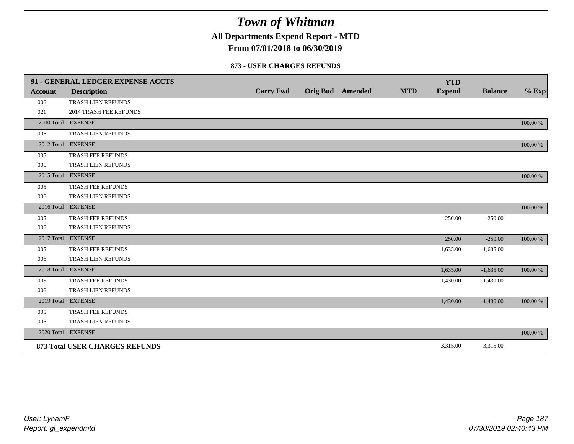**All Departments Expend Report - MTD**

### **From 07/01/2018 to 06/30/2019**

#### **873 - USER CHARGES REFUNDS**

|                | 91 - GENERAL LEDGER EXPENSE ACCTS     |                  |                         |            | <b>YTD</b>    |                |          |
|----------------|---------------------------------------|------------------|-------------------------|------------|---------------|----------------|----------|
| <b>Account</b> | <b>Description</b>                    | <b>Carry Fwd</b> | <b>Orig Bud</b> Amended | <b>MTD</b> | <b>Expend</b> | <b>Balance</b> | $%$ Exp  |
| 006            | TRASH LIEN REFUNDS                    |                  |                         |            |               |                |          |
| 021            | <b>2014 TRASH FEE REFUNDS</b>         |                  |                         |            |               |                |          |
|                | 2000 Total EXPENSE                    |                  |                         |            |               |                | 100.00 % |
| 006            | TRASH LIEN REFUNDS                    |                  |                         |            |               |                |          |
|                | 2012 Total EXPENSE                    |                  |                         |            |               |                | 100.00 % |
| 005            | TRASH FEE REFUNDS                     |                  |                         |            |               |                |          |
| 006            | TRASH LIEN REFUNDS                    |                  |                         |            |               |                |          |
|                | 2015 Total EXPENSE                    |                  |                         |            |               |                | 100.00 % |
| 005            | TRASH FEE REFUNDS                     |                  |                         |            |               |                |          |
| 006            | TRASH LIEN REFUNDS                    |                  |                         |            |               |                |          |
|                | 2016 Total EXPENSE                    |                  |                         |            |               |                | 100.00 % |
| 005            | TRASH FEE REFUNDS                     |                  |                         |            | 250.00        | $-250.00$      |          |
| 006            | TRASH LIEN REFUNDS                    |                  |                         |            |               |                |          |
|                | 2017 Total EXPENSE                    |                  |                         |            | 250.00        | $-250.00$      | 100.00 % |
| 005            | TRASH FEE REFUNDS                     |                  |                         |            | 1,635.00      | $-1,635.00$    |          |
| 006            | TRASH LIEN REFUNDS                    |                  |                         |            |               |                |          |
|                | 2018 Total EXPENSE                    |                  |                         |            | 1,635.00      | $-1,635.00$    | 100.00 % |
| 005            | TRASH FEE REFUNDS                     |                  |                         |            | 1,430.00      | $-1,430.00$    |          |
| 006            | TRASH LIEN REFUNDS                    |                  |                         |            |               |                |          |
|                | 2019 Total EXPENSE                    |                  |                         |            | 1,430.00      | $-1,430.00$    | 100.00 % |
| 005            | TRASH FEE REFUNDS                     |                  |                         |            |               |                |          |
| 006            | TRASH LIEN REFUNDS                    |                  |                         |            |               |                |          |
|                | 2020 Total EXPENSE                    |                  |                         |            |               |                | 100.00 % |
|                | <b>873 Total USER CHARGES REFUNDS</b> |                  |                         |            | 3,315.00      | $-3,315.00$    |          |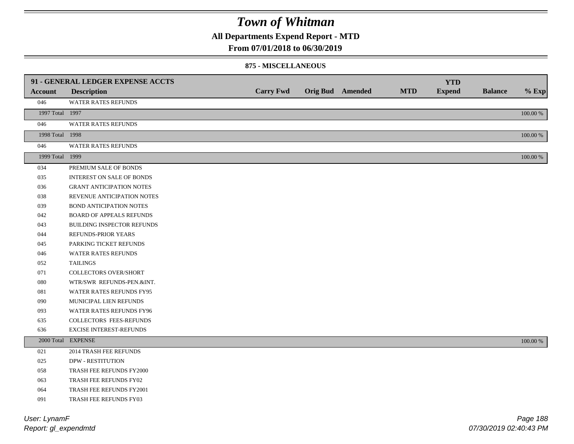**All Departments Expend Report - MTD**

#### **From 07/01/2018 to 06/30/2019**

#### **875 - MISCELLANEOUS**

|                 | 91 - GENERAL LEDGER EXPENSE ACCTS |                  |                         |            | <b>YTD</b>    |                |             |
|-----------------|-----------------------------------|------------------|-------------------------|------------|---------------|----------------|-------------|
| <b>Account</b>  | <b>Description</b>                | <b>Carry Fwd</b> | <b>Orig Bud</b> Amended | <b>MTD</b> | <b>Expend</b> | <b>Balance</b> | $%$ Exp     |
| 046             | WATER RATES REFUNDS               |                  |                         |            |               |                |             |
| 1997 Total 1997 |                                   |                  |                         |            |               |                | $100.00~\%$ |
| 046             | <b>WATER RATES REFUNDS</b>        |                  |                         |            |               |                |             |
| 1998 Total 1998 |                                   |                  |                         |            |               |                | 100.00 %    |
| 046             | WATER RATES REFUNDS               |                  |                         |            |               |                |             |
| 1999 Total 1999 |                                   |                  |                         |            |               |                | $100.00~\%$ |
| 034             | PREMIUM SALE OF BONDS             |                  |                         |            |               |                |             |
| 035             | <b>INTEREST ON SALE OF BONDS</b>  |                  |                         |            |               |                |             |
| 036             | <b>GRANT ANTICIPATION NOTES</b>   |                  |                         |            |               |                |             |
| 038             | REVENUE ANTICIPATION NOTES        |                  |                         |            |               |                |             |
| 039             | <b>BOND ANTICIPATION NOTES</b>    |                  |                         |            |               |                |             |
| 042             | <b>BOARD OF APPEALS REFUNDS</b>   |                  |                         |            |               |                |             |
| 043             | BUILDING INSPECTOR REFUNDS        |                  |                         |            |               |                |             |
| 044             | REFUNDS-PRIOR YEARS               |                  |                         |            |               |                |             |
| 045             | PARKING TICKET REFUNDS            |                  |                         |            |               |                |             |
| 046             | WATER RATES REFUNDS               |                  |                         |            |               |                |             |
| 052             | <b>TAILINGS</b>                   |                  |                         |            |               |                |             |
| 071             | <b>COLLECTORS OVER/SHORT</b>      |                  |                         |            |               |                |             |
| 080             | WTR/SWR REFUNDS-PEN.&INT.         |                  |                         |            |               |                |             |
| 081             | WATER RATES REFUNDS FY95          |                  |                         |            |               |                |             |
| 090             | MUNICIPAL LIEN REFUNDS            |                  |                         |            |               |                |             |
| 093             | WATER RATES REFUNDS FY96          |                  |                         |            |               |                |             |
| 635             | COLLECTORS FEES-REFUNDS           |                  |                         |            |               |                |             |
| 636             | <b>EXCISE INTEREST-REFUNDS</b>    |                  |                         |            |               |                |             |
|                 | 2000 Total EXPENSE                |                  |                         |            |               |                | 100.00 %    |
| 021             | 2014 TRASH FEE REFUNDS            |                  |                         |            |               |                |             |
| 025             | <b>DPW - RESTITUTION</b>          |                  |                         |            |               |                |             |
| 058             | TRASH FEE REFUNDS FY2000          |                  |                         |            |               |                |             |
| 063             | TRASH FEE REFUNDS FY02            |                  |                         |            |               |                |             |
| 064             | TRASH FEE REFUNDS FY2001          |                  |                         |            |               |                |             |
| 091             | TRASH FEE REFUNDS FY03            |                  |                         |            |               |                |             |

*Report: gl\_expendmtd User: LynamF*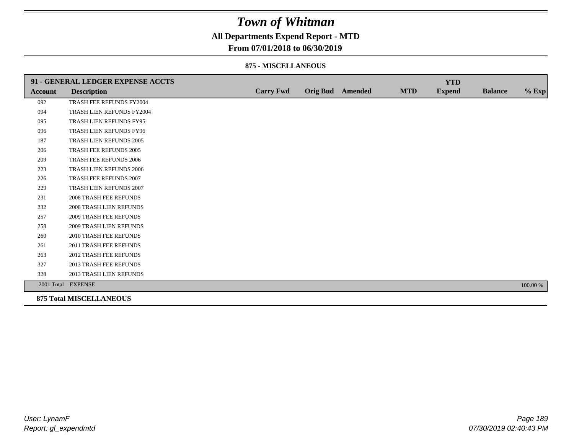## **All Departments Expend Report - MTD**

### **From 07/01/2018 to 06/30/2019**

#### **875 - MISCELLANEOUS**

|                | 91 - GENERAL LEDGER EXPENSE ACCTS |                  |                  |            | <b>YTD</b>    |                |          |
|----------------|-----------------------------------|------------------|------------------|------------|---------------|----------------|----------|
| <b>Account</b> | <b>Description</b>                | <b>Carry Fwd</b> | Orig Bud Amended | <b>MTD</b> | <b>Expend</b> | <b>Balance</b> | $%$ Exp  |
| 092            | TRASH FEE REFUNDS FY2004          |                  |                  |            |               |                |          |
| 094            | TRASH LIEN REFUNDS FY2004         |                  |                  |            |               |                |          |
| 095            | TRASH LIEN REFUNDS FY95           |                  |                  |            |               |                |          |
| 096            | TRASH LIEN REFUNDS FY96           |                  |                  |            |               |                |          |
| 187            | TRASH LIEN REFUNDS 2005           |                  |                  |            |               |                |          |
| 206            | TRASH FEE REFUNDS 2005            |                  |                  |            |               |                |          |
| 209            | <b>TRASH FEE REFUNDS 2006</b>     |                  |                  |            |               |                |          |
| 223            | <b>TRASH LIEN REFUNDS 2006</b>    |                  |                  |            |               |                |          |
| 226            | TRASH FEE REFUNDS 2007            |                  |                  |            |               |                |          |
| 229            | TRASH LIEN REFUNDS 2007           |                  |                  |            |               |                |          |
| 231            | <b>2008 TRASH FEE REFUNDS</b>     |                  |                  |            |               |                |          |
| 232            | <b>2008 TRASH LIEN REFUNDS</b>    |                  |                  |            |               |                |          |
| 257            | <b>2009 TRASH FEE REFUNDS</b>     |                  |                  |            |               |                |          |
| 258            | 2009 TRASH LIEN REFUNDS           |                  |                  |            |               |                |          |
| 260            | 2010 TRASH FEE REFUNDS            |                  |                  |            |               |                |          |
| 261            | 2011 TRASH FEE REFUNDS            |                  |                  |            |               |                |          |
| 263            | <b>2012 TRASH FEE REFUNDS</b>     |                  |                  |            |               |                |          |
| 327            | <b>2013 TRASH FEE REFUNDS</b>     |                  |                  |            |               |                |          |
| 328            | 2013 TRASH LIEN REFUNDS           |                  |                  |            |               |                |          |
|                | 2001 Total EXPENSE                |                  |                  |            |               |                | 100.00 % |
|                | <b>875 Total MISCELLANEOUS</b>    |                  |                  |            |               |                |          |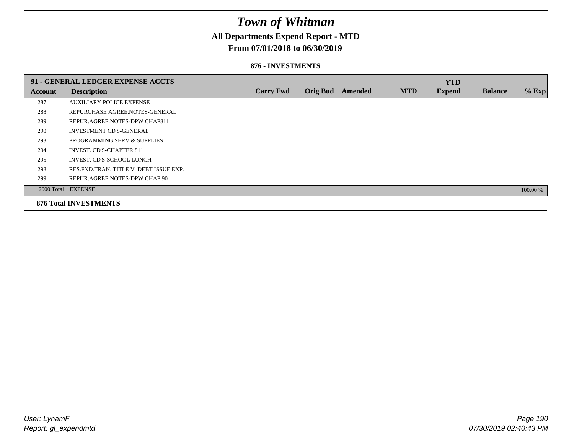## **All Departments Expend Report - MTD**

### **From 07/01/2018 to 06/30/2019**

#### **876 - INVESTMENTS**

|         | 91 - GENERAL LEDGER EXPENSE ACCTS       |                  |                 |                |            | <b>YTD</b>    |                |          |
|---------|-----------------------------------------|------------------|-----------------|----------------|------------|---------------|----------------|----------|
| Account | <b>Description</b>                      | <b>Carry Fwd</b> | <b>Orig Bud</b> | <b>Amended</b> | <b>MTD</b> | <b>Expend</b> | <b>Balance</b> | % Exp    |
| 287     | <b>AUXILIARY POLICE EXPENSE</b>         |                  |                 |                |            |               |                |          |
| 288     | REPURCHASE AGREE.NOTES-GENERAL          |                  |                 |                |            |               |                |          |
| 289     | REPUR.AGREE.NOTES-DPW CHAP811           |                  |                 |                |            |               |                |          |
| 290     | <b>INVESTMENT CD'S-GENERAL</b>          |                  |                 |                |            |               |                |          |
| 293     | PROGRAMMING SERV.& SUPPLIES             |                  |                 |                |            |               |                |          |
| 294     | <b>INVEST. CD'S-CHAPTER 811</b>         |                  |                 |                |            |               |                |          |
| 295     | INVEST. CD'S-SCHOOL LUNCH               |                  |                 |                |            |               |                |          |
| 298     | RES. FND. TRAN. TITLE V DEBT ISSUE EXP. |                  |                 |                |            |               |                |          |
| 299     | REPUR.AGREE.NOTES-DPW CHAP.90           |                  |                 |                |            |               |                |          |
|         | 2000 Total EXPENSE                      |                  |                 |                |            |               |                | 100.00 % |
|         | <b>876 Total INVESTMENTS</b>            |                  |                 |                |            |               |                |          |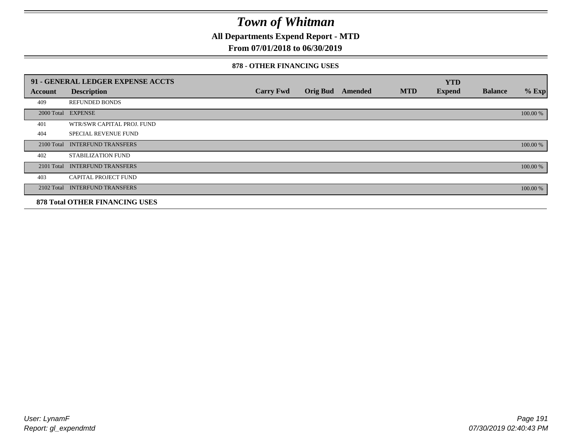**All Departments Expend Report - MTD**

## **From 07/01/2018 to 06/30/2019**

#### **878 - OTHER FINANCING USES**

|            | 91 - GENERAL LEDGER EXPENSE ACCTS     |                  |                 |         |            | <b>YTD</b>    |                |          |
|------------|---------------------------------------|------------------|-----------------|---------|------------|---------------|----------------|----------|
| Account    | <b>Description</b>                    | <b>Carry Fwd</b> | <b>Orig Bud</b> | Amended | <b>MTD</b> | <b>Expend</b> | <b>Balance</b> | $%$ Exp  |
| 409        | <b>REFUNDED BONDS</b>                 |                  |                 |         |            |               |                |          |
| 2000 Total | <b>EXPENSE</b>                        |                  |                 |         |            |               |                | 100.00 % |
| 401        | WTR/SWR CAPITAL PROJ. FUND            |                  |                 |         |            |               |                |          |
| 404        | <b>SPECIAL REVENUE FUND</b>           |                  |                 |         |            |               |                |          |
| 2100 Total | <b>INTERFUND TRANSFERS</b>            |                  |                 |         |            |               |                | 100.00 % |
| 402        | STABILIZATION FUND                    |                  |                 |         |            |               |                |          |
| 2101 Total | <b>INTERFUND TRANSFERS</b>            |                  |                 |         |            |               |                | 100.00 % |
| 403        | <b>CAPITAL PROJECT FUND</b>           |                  |                 |         |            |               |                |          |
|            | 2102 Total INTERFUND TRANSFERS        |                  |                 |         |            |               |                | 100.00 % |
|            | <b>878 Total OTHER FINANCING USES</b> |                  |                 |         |            |               |                |          |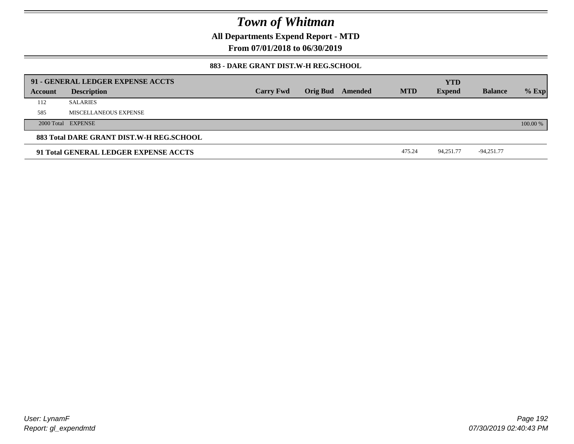**All Departments Expend Report - MTD**

**From 07/01/2018 to 06/30/2019**

### **883 - DARE GRANT DIST.W-H REG.SCHOOL**

| 91 - GENERAL LEDGER EXPENSE ACCTS        |                       |                  |        |                         |            |                             |                |          |
|------------------------------------------|-----------------------|------------------|--------|-------------------------|------------|-----------------------------|----------------|----------|
| Account                                  | <b>Description</b>    | <b>Carry Fwd</b> |        | <b>Orig Bud</b> Amended | <b>MTD</b> | <b>YTD</b><br><b>Expend</b> | <b>Balance</b> | $%$ Exp  |
| 112                                      | <b>SALARIES</b>       |                  |        |                         |            |                             |                |          |
| 585                                      | MISCELLANEOUS EXPENSE |                  |        |                         |            |                             |                |          |
|                                          | 2000 Total EXPENSE    |                  |        |                         |            |                             |                | 100.00 % |
| 883 Total DARE GRANT DIST.W-H REG.SCHOOL |                       |                  |        |                         |            |                             |                |          |
| 91 Total GENERAL LEDGER EXPENSE ACCTS    |                       |                  | 475.24 | 94.251.77               | -94,251.77 |                             |                |          |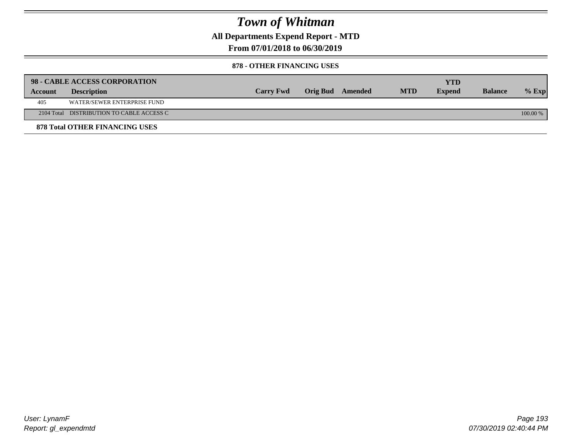**All Departments Expend Report - MTD**

**From 07/01/2018 to 06/30/2019**

#### **878 - OTHER FINANCING USES**

|         | 98 - CABLE ACCESS CORPORATION             |                  |                  |            | YTD           |                |            |
|---------|-------------------------------------------|------------------|------------------|------------|---------------|----------------|------------|
| Account | <b>Description</b>                        | <b>Carry Fwd</b> | Orig Bud Amended | <b>MTD</b> | <b>Expend</b> | <b>Balance</b> | $%$ Exp    |
| 405     | WATER/SEWER ENTERPRISE FUND               |                  |                  |            |               |                |            |
|         | 2104 Total DISTRIBUTION TO CABLE ACCESS C |                  |                  |            |               |                | $100.00\%$ |
|         | <b>878 Total OTHER FINANCING USES</b>     |                  |                  |            |               |                |            |